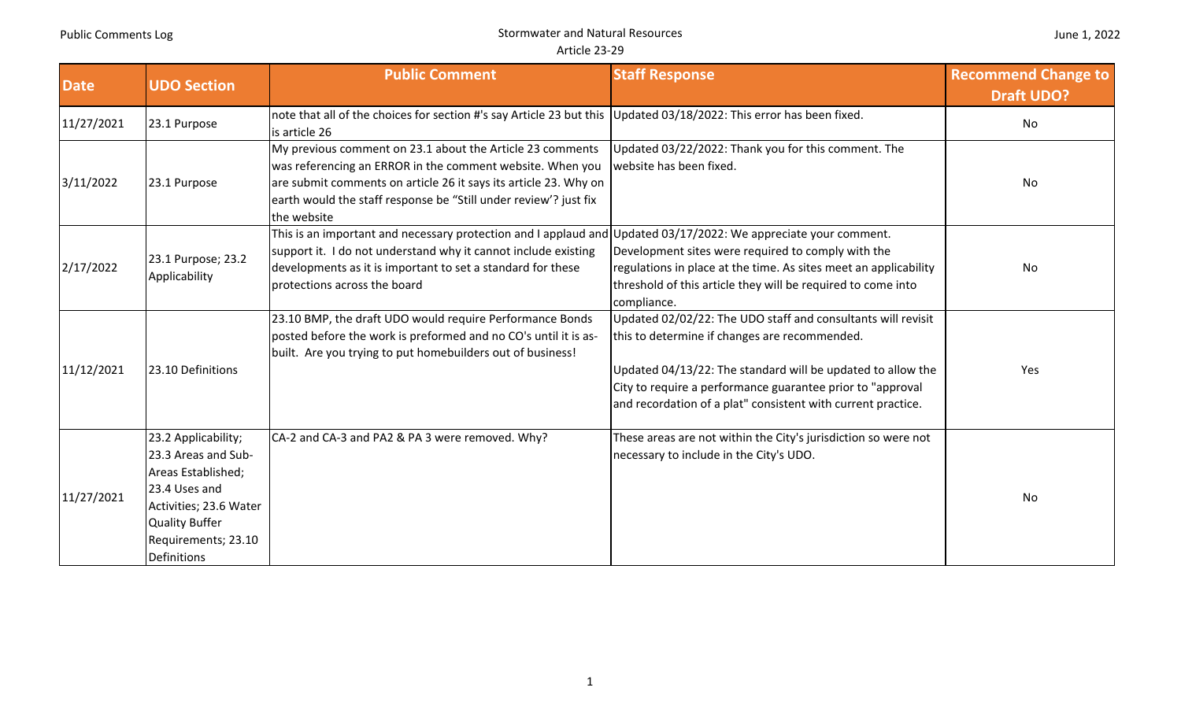|  |  | June 1, 2022 |
|--|--|--------------|
|--|--|--------------|

| <b>Date</b> | <b>UDO Section</b>                                                                                                                                                                | <b>Public Comment</b>                                                                                                                                                                                                                                                         | <b>Staff Response</b>                                                                                                                                                                                                                                                                                      | <b>Recommend Change to</b><br><b>Draft UDO?</b> |
|-------------|-----------------------------------------------------------------------------------------------------------------------------------------------------------------------------------|-------------------------------------------------------------------------------------------------------------------------------------------------------------------------------------------------------------------------------------------------------------------------------|------------------------------------------------------------------------------------------------------------------------------------------------------------------------------------------------------------------------------------------------------------------------------------------------------------|-------------------------------------------------|
| 11/27/2021  | 23.1 Purpose                                                                                                                                                                      | note that all of the choices for section #'s say Article 23 but this Updated 03/18/2022: This error has been fixed.<br>is article 26                                                                                                                                          |                                                                                                                                                                                                                                                                                                            | <b>No</b>                                       |
| 3/11/2022   | 23.1 Purpose                                                                                                                                                                      | My previous comment on 23.1 about the Article 23 comments<br>was referencing an ERROR in the comment website. When you<br>are submit comments on article 26 it says its article 23. Why on<br>earth would the staff response be "Still under review'? just fix<br>the website | Updated 03/22/2022: Thank you for this comment. The<br>website has been fixed.                                                                                                                                                                                                                             | No                                              |
| 2/17/2022   | 23.1 Purpose; 23.2<br>Applicability                                                                                                                                               | This is an important and necessary protection and I applaud and<br>support it. I do not understand why it cannot include existing<br>developments as it is important to set a standard for these<br>protections across the board                                              | Updated 03/17/2022: We appreciate your comment.<br>Development sites were required to comply with the<br>regulations in place at the time. As sites meet an applicability<br>threshold of this article they will be required to come into<br>compliance.                                                   | <b>No</b>                                       |
| 11/12/2021  | 23.10 Definitions                                                                                                                                                                 | 23.10 BMP, the draft UDO would require Performance Bonds<br>posted before the work is preformed and no CO's until it is as-<br>built. Are you trying to put homebuilders out of business!                                                                                     | Updated 02/02/22: The UDO staff and consultants will revisit<br>this to determine if changes are recommended.<br>Updated 04/13/22: The standard will be updated to allow the<br>City to require a performance guarantee prior to "approval<br>and recordation of a plat" consistent with current practice. | Yes                                             |
| 11/27/2021  | 23.2 Applicability;<br>23.3 Areas and Sub-<br>Areas Established;<br>23.4 Uses and<br>Activities; 23.6 Water<br><b>Quality Buffer</b><br>Requirements; 23.10<br><b>Definitions</b> | CA-2 and CA-3 and PA2 & PA 3 were removed. Why?                                                                                                                                                                                                                               | These areas are not within the City's jurisdiction so were not<br>necessary to include in the City's UDO.                                                                                                                                                                                                  | No                                              |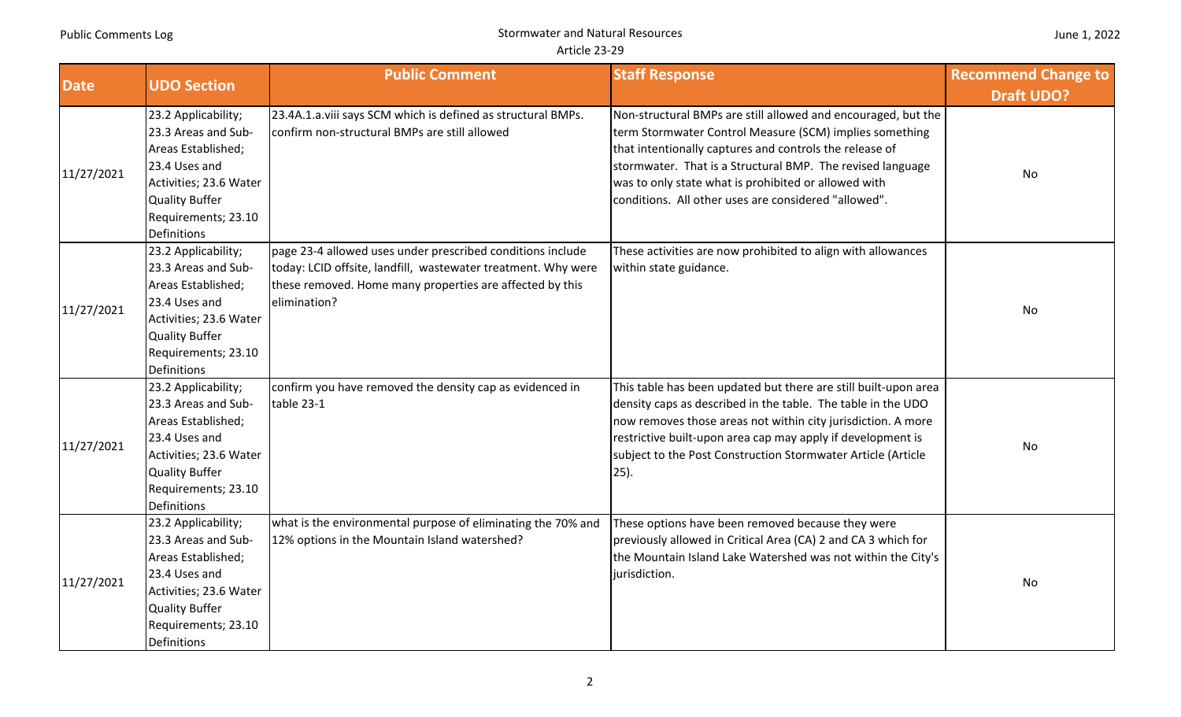|  | June 1, 2022 |
|--|--------------|
|--|--------------|

| Date       | <b>UDO Section</b>                                                                                                                                                         | <b>Public Comment</b>                                                                                                                                                                                   | <b>Staff Response</b>                                                                                                                                                                                                                                                                                                                                             | <b>Recommend Change to</b><br><b>Draft UDO?</b> |
|------------|----------------------------------------------------------------------------------------------------------------------------------------------------------------------------|---------------------------------------------------------------------------------------------------------------------------------------------------------------------------------------------------------|-------------------------------------------------------------------------------------------------------------------------------------------------------------------------------------------------------------------------------------------------------------------------------------------------------------------------------------------------------------------|-------------------------------------------------|
| 11/27/2021 | 23.2 Applicability;<br>23.3 Areas and Sub-<br>Areas Established;<br>23.4 Uses and<br>Activities; 23.6 Water<br><b>Quality Buffer</b><br>Requirements; 23.10<br>Definitions | 23.4A.1.a.viii says SCM which is defined as structural BMPs.<br>confirm non-structural BMPs are still allowed                                                                                           | Non-structural BMPs are still allowed and encouraged, but the<br>term Stormwater Control Measure (SCM) implies something<br>that intentionally captures and controls the release of<br>stormwater. That is a Structural BMP. The revised language<br>was to only state what is prohibited or allowed with<br>conditions. All other uses are considered "allowed". | No                                              |
| 11/27/2021 | 23.2 Applicability;<br>23.3 Areas and Sub-<br>Areas Established;<br>23.4 Uses and<br>Activities; 23.6 Water<br><b>Quality Buffer</b><br>Requirements; 23.10<br>Definitions | page 23-4 allowed uses under prescribed conditions include<br>today: LCID offsite, landfill, wastewater treatment. Why were<br>these removed. Home many properties are affected by this<br>elimination? | These activities are now prohibited to align with allowances<br>within state guidance.                                                                                                                                                                                                                                                                            | No                                              |
| 11/27/2021 | 23.2 Applicability;<br>23.3 Areas and Sub-<br>Areas Established;<br>23.4 Uses and<br>Activities; 23.6 Water<br><b>Quality Buffer</b><br>Requirements; 23.10<br>Definitions | confirm you have removed the density cap as evidenced in<br>table 23-1                                                                                                                                  | This table has been updated but there are still built-upon area<br>density caps as described in the table. The table in the UDO<br>now removes those areas not within city jurisdiction. A more<br>restrictive built-upon area cap may apply if development is<br>subject to the Post Construction Stormwater Article (Article<br>25).                            | No                                              |
| 11/27/2021 | 23.2 Applicability;<br>23.3 Areas and Sub-<br>Areas Established;<br>23.4 Uses and<br>Activities; 23.6 Water<br><b>Quality Buffer</b><br>Requirements; 23.10<br>Definitions | what is the environmental purpose of eliminating the 70% and<br>12% options in the Mountain Island watershed?                                                                                           | These options have been removed because they were<br>previously allowed in Critical Area (CA) 2 and CA 3 which for<br>the Mountain Island Lake Watershed was not within the City's<br>jurisdiction.                                                                                                                                                               | No                                              |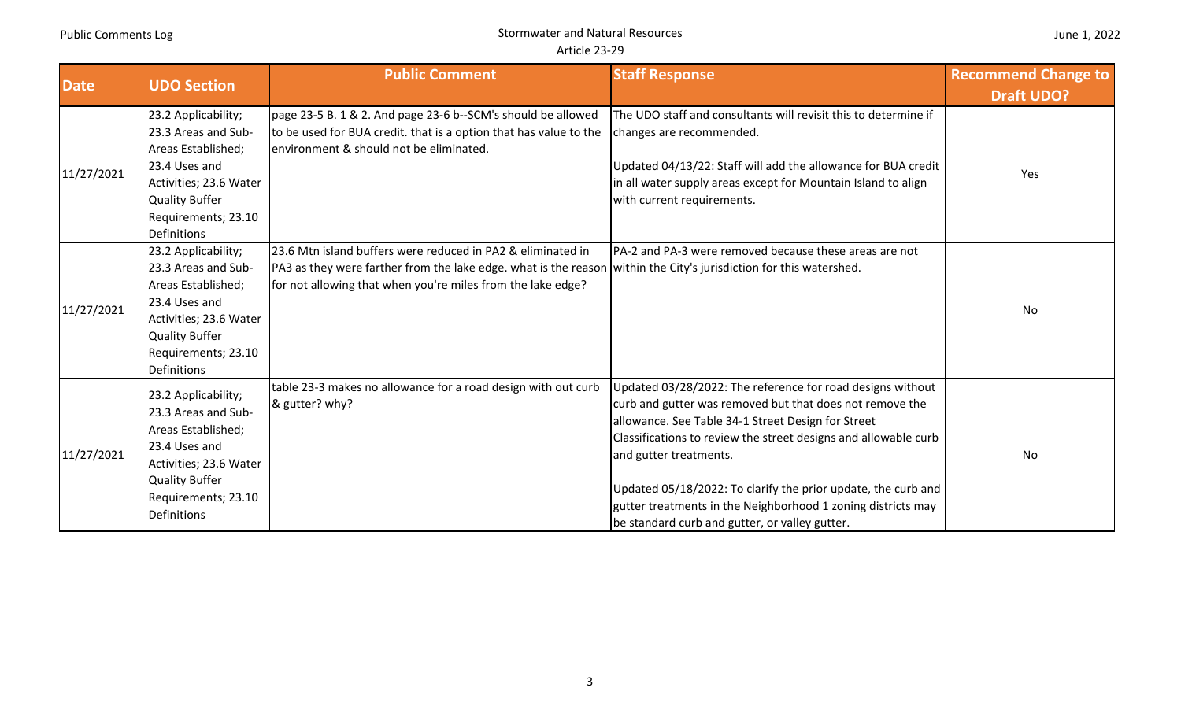|  |  | June 1, 2022 |
|--|--|--------------|
|--|--|--------------|

| <b>Date</b> | <b>Staff Response</b><br><b>Public Comment</b><br><b>UDO Section</b>                                                                                                              |                                                                                                                                                                                                                                                  |                                                                                                                                                                                                                                                                                                                                                                                                                                                              | <b>Recommend Change to</b> |
|-------------|-----------------------------------------------------------------------------------------------------------------------------------------------------------------------------------|--------------------------------------------------------------------------------------------------------------------------------------------------------------------------------------------------------------------------------------------------|--------------------------------------------------------------------------------------------------------------------------------------------------------------------------------------------------------------------------------------------------------------------------------------------------------------------------------------------------------------------------------------------------------------------------------------------------------------|----------------------------|
|             |                                                                                                                                                                                   |                                                                                                                                                                                                                                                  |                                                                                                                                                                                                                                                                                                                                                                                                                                                              | <b>Draft UDO?</b>          |
| 11/27/2021  | 23.2 Applicability;<br>23.3 Areas and Sub-<br>Areas Established;<br>23.4 Uses and<br>Activities; 23.6 Water<br><b>Quality Buffer</b><br>Requirements; 23.10<br>Definitions        | page 23-5 B. 1 & 2. And page 23-6 b--SCM's should be allowed<br>to be used for BUA credit. that is a option that has value to the<br>environment & should not be eliminated.                                                                     | The UDO staff and consultants will revisit this to determine if<br>changes are recommended.<br>Updated 04/13/22: Staff will add the allowance for BUA credit<br>in all water supply areas except for Mountain Island to align<br>with current requirements.                                                                                                                                                                                                  | Yes                        |
| 11/27/2021  | 23.2 Applicability;<br>23.3 Areas and Sub-<br>Areas Established;<br>23.4 Uses and<br>Activities; 23.6 Water<br><b>Quality Buffer</b><br>Requirements; 23.10<br><b>Definitions</b> | 23.6 Mtn island buffers were reduced in PA2 & eliminated in<br>PA3 as they were farther from the lake edge. what is the reason within the City's jurisdiction for this watershed.<br>for not allowing that when you're miles from the lake edge? | PA-2 and PA-3 were removed because these areas are not                                                                                                                                                                                                                                                                                                                                                                                                       | No                         |
| 11/27/2021  | 23.2 Applicability;<br>23.3 Areas and Sub-<br>Areas Established;<br>23.4 Uses and<br>Activities; 23.6 Water<br><b>Quality Buffer</b><br>Requirements; 23.10<br>Definitions        | table 23-3 makes no allowance for a road design with out curb<br>& gutter? why?                                                                                                                                                                  | Updated 03/28/2022: The reference for road designs without<br>curb and gutter was removed but that does not remove the<br>allowance. See Table 34-1 Street Design for Street<br>Classifications to review the street designs and allowable curb<br>and gutter treatments.<br>Updated 05/18/2022: To clarify the prior update, the curb and<br>gutter treatments in the Neighborhood 1 zoning districts may<br>be standard curb and gutter, or valley gutter. | No                         |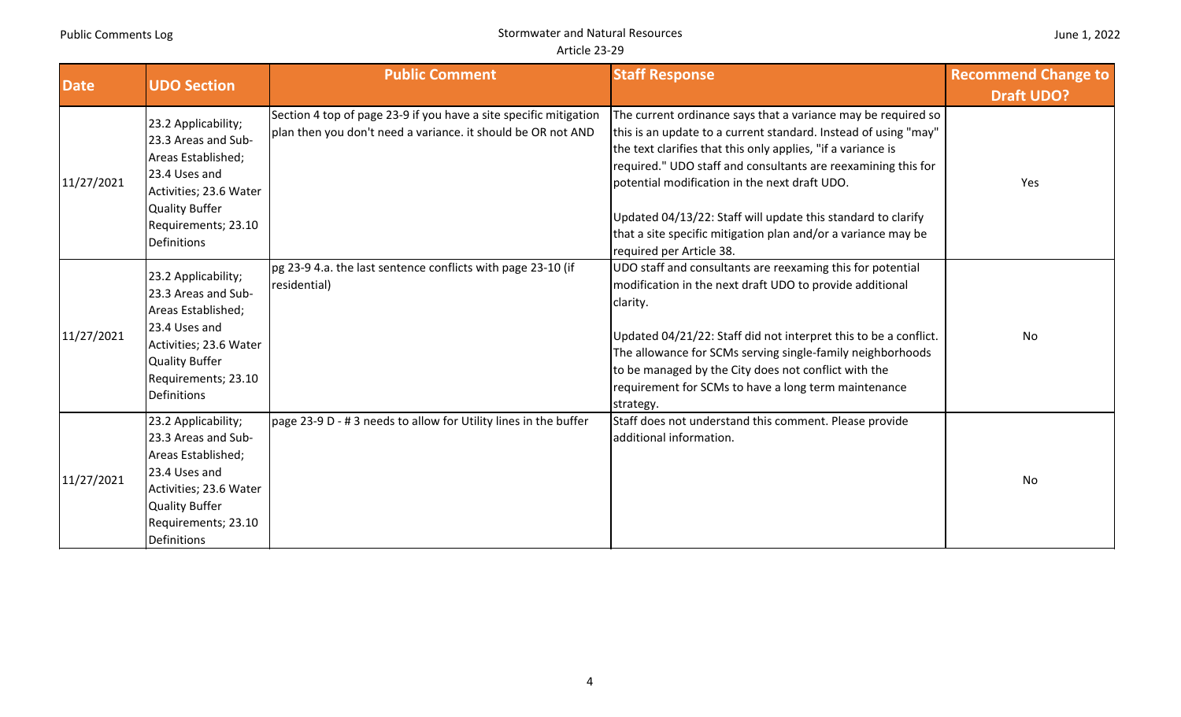| <b>Date</b> | <b>UDO Section</b>                                                                                                                                                                | <b>Public Comment</b>                                                                                                             | <b>Staff Response</b>                                                                                                                                                                                                                                                                                                                                                                                                                                                           | <b>Recommend Change to</b><br><b>Draft UDO?</b> |
|-------------|-----------------------------------------------------------------------------------------------------------------------------------------------------------------------------------|-----------------------------------------------------------------------------------------------------------------------------------|---------------------------------------------------------------------------------------------------------------------------------------------------------------------------------------------------------------------------------------------------------------------------------------------------------------------------------------------------------------------------------------------------------------------------------------------------------------------------------|-------------------------------------------------|
| 11/27/2021  | 23.2 Applicability;<br>23.3 Areas and Sub-<br>Areas Established;<br>23.4 Uses and<br>Activities; 23.6 Water<br><b>Quality Buffer</b><br>Requirements; 23.10<br><b>Definitions</b> | Section 4 top of page 23-9 if you have a site specific mitigation<br>plan then you don't need a variance. it should be OR not AND | The current ordinance says that a variance may be required so<br>this is an update to a current standard. Instead of using "may"<br>the text clarifies that this only applies, "if a variance is<br>required." UDO staff and consultants are reexamining this for<br>potential modification in the next draft UDO.<br>Updated 04/13/22: Staff will update this standard to clarify<br>that a site specific mitigation plan and/or a variance may be<br>required per Article 38. | Yes                                             |
| 11/27/2021  | 23.2 Applicability;<br>23.3 Areas and Sub-<br>Areas Established;<br>23.4 Uses and<br>Activities; 23.6 Water<br><b>Quality Buffer</b><br>Requirements; 23.10<br><b>Definitions</b> | pg 23-9 4.a. the last sentence conflicts with page 23-10 (if<br>residential)                                                      | UDO staff and consultants are reexaming this for potential<br>modification in the next draft UDO to provide additional<br>clarity.<br>Updated 04/21/22: Staff did not interpret this to be a conflict.<br>The allowance for SCMs serving single-family neighborhoods<br>to be managed by the City does not conflict with the<br>requirement for SCMs to have a long term maintenance<br>strategy.                                                                               | No                                              |
| 11/27/2021  | 23.2 Applicability;<br>23.3 Areas and Sub-<br>Areas Established;<br>23.4 Uses and<br>Activities; 23.6 Water<br><b>Quality Buffer</b><br>Requirements; 23.10<br>Definitions        | page 23-9 D - # 3 needs to allow for Utility lines in the buffer                                                                  | Staff does not understand this comment. Please provide<br>additional information.                                                                                                                                                                                                                                                                                                                                                                                               | No                                              |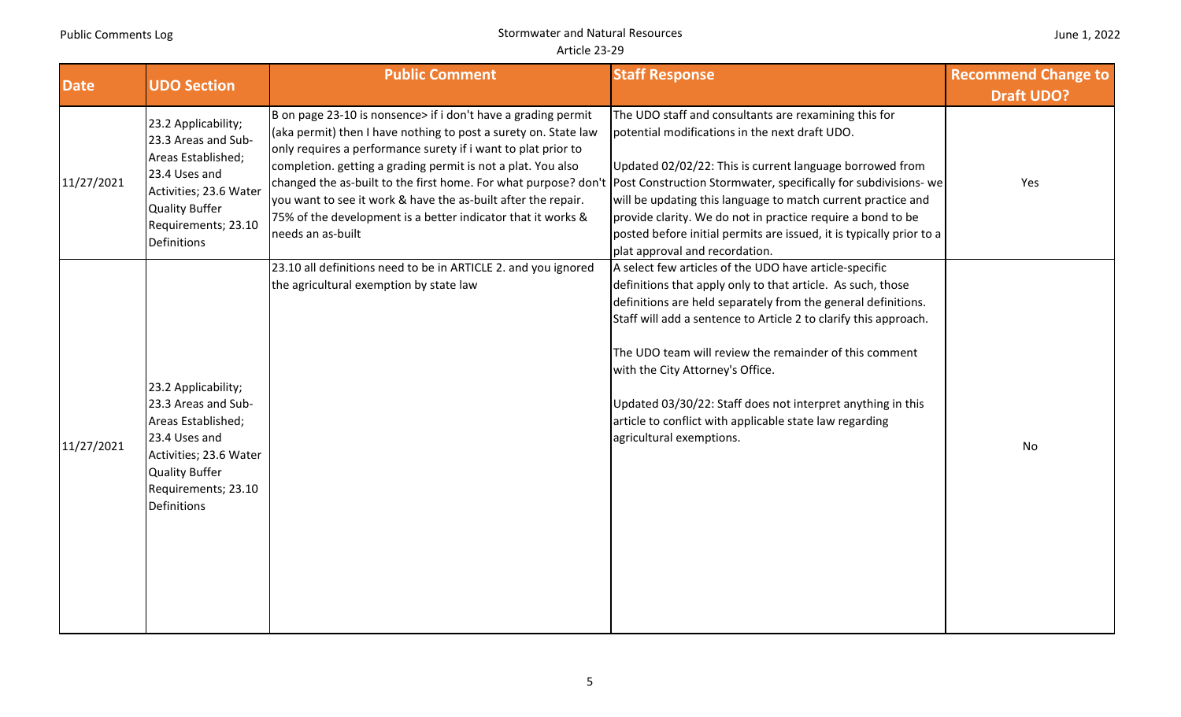| <b>Date</b> | <b>UDO Section</b>                                                                                                                                                         | <b>Public Comment</b>                                                                                                                                                                                                                                                                                                                                                                                                                                                                                                                                      | <b>Staff Response</b>                                                                                                                                                                                                                                                                                                                                                                                                                                                                                          | <b>Recommend Change to</b> |
|-------------|----------------------------------------------------------------------------------------------------------------------------------------------------------------------------|------------------------------------------------------------------------------------------------------------------------------------------------------------------------------------------------------------------------------------------------------------------------------------------------------------------------------------------------------------------------------------------------------------------------------------------------------------------------------------------------------------------------------------------------------------|----------------------------------------------------------------------------------------------------------------------------------------------------------------------------------------------------------------------------------------------------------------------------------------------------------------------------------------------------------------------------------------------------------------------------------------------------------------------------------------------------------------|----------------------------|
|             |                                                                                                                                                                            |                                                                                                                                                                                                                                                                                                                                                                                                                                                                                                                                                            |                                                                                                                                                                                                                                                                                                                                                                                                                                                                                                                | <b>Draft UDO?</b>          |
| 11/27/2021  | 23.2 Applicability;<br>23.3 Areas and Sub-<br>Areas Established;<br>23.4 Uses and<br>Activities; 23.6 Water<br><b>Quality Buffer</b><br>Requirements; 23.10<br>Definitions | B on page 23-10 is nonsence> if i don't have a grading permit<br>(aka permit) then I have nothing to post a surety on. State law<br>only requires a performance surety if i want to plat prior to<br>completion. getting a grading permit is not a plat. You also<br>changed the as-built to the first home. For what purpose? don't Post Construction Stormwater, specifically for subdivisions- we<br>you want to see it work & have the as-built after the repair.<br>75% of the development is a better indicator that it works &<br>needs an as-built | The UDO staff and consultants are rexamining this for<br>potential modifications in the next draft UDO.<br>Updated 02/02/22: This is current language borrowed from<br>will be updating this language to match current practice and<br>provide clarity. We do not in practice require a bond to be<br>posted before initial permits are issued, it is typically prior to a<br>plat approval and recordation.                                                                                                   | Yes                        |
| 11/27/2021  | 23.2 Applicability;<br>23.3 Areas and Sub-<br>Areas Established;<br>23.4 Uses and<br>Activities; 23.6 Water<br><b>Quality Buffer</b><br>Requirements; 23.10<br>Definitions | 23.10 all definitions need to be in ARTICLE 2. and you ignored<br>the agricultural exemption by state law                                                                                                                                                                                                                                                                                                                                                                                                                                                  | A select few articles of the UDO have article-specific<br>definitions that apply only to that article. As such, those<br>definitions are held separately from the general definitions.<br>Staff will add a sentence to Article 2 to clarify this approach.<br>The UDO team will review the remainder of this comment<br>with the City Attorney's Office.<br>Updated 03/30/22: Staff does not interpret anything in this<br>article to conflict with applicable state law regarding<br>agricultural exemptions. | No                         |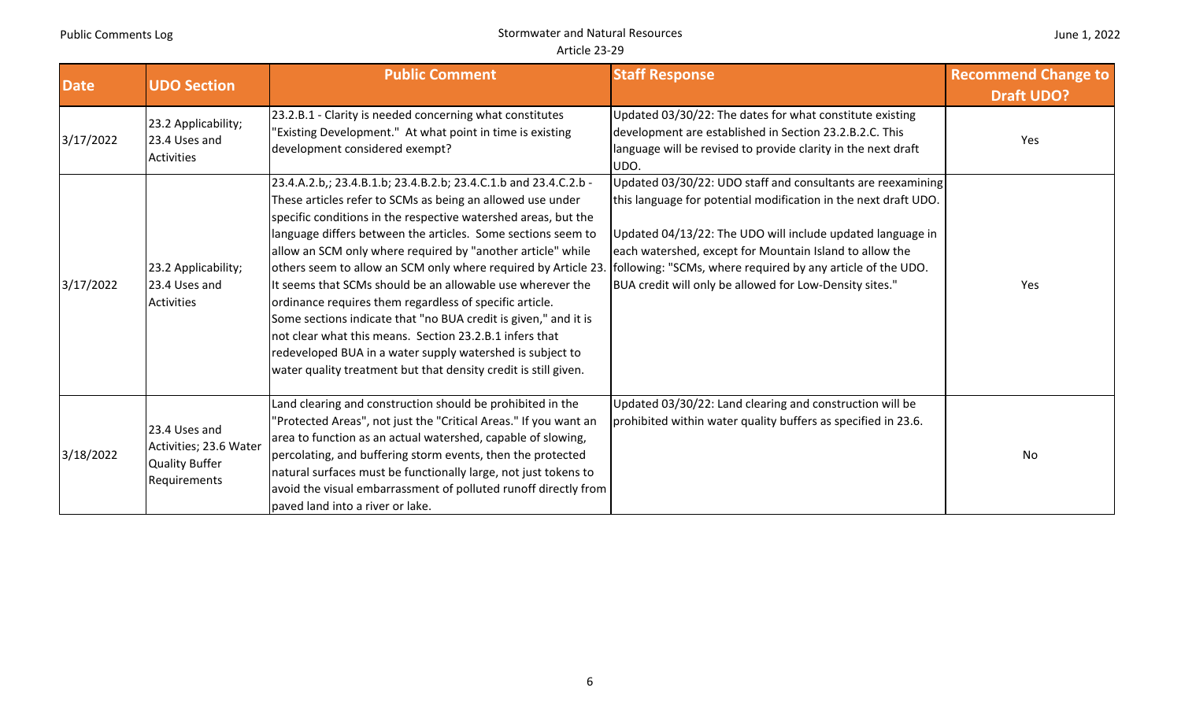| <b>Date</b> | <b>UDO Section</b>                                                               | <b>Public Comment</b>                                                                                                                                                                                                                                                                                                                                                                                                                                                                                                                                                                                                                                                                                                                                                                    | <b>Staff Response</b>                                                                                                                                                                                                                                                                                                                                                             | <b>Recommend Change to</b> |
|-------------|----------------------------------------------------------------------------------|------------------------------------------------------------------------------------------------------------------------------------------------------------------------------------------------------------------------------------------------------------------------------------------------------------------------------------------------------------------------------------------------------------------------------------------------------------------------------------------------------------------------------------------------------------------------------------------------------------------------------------------------------------------------------------------------------------------------------------------------------------------------------------------|-----------------------------------------------------------------------------------------------------------------------------------------------------------------------------------------------------------------------------------------------------------------------------------------------------------------------------------------------------------------------------------|----------------------------|
|             |                                                                                  |                                                                                                                                                                                                                                                                                                                                                                                                                                                                                                                                                                                                                                                                                                                                                                                          |                                                                                                                                                                                                                                                                                                                                                                                   | <b>Draft UDO?</b>          |
| 3/17/2022   | 23.2 Applicability;<br>23.4 Uses and<br><b>Activities</b>                        | 23.2.B.1 - Clarity is needed concerning what constitutes<br>'Existing Development." At what point in time is existing<br>development considered exempt?                                                                                                                                                                                                                                                                                                                                                                                                                                                                                                                                                                                                                                  | Updated 03/30/22: The dates for what constitute existing<br>development are established in Section 23.2.B.2.C. This<br>language will be revised to provide clarity in the next draft<br>UDO.                                                                                                                                                                                      | Yes                        |
| 3/17/2022   | 23.2 Applicability;<br>23.4 Uses and<br><b>Activities</b>                        | 23.4.A.2.b,; 23.4.B.1.b; 23.4.B.2.b; 23.4.C.1.b and 23.4.C.2.b -<br>These articles refer to SCMs as being an allowed use under<br>specific conditions in the respective watershed areas, but the<br>language differs between the articles. Some sections seem to<br>allow an SCM only where required by "another article" while<br>others seem to allow an SCM only where required by Article 23.<br>It seems that SCMs should be an allowable use wherever the<br>ordinance requires them regardless of specific article.<br>Some sections indicate that "no BUA credit is given," and it is<br>not clear what this means. Section 23.2.B.1 infers that<br>redeveloped BUA in a water supply watershed is subject to<br>water quality treatment but that density credit is still given. | Updated 03/30/22: UDO staff and consultants are reexamining<br>this language for potential modification in the next draft UDO.<br>Updated 04/13/22: The UDO will include updated language in<br>each watershed, except for Mountain Island to allow the<br>following: "SCMs, where required by any article of the UDO.<br>BUA credit will only be allowed for Low-Density sites." | Yes                        |
| 3/18/2022   | 23.4 Uses and<br>Activities; 23.6 Water<br><b>Quality Buffer</b><br>Requirements | Land clearing and construction should be prohibited in the<br>'Protected Areas", not just the "Critical Areas." If you want an<br>area to function as an actual watershed, capable of slowing,<br>percolating, and buffering storm events, then the protected<br>natural surfaces must be functionally large, not just tokens to<br>avoid the visual embarrassment of polluted runoff directly from<br>paved land into a river or lake.                                                                                                                                                                                                                                                                                                                                                  | Updated 03/30/22: Land clearing and construction will be<br>prohibited within water quality buffers as specified in 23.6.                                                                                                                                                                                                                                                         | No                         |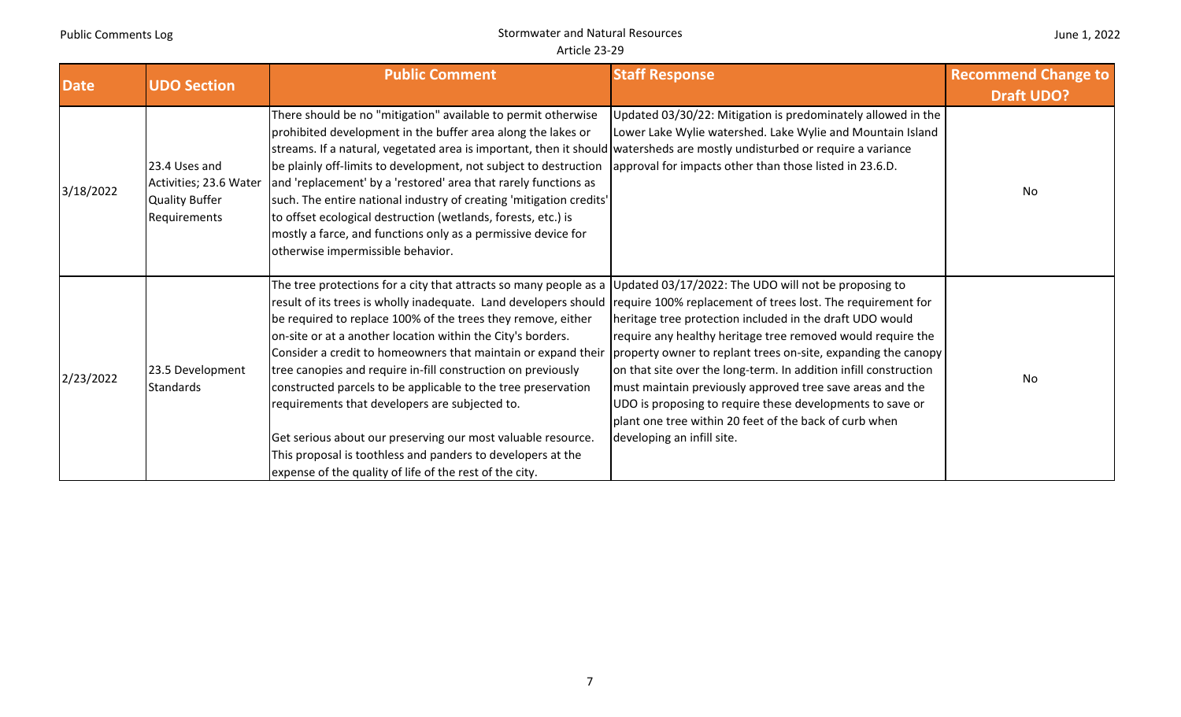| June 1, 2022 |  |  |
|--------------|--|--|
|--------------|--|--|

| <b>Date</b> | <b>UDO Section</b>                                                               | <b>Public Comment</b>                                                                                                                                                                                                                                                                                                                                                                                                                                                                                                                                                                                                                                                                                                                                                                                                               | <b>Staff Response</b>                                                                                                                                                                                                                                                                                                                                                                                                                                                          | <b>Recommend Change to</b> |
|-------------|----------------------------------------------------------------------------------|-------------------------------------------------------------------------------------------------------------------------------------------------------------------------------------------------------------------------------------------------------------------------------------------------------------------------------------------------------------------------------------------------------------------------------------------------------------------------------------------------------------------------------------------------------------------------------------------------------------------------------------------------------------------------------------------------------------------------------------------------------------------------------------------------------------------------------------|--------------------------------------------------------------------------------------------------------------------------------------------------------------------------------------------------------------------------------------------------------------------------------------------------------------------------------------------------------------------------------------------------------------------------------------------------------------------------------|----------------------------|
|             |                                                                                  |                                                                                                                                                                                                                                                                                                                                                                                                                                                                                                                                                                                                                                                                                                                                                                                                                                     |                                                                                                                                                                                                                                                                                                                                                                                                                                                                                | <b>Draft UDO?</b>          |
| 3/18/2022   | 23.4 Uses and<br>Activities; 23.6 Water<br><b>Quality Buffer</b><br>Requirements | There should be no "mitigation" available to permit otherwise<br>prohibited development in the buffer area along the lakes or<br>streams. If a natural, vegetated area is important, then it should watersheds are mostly undisturbed or require a variance<br>be plainly off-limits to development, not subject to destruction<br>and 'replacement' by a 'restored' area that rarely functions as<br>such. The entire national industry of creating 'mitigation credits'<br>to offset ecological destruction (wetlands, forests, etc.) is<br>mostly a farce, and functions only as a permissive device for<br>otherwise impermissible behavior.                                                                                                                                                                                    | Updated 03/30/22: Mitigation is predominately allowed in the<br>Lower Lake Wylie watershed. Lake Wylie and Mountain Island<br>approval for impacts other than those listed in 23.6.D.                                                                                                                                                                                                                                                                                          | No                         |
| 2/23/2022   | 23.5 Development<br><b>Standards</b>                                             | The tree protections for a city that attracts so many people as a Updated 03/17/2022: The UDO will not be proposing to<br>result of its trees is wholly inadequate. Land developers should require 100% replacement of trees lost. The requirement for<br>be required to replace 100% of the trees they remove, either<br>on-site or at a another location within the City's borders.<br>Consider a credit to homeowners that maintain or expand their<br>tree canopies and require in-fill construction on previously<br>constructed parcels to be applicable to the tree preservation<br>requirements that developers are subjected to.<br>Get serious about our preserving our most valuable resource.<br>This proposal is toothless and panders to developers at the<br>expense of the quality of life of the rest of the city. | heritage tree protection included in the draft UDO would<br>require any healthy heritage tree removed would require the<br>property owner to replant trees on-site, expanding the canopy<br>on that site over the long-term. In addition infill construction<br>must maintain previously approved tree save areas and the<br>UDO is proposing to require these developments to save or<br>plant one tree within 20 feet of the back of curb when<br>developing an infill site. | No                         |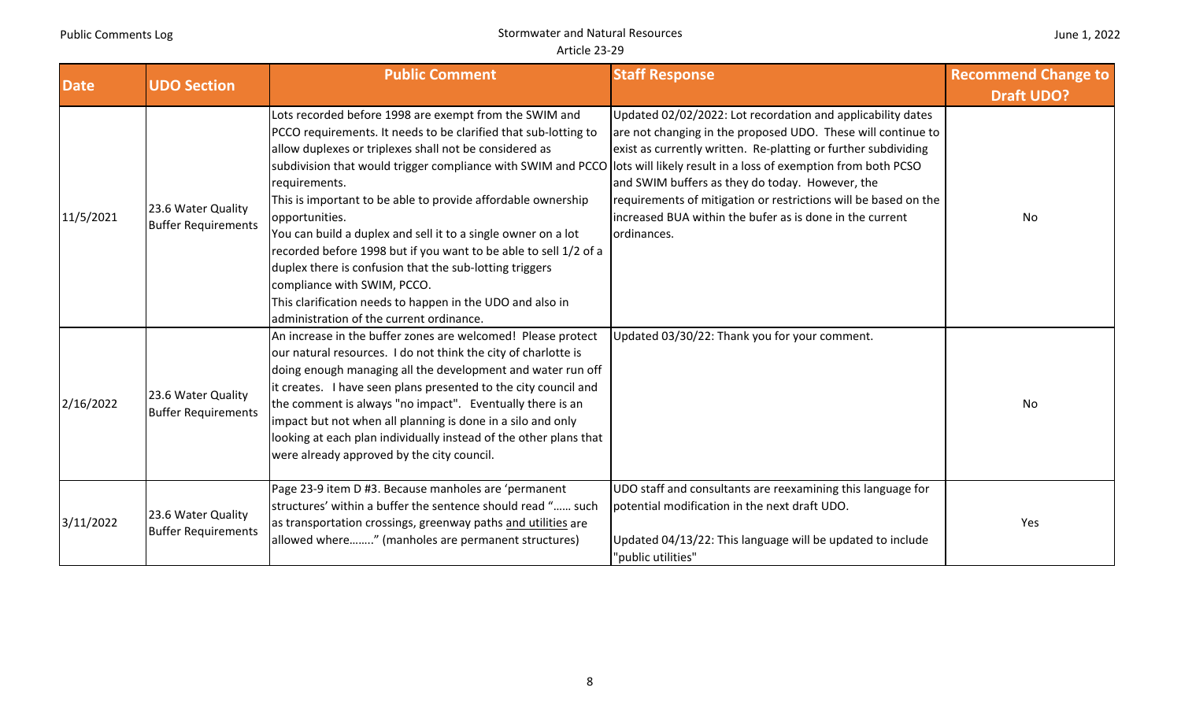| June 1, 2022 |  |  |
|--------------|--|--|
|--------------|--|--|

| <b>Date</b> | <b>UDO Section</b>                               | <b>Public Comment</b>                                                                                                                                                                                                                                                                                                                                                                                                                                                                                                                                                                                                                                                                                                                                        | <b>Staff Response</b>                                                                                                                                                                                                                                                                                                                                                                          | <b>Recommend Change to</b> |
|-------------|--------------------------------------------------|--------------------------------------------------------------------------------------------------------------------------------------------------------------------------------------------------------------------------------------------------------------------------------------------------------------------------------------------------------------------------------------------------------------------------------------------------------------------------------------------------------------------------------------------------------------------------------------------------------------------------------------------------------------------------------------------------------------------------------------------------------------|------------------------------------------------------------------------------------------------------------------------------------------------------------------------------------------------------------------------------------------------------------------------------------------------------------------------------------------------------------------------------------------------|----------------------------|
|             |                                                  |                                                                                                                                                                                                                                                                                                                                                                                                                                                                                                                                                                                                                                                                                                                                                              |                                                                                                                                                                                                                                                                                                                                                                                                | <b>Draft UDO?</b>          |
| 11/5/2021   | 23.6 Water Quality<br><b>Buffer Requirements</b> | Lots recorded before 1998 are exempt from the SWIM and<br>PCCO requirements. It needs to be clarified that sub-lotting to<br>allow duplexes or triplexes shall not be considered as<br>subdivision that would trigger compliance with SWIM and PCCO lots will likely result in a loss of exemption from both PCSO<br>requirements.<br>This is important to be able to provide affordable ownership<br>opportunities.<br>You can build a duplex and sell it to a single owner on a lot<br>recorded before 1998 but if you want to be able to sell 1/2 of a<br>duplex there is confusion that the sub-lotting triggers<br>compliance with SWIM, PCCO.<br>This clarification needs to happen in the UDO and also in<br>administration of the current ordinance. | Updated 02/02/2022: Lot recordation and applicability dates<br>are not changing in the proposed UDO. These will continue to<br>exist as currently written. Re-platting or further subdividing<br>and SWIM buffers as they do today. However, the<br>requirements of mitigation or restrictions will be based on the<br>increased BUA within the bufer as is done in the current<br>ordinances. | No                         |
| 2/16/2022   | 23.6 Water Quality<br><b>Buffer Requirements</b> | An increase in the buffer zones are welcomed! Please protect<br>our natural resources. I do not think the city of charlotte is<br>doing enough managing all the development and water run off<br>it creates. I have seen plans presented to the city council and<br>the comment is always "no impact". Eventually there is an<br>impact but not when all planning is done in a silo and only<br>looking at each plan individually instead of the other plans that<br>were already approved by the city council.                                                                                                                                                                                                                                              | Updated 03/30/22: Thank you for your comment.                                                                                                                                                                                                                                                                                                                                                  | No                         |
| 3/11/2022   | 23.6 Water Quality<br><b>Buffer Requirements</b> | Page 23-9 item D #3. Because manholes are 'permanent<br>structures' within a buffer the sentence should read " such<br>as transportation crossings, greenway paths and utilities are<br>allowed where" (manholes are permanent structures)                                                                                                                                                                                                                                                                                                                                                                                                                                                                                                                   | UDO staff and consultants are reexamining this language for<br>potential modification in the next draft UDO.<br>Updated 04/13/22: This language will be updated to include<br>"public utilities"                                                                                                                                                                                               | Yes                        |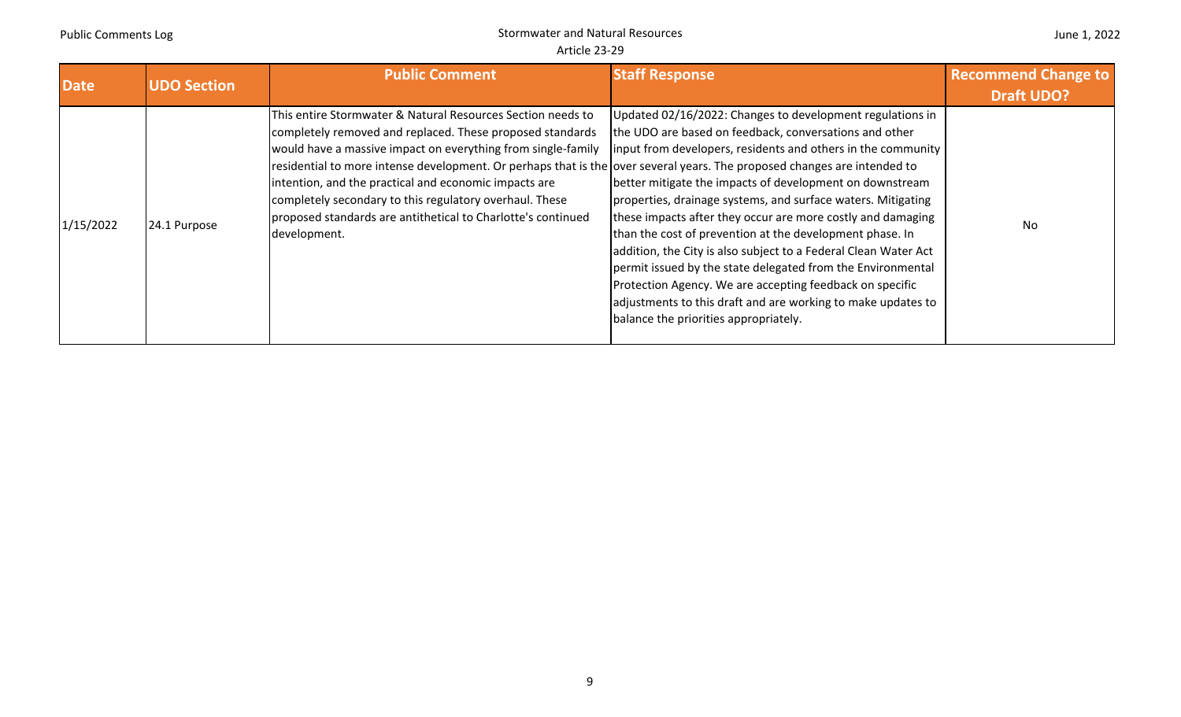| <b>Date</b> | <b>UDO Section</b> | <b>Public Comment</b>                                                                                                                                                                                                                                                                                                                                                                                                                                                                                                    | <b>Staff Response</b>                                                                                                                                                                                                                                                                                                                                                                                                                                                                                                                                                                                                                                                                                                                              | <b>Recommend Change to</b> |
|-------------|--------------------|--------------------------------------------------------------------------------------------------------------------------------------------------------------------------------------------------------------------------------------------------------------------------------------------------------------------------------------------------------------------------------------------------------------------------------------------------------------------------------------------------------------------------|----------------------------------------------------------------------------------------------------------------------------------------------------------------------------------------------------------------------------------------------------------------------------------------------------------------------------------------------------------------------------------------------------------------------------------------------------------------------------------------------------------------------------------------------------------------------------------------------------------------------------------------------------------------------------------------------------------------------------------------------------|----------------------------|
|             |                    |                                                                                                                                                                                                                                                                                                                                                                                                                                                                                                                          |                                                                                                                                                                                                                                                                                                                                                                                                                                                                                                                                                                                                                                                                                                                                                    | <b>Draft UDO?</b>          |
| 1/15/2022   | 24.1 Purpose       | This entire Stormwater & Natural Resources Section needs to<br>completely removed and replaced. These proposed standards<br>would have a massive impact on everything from single-family<br>residential to more intense development. Or perhaps that is the over several years. The proposed changes are intended to<br>intention, and the practical and economic impacts are<br>completely secondary to this regulatory overhaul. These<br>proposed standards are antithetical to Charlotte's continued<br>development. | Updated 02/16/2022: Changes to development regulations in<br>the UDO are based on feedback, conversations and other<br> input from developers, residents and others in the community<br>better mitigate the impacts of development on downstream<br>properties, drainage systems, and surface waters. Mitigating<br>these impacts after they occur are more costly and damaging<br>than the cost of prevention at the development phase. In<br>addition, the City is also subject to a Federal Clean Water Act<br>permit issued by the state delegated from the Environmental<br>Protection Agency. We are accepting feedback on specific<br>adjustments to this draft and are working to make updates to<br>balance the priorities appropriately. | No                         |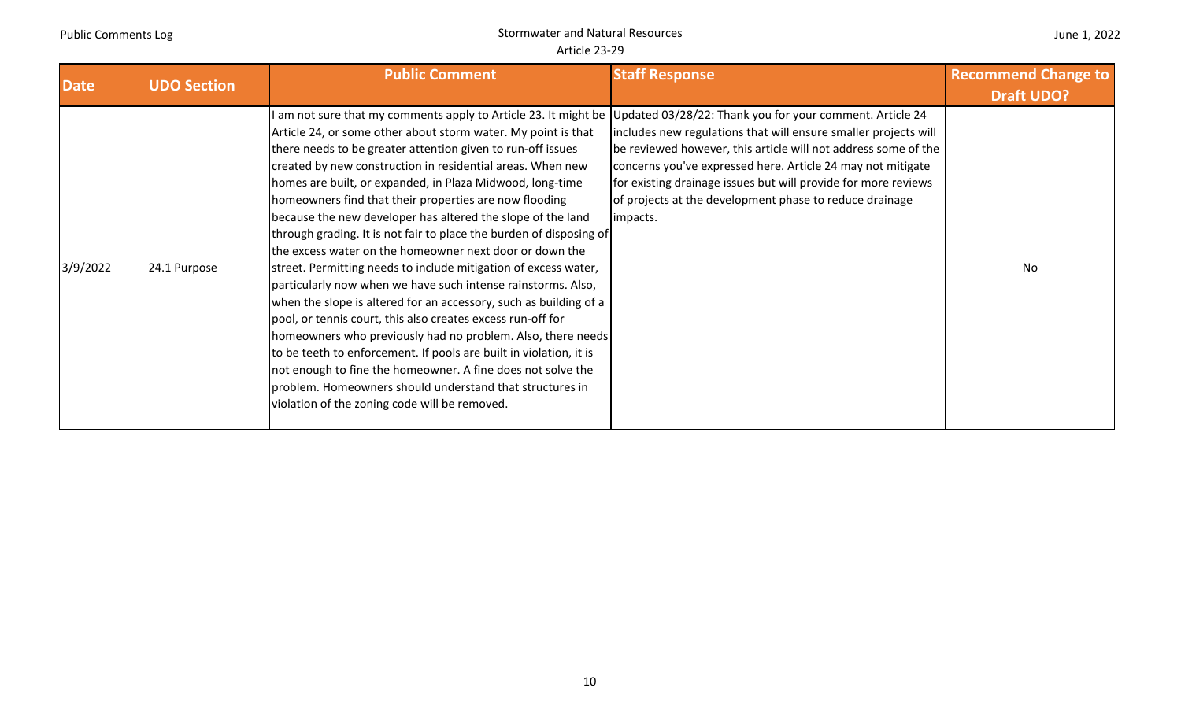|  | June 1, 2022 |  |
|--|--------------|--|
|--|--------------|--|

| <b>Date</b> | <b>UDO Section</b> | <b>Public Comment</b>                                                                                                                                                                                                                                                                                                                                                                                                                                                                                                                                                                                                                                                                                                                                                                                                                                                                                                                                                                                                                                                                                                                                                                                                                   | <b>Staff Response</b>                                                                                                                                                                                                                                                                                                                     | <b>Recommend Change to</b> |
|-------------|--------------------|-----------------------------------------------------------------------------------------------------------------------------------------------------------------------------------------------------------------------------------------------------------------------------------------------------------------------------------------------------------------------------------------------------------------------------------------------------------------------------------------------------------------------------------------------------------------------------------------------------------------------------------------------------------------------------------------------------------------------------------------------------------------------------------------------------------------------------------------------------------------------------------------------------------------------------------------------------------------------------------------------------------------------------------------------------------------------------------------------------------------------------------------------------------------------------------------------------------------------------------------|-------------------------------------------------------------------------------------------------------------------------------------------------------------------------------------------------------------------------------------------------------------------------------------------------------------------------------------------|----------------------------|
|             |                    |                                                                                                                                                                                                                                                                                                                                                                                                                                                                                                                                                                                                                                                                                                                                                                                                                                                                                                                                                                                                                                                                                                                                                                                                                                         |                                                                                                                                                                                                                                                                                                                                           | <b>Draft UDO?</b>          |
| 3/9/2022    | 24.1 Purpose       | l am not sure that my comments apply to Article 23. It might be  Updated 03/28/22: Thank you for your comment. Article 24<br>Article 24, or some other about storm water. My point is that<br>there needs to be greater attention given to run-off issues<br>created by new construction in residential areas. When new<br>homes are built, or expanded, in Plaza Midwood, long-time<br>homeowners find that their properties are now flooding<br>because the new developer has altered the slope of the land<br>through grading. It is not fair to place the burden of disposing of<br>the excess water on the homeowner next door or down the<br>street. Permitting needs to include mitigation of excess water,<br>particularly now when we have such intense rainstorms. Also,<br>when the slope is altered for an accessory, such as building of a<br>pool, or tennis court, this also creates excess run-off for<br>homeowners who previously had no problem. Also, there needs<br>to be teeth to enforcement. If pools are built in violation, it is<br>not enough to fine the homeowner. A fine does not solve the<br>problem. Homeowners should understand that structures in<br>violation of the zoning code will be removed. | includes new regulations that will ensure smaller projects will<br>be reviewed however, this article will not address some of the<br>concerns you've expressed here. Article 24 may not mitigate<br>for existing drainage issues but will provide for more reviews<br>of projects at the development phase to reduce drainage<br>impacts. | No                         |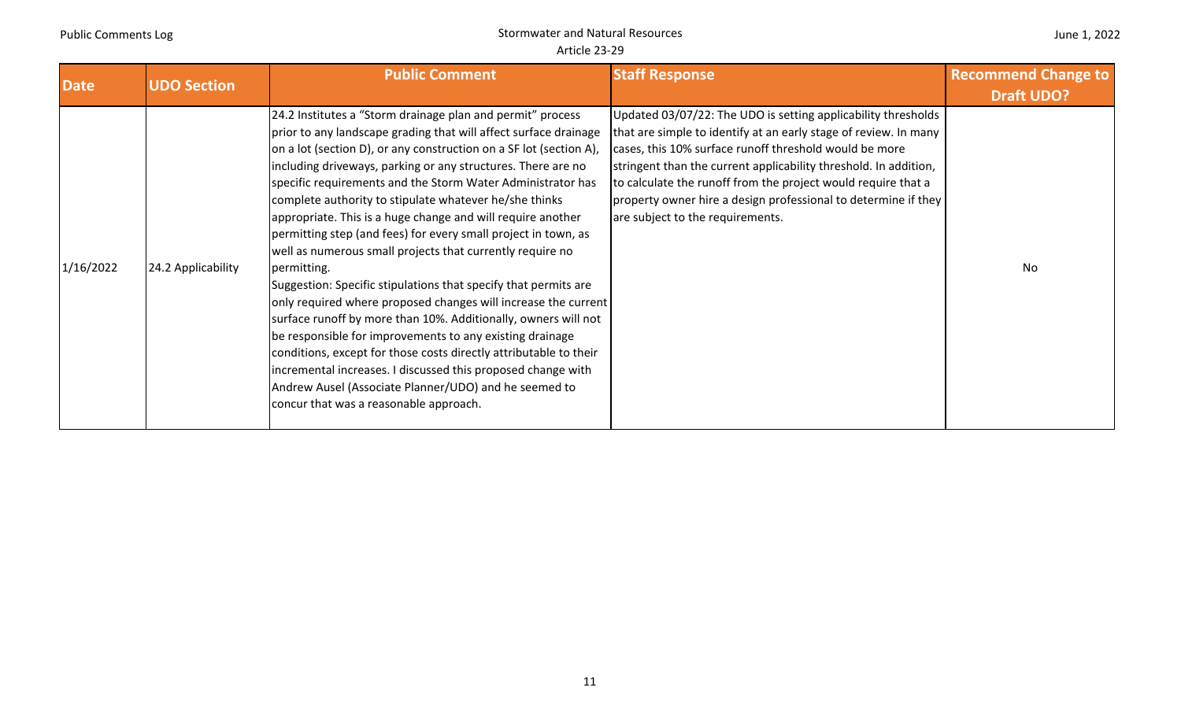| <b>Date</b> | <b>UDO Section</b> | <b>Public Comment</b>                                                                                                                                                                                                                                                                                                                                                                                                                                                                                                                                                                                                                                                                                                                                                                                                                                                                                                                                                                                                                                                                                                 | <b>Staff Response</b>                                                                                                                                                                                                                                                                                                                                                                                                                  | <b>Recommend Change to</b><br><b>Draft UDO?</b> |
|-------------|--------------------|-----------------------------------------------------------------------------------------------------------------------------------------------------------------------------------------------------------------------------------------------------------------------------------------------------------------------------------------------------------------------------------------------------------------------------------------------------------------------------------------------------------------------------------------------------------------------------------------------------------------------------------------------------------------------------------------------------------------------------------------------------------------------------------------------------------------------------------------------------------------------------------------------------------------------------------------------------------------------------------------------------------------------------------------------------------------------------------------------------------------------|----------------------------------------------------------------------------------------------------------------------------------------------------------------------------------------------------------------------------------------------------------------------------------------------------------------------------------------------------------------------------------------------------------------------------------------|-------------------------------------------------|
| 1/16/2022   | 24.2 Applicability | 24.2 Institutes a "Storm drainage plan and permit" process<br>prior to any landscape grading that will affect surface drainage<br>on a lot (section D), or any construction on a SF lot (section A),<br>including driveways, parking or any structures. There are no<br>specific requirements and the Storm Water Administrator has<br>complete authority to stipulate whatever he/she thinks<br>appropriate. This is a huge change and will require another<br>permitting step (and fees) for every small project in town, as<br>well as numerous small projects that currently require no<br>permitting.<br>Suggestion: Specific stipulations that specify that permits are<br>only required where proposed changes will increase the current<br>surface runoff by more than 10%. Additionally, owners will not<br>be responsible for improvements to any existing drainage<br>conditions, except for those costs directly attributable to their<br>incremental increases. I discussed this proposed change with<br>Andrew Ausel (Associate Planner/UDO) and he seemed to<br>concur that was a reasonable approach. | Updated 03/07/22: The UDO is setting applicability thresholds<br>that are simple to identify at an early stage of review. In many<br>cases, this 10% surface runoff threshold would be more<br>stringent than the current applicability threshold. In addition,<br>to calculate the runoff from the project would require that a<br>property owner hire a design professional to determine if they<br>are subject to the requirements. | No                                              |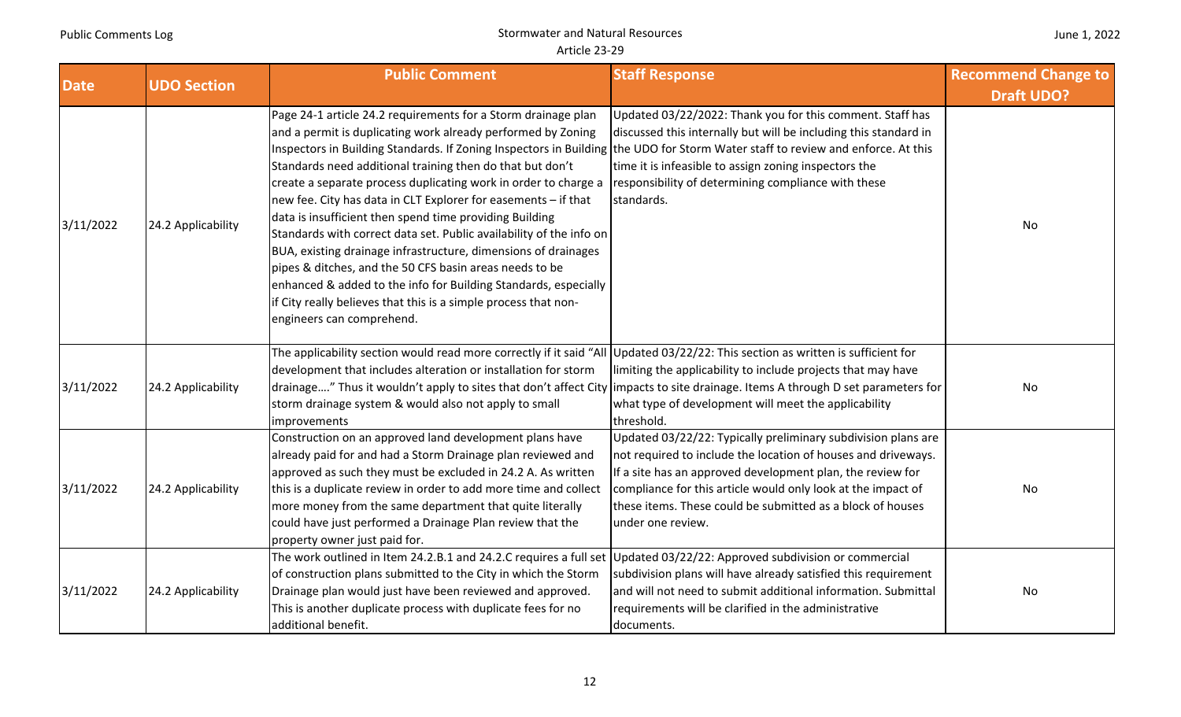| June 1, 2022 |  |
|--------------|--|
|--------------|--|

| <b>Date</b> | <b>UDO Section</b> | <b>Public Comment</b>                                                                                                                                                                                                                                                                                                                                                                                                                                                                                                                                                                                                                                                                                                                                                                                                                                                                                 | <b>Staff Response</b>                                                                                                                                                                                                                                                                                                                           | <b>Recommend Change to</b> |
|-------------|--------------------|-------------------------------------------------------------------------------------------------------------------------------------------------------------------------------------------------------------------------------------------------------------------------------------------------------------------------------------------------------------------------------------------------------------------------------------------------------------------------------------------------------------------------------------------------------------------------------------------------------------------------------------------------------------------------------------------------------------------------------------------------------------------------------------------------------------------------------------------------------------------------------------------------------|-------------------------------------------------------------------------------------------------------------------------------------------------------------------------------------------------------------------------------------------------------------------------------------------------------------------------------------------------|----------------------------|
|             |                    |                                                                                                                                                                                                                                                                                                                                                                                                                                                                                                                                                                                                                                                                                                                                                                                                                                                                                                       |                                                                                                                                                                                                                                                                                                                                                 | <b>Draft UDO?</b>          |
| 3/11/2022   | 24.2 Applicability | Page 24-1 article 24.2 requirements for a Storm drainage plan<br>and a permit is duplicating work already performed by Zoning<br>Inspectors in Building Standards. If Zoning Inspectors in Building the UDO for Storm Water staff to review and enforce. At this<br>Standards need additional training then do that but don't<br>create a separate process duplicating work in order to charge a<br>new fee. City has data in CLT Explorer for easements - if that<br>data is insufficient then spend time providing Building<br>Standards with correct data set. Public availability of the info on<br>BUA, existing drainage infrastructure, dimensions of drainages<br>pipes & ditches, and the 50 CFS basin areas needs to be<br>enhanced & added to the info for Building Standards, especially<br>lif City really believes that this is a simple process that non-<br>engineers can comprehend. | Updated 03/22/2022: Thank you for this comment. Staff has<br>discussed this internally but will be including this standard in<br>time it is infeasible to assign zoning inspectors the<br>responsibility of determining compliance with these<br>standards.                                                                                     | No                         |
| 3/11/2022   | 24.2 Applicability | The applicability section would read more correctly if it said "All Updated 03/22/22: This section as written is sufficient for<br>development that includes alteration or installation for storm<br>drainage" Thus it wouldn't apply to sites that don't affect City limpacts to site drainage. Items A through D set parameters for<br>storm drainage system & would also not apply to small<br>improvements                                                                                                                                                                                                                                                                                                                                                                                                                                                                                        | limiting the applicability to include projects that may have<br>what type of development will meet the applicability<br>threshold.                                                                                                                                                                                                              | No                         |
| 3/11/2022   | 24.2 Applicability | Construction on an approved land development plans have<br>already paid for and had a Storm Drainage plan reviewed and<br>approved as such they must be excluded in 24.2 A. As written<br>this is a duplicate review in order to add more time and collect<br>more money from the same department that quite literally<br>could have just performed a Drainage Plan review that the<br>property owner just paid for.                                                                                                                                                                                                                                                                                                                                                                                                                                                                                  | Updated 03/22/22: Typically preliminary subdivision plans are<br>not required to include the location of houses and driveways.<br>If a site has an approved development plan, the review for<br>compliance for this article would only look at the impact of<br>these items. These could be submitted as a block of houses<br>under one review. | No                         |
| 3/11/2022   | 24.2 Applicability | The work outlined in Item 24.2.B.1 and 24.2.C requires a full set Updated 03/22/22: Approved subdivision or commercial<br>of construction plans submitted to the City in which the Storm<br>Drainage plan would just have been reviewed and approved.<br>This is another duplicate process with duplicate fees for no<br>additional benefit.                                                                                                                                                                                                                                                                                                                                                                                                                                                                                                                                                          | subdivision plans will have already satisfied this requirement<br>and will not need to submit additional information. Submittal<br>requirements will be clarified in the administrative<br>documents.                                                                                                                                           | No                         |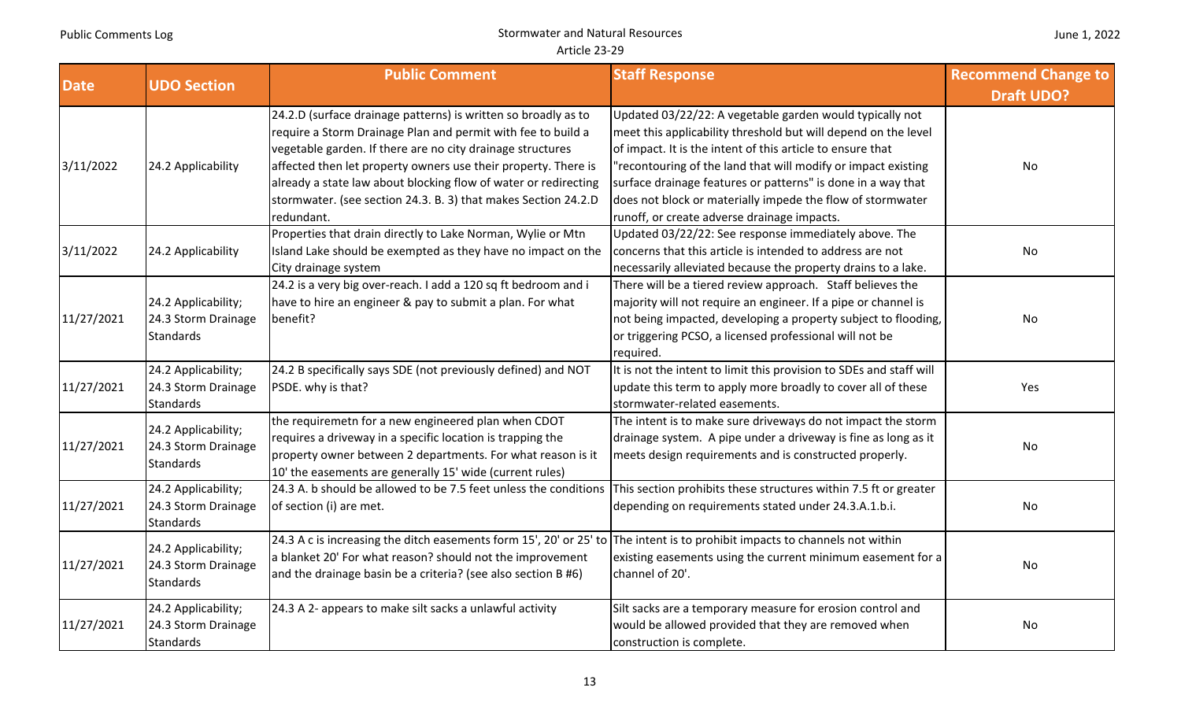#### **Date UDO** Section **Staff Response Public Comment Staff Response Recommend Change to** *Draft UDO?* **COMPONER AND PUBLIC Draft UDO?** 3/11/2022 24.2 Applicability 24.2.D (surface drainage patterns) is written so broadly as to require <sup>a</sup> Storm Drainage Plan and permit with fee to build <sup>a</sup> vegetable garden. If there are no city drainage structures affected then let property owners use their property. There is already <sup>a</sup> state law about blocking flow of water or redirecting stormwater. (see section 24.3. B. 3) that makes Section 24.2.D redundant.Updated 03/22/22: A vegetable garden would typically not meet this applicability threshold but will depend on the level of impact. It is the intent of this article to ensure that "recontouring of the land that will modify or impact existing surface drainage features or patterns" is done in <sup>a</sup> way that does not block or materially impede the flow of stormwater runoff, or create adverse drainage impacts. No3/11/2022 24.2 Applicability Properties that drain directly to Lake Norman, Wylie or Mtn Island Lake should be exempted as they have no impact on the City drainage system Updated 03/22/22: See response immediately above. The concerns that this article is intended to address are not necessarily alleviated because the property drains to <sup>a</sup> lake. No11/27/2021 24.2 Applicability; 24.3 Storm Drainage **Standards** 24.2 is <sup>a</sup> very big over‐reach. I add <sup>a</sup> 120 sq ft bedroom and i have to hire an engineer & pay to submit <sup>a</sup> plan. For what benefit?There will be <sup>a</sup> tiered review approach. Staff believes the majority will not require an engineer. If <sup>a</sup> pipe or channel is not being impacted, developing <sup>a</sup> property subject to flooding, or triggering PCSO, <sup>a</sup> licensed professional will not be required. No11/27/2021 24.2 Applicability; 24.3 Storm Drainage Standards 24.2 B specifically says SDE (not previously defined) and NOT PSDE. why is that? It is not the intent to limit this provision to SDEs and staff will update this term to apply more broadly to cover all of these stormwater‐related easements. Yes11/27/2021 24.2 Applicability; 24.3 Storm Drainage **Standards** the requiremetn for <sup>a</sup> new engineered plan when CDOT requires <sup>a</sup> driveway in <sup>a</sup> specific location is trapping the property owner between 2 departments. For what reason is it 10' the easements are generally 15' wide (current rules) The intent is to make sure driveways do not impact the storm drainage system. A pipe under <sup>a</sup> driveway is fine as long as it meets design requirements and is constructed properly. 11/27/2021 24.2 Applicability; 24.3 Storm Drainage Standards24.3 A. b should be allowed to be 7.5 feet unless the conditions of section (i) are met. This section prohibits these structures within 7.5 ft or greater depending on requirements stated under 24.3.A.1.b.i. | No 11/27/2021 24.2 Applicability; 24.3 Storm Drainage **Standards** 24.3 A <sup>c</sup> is increasing the ditch easements form 15', 20' or 25' to a blanket 20' For what reason? should not the improvement and the drainage basin be <sup>a</sup> criteria? (see also section B #6) The intent is to prohibit impacts to channels not within existing easements using the current minimum easement for <sup>a</sup> channel ofexample and the contract of the contract of the contract of the contract of the contract of the contract of the contract of the contract of the contract of the contract of the contract of the contract of the contract of th 11/27/2021 24.2 Applicability; 24.3 Storm Drainage Standards 24.3 ASilt sacks are a temporary measure for erosion control and would be allowed provided that they are removed when construction is complete. No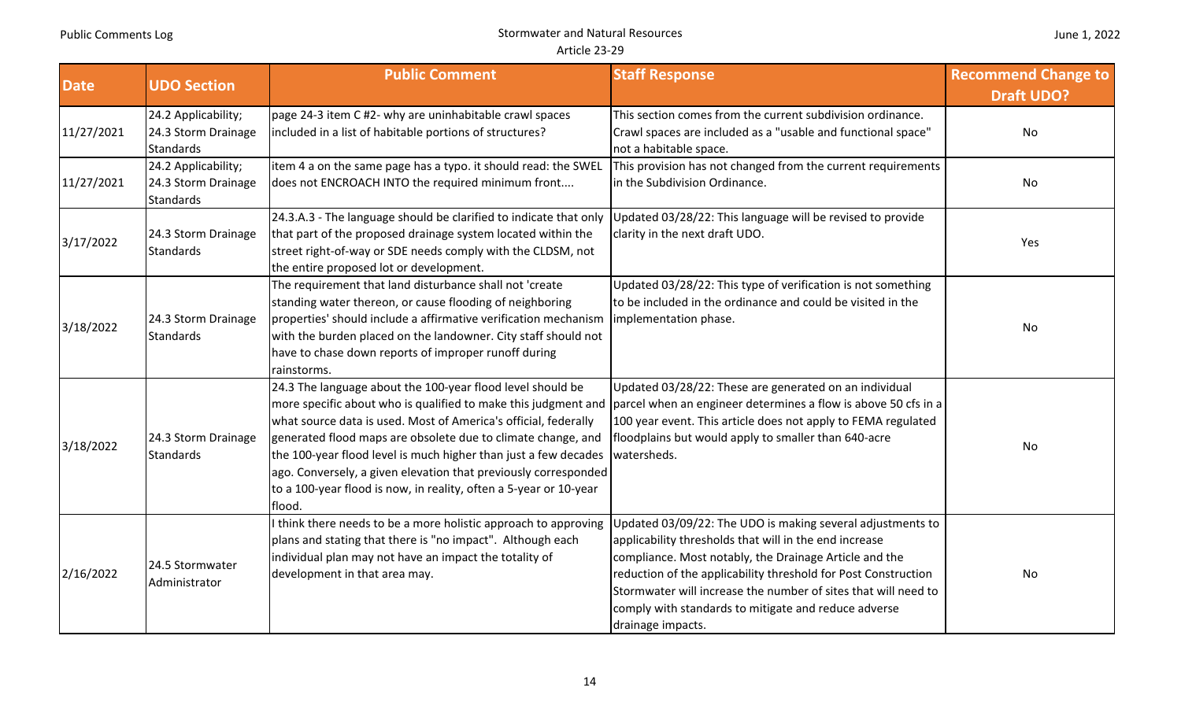#### **Date UDO** Section **Staff Response Public Comment Staff Response Recommend Change to** *Draft UDO?* **COMPONER AND PUBLIC Draft UDO?** 11/27/2021 24.2 Applicability; 24.3 Storm Drainage Standardspage 24‐3 item C #2‐ why are uninhabitable crawl spaces included in <sup>a</sup> list of habitable portions of structures? This section comes from the current subdivision ordinance. Crawl spaces are included as <sup>a</sup> "usable and functional space" not a habitable space. No11/27/2021 24.2 Applicability; 24.3 Storm Drainage **Standards** item 4 <sup>a</sup> on the same page has <sup>a</sup> typo. it should read: the SWEL does not ENCROACH INTO the required minimum front.... This provision has not changed from the current requirements in the Subdivision Ordinance.  $\hphantom{\ddots}$  No.  $\hphantom{\ddots}$  No.  $\hphantom{\ddots}$  No.  $\hphantom{\ddots}$  No.  $\hphantom{\ddots}$  $3/17/2022$   $24.3$  Storm Drainage 24.3.A.3 ‐ The language should be clarified to indicate that only that part of the proposed drainage system located within the street right‐of‐way or SDE needs comply with the CLDSM, not the entire proposed lot or development. Updated 03/28/22: This language will be revised to provide clarity in the next draft UDO.  $3/18/2022$   $24.3$  Storm Drainage The requirement that land disturbance shall not 'create standing water thereon, or cause flooding of neighboring properties' should include <sup>a</sup> affirmative verification mechanism with the burden placed on the landowner. City staff should not have to chase down reports of improper runoff during rainstorms. Updated 03/28/22: This type of verification is not something to be included in the ordinance and could be visited in the implementation phase. No was a set of the set of the set of the set of the set of the set of the set of the set o  $3/18/2022$   $24.3$  Storm Drainage 24.3 The language about the 100‐year flood level should be more specific about who is qualified to make this judgment and what source data is used. Most of America's official, federally generated flood maps are obsolete due to climate change, and the 100‐year flood level is much higher than just <sup>a</sup> few decades ago. Conversely, <sup>a</sup> given elevation that previously corresponded to <sup>a</sup> 100‐year flood is now, in reality, often <sup>a</sup> 5‐year or 10‐year flood.Updated 03/28/22: These are generated on an individual parcel when an engineer determines <sup>a</sup> flow is above 50 cfs in <sup>a</sup> 100 year event. This article does not apply to FEMA regulated floodplains but would apply to smaller than 640‐acre watersheds.not be a supply that the contract of the contract of the contract of the contract of the contract of the contra<br>.  $2/16/2022$  24.5 Stormwater<br>Administrator think there needs to be <sup>a</sup> more holistic approach to approving plans and stating that there is "no impact". Although each individual plan may not have an impact the totality of development in that area may. Updated 03/09/22: The UDO is making several adjustments to applicability thresholds that will in the end increase compliance. Most notably, the Drainage Article and the reduction of the applicability threshold for Post Construction Stormwater will increase the number of sites that will need tocomply with standards to mitigate and reduce adverse drainage impacts. No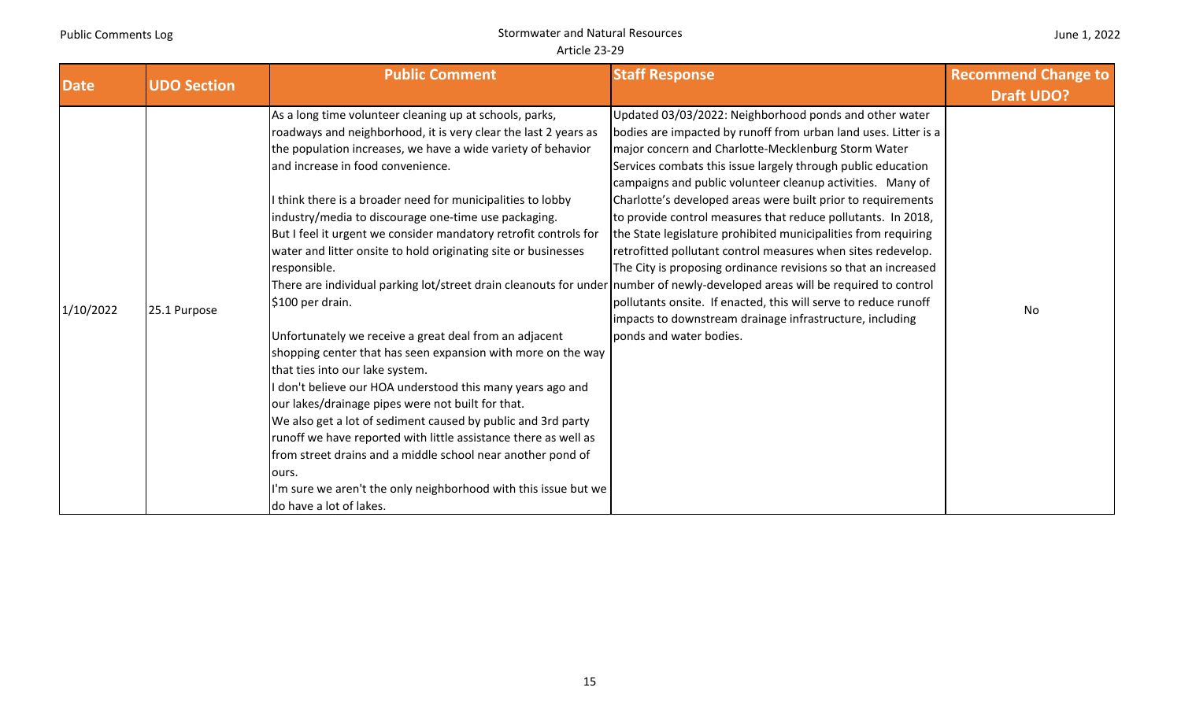| <b>Date</b> | <b>UDO Section</b> | <b>Public Comment</b>                                                                                                                                                                                                                                                                                                                                                                                                                                                                                                                                                                                                                                                                                                                                                                                                                                                                                                                                                                                                                                                                                                                                                                                                                                      | <b>Staff Response</b>                                                                                                                                                                                                                                                                                                                                                                                                                                                                                                                                                                                                                                                                                                                                                                                        | <b>Recommend Change to</b> |
|-------------|--------------------|------------------------------------------------------------------------------------------------------------------------------------------------------------------------------------------------------------------------------------------------------------------------------------------------------------------------------------------------------------------------------------------------------------------------------------------------------------------------------------------------------------------------------------------------------------------------------------------------------------------------------------------------------------------------------------------------------------------------------------------------------------------------------------------------------------------------------------------------------------------------------------------------------------------------------------------------------------------------------------------------------------------------------------------------------------------------------------------------------------------------------------------------------------------------------------------------------------------------------------------------------------|--------------------------------------------------------------------------------------------------------------------------------------------------------------------------------------------------------------------------------------------------------------------------------------------------------------------------------------------------------------------------------------------------------------------------------------------------------------------------------------------------------------------------------------------------------------------------------------------------------------------------------------------------------------------------------------------------------------------------------------------------------------------------------------------------------------|----------------------------|
|             |                    |                                                                                                                                                                                                                                                                                                                                                                                                                                                                                                                                                                                                                                                                                                                                                                                                                                                                                                                                                                                                                                                                                                                                                                                                                                                            |                                                                                                                                                                                                                                                                                                                                                                                                                                                                                                                                                                                                                                                                                                                                                                                                              | <b>Draft UDO?</b>          |
| 1/10/2022   | 25.1 Purpose       | As a long time volunteer cleaning up at schools, parks,<br>roadways and neighborhood, it is very clear the last 2 years as<br>the population increases, we have a wide variety of behavior<br>and increase in food convenience.<br>I think there is a broader need for municipalities to lobby<br>industry/media to discourage one-time use packaging.<br>But I feel it urgent we consider mandatory retrofit controls for<br>water and litter onsite to hold originating site or businesses<br>responsible.<br>There are individual parking lot/street drain cleanouts for under number of newly-developed areas will be required to control<br>\$100 per drain.<br>Unfortunately we receive a great deal from an adjacent<br>shopping center that has seen expansion with more on the way<br>that ties into our lake system.<br>I don't believe our HOA understood this many years ago and<br>our lakes/drainage pipes were not built for that.<br>We also get a lot of sediment caused by public and 3rd party<br>runoff we have reported with little assistance there as well as<br>from street drains and a middle school near another pond of<br>ours.<br>I'm sure we aren't the only neighborhood with this issue but we<br>do have a lot of lakes. | Updated 03/03/2022: Neighborhood ponds and other water<br>bodies are impacted by runoff from urban land uses. Litter is a<br>major concern and Charlotte-Mecklenburg Storm Water<br>Services combats this issue largely through public education<br>campaigns and public volunteer cleanup activities. Many of<br>Charlotte's developed areas were built prior to requirements<br>to provide control measures that reduce pollutants. In 2018,<br>the State legislature prohibited municipalities from requiring<br>retrofitted pollutant control measures when sites redevelop.<br>The City is proposing ordinance revisions so that an increased<br>pollutants onsite. If enacted, this will serve to reduce runoff<br>impacts to downstream drainage infrastructure, including<br>ponds and water bodies. | No                         |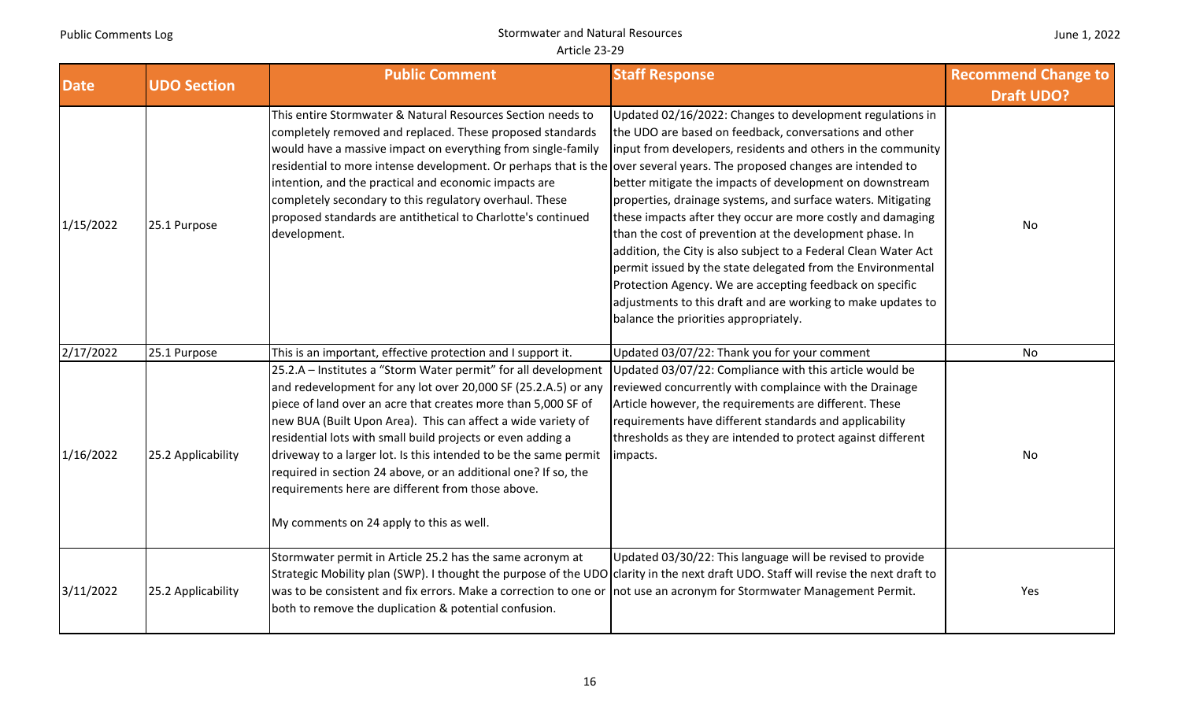| <b>Date</b> | <b>UDO Section</b> | <b>Public Comment</b>                                                                                                                                                                                                                                                                                                                                                                                                                                                                                                                                                   | <b>Staff Response</b>                                                                                                                                                                                                                                                                                                                                                                                                                                                                                                                                                                                                                                                                                                                             | <b>Recommend Change to</b> |
|-------------|--------------------|-------------------------------------------------------------------------------------------------------------------------------------------------------------------------------------------------------------------------------------------------------------------------------------------------------------------------------------------------------------------------------------------------------------------------------------------------------------------------------------------------------------------------------------------------------------------------|---------------------------------------------------------------------------------------------------------------------------------------------------------------------------------------------------------------------------------------------------------------------------------------------------------------------------------------------------------------------------------------------------------------------------------------------------------------------------------------------------------------------------------------------------------------------------------------------------------------------------------------------------------------------------------------------------------------------------------------------------|----------------------------|
|             |                    |                                                                                                                                                                                                                                                                                                                                                                                                                                                                                                                                                                         |                                                                                                                                                                                                                                                                                                                                                                                                                                                                                                                                                                                                                                                                                                                                                   | <b>Draft UDO?</b>          |
| 1/15/2022   | 25.1 Purpose       | This entire Stormwater & Natural Resources Section needs to<br>completely removed and replaced. These proposed standards<br>would have a massive impact on everything from single-family<br>residential to more intense development. Or perhaps that is the over several years. The proposed changes are intended to<br>intention, and the practical and economic impacts are<br>completely secondary to this regulatory overhaul. These<br>proposed standards are antithetical to Charlotte's continued<br>development.                                                | Updated 02/16/2022: Changes to development regulations in<br>the UDO are based on feedback, conversations and other<br>input from developers, residents and others in the community<br>better mitigate the impacts of development on downstream<br>properties, drainage systems, and surface waters. Mitigating<br>these impacts after they occur are more costly and damaging<br>than the cost of prevention at the development phase. In<br>addition, the City is also subject to a Federal Clean Water Act<br>permit issued by the state delegated from the Environmental<br>Protection Agency. We are accepting feedback on specific<br>adjustments to this draft and are working to make updates to<br>balance the priorities appropriately. | No                         |
| 2/17/2022   | 25.1 Purpose       | This is an important, effective protection and I support it.                                                                                                                                                                                                                                                                                                                                                                                                                                                                                                            | Updated 03/07/22: Thank you for your comment                                                                                                                                                                                                                                                                                                                                                                                                                                                                                                                                                                                                                                                                                                      | No                         |
| 1/16/2022   | 25.2 Applicability | 25.2.A - Institutes a "Storm Water permit" for all development<br>and redevelopment for any lot over 20,000 SF (25.2.A.5) or any<br>piece of land over an acre that creates more than 5,000 SF of<br>new BUA (Built Upon Area). This can affect a wide variety of<br>residential lots with small build projects or even adding a<br>driveway to a larger lot. Is this intended to be the same permit<br>required in section 24 above, or an additional one? If so, the<br>requirements here are different from those above.<br>My comments on 24 apply to this as well. | Updated 03/07/22: Compliance with this article would be<br>reviewed concurrently with complaince with the Drainage<br>Article however, the requirements are different. These<br>requirements have different standards and applicability<br>thresholds as they are intended to protect against different<br>impacts.                                                                                                                                                                                                                                                                                                                                                                                                                               | No                         |
| 3/11/2022   | 25.2 Applicability | Stormwater permit in Article 25.2 has the same acronym at<br>Strategic Mobility plan (SWP). I thought the purpose of the UDO clarity in the next draft UDO. Staff will revise the next draft to<br>was to be consistent and fix errors. Make a correction to one or not use an acronym for Stormwater Management Permit.<br>both to remove the duplication & potential confusion.                                                                                                                                                                                       | Updated 03/30/22: This language will be revised to provide                                                                                                                                                                                                                                                                                                                                                                                                                                                                                                                                                                                                                                                                                        | Yes                        |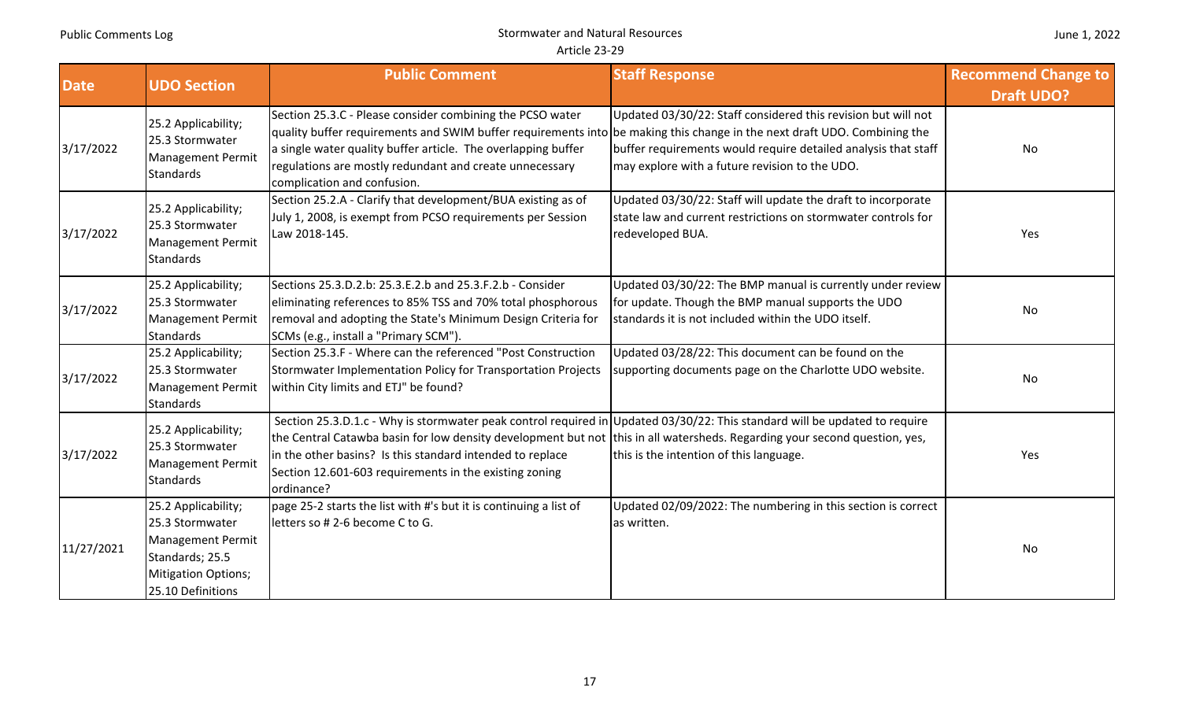|  | June 1, 2022 |
|--|--------------|
|--|--------------|

| <b>Date</b> | <b>UDO Section</b>                                                                                                                       | <b>Public Comment</b>                                                                                                                                                                                                                                                                                                                                                                         | <b>Staff Response</b>                                                                                                                                                             | <b>Recommend Change to</b><br><b>Draft UDO?</b> |
|-------------|------------------------------------------------------------------------------------------------------------------------------------------|-----------------------------------------------------------------------------------------------------------------------------------------------------------------------------------------------------------------------------------------------------------------------------------------------------------------------------------------------------------------------------------------------|-----------------------------------------------------------------------------------------------------------------------------------------------------------------------------------|-------------------------------------------------|
| 3/17/2022   | 25.2 Applicability;<br>25.3 Stormwater<br><b>Management Permit</b><br><b>Standards</b>                                                   | Section 25.3.C - Please consider combining the PCSO water<br>quality buffer requirements and SWIM buffer requirements into be making this change in the next draft UDO. Combining the<br>a single water quality buffer article. The overlapping buffer<br>regulations are mostly redundant and create unnecessary<br>complication and confusion.                                              | Updated 03/30/22: Staff considered this revision but will not<br>buffer requirements would require detailed analysis that staff<br>may explore with a future revision to the UDO. | No                                              |
| 3/17/2022   | 25.2 Applicability;<br>25.3 Stormwater<br><b>Management Permit</b><br>Standards                                                          | Section 25.2.A - Clarify that development/BUA existing as of<br>July 1, 2008, is exempt from PCSO requirements per Session<br>Law 2018-145.                                                                                                                                                                                                                                                   | Updated 03/30/22: Staff will update the draft to incorporate<br>state law and current restrictions on stormwater controls for<br>redeveloped BUA.                                 | Yes                                             |
| 3/17/2022   | 25.2 Applicability;<br>25.3 Stormwater<br><b>Management Permit</b><br><b>Standards</b>                                                   | Sections 25.3.D.2.b: 25.3.E.2.b and 25.3.F.2.b - Consider<br>eliminating references to 85% TSS and 70% total phosphorous<br>removal and adopting the State's Minimum Design Criteria for<br>SCMs (e.g., install a "Primary SCM").                                                                                                                                                             | Updated 03/30/22: The BMP manual is currently under review<br>for update. Though the BMP manual supports the UDO<br>standards it is not included within the UDO itself.           | No                                              |
| 3/17/2022   | 25.2 Applicability;<br>25.3 Stormwater<br><b>Management Permit</b><br><b>Standards</b>                                                   | Section 25.3.F - Where can the referenced "Post Construction<br>Stormwater Implementation Policy for Transportation Projects<br>within City limits and ETJ" be found?                                                                                                                                                                                                                         | Updated 03/28/22: This document can be found on the<br>supporting documents page on the Charlotte UDO website.                                                                    | No                                              |
| 3/17/2022   | 25.2 Applicability;<br>25.3 Stormwater<br>Management Permit<br><b>Standards</b>                                                          | Section 25.3.D.1.c - Why is stormwater peak control required in Updated 03/30/22: This standard will be updated to require<br>the Central Catawba basin for low density development but not this in all watersheds. Regarding your second question, yes,<br>in the other basins? Is this standard intended to replace<br>Section 12.601-603 requirements in the existing zoning<br>ordinance? | this is the intention of this language.                                                                                                                                           | Yes                                             |
| 11/27/2021  | 25.2 Applicability;<br>25.3 Stormwater<br><b>Management Permit</b><br>Standards; 25.5<br><b>Mitigation Options;</b><br>25.10 Definitions | page 25-2 starts the list with #'s but it is continuing a list of<br>letters so #2-6 become C to G.                                                                                                                                                                                                                                                                                           | Updated 02/09/2022: The numbering in this section is correct<br>as written.                                                                                                       | No                                              |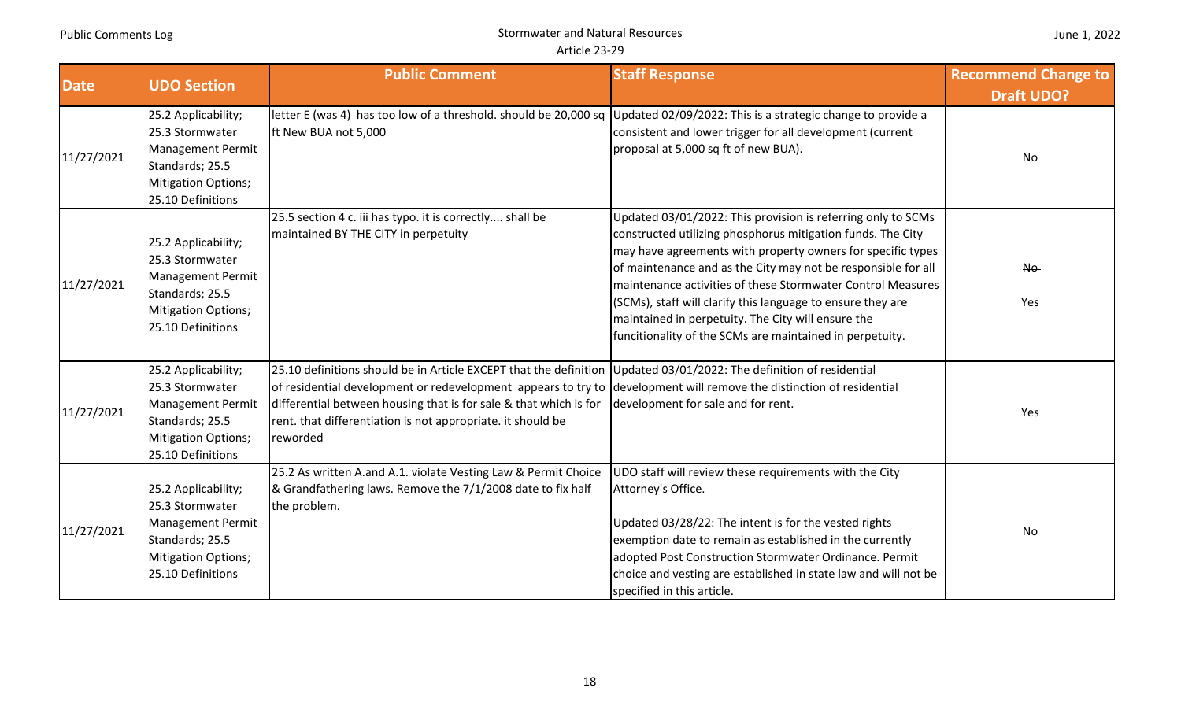| June 1, 2022 |  |  |
|--------------|--|--|
|--------------|--|--|

| <b>Date</b> | <b>UDO Section</b>                                                                                                                | <b>Public Comment</b>                                                                                                                                                                                                                                                                                                                                                                       | <b>Staff Response</b>                                                                                                                                                                                                                                                                                                                                                                                                                                                                                       | <b>Recommend Change to</b><br><b>Draft UDO?</b> |
|-------------|-----------------------------------------------------------------------------------------------------------------------------------|---------------------------------------------------------------------------------------------------------------------------------------------------------------------------------------------------------------------------------------------------------------------------------------------------------------------------------------------------------------------------------------------|-------------------------------------------------------------------------------------------------------------------------------------------------------------------------------------------------------------------------------------------------------------------------------------------------------------------------------------------------------------------------------------------------------------------------------------------------------------------------------------------------------------|-------------------------------------------------|
| 11/27/2021  | 25.2 Applicability;<br>25.3 Stormwater<br><b>Management Permit</b><br>Standards; 25.5<br>Mitigation Options;<br>25.10 Definitions | letter E (was 4) has too low of a threshold. should be 20,000 sq Updated 02/09/2022: This is a strategic change to provide a<br>ft New BUA not 5,000                                                                                                                                                                                                                                        | consistent and lower trigger for all development (current<br>proposal at 5,000 sq ft of new BUA).                                                                                                                                                                                                                                                                                                                                                                                                           | No                                              |
| 11/27/2021  | 25.2 Applicability;<br>25.3 Stormwater<br>Management Permit<br>Standards; 25.5<br>Mitigation Options;<br>25.10 Definitions        | 25.5 section 4 c. iii has typo. it is correctly shall be<br>maintained BY THE CITY in perpetuity                                                                                                                                                                                                                                                                                            | Updated 03/01/2022: This provision is referring only to SCMs<br>constructed utilizing phosphorus mitigation funds. The City<br>may have agreements with property owners for specific types<br>of maintenance and as the City may not be responsible for all<br>maintenance activities of these Stormwater Control Measures<br>(SCMs), staff will clarify this language to ensure they are<br>maintained in perpetuity. The City will ensure the<br>funcitionality of the SCMs are maintained in perpetuity. | No.<br>Yes                                      |
| 11/27/2021  | 25.2 Applicability;<br>25.3 Stormwater<br>Management Permit<br>Standards; 25.5<br><b>Mitigation Options;</b><br>25.10 Definitions | 25.10 definitions should be in Article EXCEPT that the definition Updated 03/01/2022: The definition of residential<br>of residential development or redevelopment appears to try to development will remove the distinction of residential<br>differential between housing that is for sale & that which is for<br>rent. that differentiation is not appropriate. it should be<br>reworded | development for sale and for rent.                                                                                                                                                                                                                                                                                                                                                                                                                                                                          | Yes                                             |
| 11/27/2021  | 25.2 Applicability;<br>25.3 Stormwater<br>Management Permit<br>Standards; 25.5<br>Mitigation Options;<br>25.10 Definitions        | 25.2 As written A.and A.1. violate Vesting Law & Permit Choice<br>& Grandfathering laws. Remove the 7/1/2008 date to fix half<br>the problem.                                                                                                                                                                                                                                               | UDO staff will review these requirements with the City<br>Attorney's Office.<br>Updated 03/28/22: The intent is for the vested rights<br>exemption date to remain as established in the currently<br>adopted Post Construction Stormwater Ordinance. Permit<br>choice and vesting are established in state law and will not be<br>specified in this article.                                                                                                                                                | No                                              |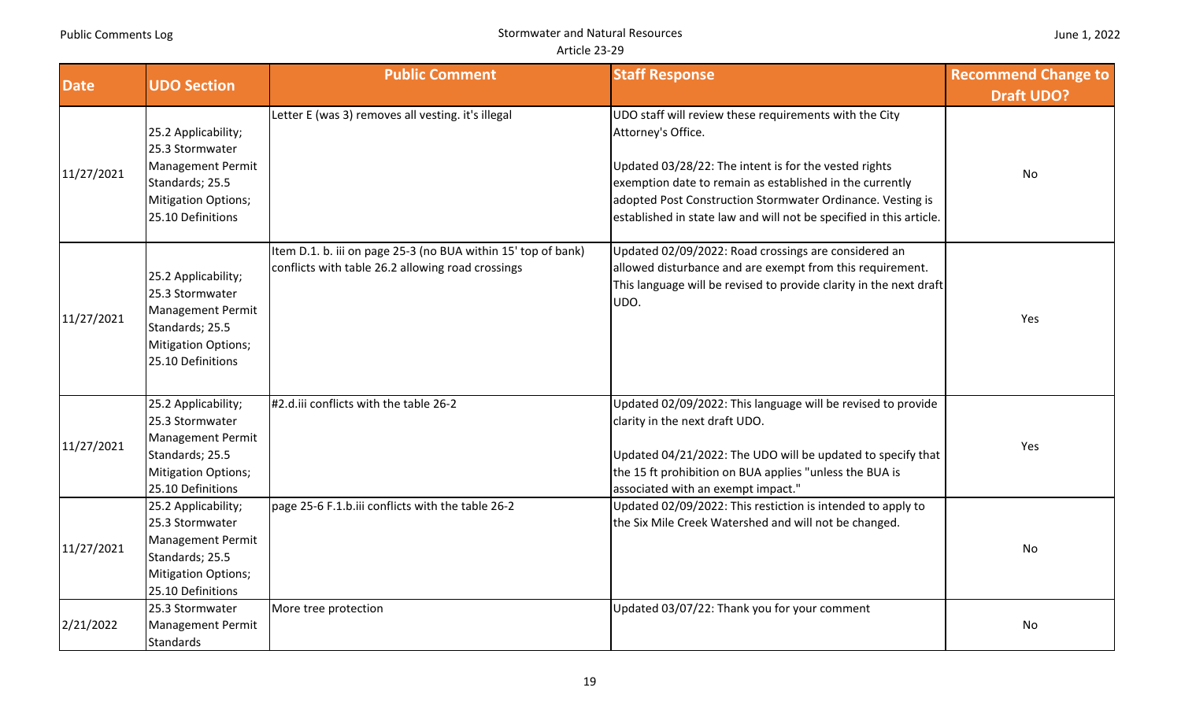| <b>Date</b> | <b>UDO Section</b>                                                                                                                       | <b>Public Comment</b>                                                                                              | <b>Staff Response</b>                                                                                                                                                                                                                                                                                                                  | <b>Recommend Change to</b><br><b>Draft UDO?</b> |
|-------------|------------------------------------------------------------------------------------------------------------------------------------------|--------------------------------------------------------------------------------------------------------------------|----------------------------------------------------------------------------------------------------------------------------------------------------------------------------------------------------------------------------------------------------------------------------------------------------------------------------------------|-------------------------------------------------|
| 11/27/2021  | 25.2 Applicability;<br>25.3 Stormwater<br><b>Management Permit</b><br>Standards; 25.5<br><b>Mitigation Options;</b><br>25.10 Definitions | Letter E (was 3) removes all vesting. it's illegal                                                                 | UDO staff will review these requirements with the City<br>Attorney's Office.<br>Updated 03/28/22: The intent is for the vested rights<br>exemption date to remain as established in the currently<br>adopted Post Construction Stormwater Ordinance. Vesting is<br>established in state law and will not be specified in this article. | No                                              |
| 11/27/2021  | 25.2 Applicability;<br>25.3 Stormwater<br><b>Management Permit</b><br>Standards; 25.5<br><b>Mitigation Options;</b><br>25.10 Definitions | Item D.1. b. iii on page 25-3 (no BUA within 15' top of bank)<br>conflicts with table 26.2 allowing road crossings | Updated 02/09/2022: Road crossings are considered an<br>allowed disturbance and are exempt from this requirement.<br>This language will be revised to provide clarity in the next draft<br>UDO.                                                                                                                                        | Yes                                             |
| 11/27/2021  | 25.2 Applicability;<br>25.3 Stormwater<br><b>Management Permit</b><br>Standards; 25.5<br><b>Mitigation Options;</b><br>25.10 Definitions | #2.d.iii conflicts with the table 26-2                                                                             | Updated 02/09/2022: This language will be revised to provide<br>clarity in the next draft UDO.<br>Updated 04/21/2022: The UDO will be updated to specify that<br>the 15 ft prohibition on BUA applies "unless the BUA is<br>associated with an exempt impact."                                                                         | Yes                                             |
| 11/27/2021  | 25.2 Applicability;<br>25.3 Stormwater<br><b>Management Permit</b><br>Standards; 25.5<br><b>Mitigation Options;</b><br>25.10 Definitions | page 25-6 F.1.b.iii conflicts with the table 26-2                                                                  | Updated 02/09/2022: This restiction is intended to apply to<br>the Six Mile Creek Watershed and will not be changed.                                                                                                                                                                                                                   | No                                              |
| 2/21/2022   | 25.3 Stormwater<br>Management Permit<br><b>Standards</b>                                                                                 | More tree protection                                                                                               | Updated 03/07/22: Thank you for your comment                                                                                                                                                                                                                                                                                           | No                                              |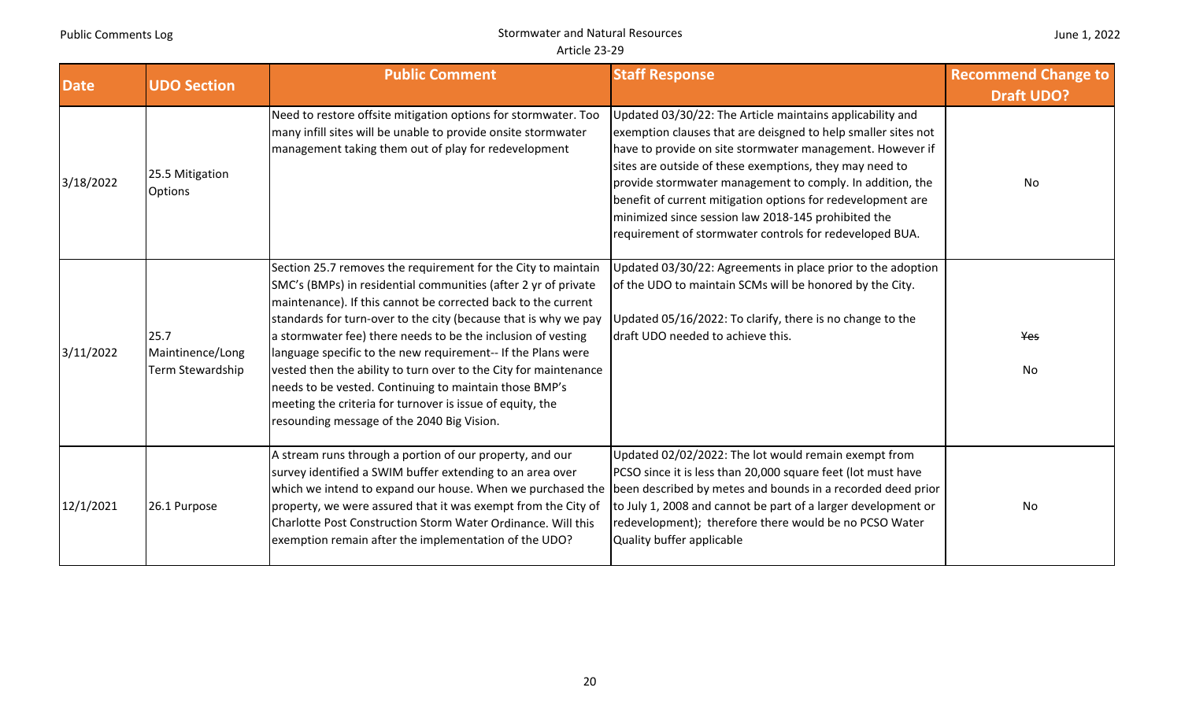|  |  | June 1, 2022 |
|--|--|--------------|
|--|--|--------------|

| <b>Date</b> | <b>UDO Section</b>                           | <b>Public Comment</b>                                                                                                                                                                                                                                                                                                                                                                                                                                                                                                                                                                                                                        | <b>Staff Response</b>                                                                                                                                                                                                                                                                                                                                                                                                                                                                            | <b>Recommend Change to</b><br><b>Draft UDO?</b> |
|-------------|----------------------------------------------|----------------------------------------------------------------------------------------------------------------------------------------------------------------------------------------------------------------------------------------------------------------------------------------------------------------------------------------------------------------------------------------------------------------------------------------------------------------------------------------------------------------------------------------------------------------------------------------------------------------------------------------------|--------------------------------------------------------------------------------------------------------------------------------------------------------------------------------------------------------------------------------------------------------------------------------------------------------------------------------------------------------------------------------------------------------------------------------------------------------------------------------------------------|-------------------------------------------------|
| 3/18/2022   | 25.5 Mitigation<br><b>Options</b>            | Need to restore offsite mitigation options for stormwater. Too<br>many infill sites will be unable to provide onsite stormwater<br>management taking them out of play for redevelopment                                                                                                                                                                                                                                                                                                                                                                                                                                                      | Updated 03/30/22: The Article maintains applicability and<br>exemption clauses that are deisgned to help smaller sites not<br>have to provide on site stormwater management. However if<br>sites are outside of these exemptions, they may need to<br>provide stormwater management to comply. In addition, the<br>benefit of current mitigation options for redevelopment are<br>minimized since session law 2018-145 prohibited the<br>requirement of stormwater controls for redeveloped BUA. | No                                              |
| 3/11/2022   | 25.7<br>Maintinence/Long<br>Term Stewardship | Section 25.7 removes the requirement for the City to maintain<br>SMC's (BMPs) in residential communities (after 2 yr of private<br>maintenance). If this cannot be corrected back to the current<br>standards for turn-over to the city (because that is why we pay<br>a stormwater fee) there needs to be the inclusion of vesting<br>language specific to the new requirement-- If the Plans were<br>vested then the ability to turn over to the City for maintenance<br>needs to be vested. Continuing to maintain those BMP's<br>meeting the criteria for turnover is issue of equity, the<br>resounding message of the 2040 Big Vision. | Updated 03/30/22: Agreements in place prior to the adoption<br>of the UDO to maintain SCMs will be honored by the City.<br>Updated 05/16/2022: To clarify, there is no change to the<br>draft UDO needed to achieve this.                                                                                                                                                                                                                                                                        | Yes<br>No                                       |
| 12/1/2021   | 26.1 Purpose                                 | A stream runs through a portion of our property, and our<br>survey identified a SWIM buffer extending to an area over<br>which we intend to expand our house. When we purchased the<br>property, we were assured that it was exempt from the City of<br>Charlotte Post Construction Storm Water Ordinance. Will this<br>exemption remain after the implementation of the UDO?                                                                                                                                                                                                                                                                | Updated 02/02/2022: The lot would remain exempt from<br>PCSO since it is less than 20,000 square feet (lot must have<br>been described by metes and bounds in a recorded deed prior<br>to July 1, 2008 and cannot be part of a larger development or<br>redevelopment); therefore there would be no PCSO Water<br>Quality buffer applicable                                                                                                                                                      | No                                              |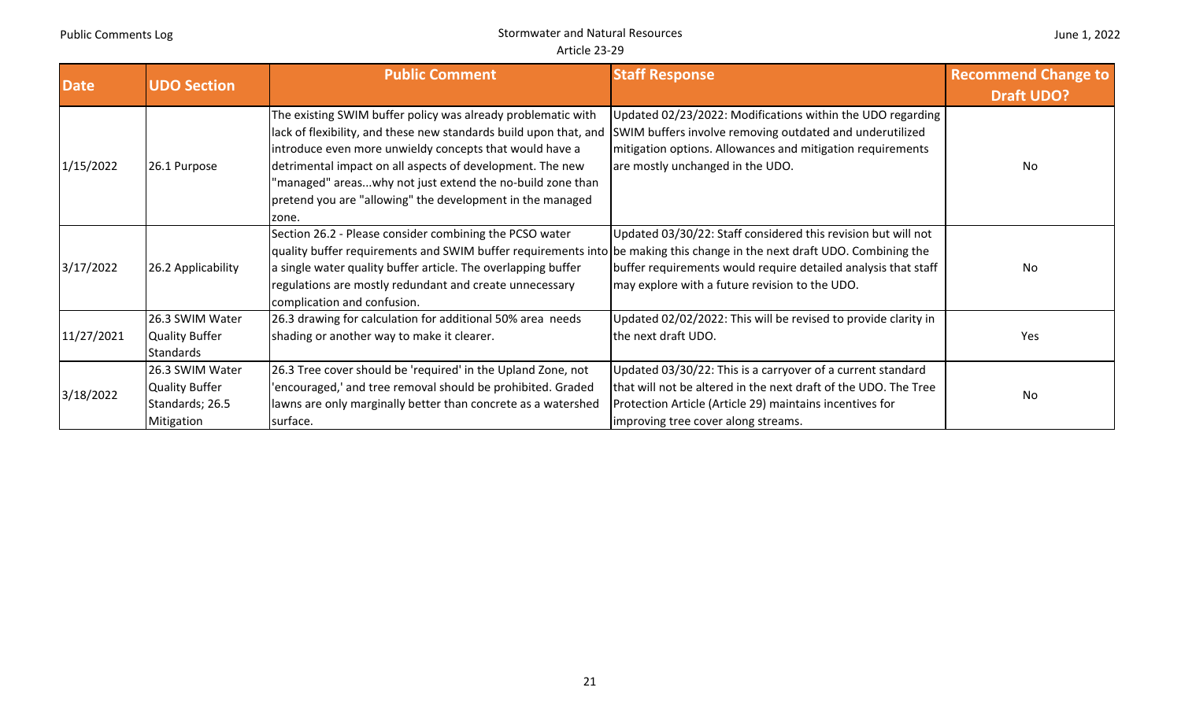| <b>Date</b> | <b>UDO Section</b>                                                        | <b>Public Comment</b>                                                                                                                                                                                                                                                                                                                                                                        | <b>Staff Response</b>                                                                                                                                                                                                             | <b>Recommend Change to</b><br><b>Draft UDO?</b> |
|-------------|---------------------------------------------------------------------------|----------------------------------------------------------------------------------------------------------------------------------------------------------------------------------------------------------------------------------------------------------------------------------------------------------------------------------------------------------------------------------------------|-----------------------------------------------------------------------------------------------------------------------------------------------------------------------------------------------------------------------------------|-------------------------------------------------|
| 1/15/2022   | 26.1 Purpose                                                              | The existing SWIM buffer policy was already problematic with<br>lack of flexibility, and these new standards build upon that, and<br>introduce even more unwieldy concepts that would have a<br>detrimental impact on all aspects of development. The new<br>'managed" areaswhy not just extend the no-build zone than<br>pretend you are "allowing" the development in the managed<br>zone. | Updated 02/23/2022: Modifications within the UDO regarding<br>SWIM buffers involve removing outdated and underutilized<br>mitigation options. Allowances and mitigation requirements<br>are mostly unchanged in the UDO.          | No                                              |
| 3/17/2022   | 26.2 Applicability                                                        | Section 26.2 - Please consider combining the PCSO water<br>quality buffer requirements and SWIM buffer requirements into be making this change in the next draft UDO. Combining the<br>a single water quality buffer article. The overlapping buffer<br>regulations are mostly redundant and create unnecessary<br>complication and confusion.                                               | Updated 03/30/22: Staff considered this revision but will not<br>buffer requirements would require detailed analysis that staff<br>may explore with a future revision to the UDO.                                                 | No                                              |
| 11/27/2021  | 26.3 SWIM Water<br>Quality Buffer<br><b>Standards</b>                     | 26.3 drawing for calculation for additional 50% area needs<br>shading or another way to make it clearer.                                                                                                                                                                                                                                                                                     | Updated 02/02/2022: This will be revised to provide clarity in<br>the next draft UDO.                                                                                                                                             | Yes                                             |
| 3/18/2022   | 26.3 SWIM Water<br><b>Quality Buffer</b><br>Standards; 26.5<br>Mitigation | 26.3 Tree cover should be 'required' in the Upland Zone, not<br>'encouraged,' and tree removal should be prohibited. Graded<br>lawns are only marginally better than concrete as a watershed<br>surface.                                                                                                                                                                                     | Updated 03/30/22: This is a carryover of a current standard<br>that will not be altered in the next draft of the UDO. The Tree<br>Protection Article (Article 29) maintains incentives for<br>improving tree cover along streams. | No                                              |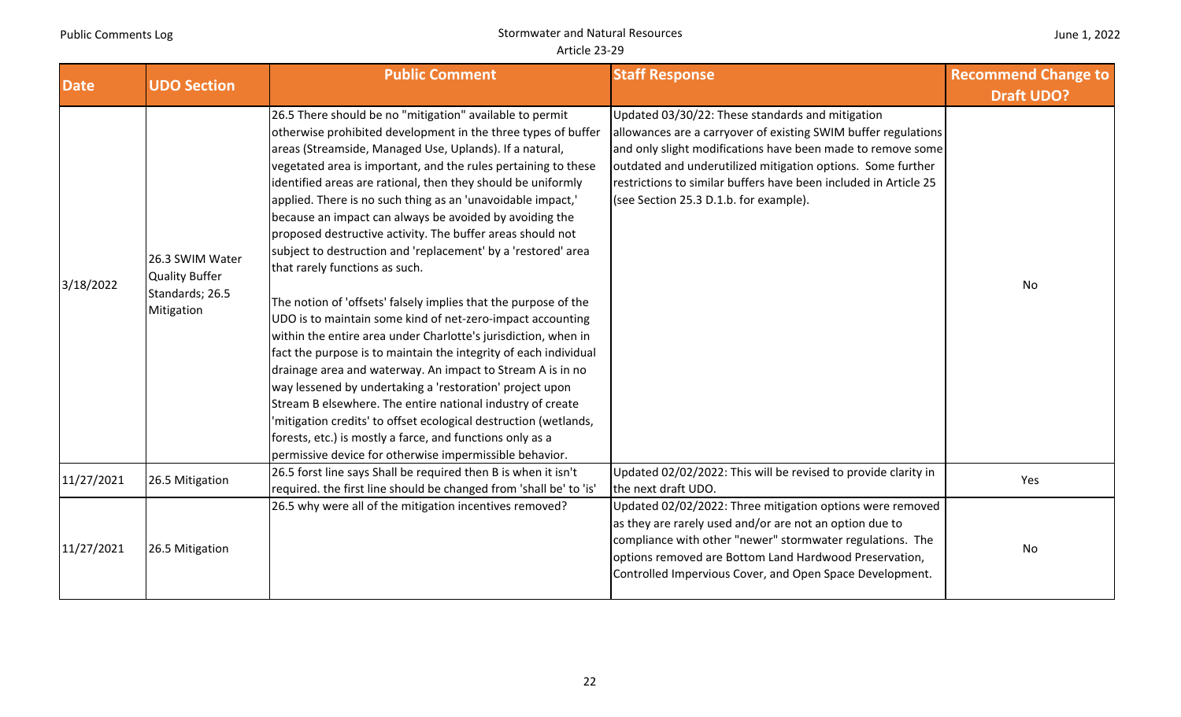| <b>Date</b> | <b>UDO Section</b>                                                        | <b>Public Comment</b>                                                                                                                                                                                                                                                                                                                                                                                                                                                                                                                                                                                                                                                                                                                                                                                                                                                                                                                                                                                                                                                                                                                                                                                                                                                        | <b>Staff Response</b>                                                                                                                                                                                                                                                                                                                                          | <b>Recommend Change to</b><br><b>Draft UDO?</b> |
|-------------|---------------------------------------------------------------------------|------------------------------------------------------------------------------------------------------------------------------------------------------------------------------------------------------------------------------------------------------------------------------------------------------------------------------------------------------------------------------------------------------------------------------------------------------------------------------------------------------------------------------------------------------------------------------------------------------------------------------------------------------------------------------------------------------------------------------------------------------------------------------------------------------------------------------------------------------------------------------------------------------------------------------------------------------------------------------------------------------------------------------------------------------------------------------------------------------------------------------------------------------------------------------------------------------------------------------------------------------------------------------|----------------------------------------------------------------------------------------------------------------------------------------------------------------------------------------------------------------------------------------------------------------------------------------------------------------------------------------------------------------|-------------------------------------------------|
| 3/18/2022   | 26.3 SWIM Water<br><b>Quality Buffer</b><br>Standards; 26.5<br>Mitigation | 26.5 There should be no "mitigation" available to permit<br>otherwise prohibited development in the three types of buffer<br>areas (Streamside, Managed Use, Uplands). If a natural,<br>vegetated area is important, and the rules pertaining to these<br>identified areas are rational, then they should be uniformly<br>applied. There is no such thing as an 'unavoidable impact,'<br>because an impact can always be avoided by avoiding the<br>proposed destructive activity. The buffer areas should not<br>subject to destruction and 'replacement' by a 'restored' area<br>that rarely functions as such.<br>The notion of 'offsets' falsely implies that the purpose of the<br>UDO is to maintain some kind of net-zero-impact accounting<br>within the entire area under Charlotte's jurisdiction, when in<br>fact the purpose is to maintain the integrity of each individual<br>drainage area and waterway. An impact to Stream A is in no<br>way lessened by undertaking a 'restoration' project upon<br>Stream B elsewhere. The entire national industry of create<br>'mitigation credits' to offset ecological destruction (wetlands,<br>forests, etc.) is mostly a farce, and functions only as a<br>permissive device for otherwise impermissible behavior. | Updated 03/30/22: These standards and mitigation<br>allowances are a carryover of existing SWIM buffer regulations<br>and only slight modifications have been made to remove some<br>outdated and underutilized mitigation options. Some further<br>restrictions to similar buffers have been included in Article 25<br>(see Section 25.3 D.1.b. for example). | <b>No</b>                                       |
| 11/27/2021  | 26.5 Mitigation                                                           | 26.5 forst line says Shall be required then B is when it isn't<br>required. the first line should be changed from 'shall be' to 'is'                                                                                                                                                                                                                                                                                                                                                                                                                                                                                                                                                                                                                                                                                                                                                                                                                                                                                                                                                                                                                                                                                                                                         | Updated 02/02/2022: This will be revised to provide clarity in<br>the next draft UDO.                                                                                                                                                                                                                                                                          | Yes                                             |
| 11/27/2021  | 26.5 Mitigation                                                           | 26.5 why were all of the mitigation incentives removed?                                                                                                                                                                                                                                                                                                                                                                                                                                                                                                                                                                                                                                                                                                                                                                                                                                                                                                                                                                                                                                                                                                                                                                                                                      | Updated 02/02/2022: Three mitigation options were removed<br>as they are rarely used and/or are not an option due to<br>compliance with other "newer" stormwater regulations. The<br>options removed are Bottom Land Hardwood Preservation,<br>Controlled Impervious Cover, and Open Space Development.                                                        | No                                              |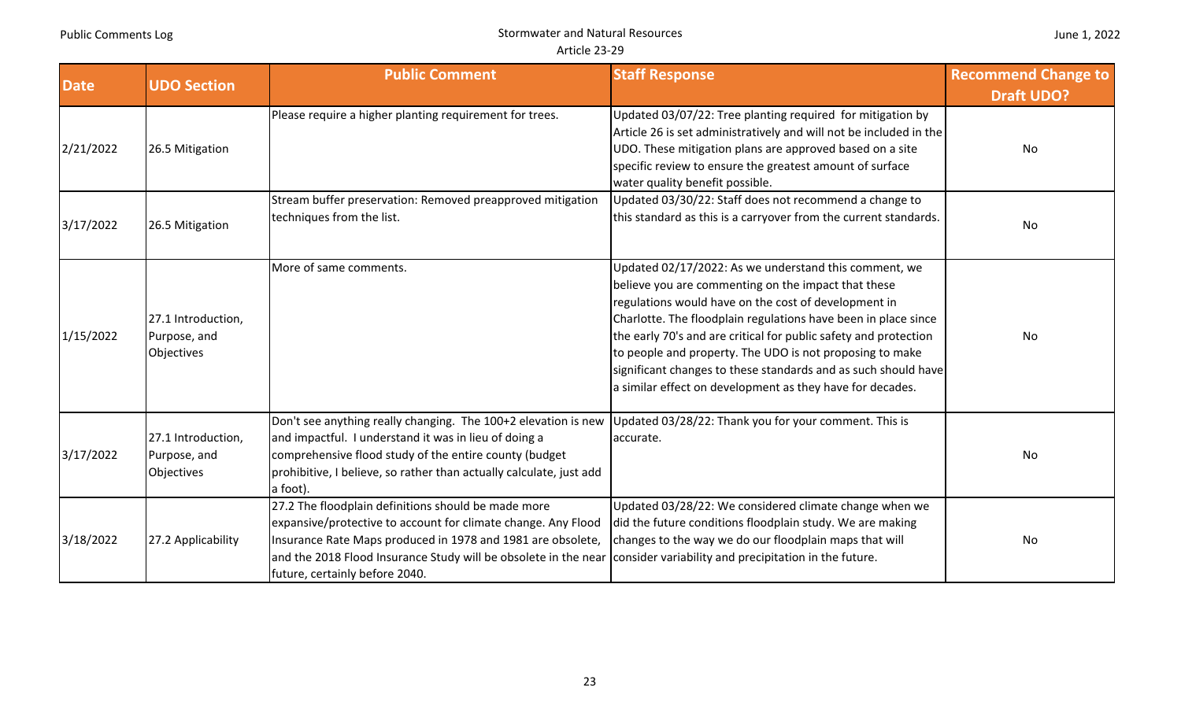|  |  | June 1, 2022 |
|--|--|--------------|
|--|--|--------------|

| <b>Date</b> | <b>UDO Section</b>                               | <b>Public Comment</b>                                                                                                                                                                                                                                                                    | <b>Staff Response</b>                                                                                                                                                                                                                                                                                                                                                                                                                                                                                 | <b>Recommend Change to</b> |
|-------------|--------------------------------------------------|------------------------------------------------------------------------------------------------------------------------------------------------------------------------------------------------------------------------------------------------------------------------------------------|-------------------------------------------------------------------------------------------------------------------------------------------------------------------------------------------------------------------------------------------------------------------------------------------------------------------------------------------------------------------------------------------------------------------------------------------------------------------------------------------------------|----------------------------|
| 2/21/2022   | 26.5 Mitigation                                  | Please require a higher planting requirement for trees.                                                                                                                                                                                                                                  | Updated 03/07/22: Tree planting required for mitigation by<br>Article 26 is set administratively and will not be included in the<br>UDO. These mitigation plans are approved based on a site<br>specific review to ensure the greatest amount of surface<br>water quality benefit possible.                                                                                                                                                                                                           | <b>Draft UDO?</b><br>No    |
| 3/17/2022   | 26.5 Mitigation                                  | Stream buffer preservation: Removed preapproved mitigation<br>techniques from the list.                                                                                                                                                                                                  | Updated 03/30/22: Staff does not recommend a change to<br>this standard as this is a carryover from the current standards.                                                                                                                                                                                                                                                                                                                                                                            | No                         |
| 1/15/2022   | 27.1 Introduction,<br>Purpose, and<br>Objectives | More of same comments.                                                                                                                                                                                                                                                                   | Updated 02/17/2022: As we understand this comment, we<br>believe you are commenting on the impact that these<br>regulations would have on the cost of development in<br>Charlotte. The floodplain regulations have been in place since<br>the early 70's and are critical for public safety and protection<br>to people and property. The UDO is not proposing to make<br>significant changes to these standards and as such should have<br>a similar effect on development as they have for decades. | No                         |
| 3/17/2022   | 27.1 Introduction,<br>Purpose, and<br>Objectives | Don't see anything really changing. The 100+2 elevation is new<br>and impactful. I understand it was in lieu of doing a<br>comprehensive flood study of the entire county (budget<br>prohibitive, I believe, so rather than actually calculate, just add<br>a foot).                     | Updated 03/28/22: Thank you for your comment. This is<br>accurate.                                                                                                                                                                                                                                                                                                                                                                                                                                    | No                         |
| 3/18/2022   | 27.2 Applicability                               | 27.2 The floodplain definitions should be made more<br>expansive/protective to account for climate change. Any Flood<br>Insurance Rate Maps produced in 1978 and 1981 are obsolete,<br>and the 2018 Flood Insurance Study will be obsolete in the near<br>future, certainly before 2040. | Updated 03/28/22: We considered climate change when we<br>did the future conditions floodplain study. We are making<br>changes to the way we do our floodplain maps that will<br>consider variability and precipitation in the future.                                                                                                                                                                                                                                                                | No                         |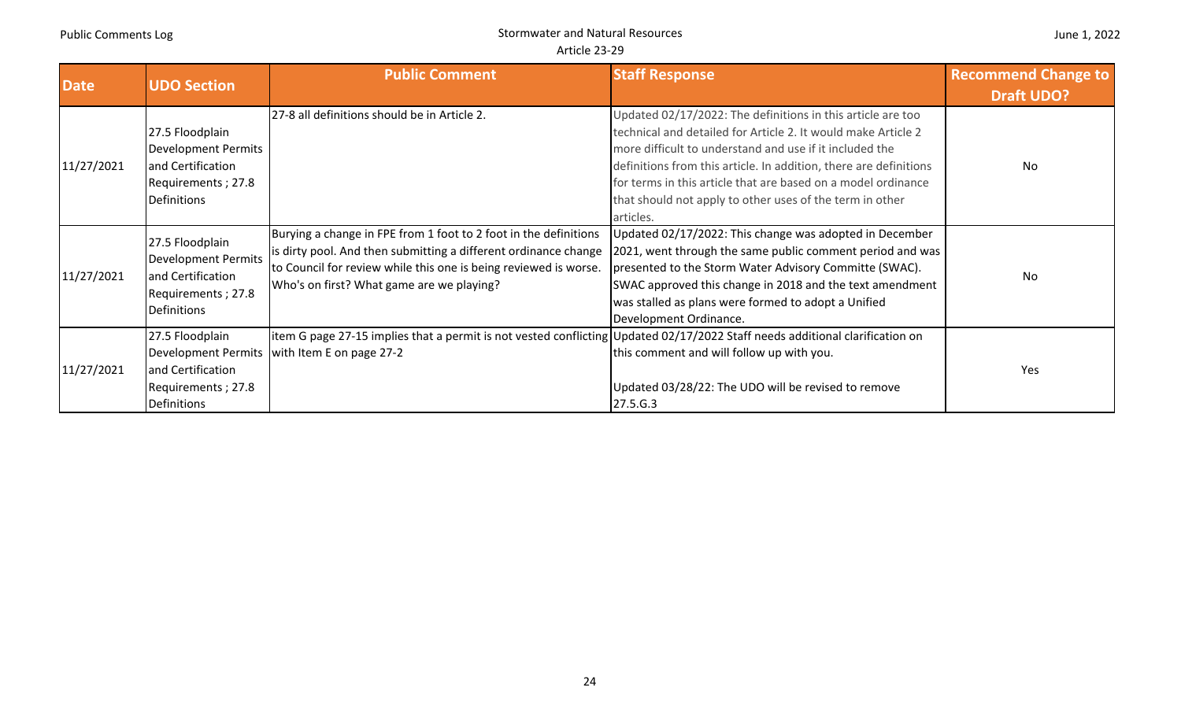| Date       | <b>UDO Section</b>                                                                                      | <b>Public Comment</b>                                                                                                                                                                                                                                | <b>Staff Response</b>                                                                                                                                                                                                                                                                                                                                                                                  | <b>Recommend Change to</b> |
|------------|---------------------------------------------------------------------------------------------------------|------------------------------------------------------------------------------------------------------------------------------------------------------------------------------------------------------------------------------------------------------|--------------------------------------------------------------------------------------------------------------------------------------------------------------------------------------------------------------------------------------------------------------------------------------------------------------------------------------------------------------------------------------------------------|----------------------------|
|            |                                                                                                         |                                                                                                                                                                                                                                                      |                                                                                                                                                                                                                                                                                                                                                                                                        | <b>Draft UDO?</b>          |
| 11/27/2021 | 27.5 Floodplain<br><b>Development Permits</b><br>and Certification<br>Requirements; 27.8<br>Definitions | 27-8 all definitions should be in Article 2.                                                                                                                                                                                                         | Updated 02/17/2022: The definitions in this article are too<br>technical and detailed for Article 2. It would make Article 2<br>more difficult to understand and use if it included the<br>definitions from this article. In addition, there are definitions<br>for terms in this article that are based on a model ordinance<br>that should not apply to other uses of the term in other<br>articles. | <b>No</b>                  |
| 11/27/2021 | 27.5 Floodplain<br><b>Development Permits</b><br>and Certification<br>Requirements; 27.8<br>Definitions | Burying a change in FPE from 1 foot to 2 foot in the definitions<br>is dirty pool. And then submitting a different ordinance change<br>to Council for review while this one is being reviewed is worse.<br>Who's on first? What game are we playing? | Updated 02/17/2022: This change was adopted in December<br>2021, went through the same public comment period and was<br>presented to the Storm Water Advisory Committe (SWAC).<br>SWAC approved this change in 2018 and the text amendment<br>was stalled as plans were formed to adopt a Unified<br>Development Ordinance.                                                                            | No                         |
| 11/27/2021 | 27.5 Floodplain<br>and Certification<br>Requirements; 27.8<br>Definitions                               | litem G page 27-15 implies that a permit is not vested conflicting Updated 02/17/2022 Staff needs additional clarification on<br>Development Permits   with Item E on page 27-2                                                                      | this comment and will follow up with you.<br>Updated 03/28/22: The UDO will be revised to remove<br>27.5.G.3                                                                                                                                                                                                                                                                                           | Yes                        |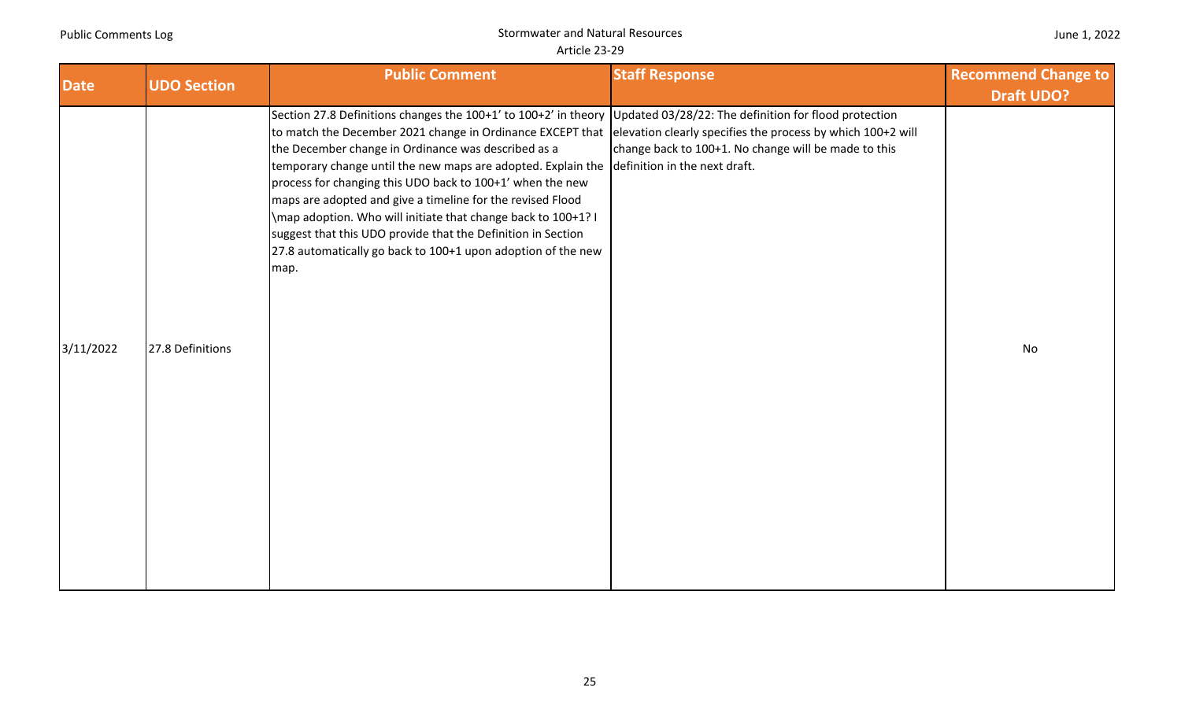| June 1, 2022 |  |  |
|--------------|--|--|
|--------------|--|--|

|             |                    | <b>Public Comment</b>                                                                                                                                                                                                                                                                                                                                                                                                                                                                                                                                                                                                                                                                                                                    | <b>Staff Response</b>                                | <b>Recommend Change to</b> |
|-------------|--------------------|------------------------------------------------------------------------------------------------------------------------------------------------------------------------------------------------------------------------------------------------------------------------------------------------------------------------------------------------------------------------------------------------------------------------------------------------------------------------------------------------------------------------------------------------------------------------------------------------------------------------------------------------------------------------------------------------------------------------------------------|------------------------------------------------------|----------------------------|
| <b>Date</b> | <b>UDO Section</b> |                                                                                                                                                                                                                                                                                                                                                                                                                                                                                                                                                                                                                                                                                                                                          |                                                      | <b>Draft UDO?</b>          |
| 3/11/2022   | 27.8 Definitions   | Section 27.8 Definitions changes the 100+1' to 100+2' in theory Updated 03/28/22: The definition for flood protection<br>to match the December 2021 change in Ordinance EXCEPT that elevation clearly specifies the process by which 100+2 will<br>the December change in Ordinance was described as a<br>temporary change until the new maps are adopted. Explain the definition in the next draft.<br>process for changing this UDO back to 100+1' when the new<br>maps are adopted and give a timeline for the revised Flood<br>\map adoption. Who will initiate that change back to 100+1? I<br>suggest that this UDO provide that the Definition in Section<br>27.8 automatically go back to 100+1 upon adoption of the new<br>map. | change back to 100+1. No change will be made to this | No                         |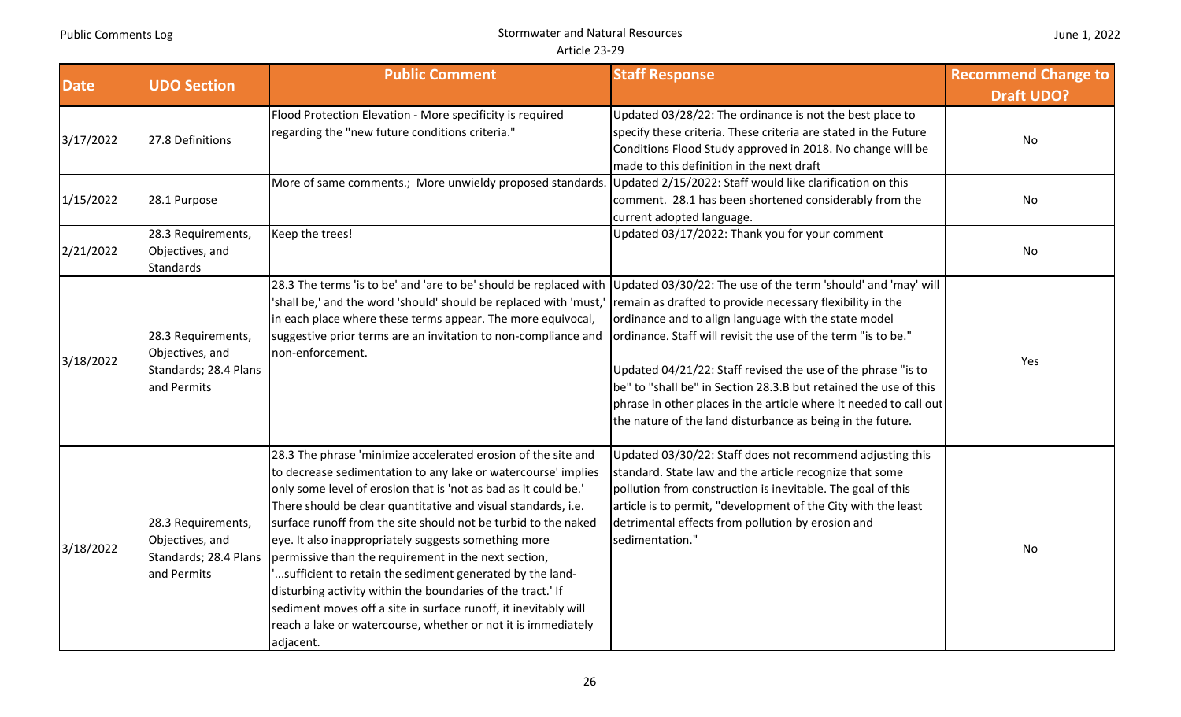| <b>Date</b> | <b>UDO Section</b>                                                            | <b>Public Comment</b>                                                                                                                                                                                                                                                                                                                                                                                                                                                                                                                                                                                                                                                                                                            | <b>Staff Response</b>                                                                                                                                                                                                                                                                                                                                                                                                                                                                                                      | <b>Recommend Change to</b><br><b>Draft UDO?</b> |
|-------------|-------------------------------------------------------------------------------|----------------------------------------------------------------------------------------------------------------------------------------------------------------------------------------------------------------------------------------------------------------------------------------------------------------------------------------------------------------------------------------------------------------------------------------------------------------------------------------------------------------------------------------------------------------------------------------------------------------------------------------------------------------------------------------------------------------------------------|----------------------------------------------------------------------------------------------------------------------------------------------------------------------------------------------------------------------------------------------------------------------------------------------------------------------------------------------------------------------------------------------------------------------------------------------------------------------------------------------------------------------------|-------------------------------------------------|
| 3/17/2022   | 27.8 Definitions                                                              | Flood Protection Elevation - More specificity is required<br>regarding the "new future conditions criteria."                                                                                                                                                                                                                                                                                                                                                                                                                                                                                                                                                                                                                     | Updated 03/28/22: The ordinance is not the best place to<br>specify these criteria. These criteria are stated in the Future<br>Conditions Flood Study approved in 2018. No change will be<br>made to this definition in the next draft                                                                                                                                                                                                                                                                                     | No                                              |
| 1/15/2022   | 28.1 Purpose                                                                  | More of same comments.; More unwieldy proposed standards.                                                                                                                                                                                                                                                                                                                                                                                                                                                                                                                                                                                                                                                                        | Updated 2/15/2022: Staff would like clarification on this<br>comment. 28.1 has been shortened considerably from the<br>current adopted language.                                                                                                                                                                                                                                                                                                                                                                           | No                                              |
| 2/21/2022   | 28.3 Requirements,<br>Objectives, and<br><b>Standards</b>                     | Keep the trees!                                                                                                                                                                                                                                                                                                                                                                                                                                                                                                                                                                                                                                                                                                                  | Updated 03/17/2022: Thank you for your comment                                                                                                                                                                                                                                                                                                                                                                                                                                                                             | No                                              |
| 3/18/2022   | 28.3 Requirements,<br>Objectives, and<br>Standards; 28.4 Plans<br>and Permits | 28.3 The terms 'is to be' and 'are to be' should be replaced with<br>'shall be,' and the word 'should' should be replaced with 'must,'<br>in each place where these terms appear. The more equivocal,<br>suggestive prior terms are an invitation to non-compliance and<br>non-enforcement.                                                                                                                                                                                                                                                                                                                                                                                                                                      | Updated 03/30/22: The use of the term 'should' and 'may' will<br>remain as drafted to provide necessary flexibility in the<br>ordinance and to align language with the state model<br>ordinance. Staff will revisit the use of the term "is to be."<br>Updated 04/21/22: Staff revised the use of the phrase "is to<br>be" to "shall be" in Section 28.3.B but retained the use of this<br>phrase in other places in the article where it needed to call out<br>the nature of the land disturbance as being in the future. | Yes                                             |
| 3/18/2022   | 28.3 Requirements,<br>Objectives, and<br>Standards; 28.4 Plans<br>and Permits | 28.3 The phrase 'minimize accelerated erosion of the site and<br>to decrease sedimentation to any lake or watercourse' implies<br>only some level of erosion that is 'not as bad as it could be.'<br>There should be clear quantitative and visual standards, i.e.<br>surface runoff from the site should not be turbid to the naked<br>eye. It also inappropriately suggests something more<br>permissive than the requirement in the next section,<br>sufficient to retain the sediment generated by the land-<br>disturbing activity within the boundaries of the tract.' If<br>sediment moves off a site in surface runoff, it inevitably will<br>reach a lake or watercourse, whether or not it is immediately<br>adjacent. | Updated 03/30/22: Staff does not recommend adjusting this<br>standard. State law and the article recognize that some<br>pollution from construction is inevitable. The goal of this<br>article is to permit, "development of the City with the least<br>detrimental effects from pollution by erosion and<br>sedimentation."                                                                                                                                                                                               | No                                              |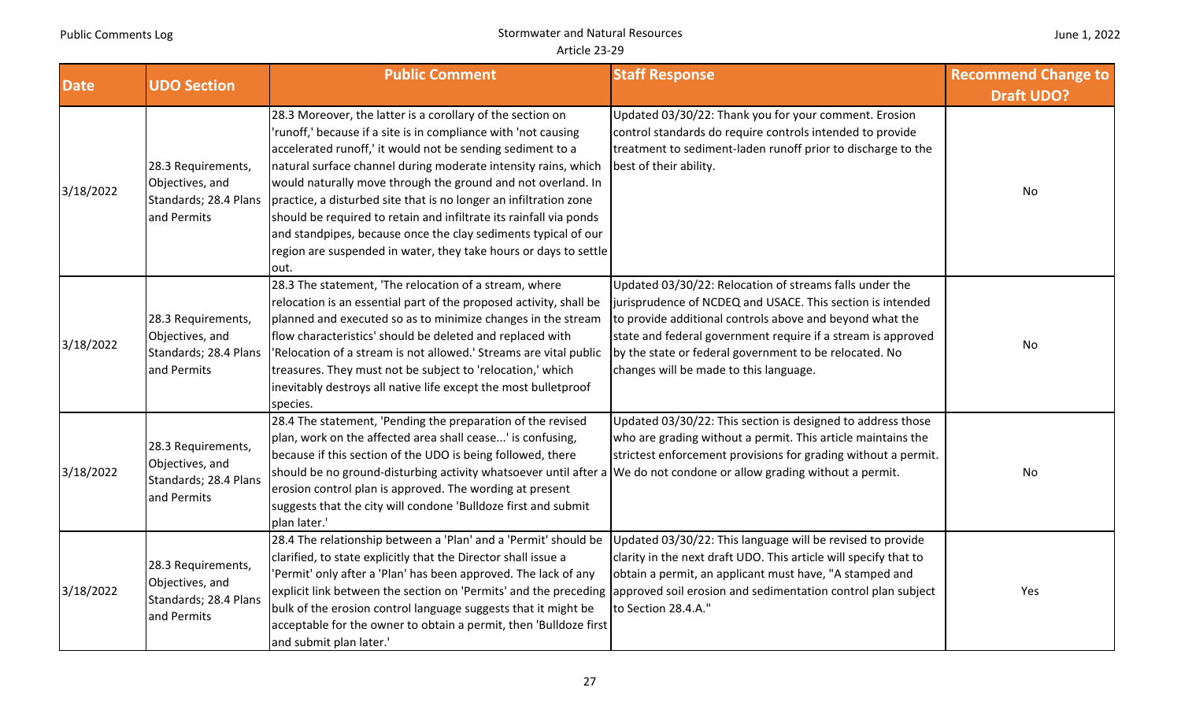| <b>Date</b> | <b>UDO Section</b>                                                            | <b>Public Comment</b>                                                                                                                                                                                                                                                                                                                                                                                                                                                                                                                                                                                                 | <b>Staff Response</b>                                                                                                                                                                                                                                                                                                                                 | <b>Recommend Change to</b><br><b>Draft UDO?</b> |
|-------------|-------------------------------------------------------------------------------|-----------------------------------------------------------------------------------------------------------------------------------------------------------------------------------------------------------------------------------------------------------------------------------------------------------------------------------------------------------------------------------------------------------------------------------------------------------------------------------------------------------------------------------------------------------------------------------------------------------------------|-------------------------------------------------------------------------------------------------------------------------------------------------------------------------------------------------------------------------------------------------------------------------------------------------------------------------------------------------------|-------------------------------------------------|
| 3/18/2022   | 28.3 Requirements,<br>Objectives, and<br>Standards; 28.4 Plans<br>and Permits | 28.3 Moreover, the latter is a corollary of the section on<br>'runoff,' because if a site is in compliance with 'not causing<br>accelerated runoff,' it would not be sending sediment to a<br>natural surface channel during moderate intensity rains, which<br>would naturally move through the ground and not overland. In<br>practice, a disturbed site that is no longer an infiltration zone<br>should be required to retain and infiltrate its rainfall via ponds<br>and standpipes, because once the clay sediments typical of our<br>region are suspended in water, they take hours or days to settle<br>out. | Updated 03/30/22: Thank you for your comment. Erosion<br>control standards do require controls intended to provide<br>treatment to sediment-laden runoff prior to discharge to the<br>best of their ability.                                                                                                                                          | No                                              |
| 3/18/2022   | 28.3 Requirements,<br>Objectives, and<br>Standards; 28.4 Plans<br>and Permits | 28.3 The statement, 'The relocation of a stream, where<br>relocation is an essential part of the proposed activity, shall be<br>planned and executed so as to minimize changes in the stream<br>flow characteristics' should be deleted and replaced with<br>'Relocation of a stream is not allowed.' Streams are vital public<br>treasures. They must not be subject to 'relocation,' which<br>inevitably destroys all native life except the most bulletproof<br>species.                                                                                                                                           | Updated 03/30/22: Relocation of streams falls under the<br>jurisprudence of NCDEQ and USACE. This section is intended<br>to provide additional controls above and beyond what the<br>state and federal government require if a stream is approved<br>by the state or federal government to be relocated. No<br>changes will be made to this language. | <b>No</b>                                       |
| 3/18/2022   | 28.3 Requirements,<br>Objectives, and<br>Standards; 28.4 Plans<br>and Permits | 28.4 The statement, 'Pending the preparation of the revised<br>plan, work on the affected area shall cease' is confusing,<br>because if this section of the UDO is being followed, there<br>should be no ground-disturbing activity whatsoever until after a We do not condone or allow grading without a permit.<br>erosion control plan is approved. The wording at present<br>suggests that the city will condone 'Bulldoze first and submit<br>plan later.'                                                                                                                                                       | Updated 03/30/22: This section is designed to address those<br>who are grading without a permit. This article maintains the<br>strictest enforcement provisions for grading without a permit.                                                                                                                                                         | No                                              |
| 3/18/2022   | 28.3 Requirements,<br>Objectives, and<br>Standards; 28.4 Plans<br>and Permits | 28.4 The relationship between a 'Plan' and a 'Permit' should be<br>clarified, to state explicitly that the Director shall issue a<br>'Permit' only after a 'Plan' has been approved. The lack of any<br>explicit link between the section on 'Permits' and the preceding approved soil erosion and sedimentation control plan subject<br>bulk of the erosion control language suggests that it might be<br>acceptable for the owner to obtain a permit, then 'Bulldoze first<br>and submit plan later.'                                                                                                               | Updated 03/30/22: This language will be revised to provide<br>clarity in the next draft UDO. This article will specify that to<br>obtain a permit, an applicant must have, "A stamped and<br>to Section 28.4.A."                                                                                                                                      | Yes                                             |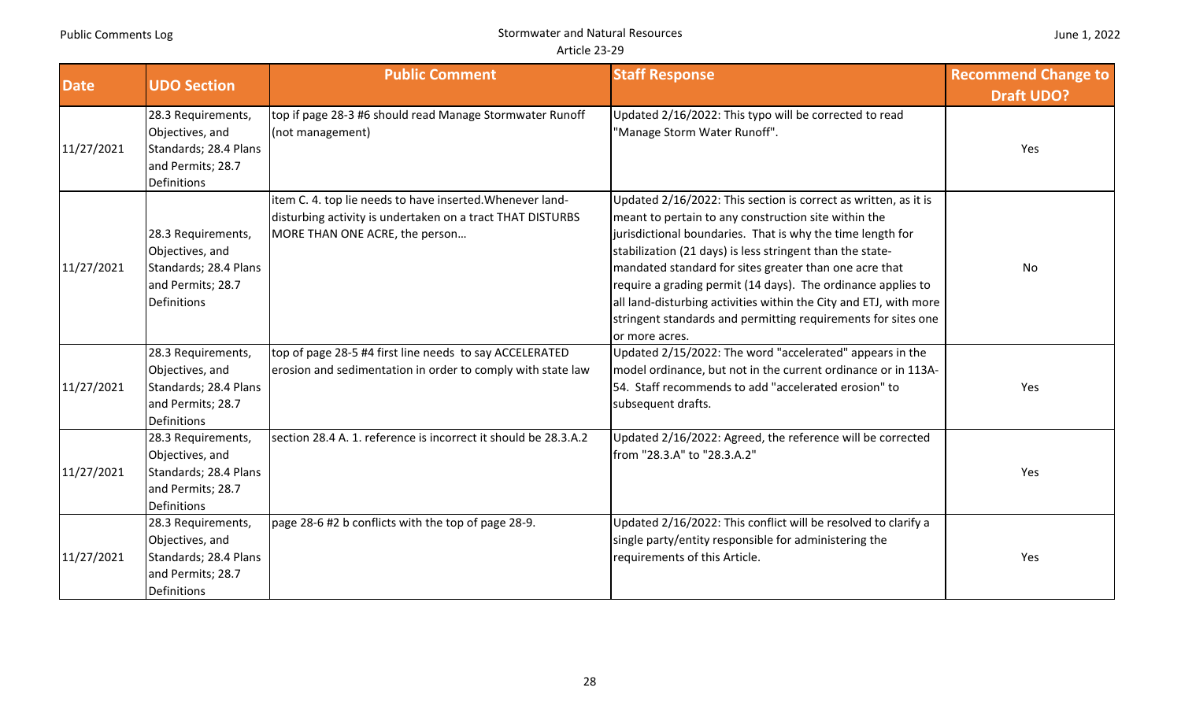| June 1, 2022 |  |
|--------------|--|
|--------------|--|

| <b>Date</b> | <b>UDO Section</b>                                                                                        | <b>Public Comment</b>                                                                                                                                     | <b>Staff Response</b>                                                                                                                                                                                                                                                                                                                                                                                                                                                                                                                | <b>Recommend Change to</b><br><b>Draft UDO?</b> |
|-------------|-----------------------------------------------------------------------------------------------------------|-----------------------------------------------------------------------------------------------------------------------------------------------------------|--------------------------------------------------------------------------------------------------------------------------------------------------------------------------------------------------------------------------------------------------------------------------------------------------------------------------------------------------------------------------------------------------------------------------------------------------------------------------------------------------------------------------------------|-------------------------------------------------|
| 11/27/2021  | 28.3 Requirements,<br>Objectives, and<br>Standards; 28.4 Plans<br>and Permits; 28.7<br><b>Definitions</b> | top if page 28-3 #6 should read Manage Stormwater Runoff<br>(not management)                                                                              | Updated 2/16/2022: This typo will be corrected to read<br>"Manage Storm Water Runoff".                                                                                                                                                                                                                                                                                                                                                                                                                                               | Yes                                             |
| 11/27/2021  | 28.3 Requirements,<br>Objectives, and<br>Standards; 28.4 Plans<br>and Permits; 28.7<br><b>Definitions</b> | item C. 4. top lie needs to have inserted. Whenever land-<br>disturbing activity is undertaken on a tract THAT DISTURBS<br>MORE THAN ONE ACRE, the person | Updated 2/16/2022: This section is correct as written, as it is<br>meant to pertain to any construction site within the<br>jurisdictional boundaries. That is why the time length for<br>stabilization (21 days) is less stringent than the state-<br>mandated standard for sites greater than one acre that<br>require a grading permit (14 days). The ordinance applies to<br>all land-disturbing activities within the City and ETJ, with more<br>stringent standards and permitting requirements for sites one<br>or more acres. | No                                              |
| 11/27/2021  | 28.3 Requirements,<br>Objectives, and<br>Standards; 28.4 Plans<br>and Permits; 28.7<br>Definitions        | top of page 28-5 #4 first line needs to say ACCELERATED<br>erosion and sedimentation in order to comply with state law                                    | Updated 2/15/2022: The word "accelerated" appears in the<br>model ordinance, but not in the current ordinance or in 113A-<br>54. Staff recommends to add "accelerated erosion" to<br>subsequent drafts.                                                                                                                                                                                                                                                                                                                              | Yes                                             |
| 11/27/2021  | 28.3 Requirements,<br>Objectives, and<br>Standards; 28.4 Plans<br>and Permits; 28.7<br><b>Definitions</b> | section 28.4 A. 1. reference is incorrect it should be 28.3.A.2                                                                                           | Updated 2/16/2022: Agreed, the reference will be corrected<br>from "28.3.A" to "28.3.A.2"                                                                                                                                                                                                                                                                                                                                                                                                                                            | Yes                                             |
| 11/27/2021  | 28.3 Requirements,<br>Objectives, and<br>Standards; 28.4 Plans<br>and Permits; 28.7<br><b>Definitions</b> | page 28-6 #2 b conflicts with the top of page 28-9.                                                                                                       | Updated 2/16/2022: This conflict will be resolved to clarify a<br>single party/entity responsible for administering the<br>requirements of this Article.                                                                                                                                                                                                                                                                                                                                                                             | Yes                                             |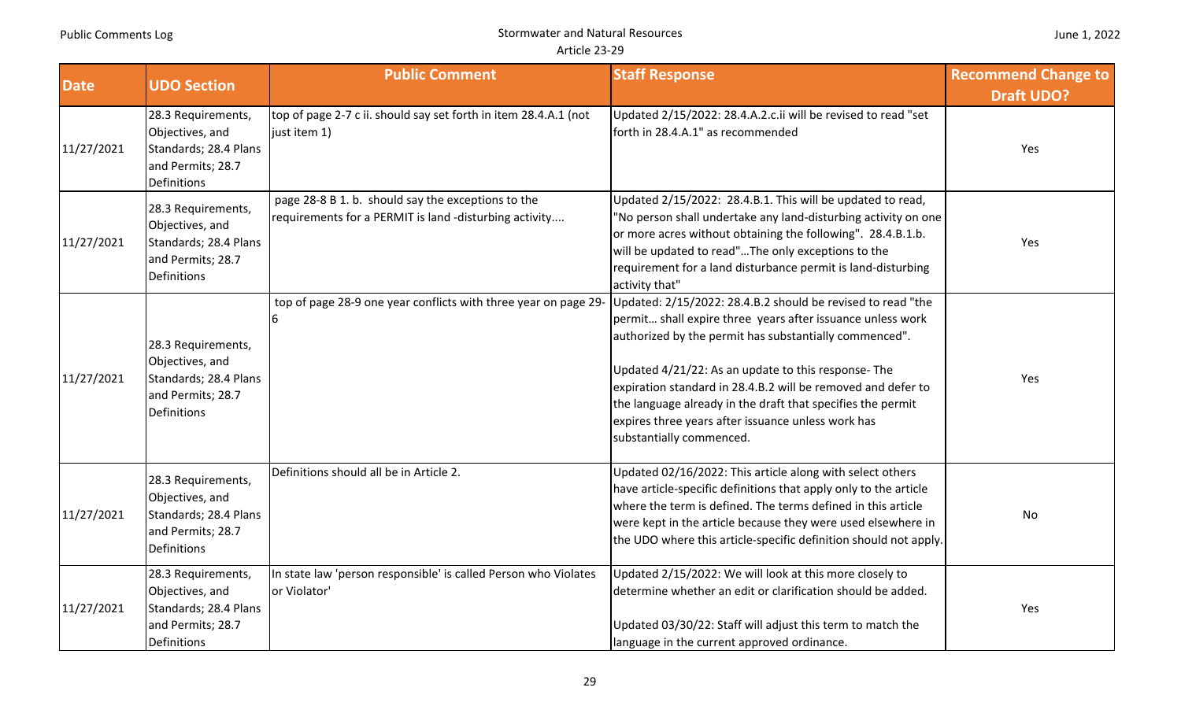| June 1, 2022 |  |  |
|--------------|--|--|
|--------------|--|--|

| <b>Date</b> | <b>UDO Section</b>                                                                                 | <b>Public Comment</b>                                                                                        | <b>Staff Response</b>                                                                                                                                                                                                                                                                                                                                                                                                                                       | <b>Recommend Change to</b><br><b>Draft UDO?</b> |
|-------------|----------------------------------------------------------------------------------------------------|--------------------------------------------------------------------------------------------------------------|-------------------------------------------------------------------------------------------------------------------------------------------------------------------------------------------------------------------------------------------------------------------------------------------------------------------------------------------------------------------------------------------------------------------------------------------------------------|-------------------------------------------------|
| 11/27/2021  | 28.3 Requirements,<br>Objectives, and<br>Standards; 28.4 Plans<br>and Permits; 28.7<br>Definitions | top of page 2-7 c ii. should say set forth in item 28.4.A.1 (not<br>just item 1)                             | Updated 2/15/2022: 28.4.A.2.c.ii will be revised to read "set<br>forth in 28.4.A.1" as recommended                                                                                                                                                                                                                                                                                                                                                          | Yes                                             |
| 11/27/2021  | 28.3 Requirements,<br>Objectives, and<br>Standards; 28.4 Plans<br>and Permits; 28.7<br>Definitions | page 28-8 B 1. b. should say the exceptions to the<br>requirements for a PERMIT is land -disturbing activity | Updated 2/15/2022: 28.4.B.1. This will be updated to read,<br>'No person shall undertake any land-disturbing activity on one<br>or more acres without obtaining the following". 28.4.B.1.b.<br>will be updated to read"The only exceptions to the<br>requirement for a land disturbance permit is land-disturbing<br>activity that"                                                                                                                         | Yes                                             |
| 11/27/2021  | 28.3 Requirements,<br>Objectives, and<br>Standards; 28.4 Plans<br>and Permits; 28.7<br>Definitions | top of page 28-9 one year conflicts with three year on page 29-                                              | Updated: 2/15/2022: 28.4.B.2 should be revised to read "the<br>permit shall expire three years after issuance unless work<br>authorized by the permit has substantially commenced".<br>Updated 4/21/22: As an update to this response- The<br>expiration standard in 28.4.B.2 will be removed and defer to<br>the language already in the draft that specifies the permit<br>expires three years after issuance unless work has<br>substantially commenced. | Yes                                             |
| 11/27/2021  | 28.3 Requirements,<br>Objectives, and<br>Standards; 28.4 Plans<br>and Permits; 28.7<br>Definitions | Definitions should all be in Article 2.                                                                      | Updated 02/16/2022: This article along with select others<br>have article-specific definitions that apply only to the article<br>where the term is defined. The terms defined in this article<br>were kept in the article because they were used elsewhere in<br>the UDO where this article-specific definition should not apply.                                                                                                                           | No                                              |
| 11/27/2021  | 28.3 Requirements,<br>Objectives, and<br>Standards; 28.4 Plans<br>and Permits; 28.7<br>Definitions | In state law 'person responsible' is called Person who Violates<br>or Violator'                              | Updated 2/15/2022: We will look at this more closely to<br>determine whether an edit or clarification should be added.<br>Updated 03/30/22: Staff will adjust this term to match the<br>language in the current approved ordinance.                                                                                                                                                                                                                         | Yes                                             |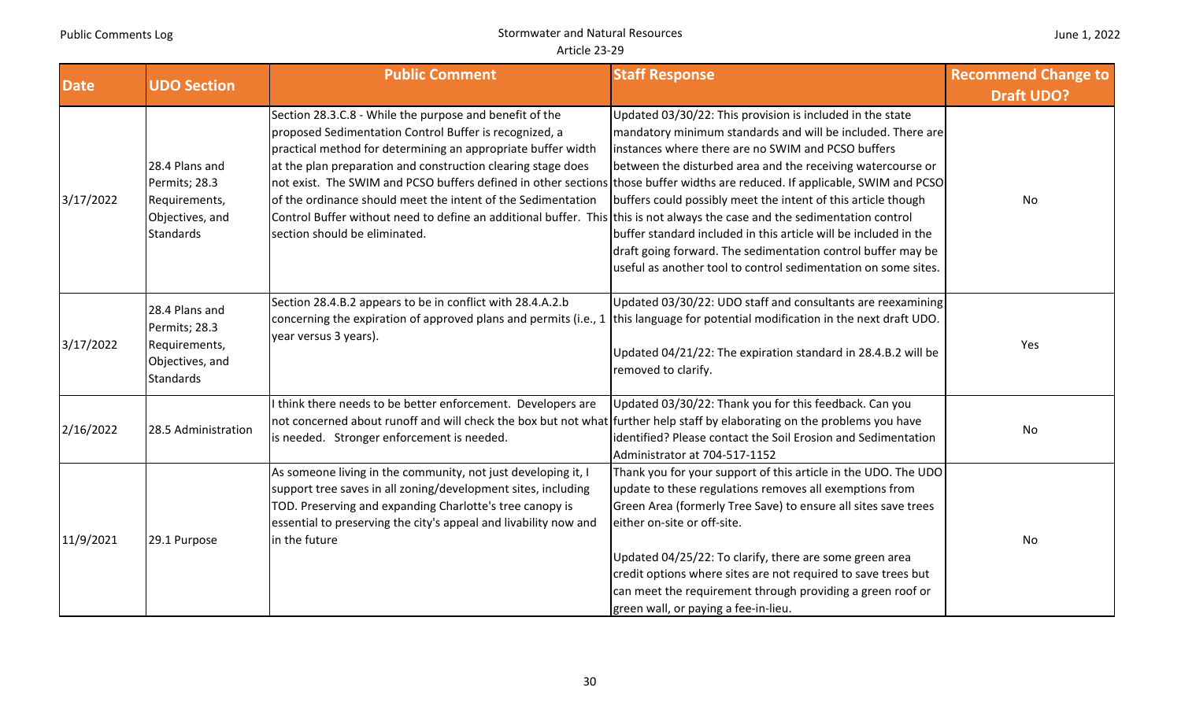| <b>Date</b> | <b>UDO Section</b>                                                                      | <b>Public Comment</b>                                                                                                                                                                                                                                                                                                                                                                                                                                                                                                                                                                                            | <b>Staff Response</b>                                                                                                                                                                                                                                                                                                                                                                                                                                                                                                | <b>Recommend Change to</b><br><b>Draft UDO?</b> |
|-------------|-----------------------------------------------------------------------------------------|------------------------------------------------------------------------------------------------------------------------------------------------------------------------------------------------------------------------------------------------------------------------------------------------------------------------------------------------------------------------------------------------------------------------------------------------------------------------------------------------------------------------------------------------------------------------------------------------------------------|----------------------------------------------------------------------------------------------------------------------------------------------------------------------------------------------------------------------------------------------------------------------------------------------------------------------------------------------------------------------------------------------------------------------------------------------------------------------------------------------------------------------|-------------------------------------------------|
| 3/17/2022   | 28.4 Plans and<br>Permits; 28.3<br>Requirements,<br>Objectives, and<br><b>Standards</b> | Section 28.3.C.8 - While the purpose and benefit of the<br>proposed Sedimentation Control Buffer is recognized, a<br>practical method for determining an appropriate buffer width<br>at the plan preparation and construction clearing stage does<br>not exist. The SWIM and PCSO buffers defined in other sections those buffer widths are reduced. If applicable, SWIM and PCSO<br>of the ordinance should meet the intent of the Sedimentation<br>Control Buffer without need to define an additional buffer. This this is not always the case and the sedimentation control<br>section should be eliminated. | Updated 03/30/22: This provision is included in the state<br>mandatory minimum standards and will be included. There are<br>instances where there are no SWIM and PCSO buffers<br>between the disturbed area and the receiving watercourse or<br>buffers could possibly meet the intent of this article though<br>buffer standard included in this article will be included in the<br>draft going forward. The sedimentation control buffer may be<br>useful as another tool to control sedimentation on some sites. | <b>No</b>                                       |
| 3/17/2022   | 28.4 Plans and<br>Permits; 28.3<br>Requirements,<br>Objectives, and<br><b>Standards</b> | Section 28.4.B.2 appears to be in conflict with 28.4.A.2.b<br>concerning the expiration of approved plans and permits (i.e., 1 this language for potential modification in the next draft UDO.<br>year versus 3 years).                                                                                                                                                                                                                                                                                                                                                                                          | Updated 03/30/22: UDO staff and consultants are reexamining<br>Updated 04/21/22: The expiration standard in 28.4.B.2 will be<br>removed to clarify.                                                                                                                                                                                                                                                                                                                                                                  | Yes                                             |
| 2/16/2022   | 28.5 Administration                                                                     | think there needs to be better enforcement. Developers are<br>not concerned about runoff and will check the box but not what further help staff by elaborating on the problems you have<br>is needed. Stronger enforcement is needed.                                                                                                                                                                                                                                                                                                                                                                            | Updated 03/30/22: Thank you for this feedback. Can you<br>identified? Please contact the Soil Erosion and Sedimentation<br>Administrator at 704-517-1152                                                                                                                                                                                                                                                                                                                                                             | No                                              |
| 11/9/2021   | 29.1 Purpose                                                                            | As someone living in the community, not just developing it, I<br>support tree saves in all zoning/development sites, including<br>TOD. Preserving and expanding Charlotte's tree canopy is<br>essential to preserving the city's appeal and livability now and<br>in the future                                                                                                                                                                                                                                                                                                                                  | Thank you for your support of this article in the UDO. The UDO<br>update to these regulations removes all exemptions from<br>Green Area (formerly Tree Save) to ensure all sites save trees<br>either on-site or off-site.<br>Updated 04/25/22: To clarify, there are some green area<br>credit options where sites are not required to save trees but<br>can meet the requirement through providing a green roof or<br>green wall, or paying a fee-in-lieu.                                                         | No                                              |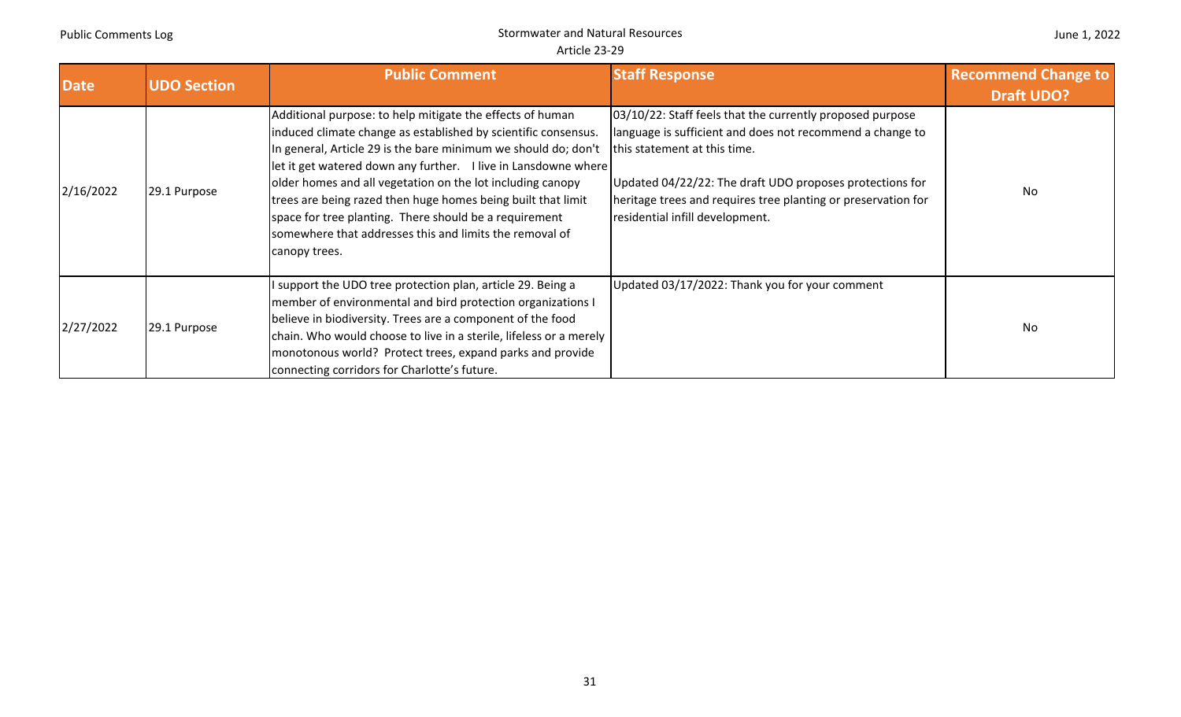| <b>Date</b> | <b>UDO Section</b> | <b>Public Comment</b>                                                                                                                                                                                                                                                                                                                                                                                                                                                                                                               | <b>Staff Response</b>                                                                                                                                                                                                                                                                                                  | <b>Recommend Change to</b><br><b>Draft UDO?</b> |
|-------------|--------------------|-------------------------------------------------------------------------------------------------------------------------------------------------------------------------------------------------------------------------------------------------------------------------------------------------------------------------------------------------------------------------------------------------------------------------------------------------------------------------------------------------------------------------------------|------------------------------------------------------------------------------------------------------------------------------------------------------------------------------------------------------------------------------------------------------------------------------------------------------------------------|-------------------------------------------------|
| 2/16/2022   | 29.1 Purpose       | Additional purpose: to help mitigate the effects of human<br>induced climate change as established by scientific consensus.<br>In general, Article 29 is the bare minimum we should do; don't<br>let it get watered down any further. I live in Lansdowne where<br>older homes and all vegetation on the lot including canopy<br>trees are being razed then huge homes being built that limit<br>space for tree planting. There should be a requirement<br>somewhere that addresses this and limits the removal of<br>canopy trees. | 03/10/22: Staff feels that the currently proposed purpose<br>language is sufficient and does not recommend a change to<br>this statement at this time.<br>Updated 04/22/22: The draft UDO proposes protections for<br>heritage trees and requires tree planting or preservation for<br>residential infill development. | No.                                             |
| 2/27/2022   | 29.1 Purpose       | I support the UDO tree protection plan, article 29. Being a<br>member of environmental and bird protection organizations I<br>believe in biodiversity. Trees are a component of the food<br>chain. Who would choose to live in a sterile, lifeless or a merely<br>monotonous world? Protect trees, expand parks and provide<br>connecting corridors for Charlotte's future.                                                                                                                                                         | Updated 03/17/2022: Thank you for your comment                                                                                                                                                                                                                                                                         | No                                              |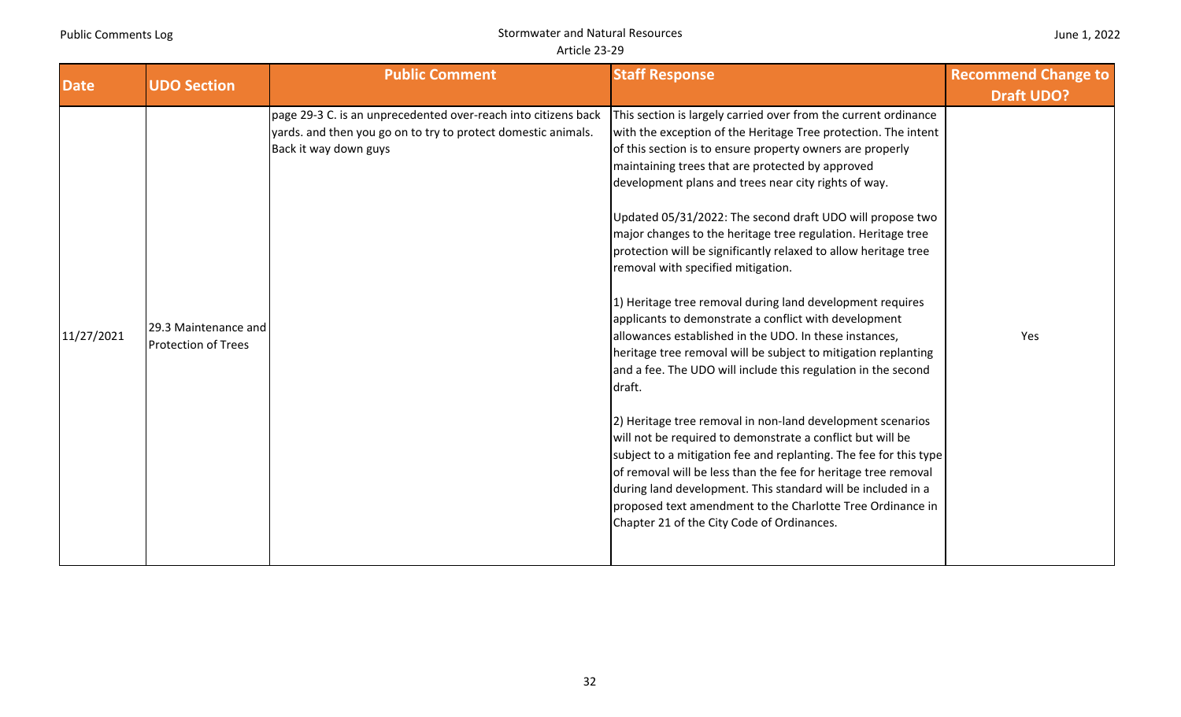|  | June 1, 2022 |
|--|--------------|
|--|--------------|

| <b>Date</b> | <b>UDO Section</b>                                 | <b>Public Comment</b>                                                                                                                                    | <b>Staff Response</b>                                                                                                                                                                                                                                                                                                                                                                                                                                                                                                                                                                                                                                                                                                                                                                                                                                                                                                                                                                                                                                                                                                                                                                                                                                                                                                         | <b>Recommend Change to</b> |
|-------------|----------------------------------------------------|----------------------------------------------------------------------------------------------------------------------------------------------------------|-------------------------------------------------------------------------------------------------------------------------------------------------------------------------------------------------------------------------------------------------------------------------------------------------------------------------------------------------------------------------------------------------------------------------------------------------------------------------------------------------------------------------------------------------------------------------------------------------------------------------------------------------------------------------------------------------------------------------------------------------------------------------------------------------------------------------------------------------------------------------------------------------------------------------------------------------------------------------------------------------------------------------------------------------------------------------------------------------------------------------------------------------------------------------------------------------------------------------------------------------------------------------------------------------------------------------------|----------------------------|
|             |                                                    |                                                                                                                                                          |                                                                                                                                                                                                                                                                                                                                                                                                                                                                                                                                                                                                                                                                                                                                                                                                                                                                                                                                                                                                                                                                                                                                                                                                                                                                                                                               | <b>Draft UDO?</b>          |
| 11/27/2021  | 29.3 Maintenance and<br><b>Protection of Trees</b> | page 29-3 C. is an unprecedented over-reach into citizens back<br>yards. and then you go on to try to protect domestic animals.<br>Back it way down guys | This section is largely carried over from the current ordinance<br>with the exception of the Heritage Tree protection. The intent<br>of this section is to ensure property owners are properly<br>maintaining trees that are protected by approved<br>development plans and trees near city rights of way.<br>Updated 05/31/2022: The second draft UDO will propose two<br>major changes to the heritage tree regulation. Heritage tree<br>protection will be significantly relaxed to allow heritage tree<br>removal with specified mitigation.<br>1) Heritage tree removal during land development requires<br>applicants to demonstrate a conflict with development<br>allowances established in the UDO. In these instances,<br>heritage tree removal will be subject to mitigation replanting<br>and a fee. The UDO will include this regulation in the second<br>draft.<br>[2] Heritage tree removal in non-land development scenarios<br>will not be required to demonstrate a conflict but will be<br>subject to a mitigation fee and replanting. The fee for this type<br>of removal will be less than the fee for heritage tree removal<br>during land development. This standard will be included in a<br>proposed text amendment to the Charlotte Tree Ordinance in<br>Chapter 21 of the City Code of Ordinances. | Yes                        |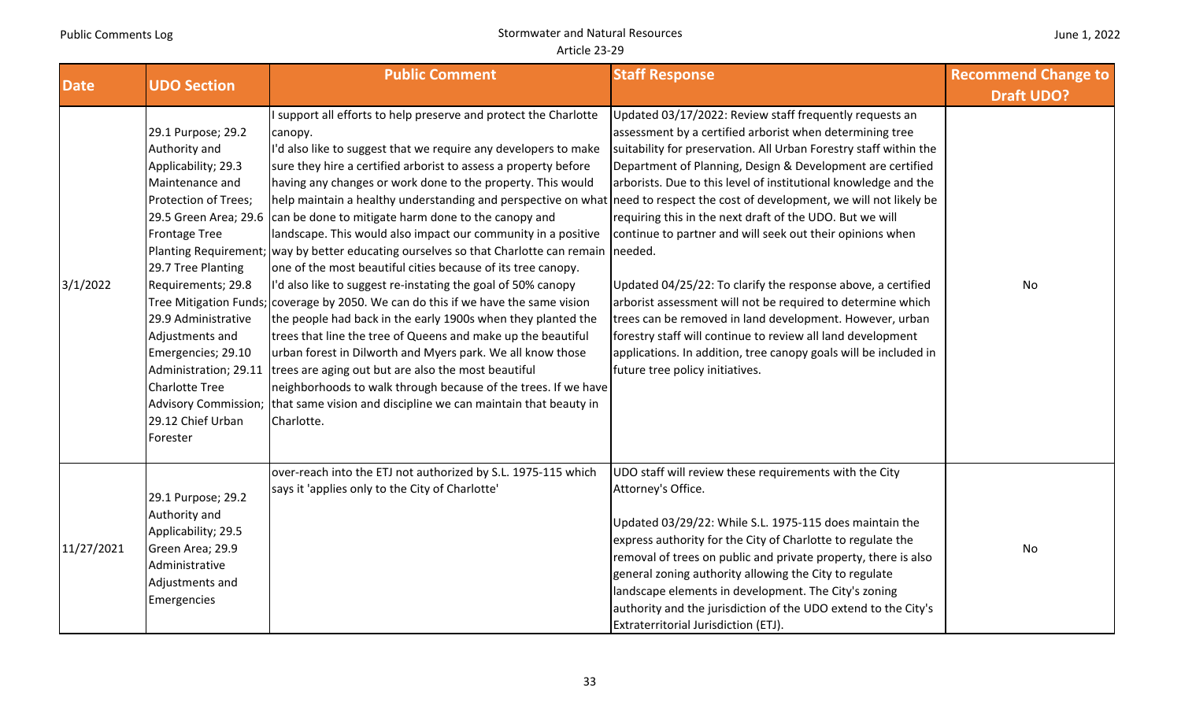| June 1, 2022 |  |  |  |
|--------------|--|--|--|
|--------------|--|--|--|

| <b>Date</b> | <b>UDO Section</b>                                                                                                                                                                                                                                                                                  | <b>Public Comment</b>                                                                                                                                                                                                                                                                                                                                                                                                                                                                                                                                                                                                                                                                                                                                                                                                                                                                                                                                                                                                                                                                                                                                                                                                                                                                                                                    | <b>Staff Response</b>                                                                                                                                                                                                                                                                                                                                                                                                                                                                                                                                                                                                                                                                                                                                                                                               | <b>Recommend Change to</b><br><b>Draft UDO?</b> |
|-------------|-----------------------------------------------------------------------------------------------------------------------------------------------------------------------------------------------------------------------------------------------------------------------------------------------------|------------------------------------------------------------------------------------------------------------------------------------------------------------------------------------------------------------------------------------------------------------------------------------------------------------------------------------------------------------------------------------------------------------------------------------------------------------------------------------------------------------------------------------------------------------------------------------------------------------------------------------------------------------------------------------------------------------------------------------------------------------------------------------------------------------------------------------------------------------------------------------------------------------------------------------------------------------------------------------------------------------------------------------------------------------------------------------------------------------------------------------------------------------------------------------------------------------------------------------------------------------------------------------------------------------------------------------------|---------------------------------------------------------------------------------------------------------------------------------------------------------------------------------------------------------------------------------------------------------------------------------------------------------------------------------------------------------------------------------------------------------------------------------------------------------------------------------------------------------------------------------------------------------------------------------------------------------------------------------------------------------------------------------------------------------------------------------------------------------------------------------------------------------------------|-------------------------------------------------|
| 3/1/2022    | 29.1 Purpose; 29.2<br>Authority and<br>Applicability; 29.3<br>Maintenance and<br>Protection of Trees;<br><b>Frontage Tree</b><br>29.7 Tree Planting<br>Requirements; 29.8<br>29.9 Administrative<br>Adjustments and<br>Emergencies; 29.10<br><b>Charlotte Tree</b><br>29.12 Chief Urban<br>Forester | I support all efforts to help preserve and protect the Charlotte<br>canopy.<br>I'd also like to suggest that we require any developers to make<br>sure they hire a certified arborist to assess a property before<br>having any changes or work done to the property. This would<br>help maintain a healthy understanding and perspective on what need to respect the cost of development, we will not likely be<br>29.5 Green Area; 29.6 can be done to mitigate harm done to the canopy and<br>landscape. This would also impact our community in a positive<br>Planting Requirement; way by better educating ourselves so that Charlotte can remain needed.<br>one of the most beautiful cities because of its tree canopy.<br>I'd also like to suggest re-instating the goal of 50% canopy<br>Tree Mitigation Funds; coverage by 2050. We can do this if we have the same vision<br>the people had back in the early 1900s when they planted the<br>trees that line the tree of Queens and make up the beautiful<br>urban forest in Dilworth and Myers park. We all know those<br>Administration; 29.11   trees are aging out but are also the most beautiful<br>neighborhoods to walk through because of the trees. If we have<br>Advisory Commission; that same vision and discipline we can maintain that beauty in<br>Charlotte. | Updated 03/17/2022: Review staff frequently requests an<br>assessment by a certified arborist when determining tree<br>suitability for preservation. All Urban Forestry staff within the<br>Department of Planning, Design & Development are certified<br>arborists. Due to this level of institutional knowledge and the<br>requiring this in the next draft of the UDO. But we will<br>continue to partner and will seek out their opinions when<br>Updated 04/25/22: To clarify the response above, a certified<br>arborist assessment will not be required to determine which<br>trees can be removed in land development. However, urban<br>forestry staff will continue to review all land development<br>applications. In addition, tree canopy goals will be included in<br>future tree policy initiatives. | No                                              |
| 11/27/2021  | 29.1 Purpose; 29.2<br>Authority and<br>Applicability; 29.5<br>Green Area; 29.9<br>Administrative<br>Adjustments and<br>Emergencies                                                                                                                                                                  | over-reach into the ETJ not authorized by S.L. 1975-115 which<br>says it 'applies only to the City of Charlotte'                                                                                                                                                                                                                                                                                                                                                                                                                                                                                                                                                                                                                                                                                                                                                                                                                                                                                                                                                                                                                                                                                                                                                                                                                         | UDO staff will review these requirements with the City<br>Attorney's Office.<br>Updated 03/29/22: While S.L. 1975-115 does maintain the<br>express authority for the City of Charlotte to regulate the<br>removal of trees on public and private property, there is also<br>general zoning authority allowing the City to regulate<br>landscape elements in development. The City's zoning<br>authority and the jurisdiction of the UDO extend to the City's<br>Extraterritorial Jurisdiction (ETJ).                                                                                                                                                                                                                                                                                                                | No                                              |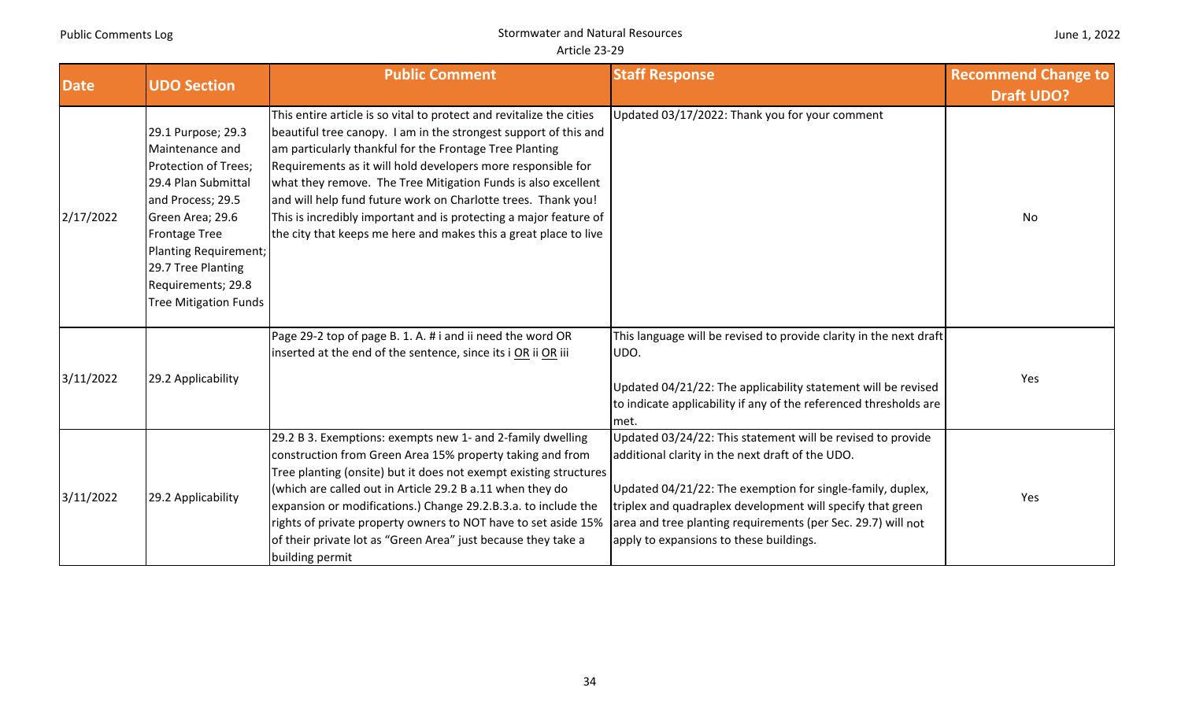|  |  | June 1, 2022 |
|--|--|--------------|
|--|--|--------------|

| <b>Date</b> | <b>UDO Section</b>                                                                                                                                                                                                                                         | <b>Public Comment</b>                                                                                                                                                                                                                                                                                                                                                                                                                                                                                                                          | <b>Staff Response</b>                                                                                                                                                                                                                                                                                                                                  | <b>Recommend Change to</b> |
|-------------|------------------------------------------------------------------------------------------------------------------------------------------------------------------------------------------------------------------------------------------------------------|------------------------------------------------------------------------------------------------------------------------------------------------------------------------------------------------------------------------------------------------------------------------------------------------------------------------------------------------------------------------------------------------------------------------------------------------------------------------------------------------------------------------------------------------|--------------------------------------------------------------------------------------------------------------------------------------------------------------------------------------------------------------------------------------------------------------------------------------------------------------------------------------------------------|----------------------------|
| 2/17/2022   | 29.1 Purpose; 29.3<br>Maintenance and<br>Protection of Trees;<br>29.4 Plan Submittal<br>and Process; 29.5<br>Green Area; 29.6<br><b>Frontage Tree</b><br>Planting Requirement;<br>29.7 Tree Planting<br>Requirements; 29.8<br><b>Tree Mitigation Funds</b> | This entire article is so vital to protect and revitalize the cities<br>beautiful tree canopy. I am in the strongest support of this and<br>am particularly thankful for the Frontage Tree Planting<br>Requirements as it will hold developers more responsible for<br>what they remove. The Tree Mitigation Funds is also excellent<br>and will help fund future work on Charlotte trees. Thank you!<br>This is incredibly important and is protecting a major feature of<br>the city that keeps me here and makes this a great place to live | Updated 03/17/2022: Thank you for your comment                                                                                                                                                                                                                                                                                                         | <b>Draft UDO?</b><br>No    |
| 3/11/2022   | 29.2 Applicability                                                                                                                                                                                                                                         | Page 29-2 top of page B. 1. A. # i and ii need the word OR<br>inserted at the end of the sentence, since its i OR ii OR iii                                                                                                                                                                                                                                                                                                                                                                                                                    | This language will be revised to provide clarity in the next draft<br>UDO.<br>Updated 04/21/22: The applicability statement will be revised<br>to indicate applicability if any of the referenced thresholds are<br>met.                                                                                                                               | Yes                        |
| 3/11/2022   | 29.2 Applicability                                                                                                                                                                                                                                         | 29.2 B 3. Exemptions: exempts new 1- and 2-family dwelling<br>construction from Green Area 15% property taking and from<br>Tree planting (onsite) but it does not exempt existing structures<br>(which are called out in Article 29.2 B a.11 when they do<br>expansion or modifications.) Change 29.2.B.3.a. to include the<br>rights of private property owners to NOT have to set aside 15%<br>of their private lot as "Green Area" just because they take a<br>building permit                                                              | Updated 03/24/22: This statement will be revised to provide<br>additional clarity in the next draft of the UDO.<br>Updated 04/21/22: The exemption for single-family, duplex,<br>triplex and quadraplex development will specify that green<br>area and tree planting requirements (per Sec. 29.7) will not<br>apply to expansions to these buildings. | Yes                        |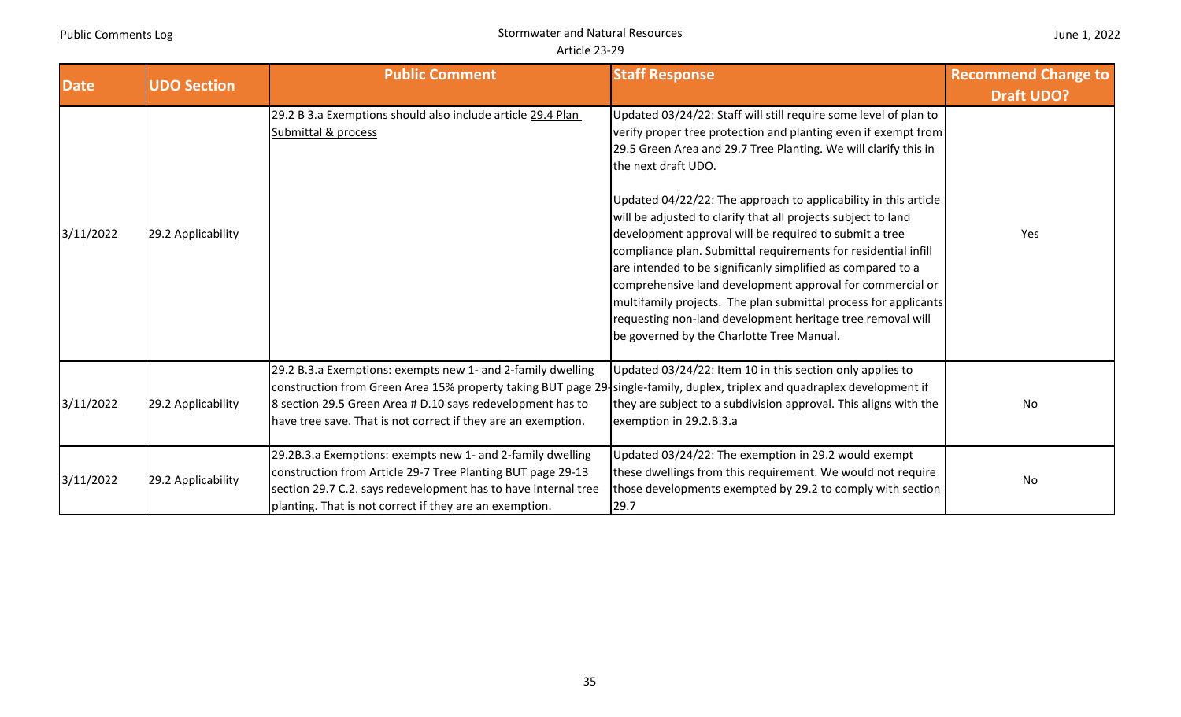| <b>UDO Section</b><br><b>Date</b> |                    | <b>Public Comment</b>                                                                                                                                                                                                                                                                                                   | <b>Staff Response</b>                                                                                                                                                                                                                                                                                                                                                                                                                                                                                                                                                                                                                                                                                                                                                                                  | <b>Recommend Change to</b> |
|-----------------------------------|--------------------|-------------------------------------------------------------------------------------------------------------------------------------------------------------------------------------------------------------------------------------------------------------------------------------------------------------------------|--------------------------------------------------------------------------------------------------------------------------------------------------------------------------------------------------------------------------------------------------------------------------------------------------------------------------------------------------------------------------------------------------------------------------------------------------------------------------------------------------------------------------------------------------------------------------------------------------------------------------------------------------------------------------------------------------------------------------------------------------------------------------------------------------------|----------------------------|
|                                   |                    |                                                                                                                                                                                                                                                                                                                         |                                                                                                                                                                                                                                                                                                                                                                                                                                                                                                                                                                                                                                                                                                                                                                                                        | <b>Draft UDO?</b>          |
| 3/11/2022                         | 29.2 Applicability | 29.2 B 3.a Exemptions should also include article 29.4 Plan<br>Submittal & process                                                                                                                                                                                                                                      | Updated 03/24/22: Staff will still require some level of plan to<br>verify proper tree protection and planting even if exempt from<br>29.5 Green Area and 29.7 Tree Planting. We will clarify this in<br>the next draft UDO.<br>Updated 04/22/22: The approach to applicability in this article<br>will be adjusted to clarify that all projects subject to land<br>development approval will be required to submit a tree<br>compliance plan. Submittal requirements for residential infill<br>are intended to be significanly simplified as compared to a<br>comprehensive land development approval for commercial or<br>multifamily projects. The plan submittal process for applicants<br>requesting non-land development heritage tree removal will<br>be governed by the Charlotte Tree Manual. | Yes                        |
| 3/11/2022                         | 29.2 Applicability | 29.2 B.3.a Exemptions: exempts new 1- and 2-family dwelling<br>construction from Green Area 15% property taking BUT page 29-single-family, duplex, triplex and quadraplex development if<br>8 section 29.5 Green Area # D.10 says redevelopment has to<br>have tree save. That is not correct if they are an exemption. | Updated 03/24/22: Item 10 in this section only applies to<br>they are subject to a subdivision approval. This aligns with the<br>exemption in 29.2.B.3.a                                                                                                                                                                                                                                                                                                                                                                                                                                                                                                                                                                                                                                               | No                         |
| 3/11/2022                         | 29.2 Applicability | 29.2B.3.a Exemptions: exempts new 1- and 2-family dwelling<br>construction from Article 29-7 Tree Planting BUT page 29-13<br>section 29.7 C.2. says redevelopment has to have internal tree<br>planting. That is not correct if they are an exemption.                                                                  | Updated 03/24/22: The exemption in 29.2 would exempt<br>these dwellings from this requirement. We would not require<br>those developments exempted by 29.2 to comply with section<br>29.7                                                                                                                                                                                                                                                                                                                                                                                                                                                                                                                                                                                                              | No                         |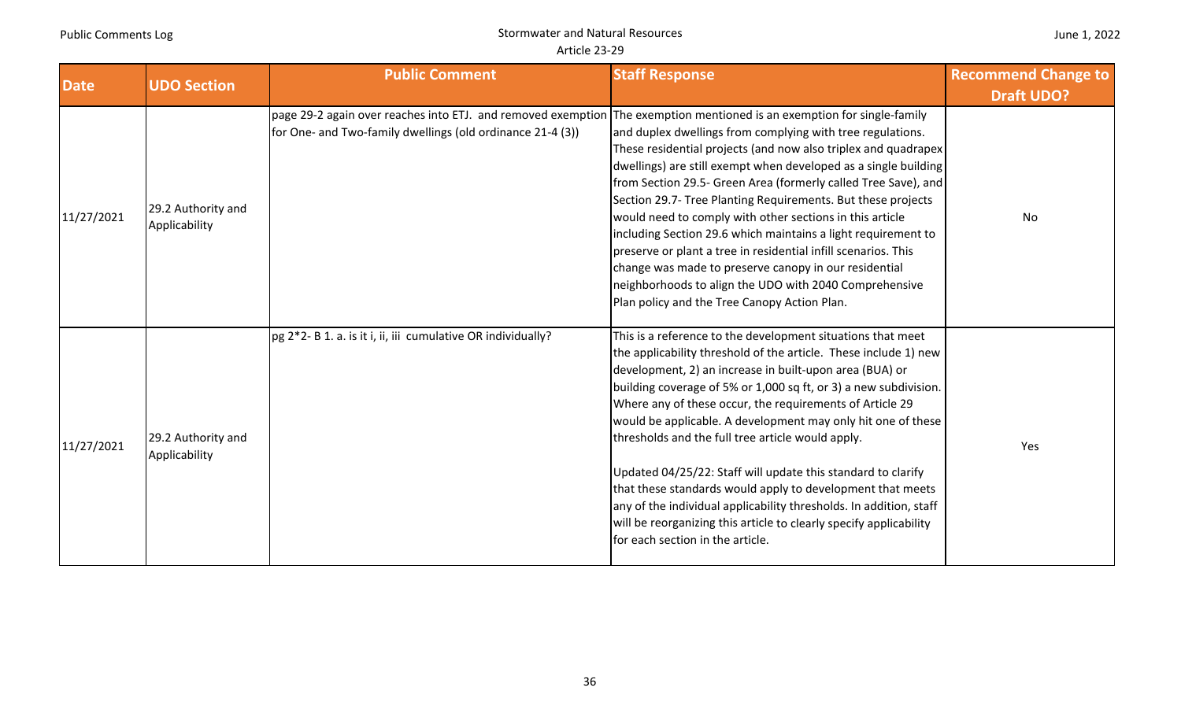| June 1, 2022 |  |  |
|--------------|--|--|
|--------------|--|--|

| <b>Date</b> | <b>UDO Section</b>                  | <b>Public Comment</b>                                                                                                                                                                | <b>Staff Response</b>                                                                                                                                                                                                                                                                                                                                                                                                                                                                                                                                                                                                                                                                                                                                         | <b>Recommend Change to</b> |
|-------------|-------------------------------------|--------------------------------------------------------------------------------------------------------------------------------------------------------------------------------------|---------------------------------------------------------------------------------------------------------------------------------------------------------------------------------------------------------------------------------------------------------------------------------------------------------------------------------------------------------------------------------------------------------------------------------------------------------------------------------------------------------------------------------------------------------------------------------------------------------------------------------------------------------------------------------------------------------------------------------------------------------------|----------------------------|
| 11/27/2021  | 29.2 Authority and<br>Applicability | page 29-2 again over reaches into ETJ. and removed exemption The exemption mentioned is an exemption for single-family<br>for One- and Two-family dwellings (old ordinance 21-4 (3)) | and duplex dwellings from complying with tree regulations.<br>These residential projects (and now also triplex and quadrapex<br>dwellings) are still exempt when developed as a single building<br>from Section 29.5- Green Area (formerly called Tree Save), and<br>Section 29.7- Tree Planting Requirements. But these projects<br>would need to comply with other sections in this article<br>including Section 29.6 which maintains a light requirement to<br>preserve or plant a tree in residential infill scenarios. This<br>change was made to preserve canopy in our residential<br>neighborhoods to align the UDO with 2040 Comprehensive<br>Plan policy and the Tree Canopy Action Plan.                                                           | <b>Draft UDO?</b><br>No    |
| 11/27/2021  | 29.2 Authority and<br>Applicability | pg 2*2- B 1. a. is it i, ii, iii cumulative OR individually?                                                                                                                         | This is a reference to the development situations that meet<br>the applicability threshold of the article. These include 1) new<br>development, 2) an increase in built-upon area (BUA) or<br>building coverage of 5% or 1,000 sq ft, or 3) a new subdivision.<br>Where any of these occur, the requirements of Article 29<br>would be applicable. A development may only hit one of these<br>thresholds and the full tree article would apply.<br>Updated 04/25/22: Staff will update this standard to clarify<br>that these standards would apply to development that meets<br>any of the individual applicability thresholds. In addition, staff<br>will be reorganizing this article to clearly specify applicability<br>for each section in the article. | Yes                        |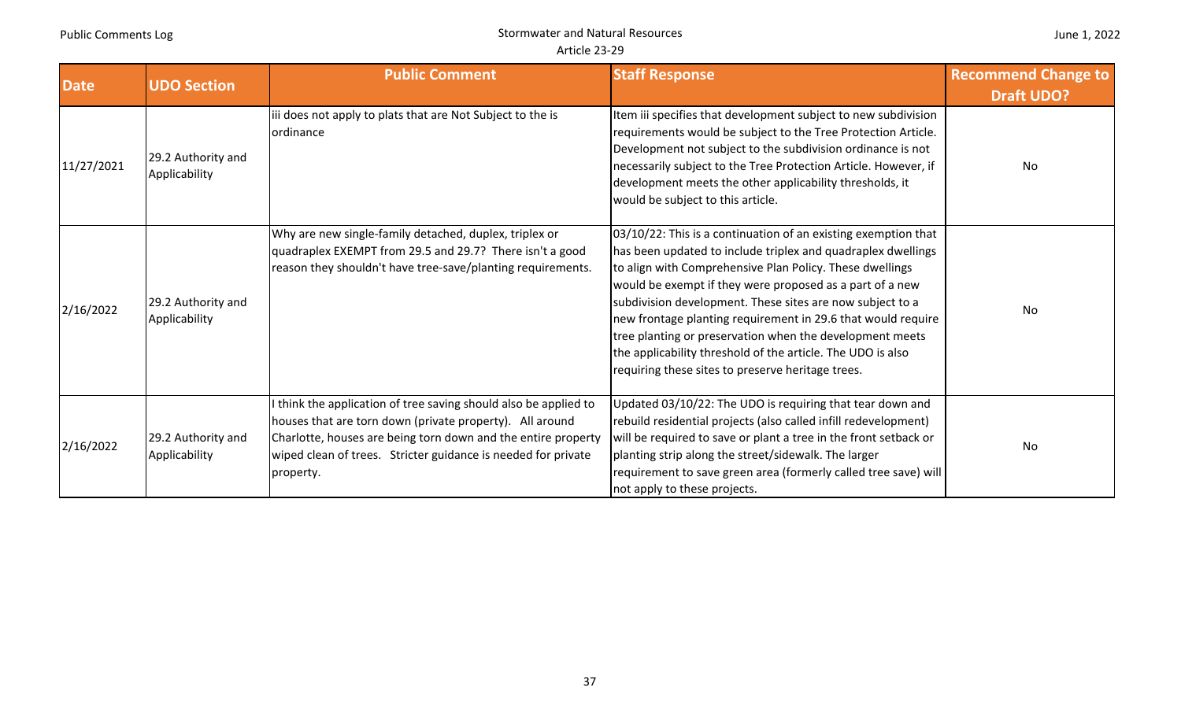| <b>Date</b> | <b>UDO Section</b>                  | <b>Public Comment</b>                                                                                                                                                                                                                                                     | <b>Staff Response</b>                                                                                                                                                                                                                                                                                                                                                                                                                                                                                                                                               | <b>Recommend Change to</b><br><b>Draft UDO?</b> |
|-------------|-------------------------------------|---------------------------------------------------------------------------------------------------------------------------------------------------------------------------------------------------------------------------------------------------------------------------|---------------------------------------------------------------------------------------------------------------------------------------------------------------------------------------------------------------------------------------------------------------------------------------------------------------------------------------------------------------------------------------------------------------------------------------------------------------------------------------------------------------------------------------------------------------------|-------------------------------------------------|
| 11/27/2021  | 29.2 Authority and<br>Applicability | iii does not apply to plats that are Not Subject to the is<br>ordinance                                                                                                                                                                                                   | Item iii specifies that development subject to new subdivision<br>requirements would be subject to the Tree Protection Article.<br>Development not subject to the subdivision ordinance is not<br>necessarily subject to the Tree Protection Article. However, if<br>development meets the other applicability thresholds, it<br>would be subject to this article.                                                                                                                                                                                                  | <b>No</b>                                       |
| 2/16/2022   | 29.2 Authority and<br>Applicability | Why are new single-family detached, duplex, triplex or<br>quadraplex EXEMPT from 29.5 and 29.7? There isn't a good<br>reason they shouldn't have tree-save/planting requirements.                                                                                         | 03/10/22: This is a continuation of an existing exemption that<br>has been updated to include triplex and quadraplex dwellings<br>to align with Comprehensive Plan Policy. These dwellings<br>would be exempt if they were proposed as a part of a new<br>subdivision development. These sites are now subject to a<br>new frontage planting requirement in 29.6 that would require<br>tree planting or preservation when the development meets<br>the applicability threshold of the article. The UDO is also<br>requiring these sites to preserve heritage trees. | No                                              |
| 2/16/2022   | 29.2 Authority and<br>Applicability | think the application of tree saving should also be applied to<br>houses that are torn down (private property). All around<br>Charlotte, houses are being torn down and the entire property<br>wiped clean of trees. Stricter guidance is needed for private<br>property. | Updated 03/10/22: The UDO is requiring that tear down and<br>rebuild residential projects (also called infill redevelopment)<br>will be required to save or plant a tree in the front setback or<br>planting strip along the street/sidewalk. The larger<br>requirement to save green area (formerly called tree save) will<br>not apply to these projects.                                                                                                                                                                                                         | <b>No</b>                                       |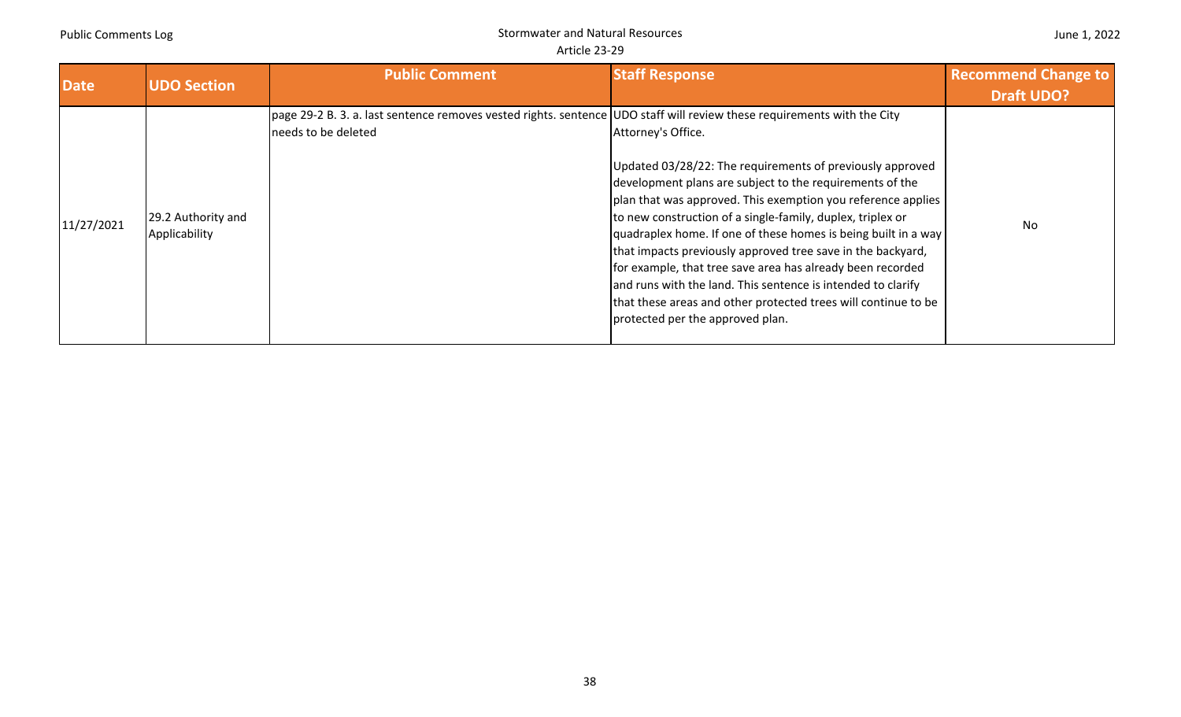| <b>Date</b> | <b>UDO Section</b>                  | <b>Public Comment</b>                                                                                                                          | <b>Staff Response</b>                                                                                                                                                                                                                                                                                                                                                                                                                                                                                                                                                                                                                          | <b>Recommend Change to</b><br><b>Draft UDO?</b> |
|-------------|-------------------------------------|------------------------------------------------------------------------------------------------------------------------------------------------|------------------------------------------------------------------------------------------------------------------------------------------------------------------------------------------------------------------------------------------------------------------------------------------------------------------------------------------------------------------------------------------------------------------------------------------------------------------------------------------------------------------------------------------------------------------------------------------------------------------------------------------------|-------------------------------------------------|
| 11/27/2021  | 29.2 Authority and<br>Applicability | page 29-2 B. 3. a. last sentence removes vested rights. sentence UDO staff will review these requirements with the City<br>needs to be deleted | Attorney's Office.<br>Updated 03/28/22: The requirements of previously approved<br>development plans are subject to the requirements of the<br>plan that was approved. This exemption you reference applies<br>to new construction of a single-family, duplex, triplex or<br>quadraplex home. If one of these homes is being built in a way<br>that impacts previously approved tree save in the backyard,<br>for example, that tree save area has already been recorded<br>and runs with the land. This sentence is intended to clarify<br>that these areas and other protected trees will continue to be<br>protected per the approved plan. | <b>No</b>                                       |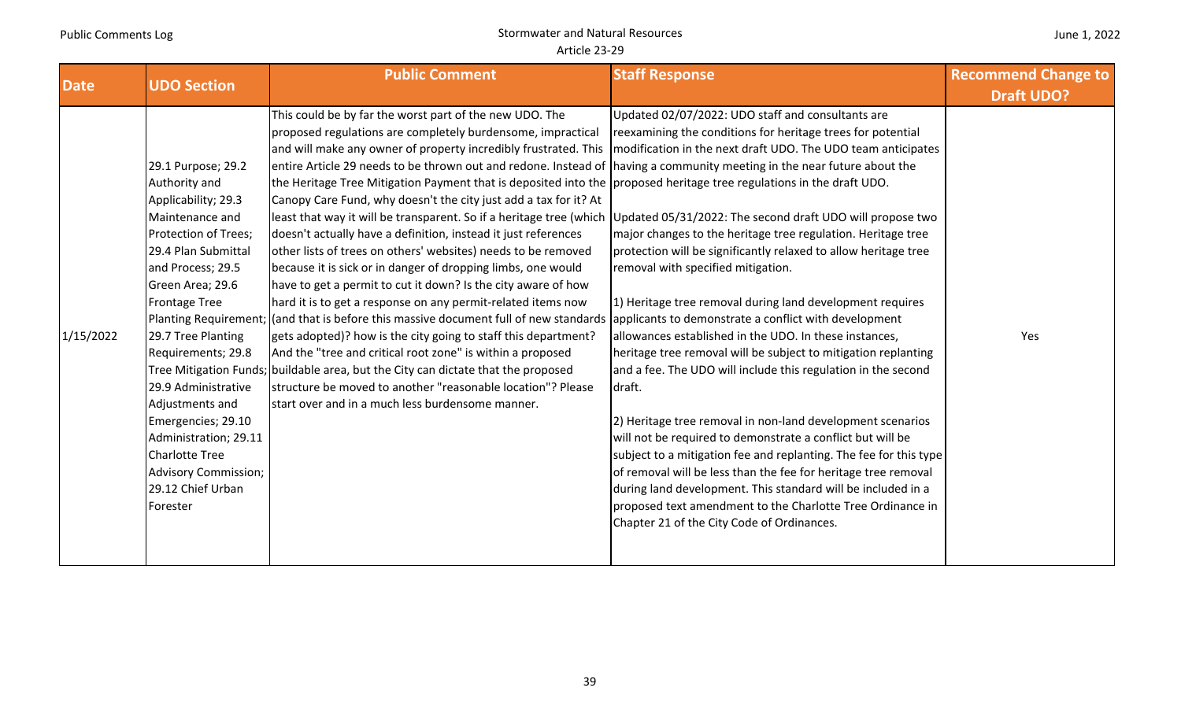| <b>Date</b>           | <b>UDO Section</b>                                                                                                                                                                                                                                                                                                                                                                                              | <b>Public Comment</b>                                                                                                                                                                                                                                                                                                                                                                                                                                                                                                                                                                                                                                                                                                                                                                                                                                                                                                                                                                                                                                                                                                                                                                                                                                                                                                                                                                                              | <b>Staff Response</b>                                                                                                                                                                                                                                                                                                                                                                                                                                                                                                                                                                                                                                                                                                                                                                                                                                                                                                                                                                                                                                                                                                                     | <b>Recommend Change to</b><br><b>Draft UDO?</b> |
|-----------------------|-----------------------------------------------------------------------------------------------------------------------------------------------------------------------------------------------------------------------------------------------------------------------------------------------------------------------------------------------------------------------------------------------------------------|--------------------------------------------------------------------------------------------------------------------------------------------------------------------------------------------------------------------------------------------------------------------------------------------------------------------------------------------------------------------------------------------------------------------------------------------------------------------------------------------------------------------------------------------------------------------------------------------------------------------------------------------------------------------------------------------------------------------------------------------------------------------------------------------------------------------------------------------------------------------------------------------------------------------------------------------------------------------------------------------------------------------------------------------------------------------------------------------------------------------------------------------------------------------------------------------------------------------------------------------------------------------------------------------------------------------------------------------------------------------------------------------------------------------|-------------------------------------------------------------------------------------------------------------------------------------------------------------------------------------------------------------------------------------------------------------------------------------------------------------------------------------------------------------------------------------------------------------------------------------------------------------------------------------------------------------------------------------------------------------------------------------------------------------------------------------------------------------------------------------------------------------------------------------------------------------------------------------------------------------------------------------------------------------------------------------------------------------------------------------------------------------------------------------------------------------------------------------------------------------------------------------------------------------------------------------------|-------------------------------------------------|
| 1/15/2022<br>Forester | 29.1 Purpose; 29.2<br>Authority and<br>Applicability; 29.3<br>Maintenance and<br>Protection of Trees;<br>29.4 Plan Submittal<br>and Process; 29.5<br>Green Area; 29.6<br><b>Frontage Tree</b><br>29.7 Tree Planting<br>Requirements; 29.8<br>29.9 Administrative<br>Adjustments and<br>Emergencies; 29.10<br>Administration; 29.11<br><b>Charlotte Tree</b><br><b>Advisory Commission;</b><br>29.12 Chief Urban | This could be by far the worst part of the new UDO. The<br>proposed regulations are completely burdensome, impractical<br>and will make any owner of property incredibly frustrated. This<br>entire Article 29 needs to be thrown out and redone. Instead of having a community meeting in the near future about the<br>the Heritage Tree Mitigation Payment that is deposited into the proposed heritage tree regulations in the draft UDO.<br>Canopy Care Fund, why doesn't the city just add a tax for it? At<br>least that way it will be transparent. So if a heritage tree (which<br>doesn't actually have a definition, instead it just references<br>other lists of trees on others' websites) needs to be removed<br>because it is sick or in danger of dropping limbs, one would<br>have to get a permit to cut it down? Is the city aware of how<br>hard it is to get a response on any permit-related items now<br>Planting Requirement; (and that is before this massive document full of new standards applicants to demonstrate a conflict with development<br>gets adopted)? how is the city going to staff this department?<br>And the "tree and critical root zone" is within a proposed<br>Tree Mitigation Funds; buildable area, but the City can dictate that the proposed<br>structure be moved to another "reasonable location"? Please<br>start over and in a much less burdensome manner. | Updated 02/07/2022: UDO staff and consultants are<br>reexamining the conditions for heritage trees for potential<br>modification in the next draft UDO. The UDO team anticipates<br>Updated 05/31/2022: The second draft UDO will propose two<br>major changes to the heritage tree regulation. Heritage tree<br>protection will be significantly relaxed to allow heritage tree<br>removal with specified mitigation.<br>1) Heritage tree removal during land development requires<br>allowances established in the UDO. In these instances,<br>heritage tree removal will be subject to mitigation replanting<br>and a fee. The UDO will include this regulation in the second<br>draft.<br>2) Heritage tree removal in non-land development scenarios<br>will not be required to demonstrate a conflict but will be<br>subject to a mitigation fee and replanting. The fee for this type<br>of removal will be less than the fee for heritage tree removal<br>during land development. This standard will be included in a<br>proposed text amendment to the Charlotte Tree Ordinance in<br>Chapter 21 of the City Code of Ordinances. | Yes                                             |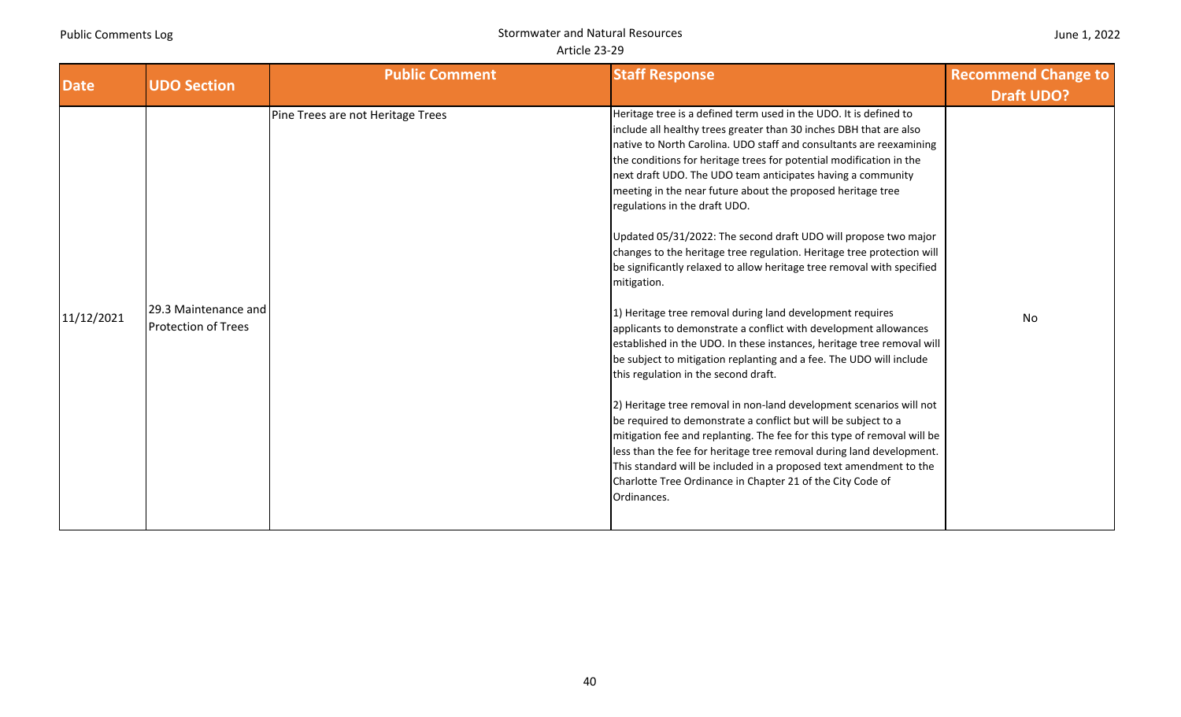| June 1, 2022 |  |  |
|--------------|--|--|
|--------------|--|--|

| <b>Date</b> | <b>UDO Section</b>                                 | <b>Public Comment</b>             | <b>Staff Response</b>                                                                                                                                                                                                                                                                                                                                                                                                                                                                                                                                                                                                                                                                                                                                                                                                                                                                                                                                                                                                                                                                                                                                                                                                                                                                                                                                                                                                                                               | <b>Recommend Change to</b> |
|-------------|----------------------------------------------------|-----------------------------------|---------------------------------------------------------------------------------------------------------------------------------------------------------------------------------------------------------------------------------------------------------------------------------------------------------------------------------------------------------------------------------------------------------------------------------------------------------------------------------------------------------------------------------------------------------------------------------------------------------------------------------------------------------------------------------------------------------------------------------------------------------------------------------------------------------------------------------------------------------------------------------------------------------------------------------------------------------------------------------------------------------------------------------------------------------------------------------------------------------------------------------------------------------------------------------------------------------------------------------------------------------------------------------------------------------------------------------------------------------------------------------------------------------------------------------------------------------------------|----------------------------|
|             |                                                    |                                   |                                                                                                                                                                                                                                                                                                                                                                                                                                                                                                                                                                                                                                                                                                                                                                                                                                                                                                                                                                                                                                                                                                                                                                                                                                                                                                                                                                                                                                                                     | <b>Draft UDO?</b>          |
| 11/12/2021  | 29.3 Maintenance and<br><b>Protection of Trees</b> | Pine Trees are not Heritage Trees | Heritage tree is a defined term used in the UDO. It is defined to<br>include all healthy trees greater than 30 inches DBH that are also<br>native to North Carolina. UDO staff and consultants are reexamining<br>the conditions for heritage trees for potential modification in the<br>next draft UDO. The UDO team anticipates having a community<br>meeting in the near future about the proposed heritage tree<br>regulations in the draft UDO.<br>Updated 05/31/2022: The second draft UDO will propose two major<br>changes to the heritage tree regulation. Heritage tree protection will<br>be significantly relaxed to allow heritage tree removal with specified<br>mitigation.<br>1) Heritage tree removal during land development requires<br>applicants to demonstrate a conflict with development allowances<br>established in the UDO. In these instances, heritage tree removal will<br>be subject to mitigation replanting and a fee. The UDO will include<br>this regulation in the second draft.<br>2) Heritage tree removal in non-land development scenarios will not<br>be required to demonstrate a conflict but will be subject to a<br>mitigation fee and replanting. The fee for this type of removal will be<br>less than the fee for heritage tree removal during land development.<br>This standard will be included in a proposed text amendment to the<br>Charlotte Tree Ordinance in Chapter 21 of the City Code of<br>Ordinances. | No                         |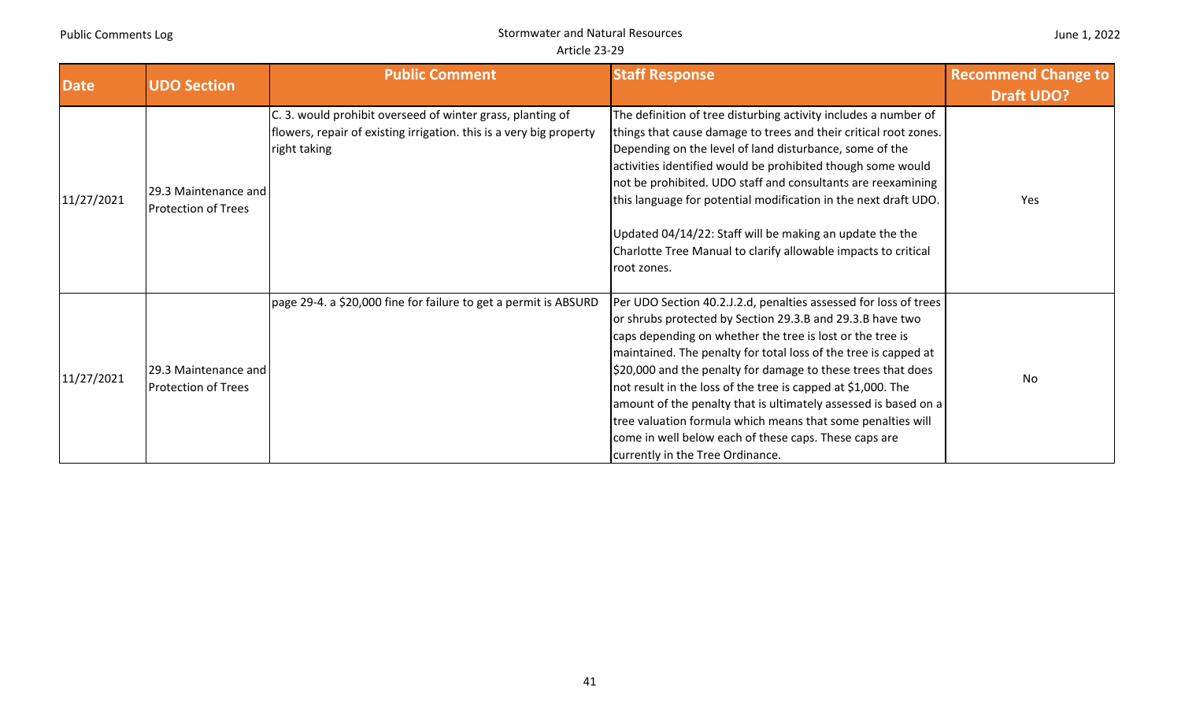| <b>UDO Section</b><br><b>Date</b> |                            | <b>Public Comment</b>                                               | <b>Staff Response</b>                                            | <b>Recommend Change to</b> |
|-----------------------------------|----------------------------|---------------------------------------------------------------------|------------------------------------------------------------------|----------------------------|
|                                   |                            |                                                                     |                                                                  | <b>Draft UDO?</b>          |
|                                   |                            | C. 3. would prohibit overseed of winter grass, planting of          | The definition of tree disturbing activity includes a number of  |                            |
|                                   |                            | flowers, repair of existing irrigation. this is a very big property | things that cause damage to trees and their critical root zones. |                            |
|                                   |                            | right taking                                                        | Depending on the level of land disturbance, some of the          |                            |
|                                   |                            |                                                                     | activities identified would be prohibited though some would      |                            |
|                                   | [29.3 Maintenance and      |                                                                     | not be prohibited. UDO staff and consultants are reexamining     |                            |
| 11/27/2021                        | <b>Protection of Trees</b> |                                                                     | this language for potential modification in the next draft UDO.  | Yes                        |
|                                   |                            |                                                                     | Updated 04/14/22: Staff will be making an update the the         |                            |
|                                   |                            |                                                                     | Charlotte Tree Manual to clarify allowable impacts to critical   |                            |
|                                   |                            |                                                                     | root zones.                                                      |                            |
|                                   |                            |                                                                     |                                                                  |                            |
|                                   |                            | page 29-4. a \$20,000 fine for failure to get a permit is ABSURD    | Per UDO Section 40.2.J.2.d, penalties assessed for loss of trees |                            |
|                                   |                            |                                                                     | or shrubs protected by Section 29.3.B and 29.3.B have two        |                            |
|                                   |                            |                                                                     | caps depending on whether the tree is lost or the tree is        |                            |
|                                   |                            |                                                                     | maintained. The penalty for total loss of the tree is capped at  |                            |
| 11/27/2021                        | 29.3 Maintenance and       |                                                                     | \$20,000 and the penalty for damage to these trees that does     | No                         |
|                                   | <b>Protection of Trees</b> |                                                                     | not result in the loss of the tree is capped at \$1,000. The     |                            |
|                                   |                            |                                                                     | amount of the penalty that is ultimately assessed is based on a  |                            |
|                                   |                            |                                                                     | tree valuation formula which means that some penalties will      |                            |
|                                   |                            |                                                                     | come in well below each of these caps. These caps are            |                            |
|                                   |                            |                                                                     | currently in the Tree Ordinance.                                 |                            |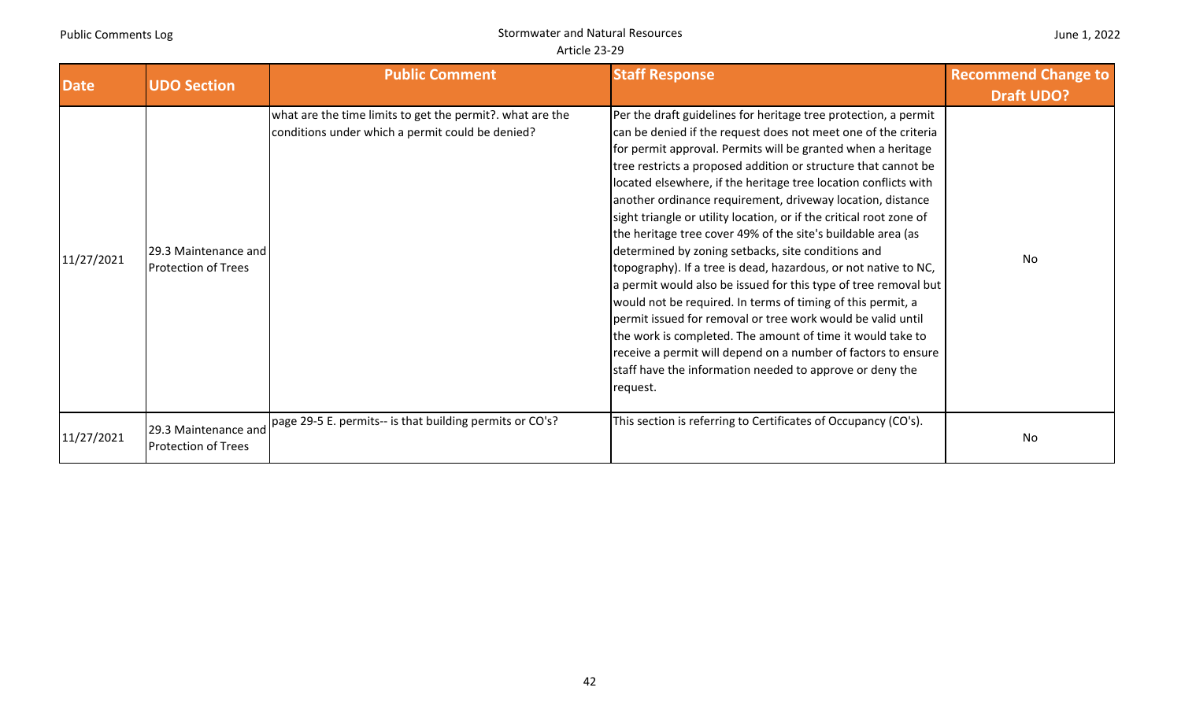| <b>Date</b> | <b>UDO Section</b>                                 | <b>Public Comment</b>                                                                                         | <b>Staff Response</b>                                                                                                                                                                                                                                                                                                                                                                                                                                                                                                                                                                                                                                                                                                                                                                                                                                                                                                                                                                                                                                                        | <b>Recommend Change to</b><br><b>Draft UDO?</b> |
|-------------|----------------------------------------------------|---------------------------------------------------------------------------------------------------------------|------------------------------------------------------------------------------------------------------------------------------------------------------------------------------------------------------------------------------------------------------------------------------------------------------------------------------------------------------------------------------------------------------------------------------------------------------------------------------------------------------------------------------------------------------------------------------------------------------------------------------------------------------------------------------------------------------------------------------------------------------------------------------------------------------------------------------------------------------------------------------------------------------------------------------------------------------------------------------------------------------------------------------------------------------------------------------|-------------------------------------------------|
| 11/27/2021  | 29.3 Maintenance and<br><b>Protection of Trees</b> | what are the time limits to get the permit?. what are the<br>conditions under which a permit could be denied? | Per the draft guidelines for heritage tree protection, a permit<br>can be denied if the request does not meet one of the criteria<br>for permit approval. Permits will be granted when a heritage<br>tree restricts a proposed addition or structure that cannot be<br>located elsewhere, if the heritage tree location conflicts with<br>another ordinance requirement, driveway location, distance<br>sight triangle or utility location, or if the critical root zone of<br>the heritage tree cover 49% of the site's buildable area (as<br>determined by zoning setbacks, site conditions and<br>topography). If a tree is dead, hazardous, or not native to NC,<br>a permit would also be issued for this type of tree removal but<br>would not be required. In terms of timing of this permit, a<br>permit issued for removal or tree work would be valid until<br>the work is completed. The amount of time it would take to<br>receive a permit will depend on a number of factors to ensure<br>staff have the information needed to approve or deny the<br>request. | No                                              |
| 11/27/2021  | 29.3 Maintenance and<br><b>Protection of Trees</b> | page 29-5 E. permits-- is that building permits or CO's?                                                      | This section is referring to Certificates of Occupancy (CO's).                                                                                                                                                                                                                                                                                                                                                                                                                                                                                                                                                                                                                                                                                                                                                                                                                                                                                                                                                                                                               | No                                              |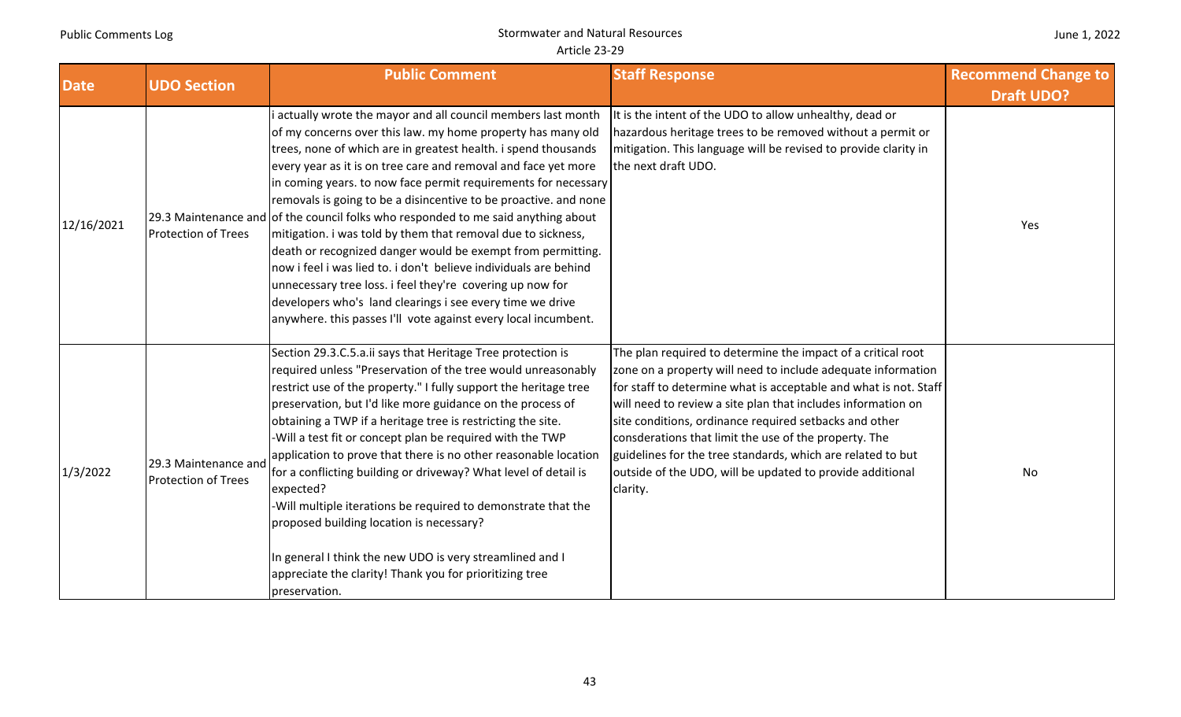| June 1, 2022 |  |  |  |
|--------------|--|--|--|
|--------------|--|--|--|

| <b>Date</b> | <b>UDO Section</b>                                 | <b>Public Comment</b>                                                                                                                                                                                                                                                                                                                                                                                                                                                                                                                                                                                                                                                                                                                                                                                                     | <b>Staff Response</b>                                                                                                                                                                                                                                                                                                                                                                                                                                                                                                       | <b>Recommend Change to</b> |
|-------------|----------------------------------------------------|---------------------------------------------------------------------------------------------------------------------------------------------------------------------------------------------------------------------------------------------------------------------------------------------------------------------------------------------------------------------------------------------------------------------------------------------------------------------------------------------------------------------------------------------------------------------------------------------------------------------------------------------------------------------------------------------------------------------------------------------------------------------------------------------------------------------------|-----------------------------------------------------------------------------------------------------------------------------------------------------------------------------------------------------------------------------------------------------------------------------------------------------------------------------------------------------------------------------------------------------------------------------------------------------------------------------------------------------------------------------|----------------------------|
|             |                                                    | actually wrote the mayor and all council members last month                                                                                                                                                                                                                                                                                                                                                                                                                                                                                                                                                                                                                                                                                                                                                               | It is the intent of the UDO to allow unhealthy, dead or                                                                                                                                                                                                                                                                                                                                                                                                                                                                     | <b>Draft UDO?</b>          |
| 12/16/2021  | <b>Protection of Trees</b>                         | of my concerns over this law. my home property has many old<br>trees, none of which are in greatest health. i spend thousands<br>every year as it is on tree care and removal and face yet more<br>in coming years. to now face permit requirements for necessary<br>removals is going to be a disincentive to be proactive. and none<br>29.3 Maintenance and of the council folks who responded to me said anything about<br>mitigation. i was told by them that removal due to sickness,<br>death or recognized danger would be exempt from permitting.<br>now i feel i was lied to. i don't believe individuals are behind<br>unnecessary tree loss. i feel they're covering up now for<br>developers who's land clearings i see every time we drive<br>anywhere. this passes I'll vote against every local incumbent. | hazardous heritage trees to be removed without a permit or<br>mitigation. This language will be revised to provide clarity in<br>the next draft UDO.                                                                                                                                                                                                                                                                                                                                                                        | Yes                        |
| 1/3/2022    | 29.3 Maintenance and<br><b>Protection of Trees</b> | Section 29.3.C.5.a.ii says that Heritage Tree protection is<br>required unless "Preservation of the tree would unreasonably<br>restrict use of the property." I fully support the heritage tree<br>preservation, but I'd like more guidance on the process of<br>obtaining a TWP if a heritage tree is restricting the site.<br>-Will a test fit or concept plan be required with the TWP<br>application to prove that there is no other reasonable location<br>for a conflicting building or driveway? What level of detail is<br>expected?<br>-Will multiple iterations be required to demonstrate that the<br>proposed building location is necessary?<br>In general I think the new UDO is very streamlined and I<br>appreciate the clarity! Thank you for prioritizing tree<br>preservation.                         | The plan required to determine the impact of a critical root<br>zone on a property will need to include adequate information<br>for staff to determine what is acceptable and what is not. Staff<br>will need to review a site plan that includes information on<br>site conditions, ordinance required setbacks and other<br>consderations that limit the use of the property. The<br>guidelines for the tree standards, which are related to but<br>outside of the UDO, will be updated to provide additional<br>clarity. | No                         |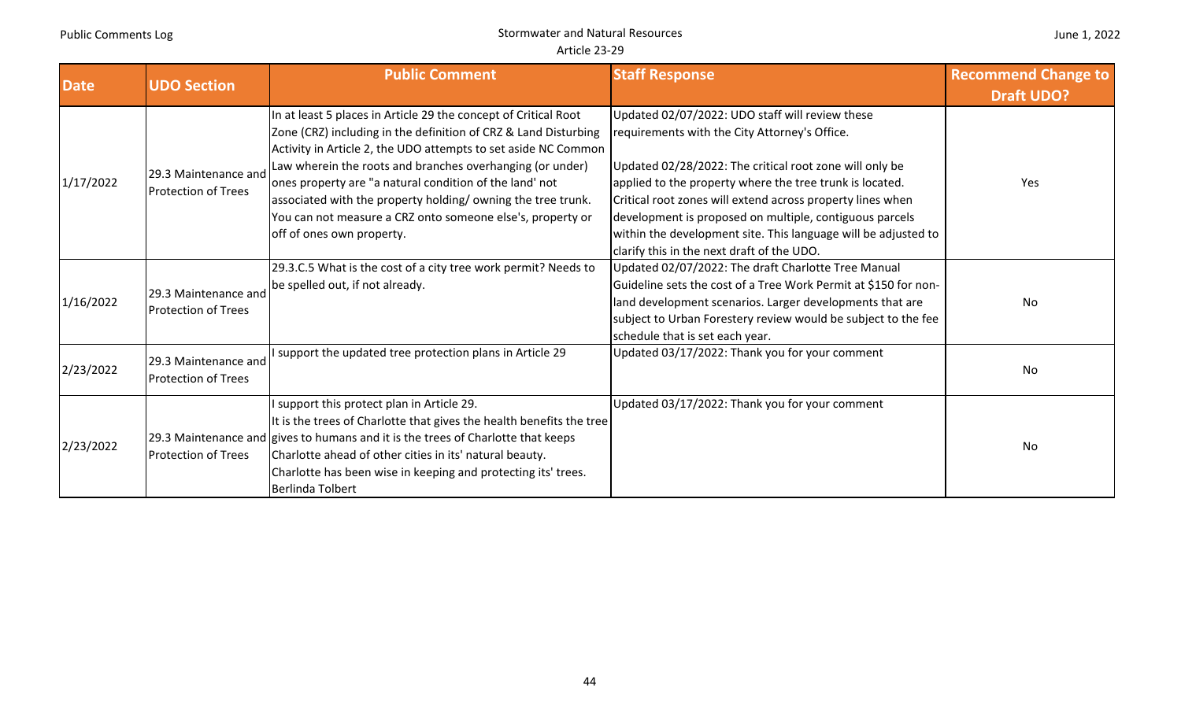| <b>Date</b> | <b>UDO Section</b>         | <b>Public Comment</b>                                                             | <b>Staff Response</b>                                           | <b>Recommend Change to</b> |
|-------------|----------------------------|-----------------------------------------------------------------------------------|-----------------------------------------------------------------|----------------------------|
|             |                            |                                                                                   |                                                                 | <b>Draft UDO?</b>          |
|             |                            | In at least 5 places in Article 29 the concept of Critical Root                   | Updated 02/07/2022: UDO staff will review these                 |                            |
|             |                            | Zone (CRZ) including in the definition of CRZ & Land Disturbing                   | requirements with the City Attorney's Office.                   |                            |
|             |                            | Activity in Article 2, the UDO attempts to set aside NC Common                    |                                                                 |                            |
|             | 29.3 Maintenance and       | Law wherein the roots and branches overhanging (or under)                         | Updated 02/28/2022: The critical root zone will only be         |                            |
| 1/17/2022   | <b>Protection of Trees</b> | ones property are "a natural condition of the land' not                           | applied to the property where the tree trunk is located.        | Yes                        |
|             |                            | associated with the property holding/owning the tree trunk.                       | Critical root zones will extend across property lines when      |                            |
|             |                            | You can not measure a CRZ onto someone else's, property or                        | development is proposed on multiple, contiguous parcels         |                            |
|             |                            | off of ones own property.                                                         | within the development site. This language will be adjusted to  |                            |
|             |                            |                                                                                   | clarify this in the next draft of the UDO.                      |                            |
|             |                            | 29.3.C.5 What is the cost of a city tree work permit? Needs to                    | Updated 02/07/2022: The draft Charlotte Tree Manual             |                            |
|             | 29.3 Maintenance and       | be spelled out, if not already.                                                   | Guideline sets the cost of a Tree Work Permit at \$150 for non- |                            |
| 1/16/2022   | <b>Protection of Trees</b> |                                                                                   | land development scenarios. Larger developments that are        | No                         |
|             |                            |                                                                                   | subject to Urban Forestery review would be subject to the fee   |                            |
|             |                            |                                                                                   | schedule that is set each year.                                 |                            |
|             | 29.3 Maintenance and       | I support the updated tree protection plans in Article 29                         | Updated 03/17/2022: Thank you for your comment                  |                            |
| 2/23/2022   | <b>Protection of Trees</b> |                                                                                   |                                                                 | No                         |
|             |                            |                                                                                   |                                                                 |                            |
|             |                            | I support this protect plan in Article 29.                                        | Updated 03/17/2022: Thank you for your comment                  |                            |
|             |                            | It is the trees of Charlotte that gives the health benefits the tree              |                                                                 |                            |
|             |                            | [29.3 Maintenance and gives to humans and it is the trees of Charlotte that keeps |                                                                 | No                         |
| 2/23/2022   | <b>Protection of Trees</b> | Charlotte ahead of other cities in its' natural beauty.                           |                                                                 |                            |
|             |                            | Charlotte has been wise in keeping and protecting its' trees.                     |                                                                 |                            |
|             |                            | Berlinda Tolbert                                                                  |                                                                 |                            |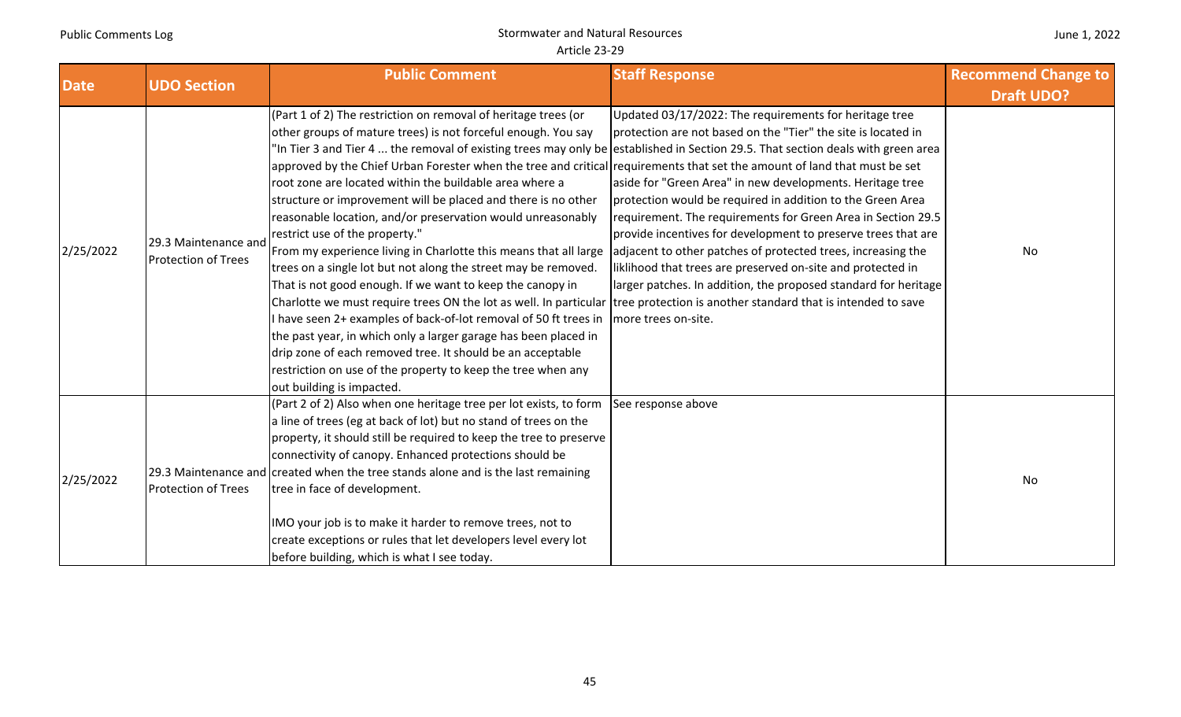| June 1, 2022 |  |  |  |
|--------------|--|--|--|
|--------------|--|--|--|

| <b>Date</b> | <b>UDO Section</b>                                 | <b>Public Comment</b>                                                                                                                                                                                                                                                                                                                                                                                                                                                                                                                                                                                                                                                                                                                                                                                                                                                                                                                                                                                                                                                                                                                                                                                                                                                | <b>Staff Response</b>                                                                                                                                                                                                                                                                                                                                                                                                                                                                                                                                                                                        | <b>Recommend Change to</b> |
|-------------|----------------------------------------------------|----------------------------------------------------------------------------------------------------------------------------------------------------------------------------------------------------------------------------------------------------------------------------------------------------------------------------------------------------------------------------------------------------------------------------------------------------------------------------------------------------------------------------------------------------------------------------------------------------------------------------------------------------------------------------------------------------------------------------------------------------------------------------------------------------------------------------------------------------------------------------------------------------------------------------------------------------------------------------------------------------------------------------------------------------------------------------------------------------------------------------------------------------------------------------------------------------------------------------------------------------------------------|--------------------------------------------------------------------------------------------------------------------------------------------------------------------------------------------------------------------------------------------------------------------------------------------------------------------------------------------------------------------------------------------------------------------------------------------------------------------------------------------------------------------------------------------------------------------------------------------------------------|----------------------------|
|             |                                                    |                                                                                                                                                                                                                                                                                                                                                                                                                                                                                                                                                                                                                                                                                                                                                                                                                                                                                                                                                                                                                                                                                                                                                                                                                                                                      |                                                                                                                                                                                                                                                                                                                                                                                                                                                                                                                                                                                                              | <b>Draft UDO?</b>          |
| 2/25/2022   | 29.3 Maintenance and<br><b>Protection of Trees</b> | (Part 1 of 2) The restriction on removal of heritage trees (or<br>other groups of mature trees) is not forceful enough. You say<br>"In Tier 3 and Tier 4  the removal of existing trees may only be established in Section 29.5. That section deals with green area<br>approved by the Chief Urban Forester when the tree and critical requirements that set the amount of land that must be set<br>root zone are located within the buildable area where a<br>structure or improvement will be placed and there is no other<br>reasonable location, and/or preservation would unreasonably<br>restrict use of the property."<br>From my experience living in Charlotte this means that all large<br>trees on a single lot but not along the street may be removed.<br>That is not good enough. If we want to keep the canopy in<br>Charlotte we must require trees ON the lot as well. In particular tree protection is another standard that is intended to save<br>I have seen 2+ examples of back-of-lot removal of 50 ft trees in<br>the past year, in which only a larger garage has been placed in<br>drip zone of each removed tree. It should be an acceptable<br>restriction on use of the property to keep the tree when any<br>out building is impacted. | Updated 03/17/2022: The requirements for heritage tree<br>protection are not based on the "Tier" the site is located in<br>aside for "Green Area" in new developments. Heritage tree<br>protection would be required in addition to the Green Area<br>requirement. The requirements for Green Area in Section 29.5<br>provide incentives for development to preserve trees that are<br>adjacent to other patches of protected trees, increasing the<br>liklihood that trees are preserved on-site and protected in<br>larger patches. In addition, the proposed standard for heritage<br>more trees on-site. | No                         |
| 2/25/2022   | <b>Protection of Trees</b>                         | (Part 2 of 2) Also when one heritage tree per lot exists, to form<br>a line of trees (eg at back of lot) but no stand of trees on the<br>property, it should still be required to keep the tree to preserve<br>connectivity of canopy. Enhanced protections should be<br>29.3 Maintenance and created when the tree stands alone and is the last remaining<br>tree in face of development.<br>IMO your job is to make it harder to remove trees, not to<br>create exceptions or rules that let developers level every lot<br>before building, which is what I see today.                                                                                                                                                                                                                                                                                                                                                                                                                                                                                                                                                                                                                                                                                             | See response above                                                                                                                                                                                                                                                                                                                                                                                                                                                                                                                                                                                           | No                         |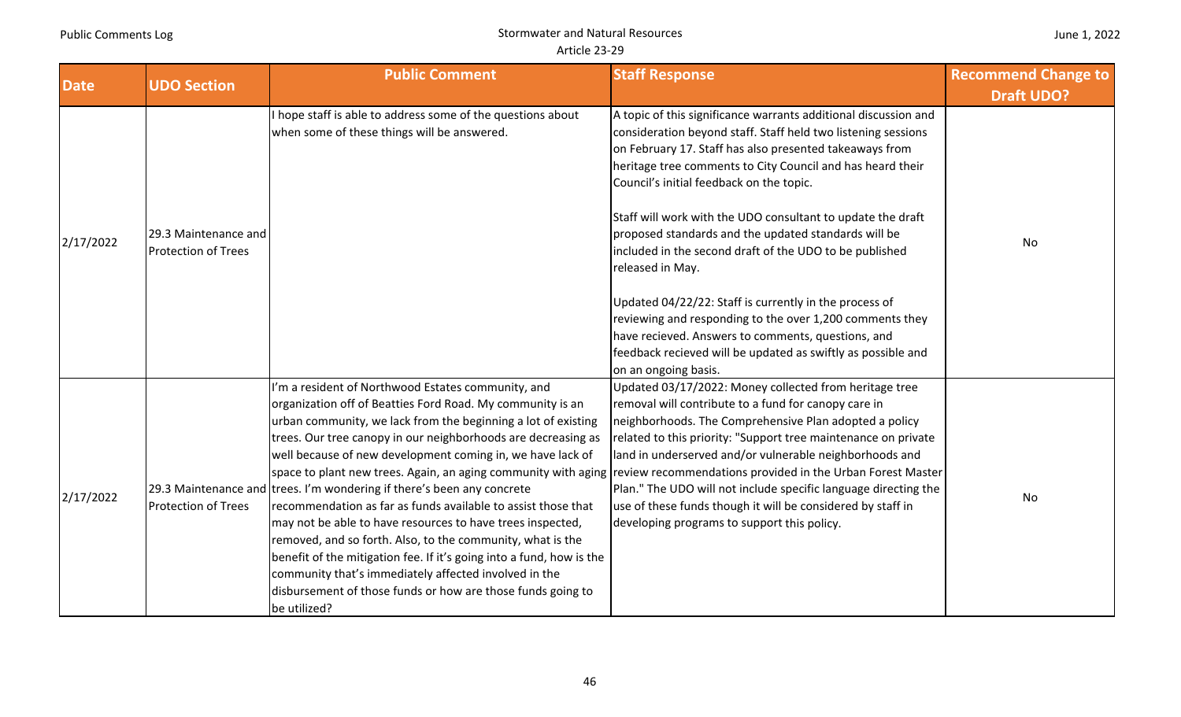| <b>Date</b> | <b>UDO Section</b>                                 | <b>Public Comment</b>                                                                                                                                                                                                                                                                                                                                                                                                                                                                                                                                                                                                                                                                                                                                                                                                                                                                                                                | <b>Staff Response</b>                                                                                                                                                                                                                                                                                                                                                                                                                                                                                       | <b>Recommend Change to</b><br><b>Draft UDO?</b> |
|-------------|----------------------------------------------------|--------------------------------------------------------------------------------------------------------------------------------------------------------------------------------------------------------------------------------------------------------------------------------------------------------------------------------------------------------------------------------------------------------------------------------------------------------------------------------------------------------------------------------------------------------------------------------------------------------------------------------------------------------------------------------------------------------------------------------------------------------------------------------------------------------------------------------------------------------------------------------------------------------------------------------------|-------------------------------------------------------------------------------------------------------------------------------------------------------------------------------------------------------------------------------------------------------------------------------------------------------------------------------------------------------------------------------------------------------------------------------------------------------------------------------------------------------------|-------------------------------------------------|
| 2/17/2022   | 29.3 Maintenance and<br><b>Protection of Trees</b> | hope staff is able to address some of the questions about<br>when some of these things will be answered.                                                                                                                                                                                                                                                                                                                                                                                                                                                                                                                                                                                                                                                                                                                                                                                                                             | A topic of this significance warrants additional discussion and<br>consideration beyond staff. Staff held two listening sessions<br>on February 17. Staff has also presented takeaways from<br>heritage tree comments to City Council and has heard their<br>Council's initial feedback on the topic.<br>Staff will work with the UDO consultant to update the draft<br>proposed standards and the updated standards will be<br>included in the second draft of the UDO to be published<br>released in May. | No                                              |
|             |                                                    |                                                                                                                                                                                                                                                                                                                                                                                                                                                                                                                                                                                                                                                                                                                                                                                                                                                                                                                                      | Updated 04/22/22: Staff is currently in the process of<br>reviewing and responding to the over 1,200 comments they<br>have recieved. Answers to comments, questions, and<br>feedback recieved will be updated as swiftly as possible and<br>on an ongoing basis.                                                                                                                                                                                                                                            |                                                 |
| 2/17/2022   | <b>Protection of Trees</b>                         | I'm a resident of Northwood Estates community, and<br>organization off of Beatties Ford Road. My community is an<br>urban community, we lack from the beginning a lot of existing<br>trees. Our tree canopy in our neighborhoods are decreasing as<br>well because of new development coming in, we have lack of<br>space to plant new trees. Again, an aging community with aging review recommendations provided in the Urban Forest Master<br>29.3 Maintenance and trees. I'm wondering if there's been any concrete<br>recommendation as far as funds available to assist those that<br>may not be able to have resources to have trees inspected,<br>removed, and so forth. Also, to the community, what is the<br>benefit of the mitigation fee. If it's going into a fund, how is the<br>community that's immediately affected involved in the<br>disbursement of those funds or how are those funds going to<br>be utilized? | Updated 03/17/2022: Money collected from heritage tree<br>removal will contribute to a fund for canopy care in<br>neighborhoods. The Comprehensive Plan adopted a policy<br>related to this priority: "Support tree maintenance on private<br>land in underserved and/or vulnerable neighborhoods and<br>Plan." The UDO will not include specific language directing the<br>use of these funds though it will be considered by staff in<br>developing programs to support this policy.                      | No                                              |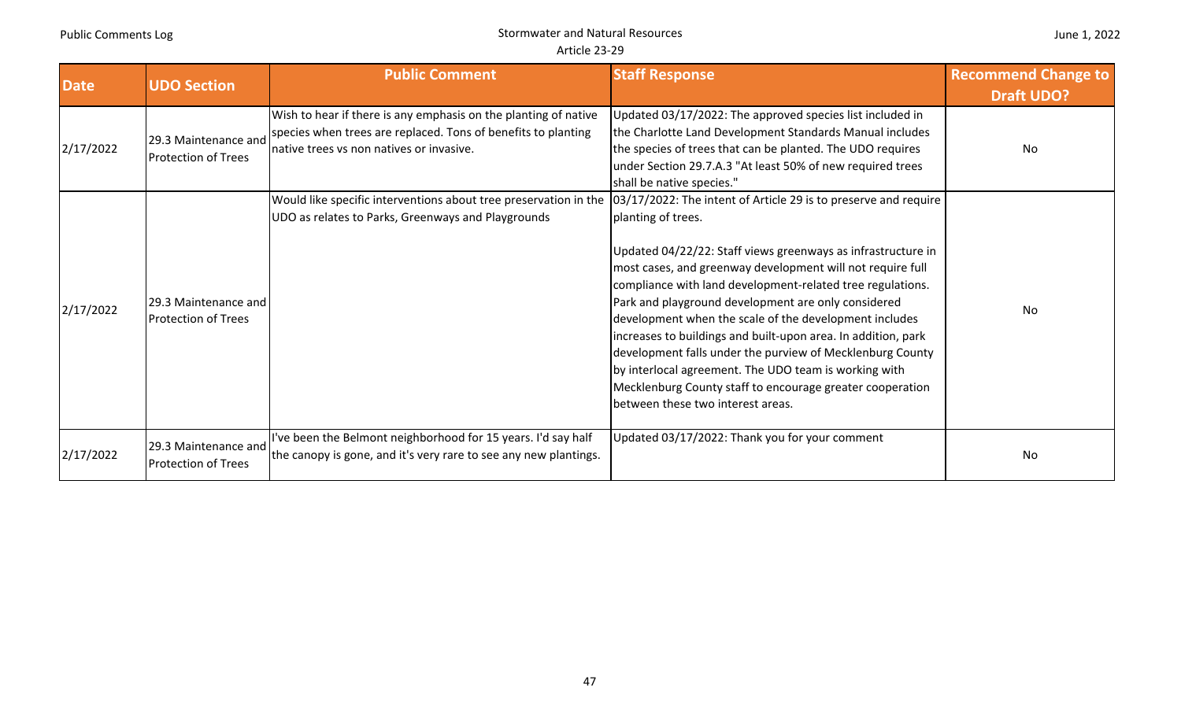|  |  | June 1, 2022 |
|--|--|--------------|
|--|--|--------------|

| <b>Date</b> | <b>UDO Section</b>                                 | <b>Public Comment</b>                                                                                                                                                                   | <b>Staff Response</b>                                                                                                                                                                                                                                                                                                                                                                                                                                                                                                                                                                                                    | <b>Recommend Change to</b><br><b>Draft UDO?</b> |
|-------------|----------------------------------------------------|-----------------------------------------------------------------------------------------------------------------------------------------------------------------------------------------|--------------------------------------------------------------------------------------------------------------------------------------------------------------------------------------------------------------------------------------------------------------------------------------------------------------------------------------------------------------------------------------------------------------------------------------------------------------------------------------------------------------------------------------------------------------------------------------------------------------------------|-------------------------------------------------|
| 2/17/2022   | 29.3 Maintenance and<br><b>Protection of Trees</b> | Wish to hear if there is any emphasis on the planting of native<br>species when trees are replaced. Tons of benefits to planting<br>native trees vs non natives or invasive.            | Updated 03/17/2022: The approved species list included in<br>the Charlotte Land Development Standards Manual includes<br>the species of trees that can be planted. The UDO requires<br>under Section 29.7.A.3 "At least 50% of new required trees<br>shall be native species."                                                                                                                                                                                                                                                                                                                                           | No                                              |
| 2/17/2022   | 29.3 Maintenance and<br><b>Protection of Trees</b> | Would like specific interventions about tree preservation in the [03/17/2022: The intent of Article 29 is to preserve and require<br>UDO as relates to Parks, Greenways and Playgrounds | planting of trees.<br>Updated 04/22/22: Staff views greenways as infrastructure in<br>most cases, and greenway development will not require full<br>compliance with land development-related tree regulations.<br>Park and playground development are only considered<br>development when the scale of the development includes<br>increases to buildings and built-upon area. In addition, park<br>development falls under the purview of Mecklenburg County<br>by interlocal agreement. The UDO team is working with<br>Mecklenburg County staff to encourage greater cooperation<br>between these two interest areas. | No                                              |
| 2/17/2022   | 29.3 Maintenance and<br><b>Protection of Trees</b> | I've been the Belmont neighborhood for 15 years. I'd say half<br>the canopy is gone, and it's very rare to see any new plantings.                                                       | Updated 03/17/2022: Thank you for your comment                                                                                                                                                                                                                                                                                                                                                                                                                                                                                                                                                                           | No                                              |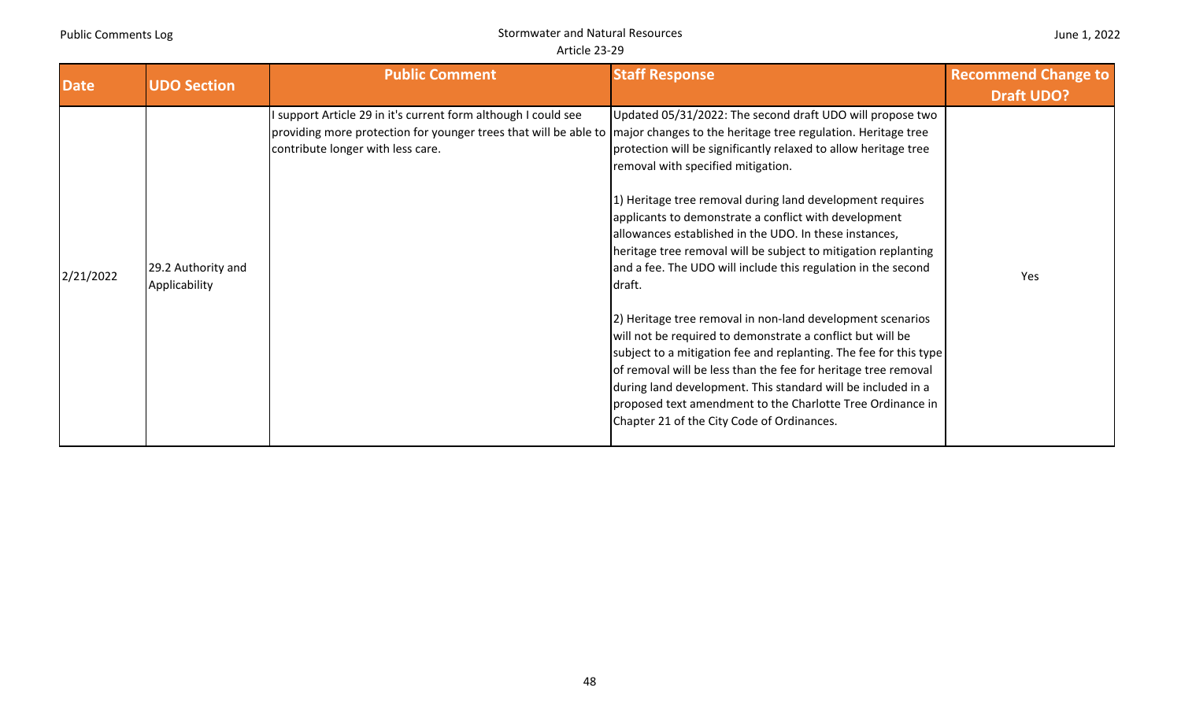|  |  | June 1, 2022 |
|--|--|--------------|
|--|--|--------------|

| <b>Date</b> | <b>UDO Section</b>                  | <b>Public Comment</b>                                                                                                                                                                                                                | <b>Staff Response</b>                                                                                                                                                                                                                                                                                                                                                                                                                                                                                                                                                                                                                                                                                                                                                                                                                                                                                                                           | <b>Recommend Change to</b><br><b>Draft UDO?</b> |
|-------------|-------------------------------------|--------------------------------------------------------------------------------------------------------------------------------------------------------------------------------------------------------------------------------------|-------------------------------------------------------------------------------------------------------------------------------------------------------------------------------------------------------------------------------------------------------------------------------------------------------------------------------------------------------------------------------------------------------------------------------------------------------------------------------------------------------------------------------------------------------------------------------------------------------------------------------------------------------------------------------------------------------------------------------------------------------------------------------------------------------------------------------------------------------------------------------------------------------------------------------------------------|-------------------------------------------------|
| 2/21/2022   | 29.2 Authority and<br>Applicability | I support Article 29 in it's current form although I could see<br>providing more protection for younger trees that will be able to major changes to the heritage tree regulation. Heritage tree<br>contribute longer with less care. | Updated 05/31/2022: The second draft UDO will propose two<br>protection will be significantly relaxed to allow heritage tree<br>removal with specified mitigation.<br>1) Heritage tree removal during land development requires<br>applicants to demonstrate a conflict with development<br>allowances established in the UDO. In these instances,<br>heritage tree removal will be subject to mitigation replanting<br>and a fee. The UDO will include this regulation in the second<br>draft.<br>[2] Heritage tree removal in non-land development scenarios<br>will not be required to demonstrate a conflict but will be<br>subject to a mitigation fee and replanting. The fee for this type<br>of removal will be less than the fee for heritage tree removal<br>during land development. This standard will be included in a<br>proposed text amendment to the Charlotte Tree Ordinance in<br>Chapter 21 of the City Code of Ordinances. | Yes                                             |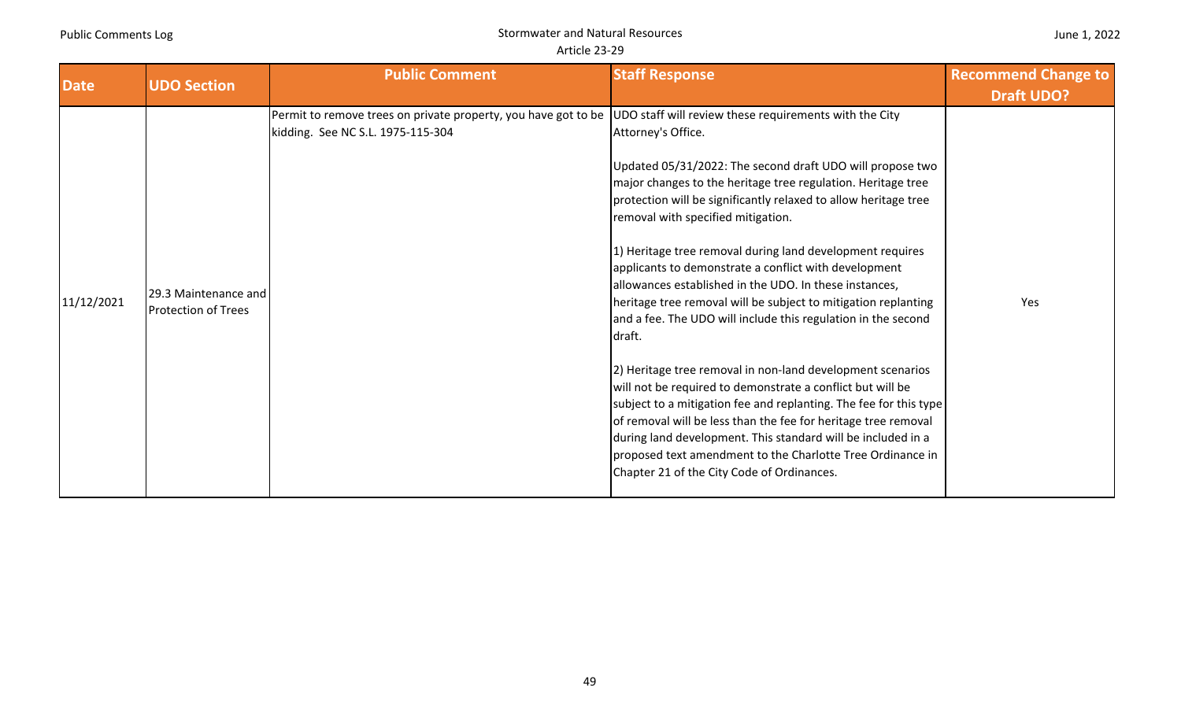| June 1, 2022 |  |  |  |
|--------------|--|--|--|
|--------------|--|--|--|

| <b>Date</b> | <b>UDO Section</b>                                 | <b>Public Comment</b>                                                                               | <b>Staff Response</b>                                                                                                                                                                                                                                                                                                                                                                                                                                                                                                                                                                                                                                                                                                                                                                                                                                                                                                                                                                                                                                                                          | <b>Recommend Change to</b> |
|-------------|----------------------------------------------------|-----------------------------------------------------------------------------------------------------|------------------------------------------------------------------------------------------------------------------------------------------------------------------------------------------------------------------------------------------------------------------------------------------------------------------------------------------------------------------------------------------------------------------------------------------------------------------------------------------------------------------------------------------------------------------------------------------------------------------------------------------------------------------------------------------------------------------------------------------------------------------------------------------------------------------------------------------------------------------------------------------------------------------------------------------------------------------------------------------------------------------------------------------------------------------------------------------------|----------------------------|
|             |                                                    |                                                                                                     |                                                                                                                                                                                                                                                                                                                                                                                                                                                                                                                                                                                                                                                                                                                                                                                                                                                                                                                                                                                                                                                                                                | <b>Draft UDO?</b>          |
| 11/12/2021  | 29.3 Maintenance and<br><b>Protection of Trees</b> | Permit to remove trees on private property, you have got to be<br>kidding. See NC S.L. 1975-115-304 | UDO staff will review these requirements with the City<br>Attorney's Office.<br>Updated 05/31/2022: The second draft UDO will propose two<br>major changes to the heritage tree regulation. Heritage tree<br>protection will be significantly relaxed to allow heritage tree<br>removal with specified mitigation.<br>1) Heritage tree removal during land development requires<br>applicants to demonstrate a conflict with development<br>allowances established in the UDO. In these instances,<br>heritage tree removal will be subject to mitigation replanting<br>and a fee. The UDO will include this regulation in the second<br>draft.<br>2) Heritage tree removal in non-land development scenarios<br>will not be required to demonstrate a conflict but will be<br>subject to a mitigation fee and replanting. The fee for this type<br>of removal will be less than the fee for heritage tree removal<br>during land development. This standard will be included in a<br>proposed text amendment to the Charlotte Tree Ordinance in<br>Chapter 21 of the City Code of Ordinances. | Yes                        |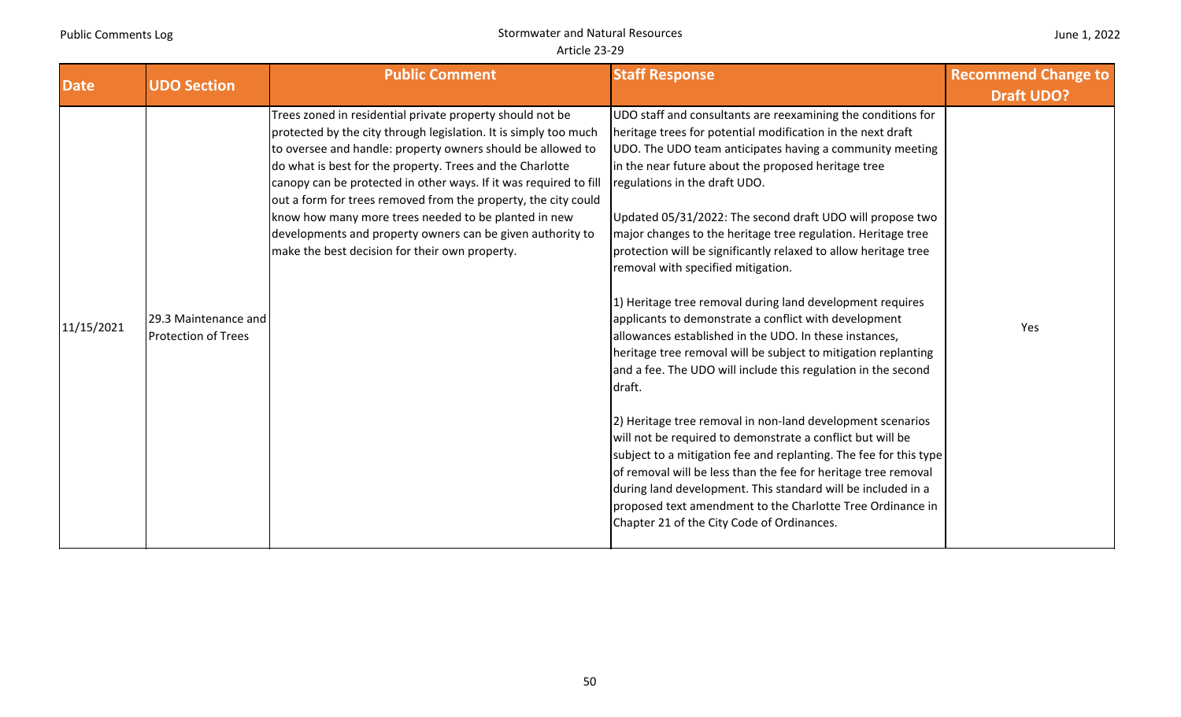| June 1, 2022 |  |
|--------------|--|
|--------------|--|

|             | <b>UDO Section</b>                                 | <b>Public Comment</b>                                                                                                                                                                                                                                                                                                                                                                                                                                                                                                                                                    | <b>Staff Response</b>                                                                                                                                                                                                                                                                                                                                                                                                                                                                                                                                                                                                                                                                                                                                                                                                                                                                                                                                                                                                                                                                                                                                                                                                                                                                             | <b>Recommend Change to</b> |
|-------------|----------------------------------------------------|--------------------------------------------------------------------------------------------------------------------------------------------------------------------------------------------------------------------------------------------------------------------------------------------------------------------------------------------------------------------------------------------------------------------------------------------------------------------------------------------------------------------------------------------------------------------------|---------------------------------------------------------------------------------------------------------------------------------------------------------------------------------------------------------------------------------------------------------------------------------------------------------------------------------------------------------------------------------------------------------------------------------------------------------------------------------------------------------------------------------------------------------------------------------------------------------------------------------------------------------------------------------------------------------------------------------------------------------------------------------------------------------------------------------------------------------------------------------------------------------------------------------------------------------------------------------------------------------------------------------------------------------------------------------------------------------------------------------------------------------------------------------------------------------------------------------------------------------------------------------------------------|----------------------------|
| <b>Date</b> |                                                    |                                                                                                                                                                                                                                                                                                                                                                                                                                                                                                                                                                          |                                                                                                                                                                                                                                                                                                                                                                                                                                                                                                                                                                                                                                                                                                                                                                                                                                                                                                                                                                                                                                                                                                                                                                                                                                                                                                   | <b>Draft UDO?</b>          |
| 11/15/2021  | 29.3 Maintenance and<br><b>Protection of Trees</b> | Trees zoned in residential private property should not be<br>protected by the city through legislation. It is simply too much<br>to oversee and handle: property owners should be allowed to<br>do what is best for the property. Trees and the Charlotte<br>canopy can be protected in other ways. If it was required to fill<br>out a form for trees removed from the property, the city could<br>know how many more trees needed to be planted in new<br>developments and property owners can be given authority to<br>make the best decision for their own property. | UDO staff and consultants are reexamining the conditions for<br>heritage trees for potential modification in the next draft<br>UDO. The UDO team anticipates having a community meeting<br>in the near future about the proposed heritage tree<br>regulations in the draft UDO.<br>Updated 05/31/2022: The second draft UDO will propose two<br>major changes to the heritage tree regulation. Heritage tree<br>protection will be significantly relaxed to allow heritage tree<br>removal with specified mitigation.<br>1) Heritage tree removal during land development requires<br>applicants to demonstrate a conflict with development<br>allowances established in the UDO. In these instances,<br>heritage tree removal will be subject to mitigation replanting<br>and a fee. The UDO will include this regulation in the second<br>draft.<br>2) Heritage tree removal in non-land development scenarios<br>will not be required to demonstrate a conflict but will be<br>subject to a mitigation fee and replanting. The fee for this type<br>of removal will be less than the fee for heritage tree removal<br>during land development. This standard will be included in a<br>proposed text amendment to the Charlotte Tree Ordinance in<br>Chapter 21 of the City Code of Ordinances. | Yes                        |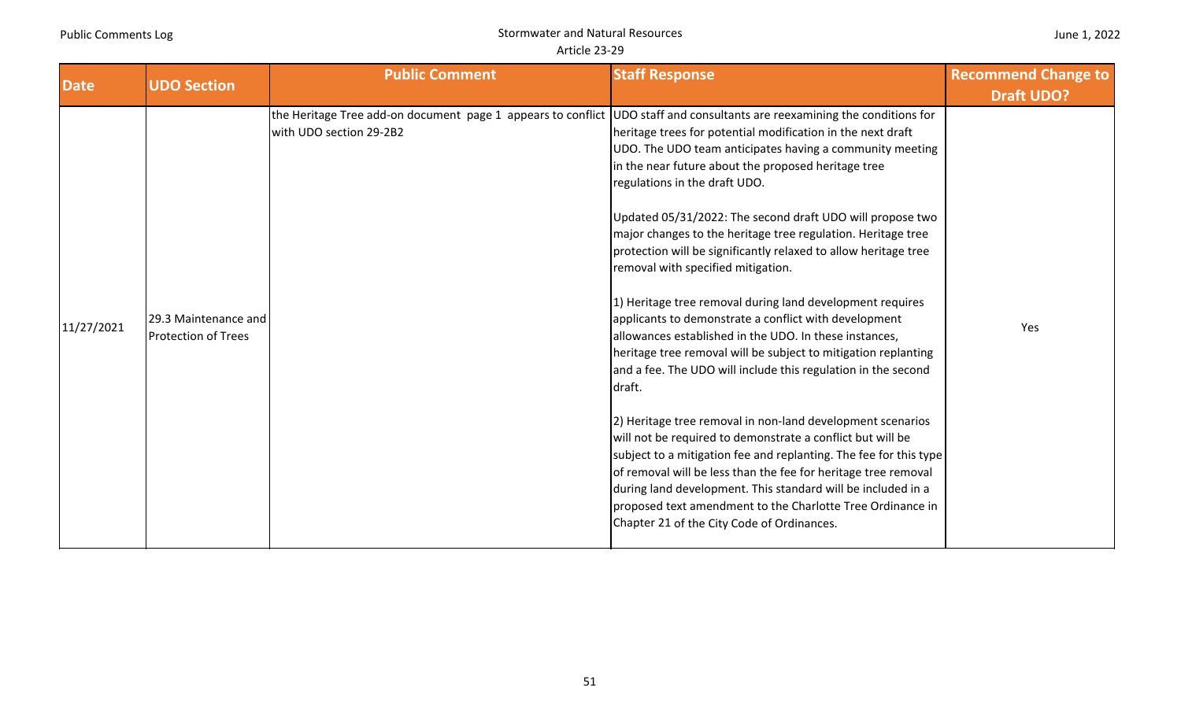|  |  | June 1, 2022 |
|--|--|--------------|
|--|--|--------------|

| <b>Date</b> | <b>UDO Section</b>                                 | <b>Public Comment</b>                                                                                                                                | <b>Staff Response</b>                                                                                                                                                                                                                                                                                                                                                                                                                                                                                                                                                                                                                                                                                                                                                                                                                                                                                                                                                                                                                                                                                                                                                                                                             | <b>Recommend Change to</b> |
|-------------|----------------------------------------------------|------------------------------------------------------------------------------------------------------------------------------------------------------|-----------------------------------------------------------------------------------------------------------------------------------------------------------------------------------------------------------------------------------------------------------------------------------------------------------------------------------------------------------------------------------------------------------------------------------------------------------------------------------------------------------------------------------------------------------------------------------------------------------------------------------------------------------------------------------------------------------------------------------------------------------------------------------------------------------------------------------------------------------------------------------------------------------------------------------------------------------------------------------------------------------------------------------------------------------------------------------------------------------------------------------------------------------------------------------------------------------------------------------|----------------------------|
|             |                                                    |                                                                                                                                                      |                                                                                                                                                                                                                                                                                                                                                                                                                                                                                                                                                                                                                                                                                                                                                                                                                                                                                                                                                                                                                                                                                                                                                                                                                                   | <b>Draft UDO?</b>          |
| 11/27/2021  | 29.3 Maintenance and<br><b>Protection of Trees</b> | the Heritage Tree add-on document page 1 appears to conflict UDO staff and consultants are reexamining the conditions for<br>with UDO section 29-2B2 | heritage trees for potential modification in the next draft<br>UDO. The UDO team anticipates having a community meeting<br>in the near future about the proposed heritage tree<br>regulations in the draft UDO.<br>Updated 05/31/2022: The second draft UDO will propose two<br>major changes to the heritage tree regulation. Heritage tree<br>protection will be significantly relaxed to allow heritage tree<br>removal with specified mitigation.<br>1) Heritage tree removal during land development requires<br>applicants to demonstrate a conflict with development<br>allowances established in the UDO. In these instances,<br>heritage tree removal will be subject to mitigation replanting<br>and a fee. The UDO will include this regulation in the second<br>draft.<br>2) Heritage tree removal in non-land development scenarios<br>will not be required to demonstrate a conflict but will be<br>subject to a mitigation fee and replanting. The fee for this type<br>of removal will be less than the fee for heritage tree removal<br>during land development. This standard will be included in a<br>proposed text amendment to the Charlotte Tree Ordinance in<br>Chapter 21 of the City Code of Ordinances. | Yes                        |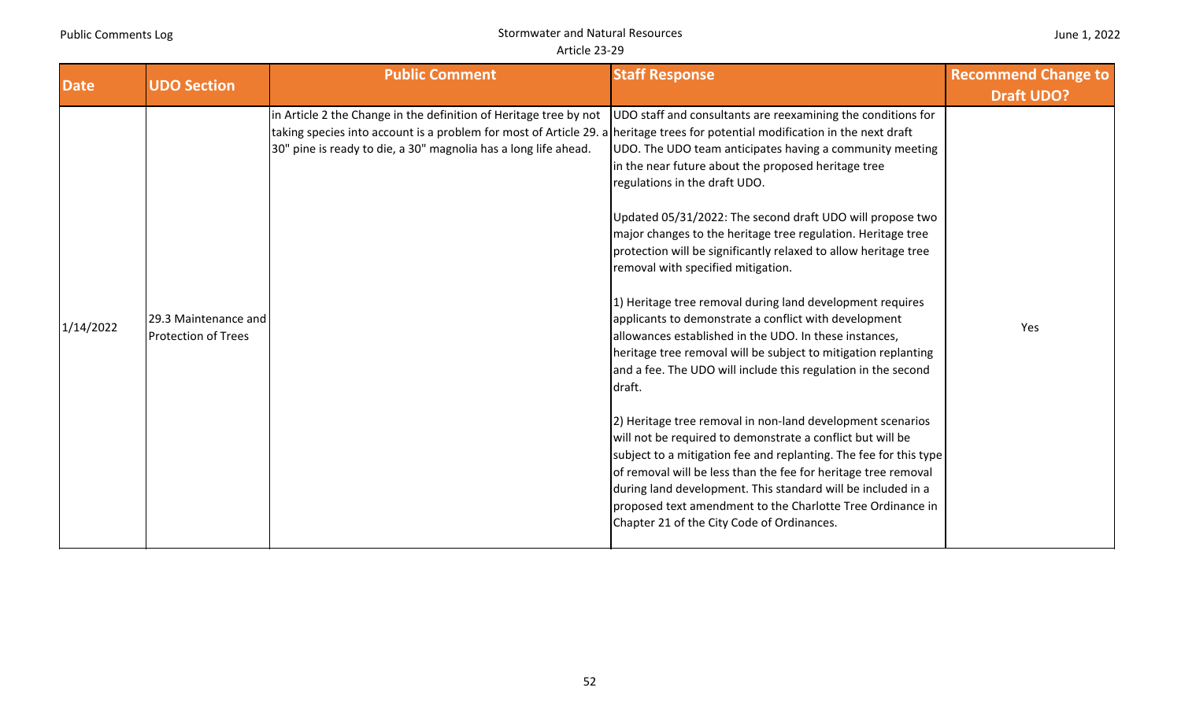|  | June 1, 2022 |
|--|--------------|
|--|--------------|

| <b>Date</b> | <b>UDO Section</b>                                 | <b>Public Comment</b>                                                                                                                                                                                                                                                  | <b>Staff Response</b>                                                                                                                                                                                                                                                                                                                                                                                                                                                                                                                                                                                                                                                                                                                                                                                                                                                                                                                                                                                                                                                                                                                                                                                                              | <b>Recommend Change to</b> |
|-------------|----------------------------------------------------|------------------------------------------------------------------------------------------------------------------------------------------------------------------------------------------------------------------------------------------------------------------------|------------------------------------------------------------------------------------------------------------------------------------------------------------------------------------------------------------------------------------------------------------------------------------------------------------------------------------------------------------------------------------------------------------------------------------------------------------------------------------------------------------------------------------------------------------------------------------------------------------------------------------------------------------------------------------------------------------------------------------------------------------------------------------------------------------------------------------------------------------------------------------------------------------------------------------------------------------------------------------------------------------------------------------------------------------------------------------------------------------------------------------------------------------------------------------------------------------------------------------|----------------------------|
|             |                                                    |                                                                                                                                                                                                                                                                        |                                                                                                                                                                                                                                                                                                                                                                                                                                                                                                                                                                                                                                                                                                                                                                                                                                                                                                                                                                                                                                                                                                                                                                                                                                    | <b>Draft UDO?</b>          |
| 1/14/2022   | 29.3 Maintenance and<br><b>Protection of Trees</b> | in Article 2 the Change in the definition of Heritage tree by not<br>taking species into account is a problem for most of Article 29. a heritage trees for potential modification in the next draft<br>30" pine is ready to die, a 30" magnolia has a long life ahead. | UDO staff and consultants are reexamining the conditions for<br>UDO. The UDO team anticipates having a community meeting<br>in the near future about the proposed heritage tree<br>regulations in the draft UDO.<br>Updated 05/31/2022: The second draft UDO will propose two<br>major changes to the heritage tree regulation. Heritage tree<br>protection will be significantly relaxed to allow heritage tree<br>removal with specified mitigation.<br>1) Heritage tree removal during land development requires<br>applicants to demonstrate a conflict with development<br>allowances established in the UDO. In these instances,<br>heritage tree removal will be subject to mitigation replanting<br>and a fee. The UDO will include this regulation in the second<br>draft.<br>2) Heritage tree removal in non-land development scenarios<br>will not be required to demonstrate a conflict but will be<br>subject to a mitigation fee and replanting. The fee for this type<br>of removal will be less than the fee for heritage tree removal<br>during land development. This standard will be included in a<br>proposed text amendment to the Charlotte Tree Ordinance in<br>Chapter 21 of the City Code of Ordinances. | Yes                        |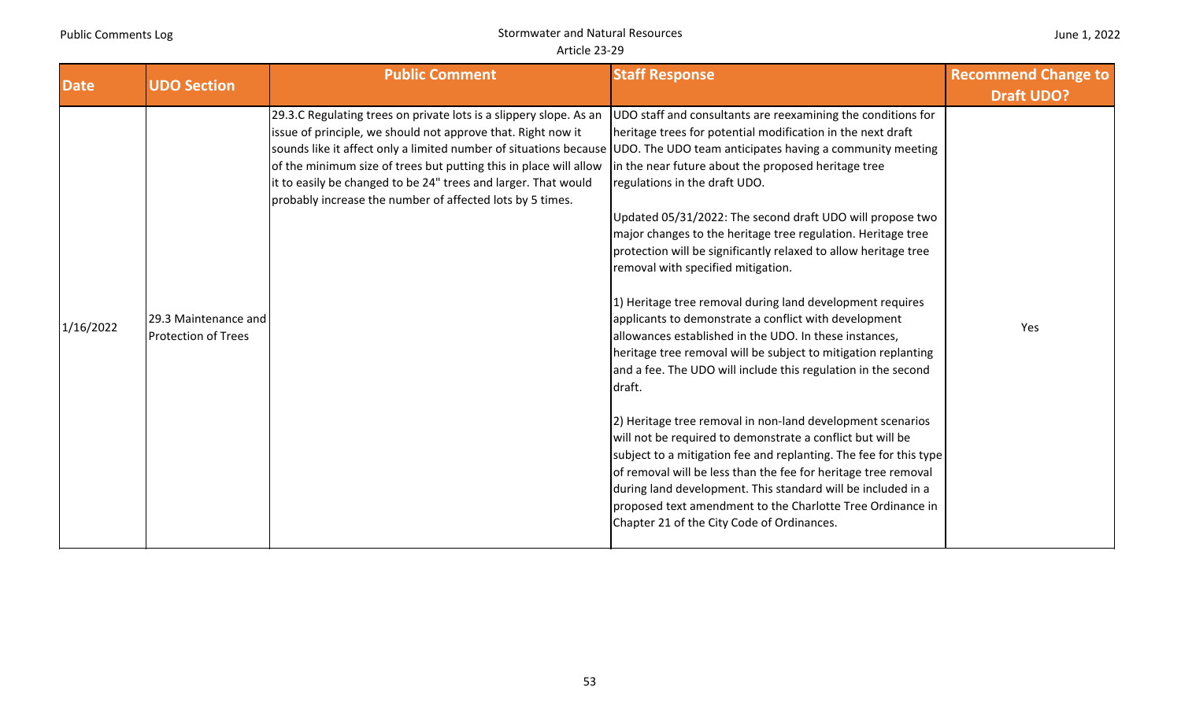|  | June 1, 2022 |
|--|--------------|
|--|--------------|

| <b>Date</b> | <b>UDO Section</b>                                 | <b>Public Comment</b>                                                                                                                                                                                                                                                                                                                                                                                                                                                | <b>Staff Response</b>                                                                                                                                                                                                                                                                                                                                                                                                                                                                                                                                                                                                                                                                                                                                                                                                                                                                                                                                                                                                                                                                                                                                                                                                                 | <b>Recommend Change to</b> |
|-------------|----------------------------------------------------|----------------------------------------------------------------------------------------------------------------------------------------------------------------------------------------------------------------------------------------------------------------------------------------------------------------------------------------------------------------------------------------------------------------------------------------------------------------------|---------------------------------------------------------------------------------------------------------------------------------------------------------------------------------------------------------------------------------------------------------------------------------------------------------------------------------------------------------------------------------------------------------------------------------------------------------------------------------------------------------------------------------------------------------------------------------------------------------------------------------------------------------------------------------------------------------------------------------------------------------------------------------------------------------------------------------------------------------------------------------------------------------------------------------------------------------------------------------------------------------------------------------------------------------------------------------------------------------------------------------------------------------------------------------------------------------------------------------------|----------------------------|
|             |                                                    |                                                                                                                                                                                                                                                                                                                                                                                                                                                                      |                                                                                                                                                                                                                                                                                                                                                                                                                                                                                                                                                                                                                                                                                                                                                                                                                                                                                                                                                                                                                                                                                                                                                                                                                                       | <b>Draft UDO?</b>          |
| 1/16/2022   | 29.3 Maintenance and<br><b>Protection of Trees</b> | 29.3.C Regulating trees on private lots is a slippery slope. As an<br>issue of principle, we should not approve that. Right now it<br>sounds like it affect only a limited number of situations because UDO. The UDO team anticipates having a community meeting<br>of the minimum size of trees but putting this in place will allow<br>it to easily be changed to be 24" trees and larger. That would<br>probably increase the number of affected lots by 5 times. | UDO staff and consultants are reexamining the conditions for<br>heritage trees for potential modification in the next draft<br>in the near future about the proposed heritage tree<br>regulations in the draft UDO.<br>Updated 05/31/2022: The second draft UDO will propose two<br>major changes to the heritage tree regulation. Heritage tree<br>protection will be significantly relaxed to allow heritage tree<br>removal with specified mitigation.<br>1) Heritage tree removal during land development requires<br>applicants to demonstrate a conflict with development<br>allowances established in the UDO. In these instances,<br>heritage tree removal will be subject to mitigation replanting<br>and a fee. The UDO will include this regulation in the second<br>draft.<br>2) Heritage tree removal in non-land development scenarios<br>will not be required to demonstrate a conflict but will be<br>subject to a mitigation fee and replanting. The fee for this type<br>of removal will be less than the fee for heritage tree removal<br>during land development. This standard will be included in a<br>proposed text amendment to the Charlotte Tree Ordinance in<br>Chapter 21 of the City Code of Ordinances. | Yes                        |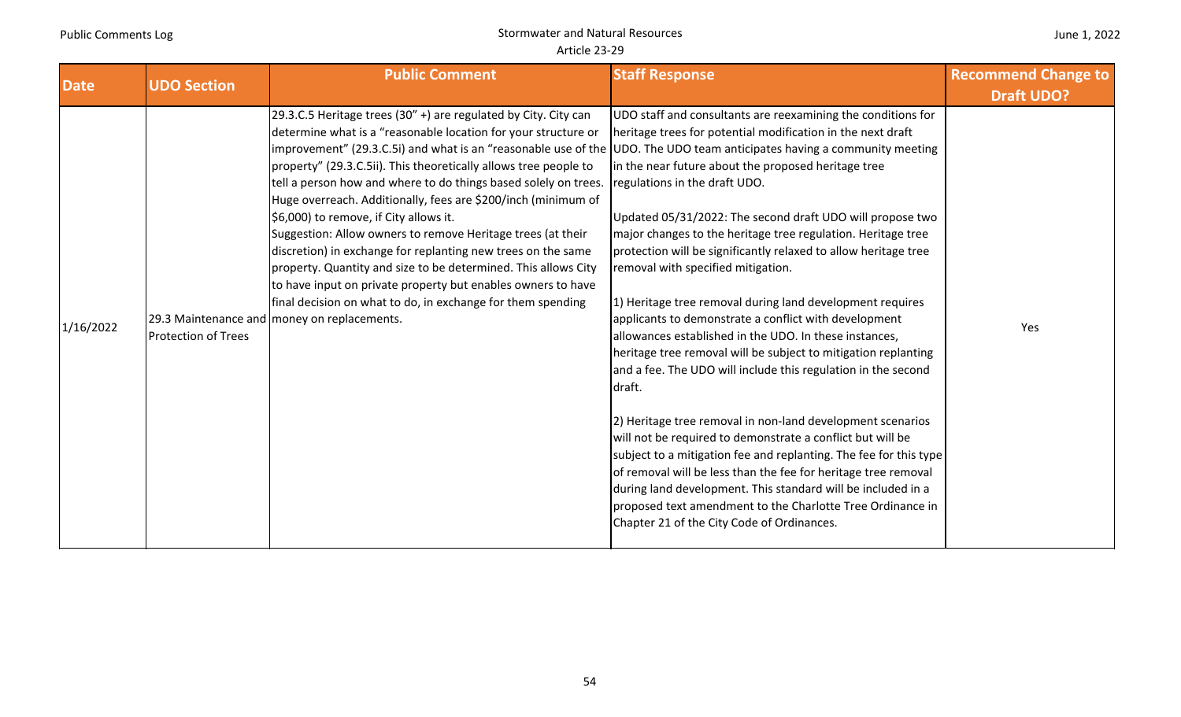| June 1, 2022 |  |  |
|--------------|--|--|
|--------------|--|--|

| <b>Date</b><br><b>UDO Section</b> |                            | <b>Public Comment</b>                                                                                                                                                                                                                                                                                                                                                                                                                                                                                                                                                                                                                                                                                                                                                                                                                                                                         | <b>Staff Response</b>                                                                                                                                                                                                                                                                                                                                                                                                                                                                                                                                                                                                                                                                                                                                                                                                                                                                                                                                                                                                                                                                                                                                                                                                                 | <b>Recommend Change to</b> |
|-----------------------------------|----------------------------|-----------------------------------------------------------------------------------------------------------------------------------------------------------------------------------------------------------------------------------------------------------------------------------------------------------------------------------------------------------------------------------------------------------------------------------------------------------------------------------------------------------------------------------------------------------------------------------------------------------------------------------------------------------------------------------------------------------------------------------------------------------------------------------------------------------------------------------------------------------------------------------------------|---------------------------------------------------------------------------------------------------------------------------------------------------------------------------------------------------------------------------------------------------------------------------------------------------------------------------------------------------------------------------------------------------------------------------------------------------------------------------------------------------------------------------------------------------------------------------------------------------------------------------------------------------------------------------------------------------------------------------------------------------------------------------------------------------------------------------------------------------------------------------------------------------------------------------------------------------------------------------------------------------------------------------------------------------------------------------------------------------------------------------------------------------------------------------------------------------------------------------------------|----------------------------|
|                                   |                            |                                                                                                                                                                                                                                                                                                                                                                                                                                                                                                                                                                                                                                                                                                                                                                                                                                                                                               |                                                                                                                                                                                                                                                                                                                                                                                                                                                                                                                                                                                                                                                                                                                                                                                                                                                                                                                                                                                                                                                                                                                                                                                                                                       | <b>Draft UDO?</b>          |
| 1/16/2022                         | <b>Protection of Trees</b> | 29.3.C.5 Heritage trees (30" +) are regulated by City. City can<br>determine what is a "reasonable location for your structure or<br>improvement" (29.3.C.5i) and what is an "reasonable use of the UDD. The UDO team anticipates having a community meeting<br>property" (29.3.C.5ii). This theoretically allows tree people to<br>tell a person how and where to do things based solely on trees.<br>Huge overreach. Additionally, fees are \$200/inch (minimum of<br>\$6,000) to remove, if City allows it.<br>Suggestion: Allow owners to remove Heritage trees (at their<br>discretion) in exchange for replanting new trees on the same<br>property. Quantity and size to be determined. This allows City<br>to have input on private property but enables owners to have<br>final decision on what to do, in exchange for them spending<br>29.3 Maintenance and money on replacements. | UDO staff and consultants are reexamining the conditions for<br>heritage trees for potential modification in the next draft<br>in the near future about the proposed heritage tree<br>regulations in the draft UDO.<br>Updated 05/31/2022: The second draft UDO will propose two<br>major changes to the heritage tree regulation. Heritage tree<br>protection will be significantly relaxed to allow heritage tree<br>removal with specified mitigation.<br>1) Heritage tree removal during land development requires<br>applicants to demonstrate a conflict with development<br>allowances established in the UDO. In these instances,<br>heritage tree removal will be subject to mitigation replanting<br>and a fee. The UDO will include this regulation in the second<br>draft.<br>2) Heritage tree removal in non-land development scenarios<br>will not be required to demonstrate a conflict but will be<br>subject to a mitigation fee and replanting. The fee for this type<br>of removal will be less than the fee for heritage tree removal<br>during land development. This standard will be included in a<br>proposed text amendment to the Charlotte Tree Ordinance in<br>Chapter 21 of the City Code of Ordinances. | Yes                        |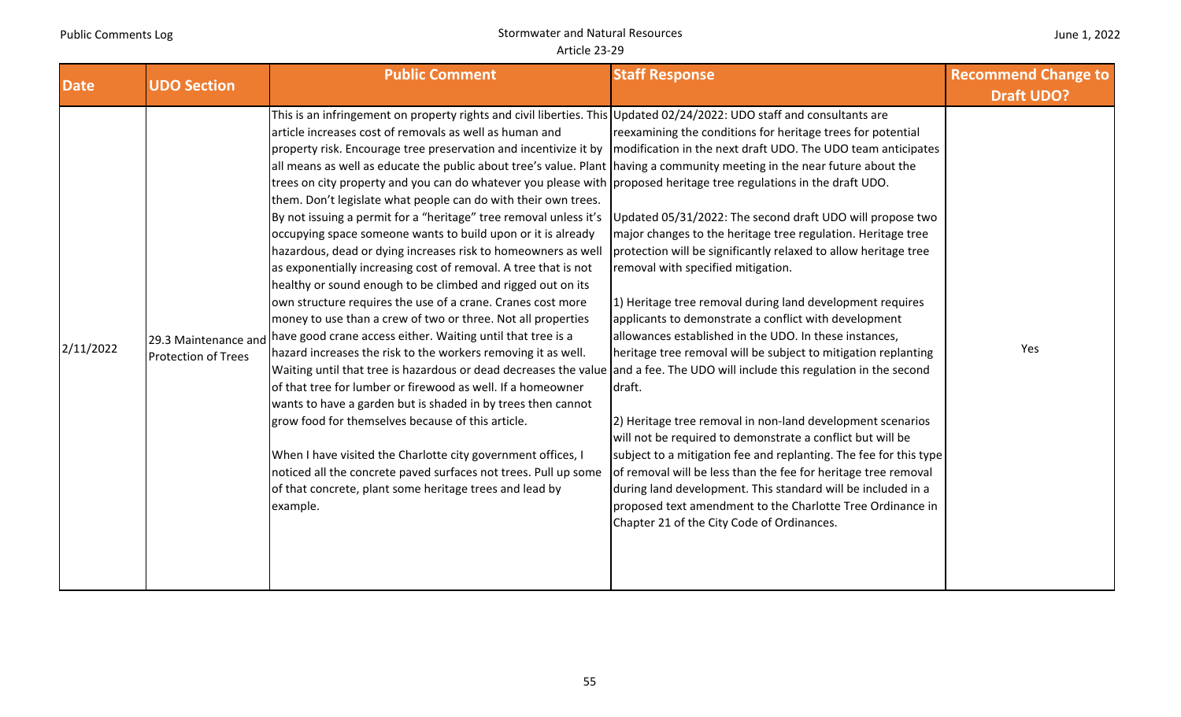| June 1, 2022 |  |  |
|--------------|--|--|
|--------------|--|--|

| <b>Date</b><br><b>UDO Section</b> |                                                    | <b>Public Comment</b>                                                                                                                                                                                                                                                                                                                                                                                                                                                                                                                                                                                                                                                                                                                                                                                                                                                                                                                                                                                                                                                                                                                                                                                                                                                                                                                                                                                                                                                                                                                                                                                                                                                                                              | <b>Staff Response</b>                                                                                                                                                                                                                                                                                                                                                                                                                                                                                                                                                                                                                                                                                                                                                                                                                                                                                                                                                                                                                                                        | <b>Recommend Change to</b> |
|-----------------------------------|----------------------------------------------------|--------------------------------------------------------------------------------------------------------------------------------------------------------------------------------------------------------------------------------------------------------------------------------------------------------------------------------------------------------------------------------------------------------------------------------------------------------------------------------------------------------------------------------------------------------------------------------------------------------------------------------------------------------------------------------------------------------------------------------------------------------------------------------------------------------------------------------------------------------------------------------------------------------------------------------------------------------------------------------------------------------------------------------------------------------------------------------------------------------------------------------------------------------------------------------------------------------------------------------------------------------------------------------------------------------------------------------------------------------------------------------------------------------------------------------------------------------------------------------------------------------------------------------------------------------------------------------------------------------------------------------------------------------------------------------------------------------------------|------------------------------------------------------------------------------------------------------------------------------------------------------------------------------------------------------------------------------------------------------------------------------------------------------------------------------------------------------------------------------------------------------------------------------------------------------------------------------------------------------------------------------------------------------------------------------------------------------------------------------------------------------------------------------------------------------------------------------------------------------------------------------------------------------------------------------------------------------------------------------------------------------------------------------------------------------------------------------------------------------------------------------------------------------------------------------|----------------------------|
|                                   |                                                    |                                                                                                                                                                                                                                                                                                                                                                                                                                                                                                                                                                                                                                                                                                                                                                                                                                                                                                                                                                                                                                                                                                                                                                                                                                                                                                                                                                                                                                                                                                                                                                                                                                                                                                                    |                                                                                                                                                                                                                                                                                                                                                                                                                                                                                                                                                                                                                                                                                                                                                                                                                                                                                                                                                                                                                                                                              | <b>Draft UDO?</b>          |
| 2/11/2022                         | 29.3 Maintenance and<br><b>Protection of Trees</b> | This is an infringement on property rights and civil liberties. This Updated 02/24/2022: UDO staff and consultants are<br>article increases cost of removals as well as human and<br>property risk. Encourage tree preservation and incentivize it by<br>all means as well as educate the public about tree's value. Plant having a community meeting in the near future about the<br>trees on city property and you can do whatever you please with proposed heritage tree regulations in the draft UDO.<br>them. Don't legislate what people can do with their own trees.<br>By not issuing a permit for a "heritage" tree removal unless it's<br>occupying space someone wants to build upon or it is already<br>hazardous, dead or dying increases risk to homeowners as well<br>as exponentially increasing cost of removal. A tree that is not<br>healthy or sound enough to be climbed and rigged out on its<br>own structure requires the use of a crane. Cranes cost more<br>money to use than a crew of two or three. Not all properties<br>have good crane access either. Waiting until that tree is a<br>hazard increases the risk to the workers removing it as well.<br>Waiting until that tree is hazardous or dead decreases the value and a fee. The UDO will include this regulation in the second<br>of that tree for lumber or firewood as well. If a homeowner<br>wants to have a garden but is shaded in by trees then cannot<br>grow food for themselves because of this article.<br>When I have visited the Charlotte city government offices, I<br>noticed all the concrete paved surfaces not trees. Pull up some<br>of that concrete, plant some heritage trees and lead by<br>example. | reexamining the conditions for heritage trees for potential<br>modification in the next draft UDO. The UDO team anticipates<br>Updated 05/31/2022: The second draft UDO will propose two<br>major changes to the heritage tree regulation. Heritage tree<br>protection will be significantly relaxed to allow heritage tree<br>removal with specified mitigation.<br>1) Heritage tree removal during land development requires<br>applicants to demonstrate a conflict with development<br>allowances established in the UDO. In these instances,<br>heritage tree removal will be subject to mitigation replanting<br>draft.<br>2) Heritage tree removal in non-land development scenarios<br>will not be required to demonstrate a conflict but will be<br>subject to a mitigation fee and replanting. The fee for this type<br>of removal will be less than the fee for heritage tree removal<br>during land development. This standard will be included in a<br>proposed text amendment to the Charlotte Tree Ordinance in<br>Chapter 21 of the City Code of Ordinances. | Yes                        |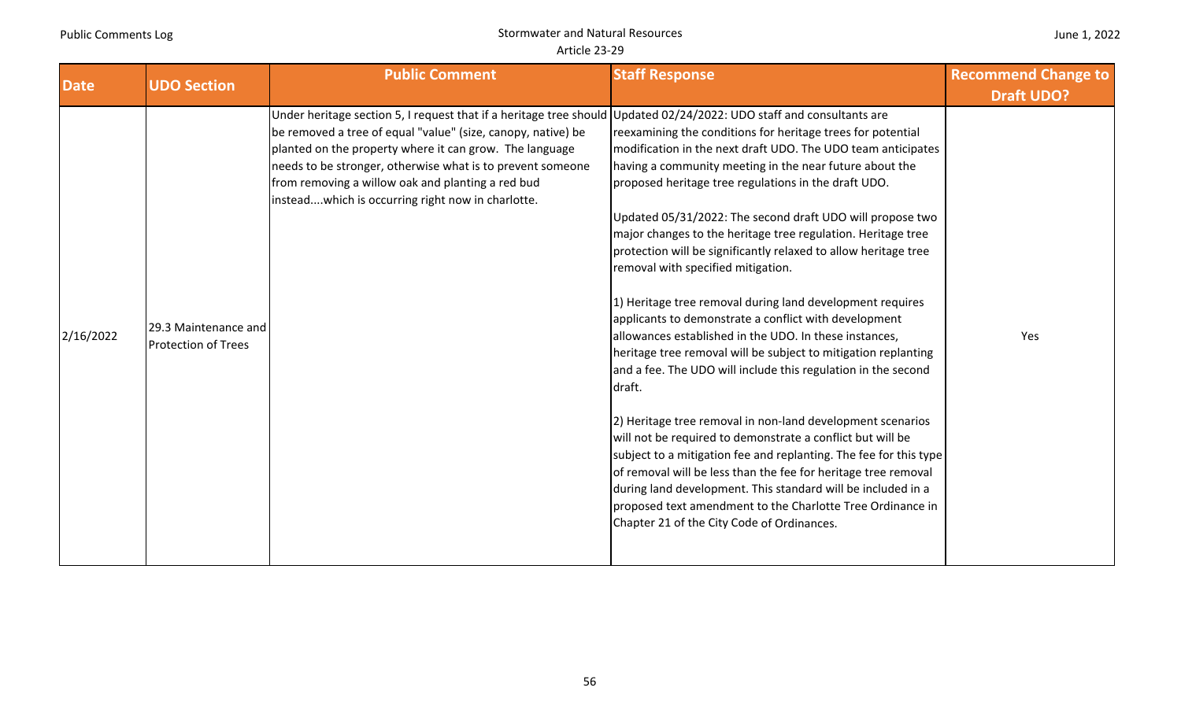|  | June 1, 2022 |  |
|--|--------------|--|
|--|--------------|--|

|             |                                                    | <b>Public Comment</b>                                                                                                                                                                                                                                                                                                                                                                                                   | <b>Staff Response</b>                                                                                                                                                                                                                                                                                                                                                                                                                                                                                                                                                                                                                                                                                                                                                                                                                                                                                                                                                                                                                                                                                                                                                                                                                                             | <b>Recommend Change to</b> |
|-------------|----------------------------------------------------|-------------------------------------------------------------------------------------------------------------------------------------------------------------------------------------------------------------------------------------------------------------------------------------------------------------------------------------------------------------------------------------------------------------------------|-------------------------------------------------------------------------------------------------------------------------------------------------------------------------------------------------------------------------------------------------------------------------------------------------------------------------------------------------------------------------------------------------------------------------------------------------------------------------------------------------------------------------------------------------------------------------------------------------------------------------------------------------------------------------------------------------------------------------------------------------------------------------------------------------------------------------------------------------------------------------------------------------------------------------------------------------------------------------------------------------------------------------------------------------------------------------------------------------------------------------------------------------------------------------------------------------------------------------------------------------------------------|----------------------------|
| <b>Date</b> | <b>UDO Section</b>                                 |                                                                                                                                                                                                                                                                                                                                                                                                                         |                                                                                                                                                                                                                                                                                                                                                                                                                                                                                                                                                                                                                                                                                                                                                                                                                                                                                                                                                                                                                                                                                                                                                                                                                                                                   | <b>Draft UDO?</b>          |
| 2/16/2022   | 29.3 Maintenance and<br><b>Protection of Trees</b> | Under heritage section 5, I request that if a heritage tree should Updated 02/24/2022: UDO staff and consultants are<br>be removed a tree of equal "value" (size, canopy, native) be<br>planted on the property where it can grow. The language<br>needs to be stronger, otherwise what is to prevent someone<br>from removing a willow oak and planting a red bud<br>insteadwhich is occurring right now in charlotte. | reexamining the conditions for heritage trees for potential<br>modification in the next draft UDO. The UDO team anticipates<br>having a community meeting in the near future about the<br>proposed heritage tree regulations in the draft UDO.<br>Updated 05/31/2022: The second draft UDO will propose two<br>major changes to the heritage tree regulation. Heritage tree<br>protection will be significantly relaxed to allow heritage tree<br>removal with specified mitigation.<br>1) Heritage tree removal during land development requires<br>applicants to demonstrate a conflict with development<br>allowances established in the UDO. In these instances,<br>heritage tree removal will be subject to mitigation replanting<br>and a fee. The UDO will include this regulation in the second<br>draft.<br>[2] Heritage tree removal in non-land development scenarios<br>will not be required to demonstrate a conflict but will be<br>subject to a mitigation fee and replanting. The fee for this type<br>of removal will be less than the fee for heritage tree removal<br>during land development. This standard will be included in a<br>proposed text amendment to the Charlotte Tree Ordinance in<br>Chapter 21 of the City Code of Ordinances. | Yes                        |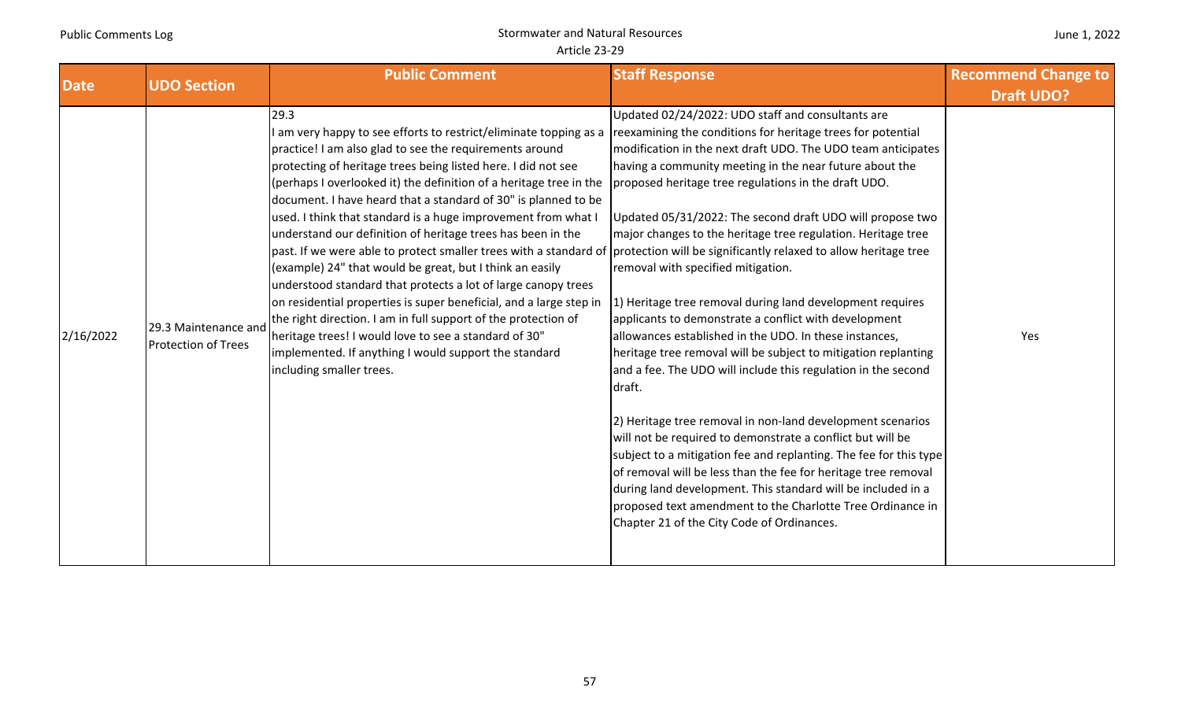| June 1, 2022 |  |  |
|--------------|--|--|
|--------------|--|--|

| <b>Date</b> | <b>UDO Section</b>                                 | <b>Public Comment</b>                                                                                                                                                                                                                                                                                                                                                                                                                                                                                                                                                                                                                                                                                                                                                                                                                                                                                                                                                                                                                                                                           | <b>Staff Response</b>                                                                                                                                                                                                                                                                                                                                                                                                                                                                                                                                                                                                                                                                                                                                                                                                                                                                                                                                                                                                                                                                                                                                                                | <b>Recommend Change to</b> |
|-------------|----------------------------------------------------|-------------------------------------------------------------------------------------------------------------------------------------------------------------------------------------------------------------------------------------------------------------------------------------------------------------------------------------------------------------------------------------------------------------------------------------------------------------------------------------------------------------------------------------------------------------------------------------------------------------------------------------------------------------------------------------------------------------------------------------------------------------------------------------------------------------------------------------------------------------------------------------------------------------------------------------------------------------------------------------------------------------------------------------------------------------------------------------------------|--------------------------------------------------------------------------------------------------------------------------------------------------------------------------------------------------------------------------------------------------------------------------------------------------------------------------------------------------------------------------------------------------------------------------------------------------------------------------------------------------------------------------------------------------------------------------------------------------------------------------------------------------------------------------------------------------------------------------------------------------------------------------------------------------------------------------------------------------------------------------------------------------------------------------------------------------------------------------------------------------------------------------------------------------------------------------------------------------------------------------------------------------------------------------------------|----------------------------|
|             |                                                    |                                                                                                                                                                                                                                                                                                                                                                                                                                                                                                                                                                                                                                                                                                                                                                                                                                                                                                                                                                                                                                                                                                 |                                                                                                                                                                                                                                                                                                                                                                                                                                                                                                                                                                                                                                                                                                                                                                                                                                                                                                                                                                                                                                                                                                                                                                                      | <b>Draft UDO?</b>          |
| 2/16/2022   | 29.3 Maintenance and<br><b>Protection of Trees</b> | 29.3<br>am very happy to see efforts to restrict/eliminate topping as a reexamining the conditions for heritage trees for potential<br>practice! I am also glad to see the requirements around<br>protecting of heritage trees being listed here. I did not see<br>(perhaps I overlooked it) the definition of a heritage tree in the<br>document. I have heard that a standard of 30" is planned to be<br>used. I think that standard is a huge improvement from what I<br>understand our definition of heritage trees has been in the<br>past. If we were able to protect smaller trees with a standard of protection will be significantly relaxed to allow heritage tree<br>(example) 24" that would be great, but I think an easily<br>understood standard that protects a lot of large canopy trees<br>on residential properties is super beneficial, and a large step in<br>the right direction. I am in full support of the protection of<br>heritage trees! I would love to see a standard of 30"<br>implemented. If anything I would support the standard<br>including smaller trees. | Updated 02/24/2022: UDO staff and consultants are<br>modification in the next draft UDO. The UDO team anticipates<br>having a community meeting in the near future about the<br>proposed heritage tree regulations in the draft UDO.<br>Updated 05/31/2022: The second draft UDO will propose two<br>major changes to the heritage tree regulation. Heritage tree<br>removal with specified mitigation.<br>1) Heritage tree removal during land development requires<br>applicants to demonstrate a conflict with development<br>allowances established in the UDO. In these instances,<br>heritage tree removal will be subject to mitigation replanting<br>and a fee. The UDO will include this regulation in the second<br>draft.<br>[2] Heritage tree removal in non-land development scenarios<br>will not be required to demonstrate a conflict but will be<br>subject to a mitigation fee and replanting. The fee for this type<br>of removal will be less than the fee for heritage tree removal<br>during land development. This standard will be included in a<br>proposed text amendment to the Charlotte Tree Ordinance in<br>Chapter 21 of the City Code of Ordinances. | Yes                        |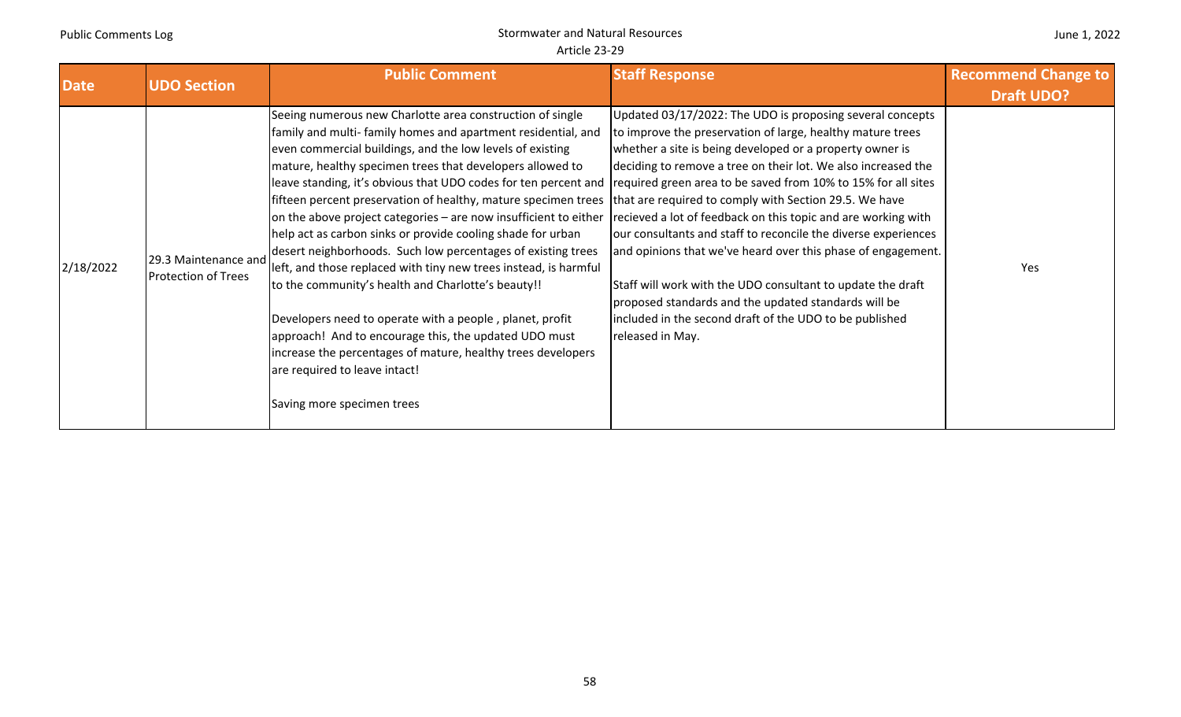| <b>Date</b> | <b>UDO Section</b>                                 | <b>Public Comment</b>                                                                                                                                                                                                                                                                                                                                                                                                                                                                                                                                                                                                                                                                                                                                                                                                                                                                                                                                                                                                                    | <b>Staff Response</b>                                                                                                                                                                                                                                                                                                                                                                                                                                                                                                                                                                                                                                                                                                   | <b>Recommend Change to</b><br><b>Draft UDO?</b> |
|-------------|----------------------------------------------------|------------------------------------------------------------------------------------------------------------------------------------------------------------------------------------------------------------------------------------------------------------------------------------------------------------------------------------------------------------------------------------------------------------------------------------------------------------------------------------------------------------------------------------------------------------------------------------------------------------------------------------------------------------------------------------------------------------------------------------------------------------------------------------------------------------------------------------------------------------------------------------------------------------------------------------------------------------------------------------------------------------------------------------------|-------------------------------------------------------------------------------------------------------------------------------------------------------------------------------------------------------------------------------------------------------------------------------------------------------------------------------------------------------------------------------------------------------------------------------------------------------------------------------------------------------------------------------------------------------------------------------------------------------------------------------------------------------------------------------------------------------------------------|-------------------------------------------------|
| 2/18/2022   | 29.3 Maintenance and<br><b>Protection of Trees</b> | Seeing numerous new Charlotte area construction of single<br>family and multi- family homes and apartment residential, and<br>even commercial buildings, and the low levels of existing<br>mature, healthy specimen trees that developers allowed to<br>leave standing, it's obvious that UDO codes for ten percent and required green area to be saved from 10% to 15% for all sites<br>fifteen percent preservation of healthy, mature specimen trees<br>on the above project categories - are now insufficient to either<br>help act as carbon sinks or provide cooling shade for urban<br>desert neighborhoods. Such low percentages of existing trees<br>left, and those replaced with tiny new trees instead, is harmful<br>to the community's health and Charlotte's beauty!!<br>Developers need to operate with a people, planet, profit<br>approach! And to encourage this, the updated UDO must<br>increase the percentages of mature, healthy trees developers<br>are required to leave intact!<br>Saving more specimen trees | Updated 03/17/2022: The UDO is proposing several concepts<br>to improve the preservation of large, healthy mature trees<br>whether a site is being developed or a property owner is<br>deciding to remove a tree on their lot. We also increased the<br>that are required to comply with Section 29.5. We have<br>recieved a lot of feedback on this topic and are working with<br>our consultants and staff to reconcile the diverse experiences<br>and opinions that we've heard over this phase of engagement.<br>Staff will work with the UDO consultant to update the draft<br>proposed standards and the updated standards will be<br>included in the second draft of the UDO to be published<br>released in May. | Yes                                             |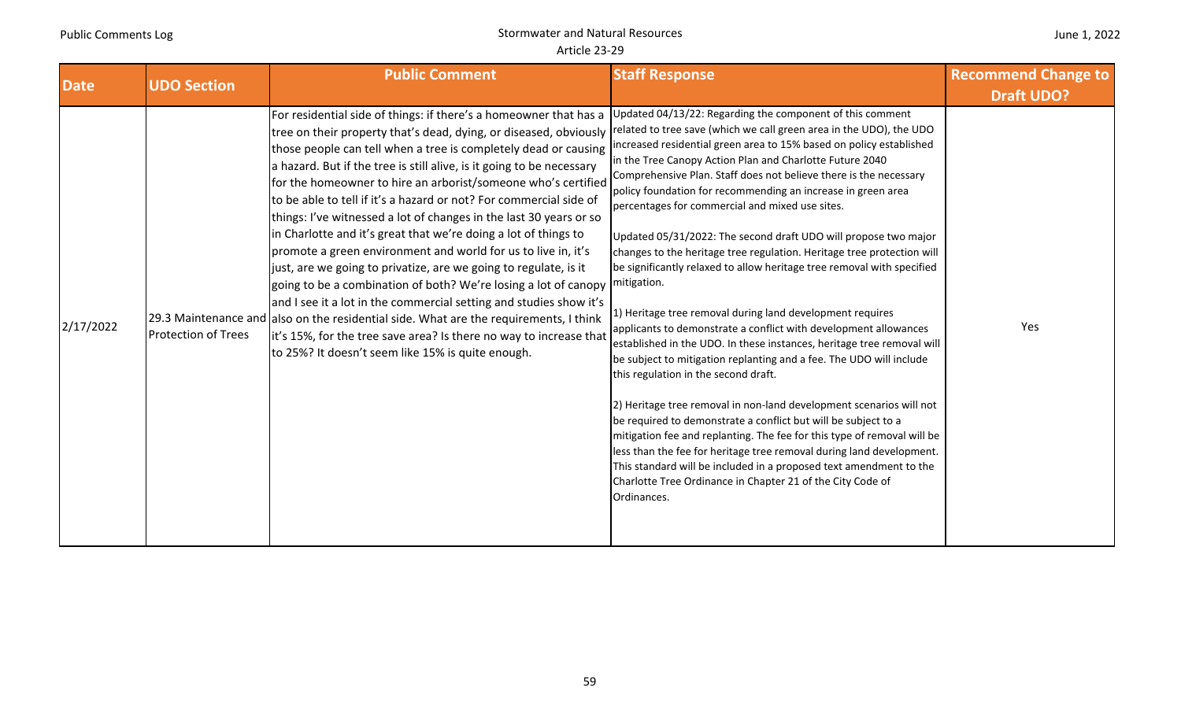|  | June 1, 2022 |
|--|--------------|
|--|--------------|

| <b>Date</b> | <b>UDO Section</b>         | <b>Public Comment</b>                                                                                                                                                                                                                                                                                                                                                                                                                                                                                                                                                                                                                                                                                                                                                                                                                                                                                                                                                                                                                                                | <b>Staff Response</b>                                                                                                                                                                                                                                                                                                                                                                                                                                                                                                                                                                                                                                                                                                                                                                                                                                                                                                                                                                                                                                                                                                                                                                                                                                                                                                                                                                                                                                                      | <b>Recommend Change to</b> |
|-------------|----------------------------|----------------------------------------------------------------------------------------------------------------------------------------------------------------------------------------------------------------------------------------------------------------------------------------------------------------------------------------------------------------------------------------------------------------------------------------------------------------------------------------------------------------------------------------------------------------------------------------------------------------------------------------------------------------------------------------------------------------------------------------------------------------------------------------------------------------------------------------------------------------------------------------------------------------------------------------------------------------------------------------------------------------------------------------------------------------------|----------------------------------------------------------------------------------------------------------------------------------------------------------------------------------------------------------------------------------------------------------------------------------------------------------------------------------------------------------------------------------------------------------------------------------------------------------------------------------------------------------------------------------------------------------------------------------------------------------------------------------------------------------------------------------------------------------------------------------------------------------------------------------------------------------------------------------------------------------------------------------------------------------------------------------------------------------------------------------------------------------------------------------------------------------------------------------------------------------------------------------------------------------------------------------------------------------------------------------------------------------------------------------------------------------------------------------------------------------------------------------------------------------------------------------------------------------------------------|----------------------------|
|             |                            |                                                                                                                                                                                                                                                                                                                                                                                                                                                                                                                                                                                                                                                                                                                                                                                                                                                                                                                                                                                                                                                                      |                                                                                                                                                                                                                                                                                                                                                                                                                                                                                                                                                                                                                                                                                                                                                                                                                                                                                                                                                                                                                                                                                                                                                                                                                                                                                                                                                                                                                                                                            | <b>Draft UDO?</b>          |
| 2/17/2022   | <b>Protection of Trees</b> | For residential side of things: if there's a homeowner that has a<br>tree on their property that's dead, dying, or diseased, obviously<br>those people can tell when a tree is completely dead or causing<br>a hazard. But if the tree is still alive, is it going to be necessary<br>for the homeowner to hire an arborist/someone who's certified<br>to be able to tell if it's a hazard or not? For commercial side of<br>things: I've witnessed a lot of changes in the last 30 years or so<br>in Charlotte and it's great that we're doing a lot of things to<br>promote a green environment and world for us to live in, it's<br>just, are we going to privatize, are we going to regulate, is it<br>going to be a combination of both? We're losing a lot of canopy<br>and I see it a lot in the commercial setting and studies show it's<br>29.3 Maintenance and also on the residential side. What are the requirements, I think<br>it's 15%, for the tree save area? Is there no way to increase that<br>to 25%? It doesn't seem like 15% is quite enough. | Updated 04/13/22: Regarding the component of this comment<br>related to tree save (which we call green area in the UDO), the UDO<br>increased residential green area to 15% based on policy established<br>in the Tree Canopy Action Plan and Charlotte Future 2040<br>Comprehensive Plan. Staff does not believe there is the necessary<br>policy foundation for recommending an increase in green area<br>percentages for commercial and mixed use sites.<br>Updated 05/31/2022: The second draft UDO will propose two major<br>changes to the heritage tree regulation. Heritage tree protection will<br>be significantly relaxed to allow heritage tree removal with specified<br>mitigation.<br>1) Heritage tree removal during land development requires<br>applicants to demonstrate a conflict with development allowances<br>established in the UDO. In these instances, heritage tree removal will<br>be subject to mitigation replanting and a fee. The UDO will include<br>this regulation in the second draft.<br>2) Heritage tree removal in non-land development scenarios will not<br>be required to demonstrate a conflict but will be subject to a<br>mitigation fee and replanting. The fee for this type of removal will be<br>less than the fee for heritage tree removal during land development.<br>This standard will be included in a proposed text amendment to the<br>Charlotte Tree Ordinance in Chapter 21 of the City Code of<br>Ordinances. | Yes                        |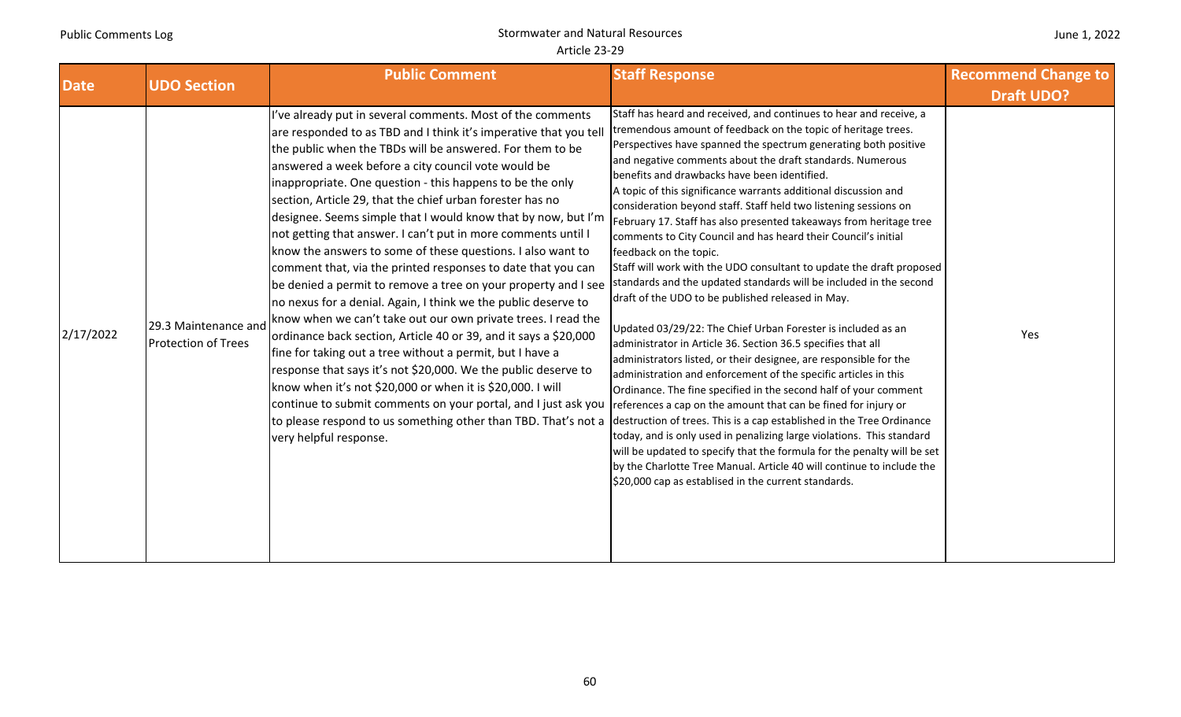|  | June 1, 2022 |  |
|--|--------------|--|
|--|--------------|--|

| <b>Date</b> | <b>UDO Section</b>                                 | <b>Public Comment</b>                                                                                                                                                                                                                                                                                                                                                                                                                                                                                                                                                                                                                                                                                                                                                                                                                                                                                                                                                                                                                                                                                                                                                                                                                                                              | <b>Staff Response</b>                                                                                                                                                                                                                                                                                                                                                                                                                                                                                                                                                                                                                                                                                                                                                                                                                                                                                                                                                                                                                                                                                                                                                                                                                                                                                                                                                                                                                                                                                                                                                                                       | <b>Recommend Change to</b> |
|-------------|----------------------------------------------------|------------------------------------------------------------------------------------------------------------------------------------------------------------------------------------------------------------------------------------------------------------------------------------------------------------------------------------------------------------------------------------------------------------------------------------------------------------------------------------------------------------------------------------------------------------------------------------------------------------------------------------------------------------------------------------------------------------------------------------------------------------------------------------------------------------------------------------------------------------------------------------------------------------------------------------------------------------------------------------------------------------------------------------------------------------------------------------------------------------------------------------------------------------------------------------------------------------------------------------------------------------------------------------|-------------------------------------------------------------------------------------------------------------------------------------------------------------------------------------------------------------------------------------------------------------------------------------------------------------------------------------------------------------------------------------------------------------------------------------------------------------------------------------------------------------------------------------------------------------------------------------------------------------------------------------------------------------------------------------------------------------------------------------------------------------------------------------------------------------------------------------------------------------------------------------------------------------------------------------------------------------------------------------------------------------------------------------------------------------------------------------------------------------------------------------------------------------------------------------------------------------------------------------------------------------------------------------------------------------------------------------------------------------------------------------------------------------------------------------------------------------------------------------------------------------------------------------------------------------------------------------------------------------|----------------------------|
|             |                                                    |                                                                                                                                                                                                                                                                                                                                                                                                                                                                                                                                                                                                                                                                                                                                                                                                                                                                                                                                                                                                                                                                                                                                                                                                                                                                                    |                                                                                                                                                                                                                                                                                                                                                                                                                                                                                                                                                                                                                                                                                                                                                                                                                                                                                                                                                                                                                                                                                                                                                                                                                                                                                                                                                                                                                                                                                                                                                                                                             | <b>Draft UDO?</b>          |
| 2/17/2022   | 29.3 Maintenance and<br><b>Protection of Trees</b> | I've already put in several comments. Most of the comments<br>are responded to as TBD and I think it's imperative that you tell<br>the public when the TBDs will be answered. For them to be<br>answered a week before a city council vote would be<br>inappropriate. One question - this happens to be the only<br>section, Article 29, that the chief urban forester has no<br>designee. Seems simple that I would know that by now, but I'm<br>not getting that answer. I can't put in more comments until I<br>know the answers to some of these questions. I also want to<br>comment that, via the printed responses to date that you can<br>be denied a permit to remove a tree on your property and I see<br>no nexus for a denial. Again, I think we the public deserve to<br>know when we can't take out our own private trees. I read the<br>ordinance back section, Article 40 or 39, and it says a \$20,000<br>fine for taking out a tree without a permit, but I have a<br>response that says it's not \$20,000. We the public deserve to<br>know when it's not \$20,000 or when it is \$20,000. I will<br>continue to submit comments on your portal, and I just ask you<br>to please respond to us something other than TBD. That's not a<br>very helpful response. | Staff has heard and received, and continues to hear and receive, a<br>tremendous amount of feedback on the topic of heritage trees.<br>Perspectives have spanned the spectrum generating both positive<br>and negative comments about the draft standards. Numerous<br>benefits and drawbacks have been identified.<br>A topic of this significance warrants additional discussion and<br>consideration beyond staff. Staff held two listening sessions on<br>February 17. Staff has also presented takeaways from heritage tree<br>comments to City Council and has heard their Council's initial<br>feedback on the topic.<br>Staff will work with the UDO consultant to update the draft proposed<br>standards and the updated standards will be included in the second<br>draft of the UDO to be published released in May.<br>Updated 03/29/22: The Chief Urban Forester is included as an<br>administrator in Article 36. Section 36.5 specifies that all<br>administrators listed, or their designee, are responsible for the<br>administration and enforcement of the specific articles in this<br>Ordinance. The fine specified in the second half of your comment<br>references a cap on the amount that can be fined for injury or<br>destruction of trees. This is a cap established in the Tree Ordinance<br>today, and is only used in penalizing large violations. This standard<br>will be updated to specify that the formula for the penalty will be set<br>by the Charlotte Tree Manual. Article 40 will continue to include the<br>\$20,000 cap as establised in the current standards. | Yes                        |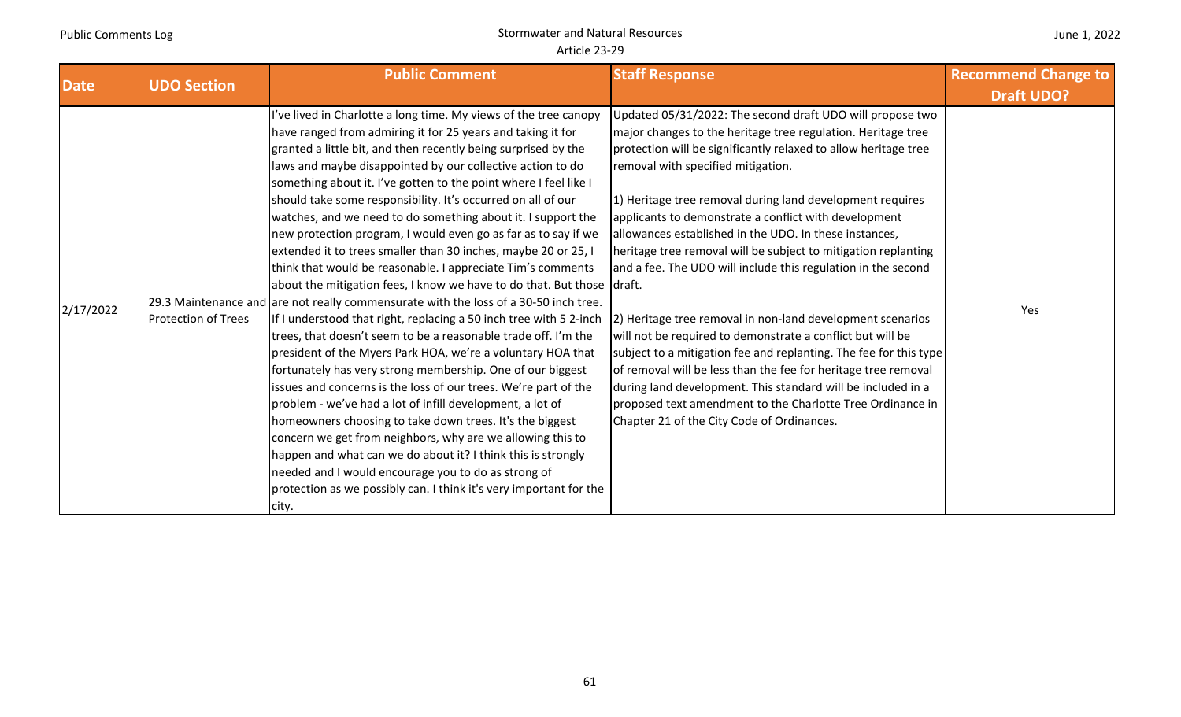| <b>Date</b> | <b>UDO Section</b>         | <b>Public Comment</b>                                                                                                                                                                                                                                                                                                                                                                                                                                                                                                                                                                                                                                                                                                                                                                                                                                                                                                                                                                                                                                                                                                                                                                                                                                                                                                                                                                                                                                                                                                                                                         | <b>Staff Response</b>                                                                                                                                                                                                                                                                                                                                                                                                                                                                                                                                                                                                                                                                                                                                                                                                                                                                                                                                                                                | <b>Recommend Change to</b><br><b>Draft UDO?</b> |
|-------------|----------------------------|-------------------------------------------------------------------------------------------------------------------------------------------------------------------------------------------------------------------------------------------------------------------------------------------------------------------------------------------------------------------------------------------------------------------------------------------------------------------------------------------------------------------------------------------------------------------------------------------------------------------------------------------------------------------------------------------------------------------------------------------------------------------------------------------------------------------------------------------------------------------------------------------------------------------------------------------------------------------------------------------------------------------------------------------------------------------------------------------------------------------------------------------------------------------------------------------------------------------------------------------------------------------------------------------------------------------------------------------------------------------------------------------------------------------------------------------------------------------------------------------------------------------------------------------------------------------------------|------------------------------------------------------------------------------------------------------------------------------------------------------------------------------------------------------------------------------------------------------------------------------------------------------------------------------------------------------------------------------------------------------------------------------------------------------------------------------------------------------------------------------------------------------------------------------------------------------------------------------------------------------------------------------------------------------------------------------------------------------------------------------------------------------------------------------------------------------------------------------------------------------------------------------------------------------------------------------------------------------|-------------------------------------------------|
| 2/17/2022   | <b>Protection of Trees</b> | 've lived in Charlotte a long time. My views of the tree canopy<br>have ranged from admiring it for 25 years and taking it for<br>granted a little bit, and then recently being surprised by the<br>laws and maybe disappointed by our collective action to do<br>something about it. I've gotten to the point where I feel like I<br>should take some responsibility. It's occurred on all of our<br>watches, and we need to do something about it. I support the<br>new protection program, I would even go as far as to say if we<br>extended it to trees smaller than 30 inches, maybe 20 or 25, I<br>think that would be reasonable. I appreciate Tim's comments<br>about the mitigation fees, I know we have to do that. But those draft.<br>[29.3 Maintenance and are not really commensurate with the loss of a 30-50 inch tree.<br>If I understood that right, replacing a 50 inch tree with 5 2-inch<br>trees, that doesn't seem to be a reasonable trade off. I'm the<br>president of the Myers Park HOA, we're a voluntary HOA that<br>fortunately has very strong membership. One of our biggest<br>issues and concerns is the loss of our trees. We're part of the<br>problem - we've had a lot of infill development, a lot of<br>homeowners choosing to take down trees. It's the biggest<br>concern we get from neighbors, why are we allowing this to<br>happen and what can we do about it? I think this is strongly<br>needed and I would encourage you to do as strong of<br>protection as we possibly can. I think it's very important for the<br>city. | Updated 05/31/2022: The second draft UDO will propose two<br>major changes to the heritage tree regulation. Heritage tree<br>protection will be significantly relaxed to allow heritage tree<br>removal with specified mitigation.<br>1) Heritage tree removal during land development requires<br>applicants to demonstrate a conflict with development<br>allowances established in the UDO. In these instances,<br>heritage tree removal will be subject to mitigation replanting<br>and a fee. The UDO will include this regulation in the second<br>2) Heritage tree removal in non-land development scenarios<br>will not be required to demonstrate a conflict but will be<br>subject to a mitigation fee and replanting. The fee for this type<br>of removal will be less than the fee for heritage tree removal<br>during land development. This standard will be included in a<br>proposed text amendment to the Charlotte Tree Ordinance in<br>Chapter 21 of the City Code of Ordinances. | Yes                                             |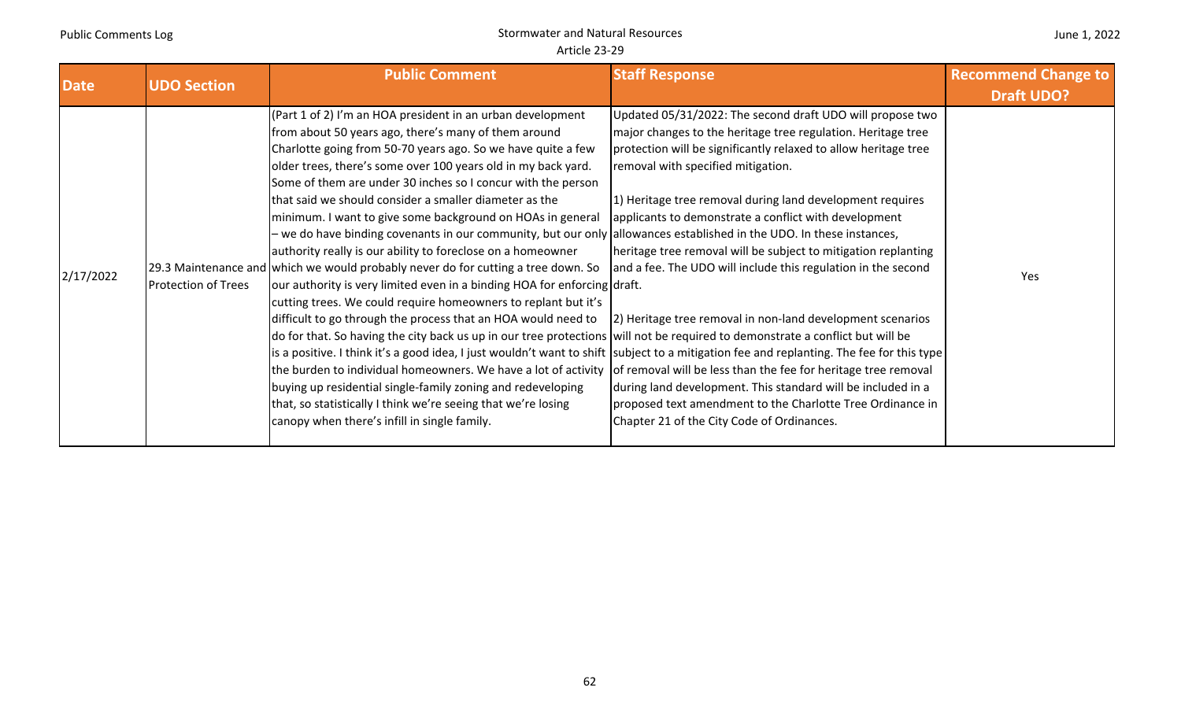| <b>Date</b> | <b>UDO Section</b>         | <b>Public Comment</b>                                                                                                                                                                                                                                                                                                                                                                                                                                                                                                                                                                                                                                                                                                                                                                                                                                                                                                                                                                                                                                                                                                                                                                                                                                                                                                                                                                                                                                                                                                                    | <b>Staff Response</b>                                                                                                                                                                                                                                                                                                                                                                                                                                                                                                                                                                                                                                                                                                                  | <b>Recommend Change to</b><br><b>Draft UDO?</b> |
|-------------|----------------------------|------------------------------------------------------------------------------------------------------------------------------------------------------------------------------------------------------------------------------------------------------------------------------------------------------------------------------------------------------------------------------------------------------------------------------------------------------------------------------------------------------------------------------------------------------------------------------------------------------------------------------------------------------------------------------------------------------------------------------------------------------------------------------------------------------------------------------------------------------------------------------------------------------------------------------------------------------------------------------------------------------------------------------------------------------------------------------------------------------------------------------------------------------------------------------------------------------------------------------------------------------------------------------------------------------------------------------------------------------------------------------------------------------------------------------------------------------------------------------------------------------------------------------------------|----------------------------------------------------------------------------------------------------------------------------------------------------------------------------------------------------------------------------------------------------------------------------------------------------------------------------------------------------------------------------------------------------------------------------------------------------------------------------------------------------------------------------------------------------------------------------------------------------------------------------------------------------------------------------------------------------------------------------------------|-------------------------------------------------|
| 2/17/2022   | <b>Protection of Trees</b> | (Part 1 of 2) I'm an HOA president in an urban development<br>from about 50 years ago, there's many of them around<br>Charlotte going from 50-70 years ago. So we have quite a few<br>older trees, there's some over 100 years old in my back yard.<br>Some of them are under 30 inches so I concur with the person<br>that said we should consider a smaller diameter as the<br>minimum. I want to give some background on HOAs in general<br>- we do have binding covenants in our community, but our only  allowances established in the UDO. In these instances,<br>authority really is our ability to foreclose on a homeowner<br>29.3 Maintenance and which we would probably never do for cutting a tree down. So<br>our authority is very limited even in a binding HOA for enforcing draft.<br>cutting trees. We could require homeowners to replant but it's<br>difficult to go through the process that an HOA would need to<br>do for that. So having the city back us up in our tree protections will not be required to demonstrate a conflict but will be<br>is a positive. I think it's a good idea, I just wouldn't want to shift  subject to a mitigation fee and replanting. The fee for this type  <br>the burden to individual homeowners. We have a lot of activity of removal will be less than the fee for heritage tree removal<br>buying up residential single-family zoning and redeveloping<br>that, so statistically I think we're seeing that we're losing<br>canopy when there's infill in single family. | Updated 05/31/2022: The second draft UDO will propose two<br>major changes to the heritage tree regulation. Heritage tree<br>protection will be significantly relaxed to allow heritage tree<br>removal with specified mitigation.<br>1) Heritage tree removal during land development requires<br>applicants to demonstrate a conflict with development<br>heritage tree removal will be subject to mitigation replanting<br>and a fee. The UDO will include this regulation in the second<br>[2] Heritage tree removal in non-land development scenarios<br>during land development. This standard will be included in a<br>proposed text amendment to the Charlotte Tree Ordinance in<br>Chapter 21 of the City Code of Ordinances. | Yes                                             |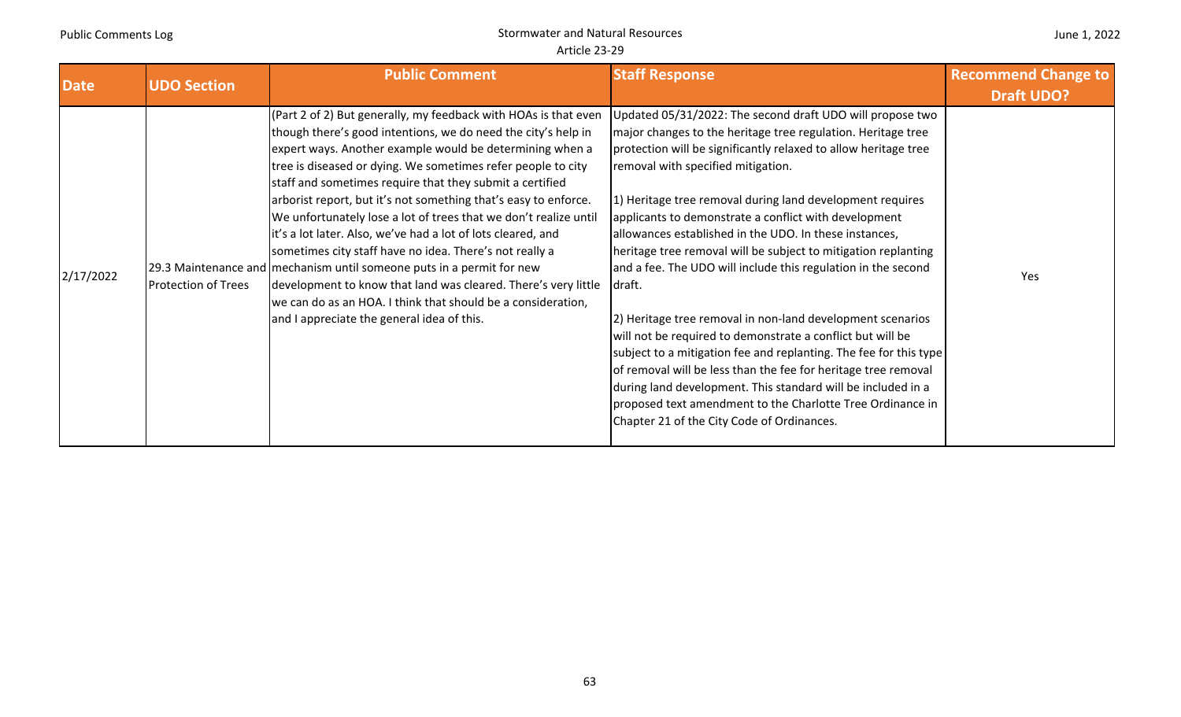#### June 1, 2022

| <b>Date</b> | <b>UDO Section</b>         | <b>Public Comment</b>                                                                                                                                                                                                                                                                                                                                                                                                                                                                                                                                                                                                                                                                                                                                                                                                                               | <b>Staff Response</b>                                                                                                                                                                                                                                                                                                                                                                                                                                                                                                                                                                                                                                                                                                                                                                                                                                                                                                                                                                                            | <b>Recommend Change to</b><br><b>Draft UDO?</b> |
|-------------|----------------------------|-----------------------------------------------------------------------------------------------------------------------------------------------------------------------------------------------------------------------------------------------------------------------------------------------------------------------------------------------------------------------------------------------------------------------------------------------------------------------------------------------------------------------------------------------------------------------------------------------------------------------------------------------------------------------------------------------------------------------------------------------------------------------------------------------------------------------------------------------------|------------------------------------------------------------------------------------------------------------------------------------------------------------------------------------------------------------------------------------------------------------------------------------------------------------------------------------------------------------------------------------------------------------------------------------------------------------------------------------------------------------------------------------------------------------------------------------------------------------------------------------------------------------------------------------------------------------------------------------------------------------------------------------------------------------------------------------------------------------------------------------------------------------------------------------------------------------------------------------------------------------------|-------------------------------------------------|
| 2/17/2022   | <b>Protection of Trees</b> | (Part 2 of 2) But generally, my feedback with HOAs is that even<br>though there's good intentions, we do need the city's help in<br>expert ways. Another example would be determining when a<br>tree is diseased or dying. We sometimes refer people to city<br>staff and sometimes require that they submit a certified<br>arborist report, but it's not something that's easy to enforce.<br>We unfortunately lose a lot of trees that we don't realize until<br>it's a lot later. Also, we've had a lot of lots cleared, and<br>sometimes city staff have no idea. There's not really a<br>29.3 Maintenance and mechanism until someone puts in a permit for new<br>development to know that land was cleared. There's very little<br>we can do as an HOA. I think that should be a consideration,<br>and I appreciate the general idea of this. | Updated 05/31/2022: The second draft UDO will propose two<br>major changes to the heritage tree regulation. Heritage tree<br>protection will be significantly relaxed to allow heritage tree<br>removal with specified mitigation.<br>1) Heritage tree removal during land development requires<br>applicants to demonstrate a conflict with development<br>allowances established in the UDO. In these instances,<br>heritage tree removal will be subject to mitigation replanting<br>and a fee. The UDO will include this regulation in the second<br>Idraft.<br>[2] Heritage tree removal in non-land development scenarios<br>will not be required to demonstrate a conflict but will be<br>subject to a mitigation fee and replanting. The fee for this type<br>of removal will be less than the fee for heritage tree removal<br>during land development. This standard will be included in a<br>proposed text amendment to the Charlotte Tree Ordinance in<br>Chapter 21 of the City Code of Ordinances. | Yes                                             |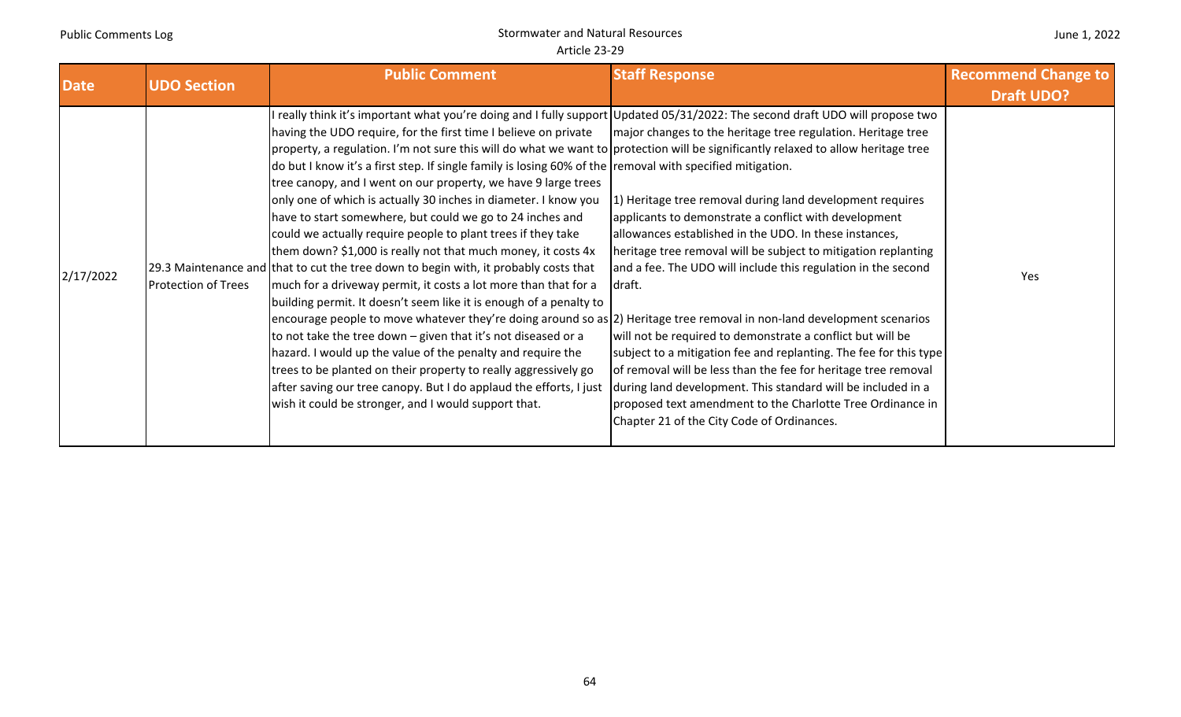| <b>Date</b> | <b>UDO Section</b>         | <b>Public Comment</b>                                                                                                                                                                                                                                                                                                                                                                                                                                                                                                                                                                                                                                                                                                                                                                                                                                                                                                                                                                                                                                                                                                                                                                                                                                                                                                                                                                                                                                                               | <b>Staff Response</b>                                                                                                                                                                                                                                                                                                                                                                                                                                                                                                                                                                                                                                                                                                                                                      | <b>Recommend Change to</b> |
|-------------|----------------------------|-------------------------------------------------------------------------------------------------------------------------------------------------------------------------------------------------------------------------------------------------------------------------------------------------------------------------------------------------------------------------------------------------------------------------------------------------------------------------------------------------------------------------------------------------------------------------------------------------------------------------------------------------------------------------------------------------------------------------------------------------------------------------------------------------------------------------------------------------------------------------------------------------------------------------------------------------------------------------------------------------------------------------------------------------------------------------------------------------------------------------------------------------------------------------------------------------------------------------------------------------------------------------------------------------------------------------------------------------------------------------------------------------------------------------------------------------------------------------------------|----------------------------------------------------------------------------------------------------------------------------------------------------------------------------------------------------------------------------------------------------------------------------------------------------------------------------------------------------------------------------------------------------------------------------------------------------------------------------------------------------------------------------------------------------------------------------------------------------------------------------------------------------------------------------------------------------------------------------------------------------------------------------|----------------------------|
|             |                            |                                                                                                                                                                                                                                                                                                                                                                                                                                                                                                                                                                                                                                                                                                                                                                                                                                                                                                                                                                                                                                                                                                                                                                                                                                                                                                                                                                                                                                                                                     |                                                                                                                                                                                                                                                                                                                                                                                                                                                                                                                                                                                                                                                                                                                                                                            | <b>Draft UDO?</b>          |
| 2/17/2022   | <b>Protection of Trees</b> | I really think it's important what you're doing and I fully support Updated 05/31/2022: The second draft UDO will propose two<br>having the UDO require, for the first time I believe on private<br>property, a regulation. I'm not sure this will do what we want to protection will be significantly relaxed to allow heritage tree<br>do but I know it's a first step. If single family is losing 60% of the removal with specified mitigation.<br>tree canopy, and I went on our property, we have 9 large trees<br>only one of which is actually 30 inches in diameter. I know you<br>have to start somewhere, but could we go to 24 inches and<br>could we actually require people to plant trees if they take<br>them down? \$1,000 is really not that much money, it costs 4x<br>29.3 Maintenance and that to cut the tree down to begin with, it probably costs that<br>much for a driveway permit, it costs a lot more than that for a<br>building permit. It doesn't seem like it is enough of a penalty to<br>encourage people to move whatever they're doing around so as (2) Heritage tree removal in non-land development scenarios<br>to not take the tree down – given that it's not diseased or a<br>hazard. I would up the value of the penalty and require the<br>trees to be planted on their property to really aggressively go<br>after saving our tree canopy. But I do applaud the efforts, I just<br>wish it could be stronger, and I would support that. | major changes to the heritage tree regulation. Heritage tree<br>1) Heritage tree removal during land development requires<br>applicants to demonstrate a conflict with development<br>allowances established in the UDO. In these instances,<br>heritage tree removal will be subject to mitigation replanting<br>and a fee. The UDO will include this regulation in the second<br>draft.<br>will not be required to demonstrate a conflict but will be<br>subject to a mitigation fee and replanting. The fee for this type<br>of removal will be less than the fee for heritage tree removal<br>during land development. This standard will be included in a<br>proposed text amendment to the Charlotte Tree Ordinance in<br>Chapter 21 of the City Code of Ordinances. | Yes                        |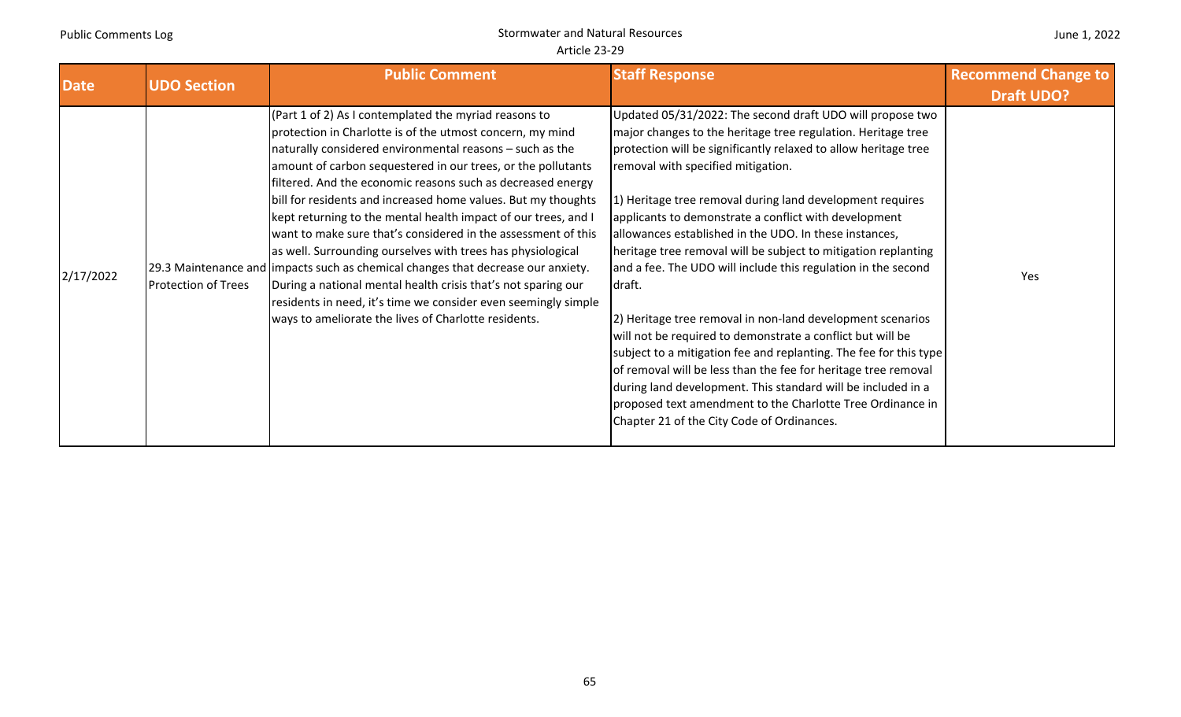| <b>Date</b> | <b>UDO Section</b>         | <b>Public Comment</b>                                                                                                                                                                                                                                                                                                                                                                                                                                                                                                                                                                                                                                                                                                                                                                                                                                               | <b>Staff Response</b>                                                                                                                                                                                                                                                                                                                                                                                                                                                                                                                                                                                                                                                                                                                                                                                                                                                                                                                                                                                          | <b>Recommend Change to</b><br><b>Draft UDO?</b> |
|-------------|----------------------------|---------------------------------------------------------------------------------------------------------------------------------------------------------------------------------------------------------------------------------------------------------------------------------------------------------------------------------------------------------------------------------------------------------------------------------------------------------------------------------------------------------------------------------------------------------------------------------------------------------------------------------------------------------------------------------------------------------------------------------------------------------------------------------------------------------------------------------------------------------------------|----------------------------------------------------------------------------------------------------------------------------------------------------------------------------------------------------------------------------------------------------------------------------------------------------------------------------------------------------------------------------------------------------------------------------------------------------------------------------------------------------------------------------------------------------------------------------------------------------------------------------------------------------------------------------------------------------------------------------------------------------------------------------------------------------------------------------------------------------------------------------------------------------------------------------------------------------------------------------------------------------------------|-------------------------------------------------|
| 2/17/2022   | <b>Protection of Trees</b> | $(Part 1 of 2)$ As I contemplated the myriad reasons to<br>protection in Charlotte is of the utmost concern, my mind<br>naturally considered environmental reasons - such as the<br>amount of carbon sequestered in our trees, or the pollutants<br>filtered. And the economic reasons such as decreased energy<br>bill for residents and increased home values. But my thoughts<br>kept returning to the mental health impact of our trees, and I<br>want to make sure that's considered in the assessment of this<br>as well. Surrounding ourselves with trees has physiological<br>[29.3 Maintenance and limpacts such as chemical changes that decrease our anxiety.<br>During a national mental health crisis that's not sparing our<br>residents in need, it's time we consider even seemingly simple<br>ways to ameliorate the lives of Charlotte residents. | Updated 05/31/2022: The second draft UDO will propose two<br>major changes to the heritage tree regulation. Heritage tree<br>protection will be significantly relaxed to allow heritage tree<br>removal with specified mitigation.<br>1) Heritage tree removal during land development requires<br>applicants to demonstrate a conflict with development<br>allowances established in the UDO. In these instances,<br>heritage tree removal will be subject to mitigation replanting<br>and a fee. The UDO will include this regulation in the second<br>draft.<br>2) Heritage tree removal in non-land development scenarios<br>will not be required to demonstrate a conflict but will be<br>subject to a mitigation fee and replanting. The fee for this type<br>of removal will be less than the fee for heritage tree removal<br>during land development. This standard will be included in a<br>proposed text amendment to the Charlotte Tree Ordinance in<br>Chapter 21 of the City Code of Ordinances. | Yes                                             |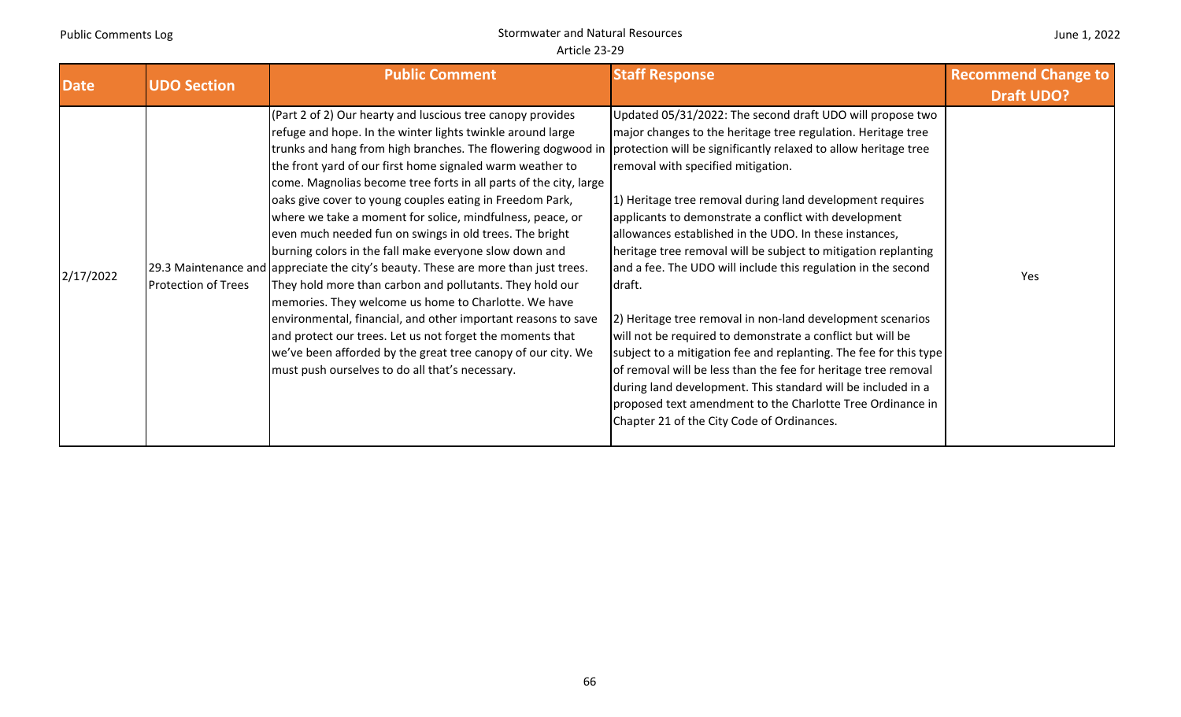| <b>Date</b> | <b>UDO Section</b>         | <b>Public Comment</b>                                                                                                                                                                                                                                                                                                                                                                                                                                                                                                                                                                                                                                                                                                                                                                                                                                                                                                                                                                                                                                                                                | <b>Staff Response</b>                                                                                                                                                                                                                                                                                                                                                                                                                                                                                                                                                                                                                                                                                                                                                                                                                                                                                                                       | <b>Recommend Change to</b><br><b>Draft UDO?</b> |
|-------------|----------------------------|------------------------------------------------------------------------------------------------------------------------------------------------------------------------------------------------------------------------------------------------------------------------------------------------------------------------------------------------------------------------------------------------------------------------------------------------------------------------------------------------------------------------------------------------------------------------------------------------------------------------------------------------------------------------------------------------------------------------------------------------------------------------------------------------------------------------------------------------------------------------------------------------------------------------------------------------------------------------------------------------------------------------------------------------------------------------------------------------------|---------------------------------------------------------------------------------------------------------------------------------------------------------------------------------------------------------------------------------------------------------------------------------------------------------------------------------------------------------------------------------------------------------------------------------------------------------------------------------------------------------------------------------------------------------------------------------------------------------------------------------------------------------------------------------------------------------------------------------------------------------------------------------------------------------------------------------------------------------------------------------------------------------------------------------------------|-------------------------------------------------|
| 2/17/2022   | <b>Protection of Trees</b> | (Part 2 of 2) Our hearty and luscious tree canopy provides<br>refuge and hope. In the winter lights twinkle around large<br>trunks and hang from high branches. The flowering dogwood in protection will be significantly relaxed to allow heritage tree<br>the front yard of our first home signaled warm weather to<br>come. Magnolias become tree forts in all parts of the city, large<br>oaks give cover to young couples eating in Freedom Park,<br>where we take a moment for solice, mindfulness, peace, or<br>even much needed fun on swings in old trees. The bright<br>burning colors in the fall make everyone slow down and<br>[29.3 Maintenance and appreciate the city's beauty. These are more than just trees.<br>They hold more than carbon and pollutants. They hold our<br>memories. They welcome us home to Charlotte. We have<br>environmental, financial, and other important reasons to save<br>and protect our trees. Let us not forget the moments that<br>we've been afforded by the great tree canopy of our city. We<br>must push ourselves to do all that's necessary. | Updated 05/31/2022: The second draft UDO will propose two<br>major changes to the heritage tree regulation. Heritage tree<br>removal with specified mitigation.<br>1) Heritage tree removal during land development requires<br>applicants to demonstrate a conflict with development<br>allowances established in the UDO. In these instances,<br>heritage tree removal will be subject to mitigation replanting<br>and a fee. The UDO will include this regulation in the second<br>draft.<br>2) Heritage tree removal in non-land development scenarios<br>will not be required to demonstrate a conflict but will be<br>subject to a mitigation fee and replanting. The fee for this type<br>of removal will be less than the fee for heritage tree removal<br>during land development. This standard will be included in a<br>proposed text amendment to the Charlotte Tree Ordinance in<br>Chapter 21 of the City Code of Ordinances. | Yes                                             |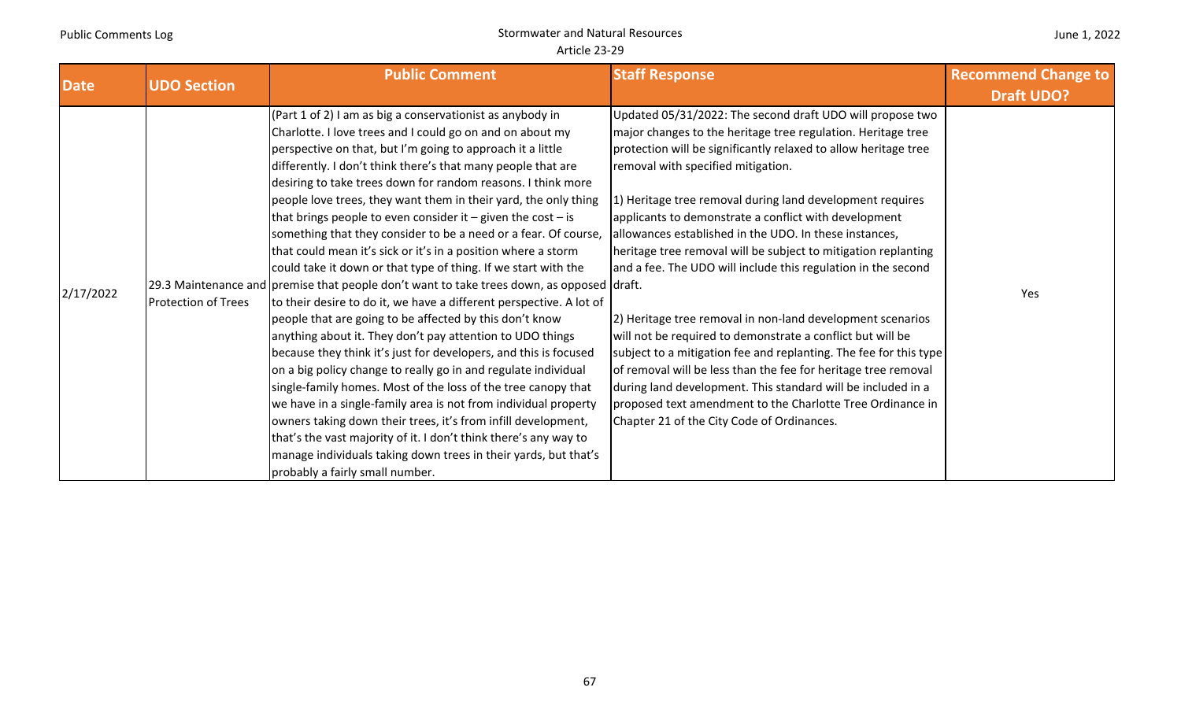| <b>Date</b> | <b>UDO Section</b>         | <b>Public Comment</b>                                                                                                                                                                                                                                                                                                                                                                                                                                                                                                                                                                                                                                                                                                                                                                                                                                                                                                                                                                                                                                                                                                                                                                                                                                                                                                                                                                                                                                                               | <b>Staff Response</b>                                                                                                                                                                                                                                                                                                                                                                                                                                                                                                                                                                                                                                                                                                                                                                                                                                                                                                                                                                                | <b>Recommend Change to</b> |
|-------------|----------------------------|-------------------------------------------------------------------------------------------------------------------------------------------------------------------------------------------------------------------------------------------------------------------------------------------------------------------------------------------------------------------------------------------------------------------------------------------------------------------------------------------------------------------------------------------------------------------------------------------------------------------------------------------------------------------------------------------------------------------------------------------------------------------------------------------------------------------------------------------------------------------------------------------------------------------------------------------------------------------------------------------------------------------------------------------------------------------------------------------------------------------------------------------------------------------------------------------------------------------------------------------------------------------------------------------------------------------------------------------------------------------------------------------------------------------------------------------------------------------------------------|------------------------------------------------------------------------------------------------------------------------------------------------------------------------------------------------------------------------------------------------------------------------------------------------------------------------------------------------------------------------------------------------------------------------------------------------------------------------------------------------------------------------------------------------------------------------------------------------------------------------------------------------------------------------------------------------------------------------------------------------------------------------------------------------------------------------------------------------------------------------------------------------------------------------------------------------------------------------------------------------------|----------------------------|
|             |                            |                                                                                                                                                                                                                                                                                                                                                                                                                                                                                                                                                                                                                                                                                                                                                                                                                                                                                                                                                                                                                                                                                                                                                                                                                                                                                                                                                                                                                                                                                     |                                                                                                                                                                                                                                                                                                                                                                                                                                                                                                                                                                                                                                                                                                                                                                                                                                                                                                                                                                                                      | <b>Draft UDO?</b>          |
| 2/17/2022   | <b>Protection of Trees</b> | (Part 1 of 2) I am as big a conservationist as anybody in<br>Charlotte. I love trees and I could go on and on about my<br>perspective on that, but I'm going to approach it a little<br>differently. I don't think there's that many people that are<br>desiring to take trees down for random reasons. I think more<br>people love trees, they want them in their yard, the only thing<br>that brings people to even consider it $-$ given the cost $-$ is<br>something that they consider to be a need or a fear. Of course,<br>that could mean it's sick or it's in a position where a storm<br>could take it down or that type of thing. If we start with the<br>[29.3 Maintenance and premise that people don't want to take trees down, as opposed draft.<br>to their desire to do it, we have a different perspective. A lot of<br>people that are going to be affected by this don't know<br>anything about it. They don't pay attention to UDO things<br>because they think it's just for developers, and this is focused<br>on a big policy change to really go in and regulate individual<br>single-family homes. Most of the loss of the tree canopy that<br>we have in a single-family area is not from individual property<br>owners taking down their trees, it's from infill development,<br>that's the vast majority of it. I don't think there's any way to<br>manage individuals taking down trees in their yards, but that's<br>probably a fairly small number. | Updated 05/31/2022: The second draft UDO will propose two<br>major changes to the heritage tree regulation. Heritage tree<br>protection will be significantly relaxed to allow heritage tree<br>removal with specified mitigation.<br>1) Heritage tree removal during land development requires<br>applicants to demonstrate a conflict with development<br>allowances established in the UDO. In these instances,<br>heritage tree removal will be subject to mitigation replanting<br>and a fee. The UDO will include this regulation in the second<br>2) Heritage tree removal in non-land development scenarios<br>will not be required to demonstrate a conflict but will be<br>subject to a mitigation fee and replanting. The fee for this type<br>of removal will be less than the fee for heritage tree removal<br>during land development. This standard will be included in a<br>proposed text amendment to the Charlotte Tree Ordinance in<br>Chapter 21 of the City Code of Ordinances. | Yes                        |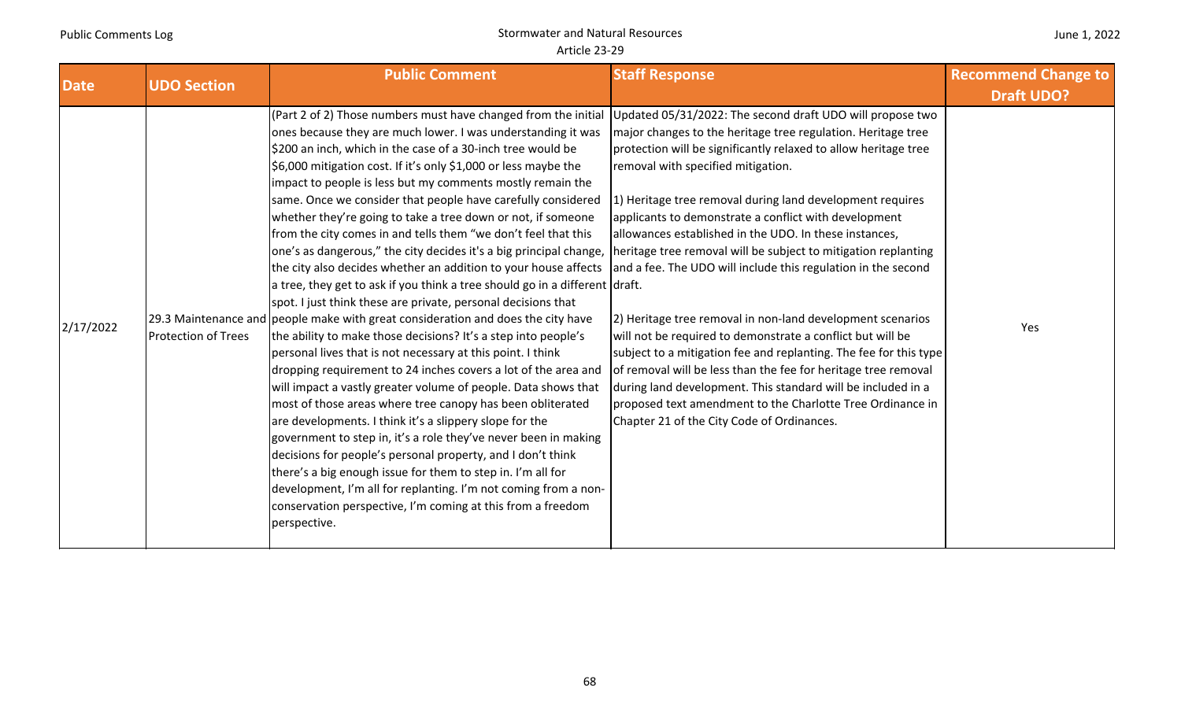| <b>Date</b> | <b>UDO Section</b>         | <b>Public Comment</b>                                                                                                                                                                                                                                                                                                                                                                                                                                                                                                                                                                                                                                                                                                                                                                                                                                                                                                                                                                                                                                                                                                                                                                                                                                                                                                                                                                                                                                                                                                                                                                                                                                          | <b>Staff Response</b>                                                                                                                                                                                                                                                                                                                                                                                                                                                                                                                                                                                                                                                                                                                                                                                                                                                                                                                                                                                | <b>Recommend Change to</b><br><b>Draft UDO?</b> |
|-------------|----------------------------|----------------------------------------------------------------------------------------------------------------------------------------------------------------------------------------------------------------------------------------------------------------------------------------------------------------------------------------------------------------------------------------------------------------------------------------------------------------------------------------------------------------------------------------------------------------------------------------------------------------------------------------------------------------------------------------------------------------------------------------------------------------------------------------------------------------------------------------------------------------------------------------------------------------------------------------------------------------------------------------------------------------------------------------------------------------------------------------------------------------------------------------------------------------------------------------------------------------------------------------------------------------------------------------------------------------------------------------------------------------------------------------------------------------------------------------------------------------------------------------------------------------------------------------------------------------------------------------------------------------------------------------------------------------|------------------------------------------------------------------------------------------------------------------------------------------------------------------------------------------------------------------------------------------------------------------------------------------------------------------------------------------------------------------------------------------------------------------------------------------------------------------------------------------------------------------------------------------------------------------------------------------------------------------------------------------------------------------------------------------------------------------------------------------------------------------------------------------------------------------------------------------------------------------------------------------------------------------------------------------------------------------------------------------------------|-------------------------------------------------|
| 2/17/2022   | <b>Protection of Trees</b> | (Part 2 of 2) Those numbers must have changed from the initial<br>ones because they are much lower. I was understanding it was<br>\$200 an inch, which in the case of a 30-inch tree would be<br>\$6,000 mitigation cost. If it's only \$1,000 or less maybe the<br>impact to people is less but my comments mostly remain the<br>same. Once we consider that people have carefully considered<br>whether they're going to take a tree down or not, if someone<br>from the city comes in and tells them "we don't feel that this<br>one's as dangerous," the city decides it's a big principal change,<br>the city also decides whether an addition to your house affects<br>a tree, they get to ask if you think a tree should go in a different draft.<br>spot. I just think these are private, personal decisions that<br>29.3 Maintenance and people make with great consideration and does the city have<br>the ability to make those decisions? It's a step into people's<br>personal lives that is not necessary at this point. I think<br>dropping requirement to 24 inches covers a lot of the area and<br>will impact a vastly greater volume of people. Data shows that<br>most of those areas where tree canopy has been obliterated<br>are developments. I think it's a slippery slope for the<br>government to step in, it's a role they've never been in making<br>decisions for people's personal property, and I don't think<br>there's a big enough issue for them to step in. I'm all for<br>development, I'm all for replanting. I'm not coming from a non-<br>conservation perspective, I'm coming at this from a freedom<br>perspective. | Updated 05/31/2022: The second draft UDO will propose two<br>major changes to the heritage tree regulation. Heritage tree<br>protection will be significantly relaxed to allow heritage tree<br>removal with specified mitigation.<br>1) Heritage tree removal during land development requires<br>applicants to demonstrate a conflict with development<br>allowances established in the UDO. In these instances,<br>heritage tree removal will be subject to mitigation replanting<br>and a fee. The UDO will include this regulation in the second<br>2) Heritage tree removal in non-land development scenarios<br>will not be required to demonstrate a conflict but will be<br>subject to a mitigation fee and replanting. The fee for this type<br>of removal will be less than the fee for heritage tree removal<br>during land development. This standard will be included in a<br>proposed text amendment to the Charlotte Tree Ordinance in<br>Chapter 21 of the City Code of Ordinances. | Yes                                             |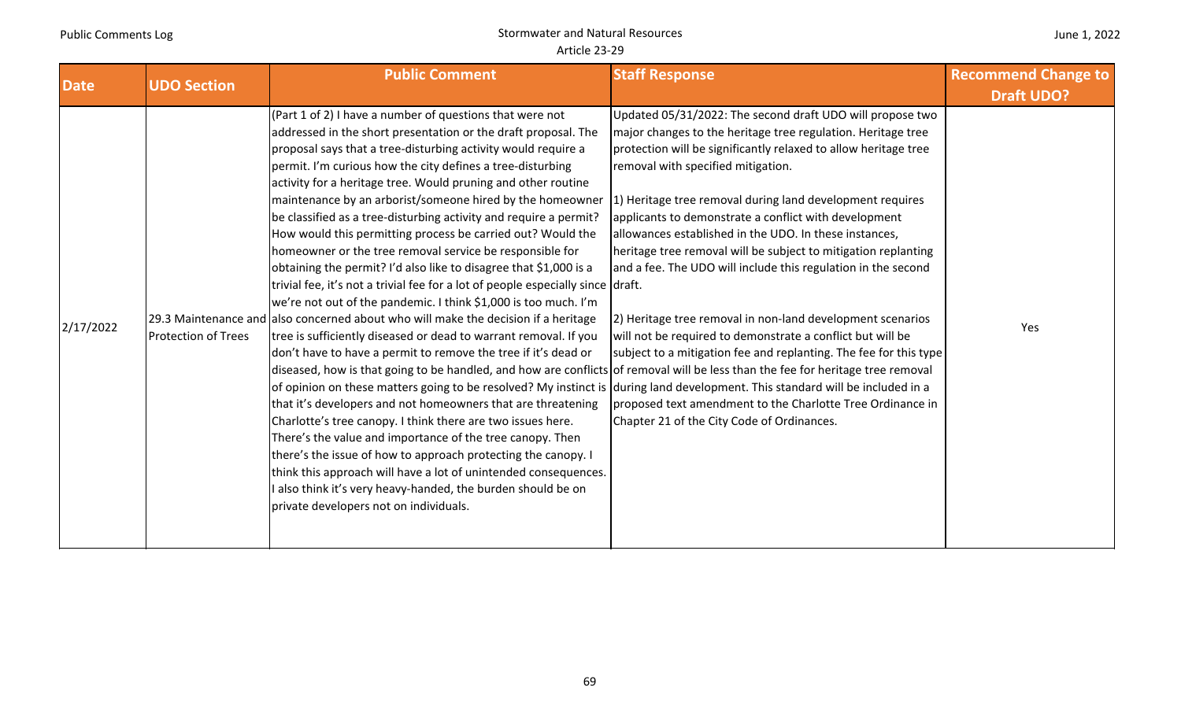| <b>Date</b> | <b>UDO Section</b>         | <b>Public Comment</b>                                                                                                                                                                                                                                                                                                                                                                                                                                                                                                                                                                                                                                                                                                                                                                                                                                                                                                                                                                                                                                                                                                                                                                                                                                                                                                                                                                                                                                                                                                                                                                                                                                                                                                                                        | <b>Staff Response</b>                                                                                                                                                                                                                                                                                                                                                                                                                                                                                                                                                                                                                                                                                                                                                                                                                                              | <b>Recommend Change to</b><br><b>Draft UDO?</b> |
|-------------|----------------------------|--------------------------------------------------------------------------------------------------------------------------------------------------------------------------------------------------------------------------------------------------------------------------------------------------------------------------------------------------------------------------------------------------------------------------------------------------------------------------------------------------------------------------------------------------------------------------------------------------------------------------------------------------------------------------------------------------------------------------------------------------------------------------------------------------------------------------------------------------------------------------------------------------------------------------------------------------------------------------------------------------------------------------------------------------------------------------------------------------------------------------------------------------------------------------------------------------------------------------------------------------------------------------------------------------------------------------------------------------------------------------------------------------------------------------------------------------------------------------------------------------------------------------------------------------------------------------------------------------------------------------------------------------------------------------------------------------------------------------------------------------------------|--------------------------------------------------------------------------------------------------------------------------------------------------------------------------------------------------------------------------------------------------------------------------------------------------------------------------------------------------------------------------------------------------------------------------------------------------------------------------------------------------------------------------------------------------------------------------------------------------------------------------------------------------------------------------------------------------------------------------------------------------------------------------------------------------------------------------------------------------------------------|-------------------------------------------------|
| 2/17/2022   | <b>Protection of Trees</b> | (Part 1 of 2) I have a number of questions that were not<br>addressed in the short presentation or the draft proposal. The<br>proposal says that a tree-disturbing activity would require a<br>permit. I'm curious how the city defines a tree-disturbing<br>activity for a heritage tree. Would pruning and other routine<br>maintenance by an arborist/someone hired by the homeowner<br>be classified as a tree-disturbing activity and require a permit?<br>How would this permitting process be carried out? Would the<br>homeowner or the tree removal service be responsible for<br>obtaining the permit? I'd also like to disagree that \$1,000 is a<br>trivial fee, it's not a trivial fee for a lot of people especially since draft.<br>we're not out of the pandemic. I think \$1,000 is too much. I'm<br>29.3 Maintenance and also concerned about who will make the decision if a heritage<br>tree is sufficiently diseased or dead to warrant removal. If you<br>don't have to have a permit to remove the tree if it's dead or<br>diseased, how is that going to be handled, and how are conflicts of removal will be less than the fee for heritage tree removal<br>of opinion on these matters going to be resolved? My instinct is during land development. This standard will be included in a<br>that it's developers and not homeowners that are threatening<br>Charlotte's tree canopy. I think there are two issues here.<br>There's the value and importance of the tree canopy. Then<br>there's the issue of how to approach protecting the canopy. I<br>think this approach will have a lot of unintended consequences.<br>I also think it's very heavy-handed, the burden should be on<br>private developers not on individuals. | Updated 05/31/2022: The second draft UDO will propose two<br>major changes to the heritage tree regulation. Heritage tree<br>protection will be significantly relaxed to allow heritage tree<br>removal with specified mitigation.<br>1) Heritage tree removal during land development requires<br>applicants to demonstrate a conflict with development<br>allowances established in the UDO. In these instances,<br>heritage tree removal will be subject to mitigation replanting<br>and a fee. The UDO will include this regulation in the second<br>2) Heritage tree removal in non-land development scenarios<br>will not be required to demonstrate a conflict but will be<br>subject to a mitigation fee and replanting. The fee for this type<br>proposed text amendment to the Charlotte Tree Ordinance in<br>Chapter 21 of the City Code of Ordinances. | Yes                                             |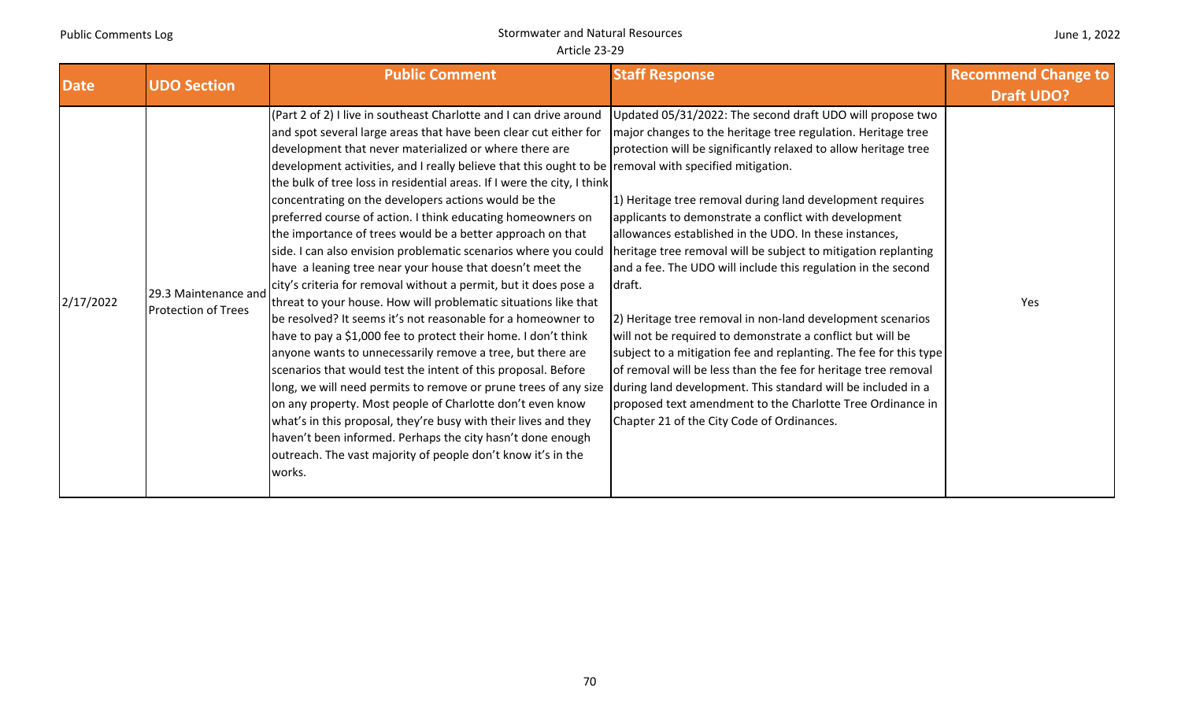| <b>Date</b> | <b>UDO Section</b>                                 | <b>Public Comment</b>                                                                                                                                                                                                                                                                                                                                                                                                                                                                                                                                                                                                                                                                                                                                                                                                                                                                                                                                                                                                                                                                                                                                                                                                                                                                                                                                                                                                                                        | <b>Staff Response</b>                                                                                                                                                                                                                                                                                                                                                                                                                                                                                                                                                                                                                                                                                                                                                                                                                                                                                                                                                    | <b>Recommend Change to</b> |
|-------------|----------------------------------------------------|--------------------------------------------------------------------------------------------------------------------------------------------------------------------------------------------------------------------------------------------------------------------------------------------------------------------------------------------------------------------------------------------------------------------------------------------------------------------------------------------------------------------------------------------------------------------------------------------------------------------------------------------------------------------------------------------------------------------------------------------------------------------------------------------------------------------------------------------------------------------------------------------------------------------------------------------------------------------------------------------------------------------------------------------------------------------------------------------------------------------------------------------------------------------------------------------------------------------------------------------------------------------------------------------------------------------------------------------------------------------------------------------------------------------------------------------------------------|--------------------------------------------------------------------------------------------------------------------------------------------------------------------------------------------------------------------------------------------------------------------------------------------------------------------------------------------------------------------------------------------------------------------------------------------------------------------------------------------------------------------------------------------------------------------------------------------------------------------------------------------------------------------------------------------------------------------------------------------------------------------------------------------------------------------------------------------------------------------------------------------------------------------------------------------------------------------------|----------------------------|
|             |                                                    |                                                                                                                                                                                                                                                                                                                                                                                                                                                                                                                                                                                                                                                                                                                                                                                                                                                                                                                                                                                                                                                                                                                                                                                                                                                                                                                                                                                                                                                              |                                                                                                                                                                                                                                                                                                                                                                                                                                                                                                                                                                                                                                                                                                                                                                                                                                                                                                                                                                          | <b>Draft UDO?</b>          |
| 2/17/2022   | 29.3 Maintenance and<br><b>Protection of Trees</b> | (Part 2 of 2) I live in southeast Charlotte and I can drive around<br>and spot several large areas that have been clear cut either for<br>development that never materialized or where there are<br>development activities, and I really believe that this ought to be removal with specified mitigation.<br>the bulk of tree loss in residential areas. If I were the city, I think<br>concentrating on the developers actions would be the<br>preferred course of action. I think educating homeowners on<br>the importance of trees would be a better approach on that<br>side. I can also envision problematic scenarios where you could<br>have a leaning tree near your house that doesn't meet the<br>city's criteria for removal without a permit, but it does pose a<br>threat to your house. How will problematic situations like that<br>be resolved? It seems it's not reasonable for a homeowner to<br>have to pay a \$1,000 fee to protect their home. I don't think<br>anyone wants to unnecessarily remove a tree, but there are<br>scenarios that would test the intent of this proposal. Before<br>long, we will need permits to remove or prune trees of any size<br>on any property. Most people of Charlotte don't even know<br>what's in this proposal, they're busy with their lives and they<br>haven't been informed. Perhaps the city hasn't done enough<br>outreach. The vast majority of people don't know it's in the<br>works. | Updated 05/31/2022: The second draft UDO will propose two<br>major changes to the heritage tree regulation. Heritage tree<br>protection will be significantly relaxed to allow heritage tree<br>1) Heritage tree removal during land development requires<br>applicants to demonstrate a conflict with development<br>allowances established in the UDO. In these instances,<br>heritage tree removal will be subject to mitigation replanting<br>and a fee. The UDO will include this regulation in the second<br>draft.<br>2) Heritage tree removal in non-land development scenarios<br>will not be required to demonstrate a conflict but will be<br>subject to a mitigation fee and replanting. The fee for this type<br>of removal will be less than the fee for heritage tree removal<br>during land development. This standard will be included in a<br>proposed text amendment to the Charlotte Tree Ordinance in<br>Chapter 21 of the City Code of Ordinances. | Yes                        |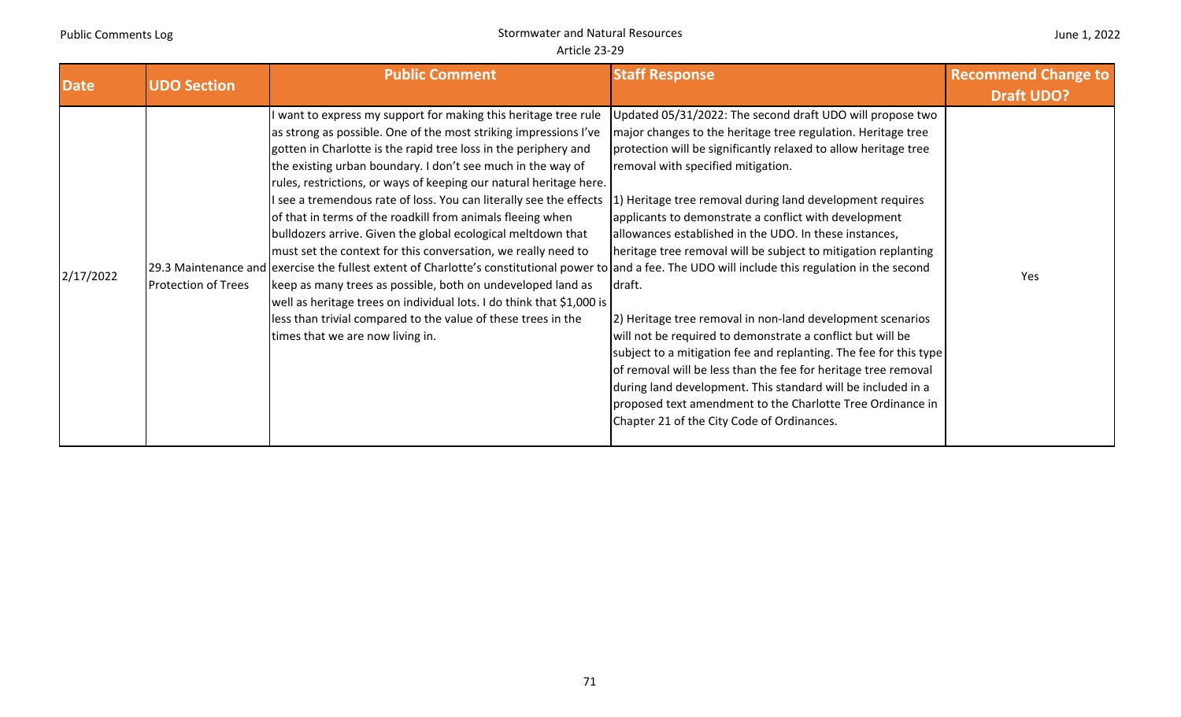#### June 1, 2022

| <b>Date</b> | <b>UDO Section</b>         | <b>Public Comment</b>                                                                                                                                                                                                                                                                                                                                                                                                                                                                                                                                                                                                                                                                                                                                                                                                                                                                                                                                                                                                  | <b>Staff Response</b>                                                                                                                                                                                                                                                                                                                                                                                                                                                                                                                                                                                                                                                                                                                                                                                                                                                                                                                          | <b>Recommend Change to</b><br><b>Draft UDO?</b> |
|-------------|----------------------------|------------------------------------------------------------------------------------------------------------------------------------------------------------------------------------------------------------------------------------------------------------------------------------------------------------------------------------------------------------------------------------------------------------------------------------------------------------------------------------------------------------------------------------------------------------------------------------------------------------------------------------------------------------------------------------------------------------------------------------------------------------------------------------------------------------------------------------------------------------------------------------------------------------------------------------------------------------------------------------------------------------------------|------------------------------------------------------------------------------------------------------------------------------------------------------------------------------------------------------------------------------------------------------------------------------------------------------------------------------------------------------------------------------------------------------------------------------------------------------------------------------------------------------------------------------------------------------------------------------------------------------------------------------------------------------------------------------------------------------------------------------------------------------------------------------------------------------------------------------------------------------------------------------------------------------------------------------------------------|-------------------------------------------------|
| 2/17/2022   | <b>Protection of Trees</b> | I want to express my support for making this heritage tree rule<br>as strong as possible. One of the most striking impressions I've<br>gotten in Charlotte is the rapid tree loss in the periphery and<br>the existing urban boundary. I don't see much in the way of<br>rules, restrictions, or ways of keeping our natural heritage here.<br>I see a tremendous rate of loss. You can literally see the effects<br>of that in terms of the roadkill from animals fleeing when<br>bulldozers arrive. Given the global ecological meltdown that<br>must set the context for this conversation, we really need to<br>29.3 Maintenance and exercise the fullest extent of Charlotte's constitutional power to and a fee. The UDO will include this regulation in the second<br>keep as many trees as possible, both on undeveloped land as<br>well as heritage trees on individual lots. I do think that \$1,000 is<br>less than trivial compared to the value of these trees in the<br>times that we are now living in. | Updated 05/31/2022: The second draft UDO will propose two<br>major changes to the heritage tree regulation. Heritage tree<br>protection will be significantly relaxed to allow heritage tree<br>removal with specified mitigation.<br>1) Heritage tree removal during land development requires<br>applicants to demonstrate a conflict with development<br>allowances established in the UDO. In these instances,<br>heritage tree removal will be subject to mitigation replanting<br>Idraft.<br>2) Heritage tree removal in non-land development scenarios<br>will not be required to demonstrate a conflict but will be<br>subject to a mitigation fee and replanting. The fee for this type<br>of removal will be less than the fee for heritage tree removal<br>during land development. This standard will be included in a<br>proposed text amendment to the Charlotte Tree Ordinance in<br>Chapter 21 of the City Code of Ordinances. | Yes                                             |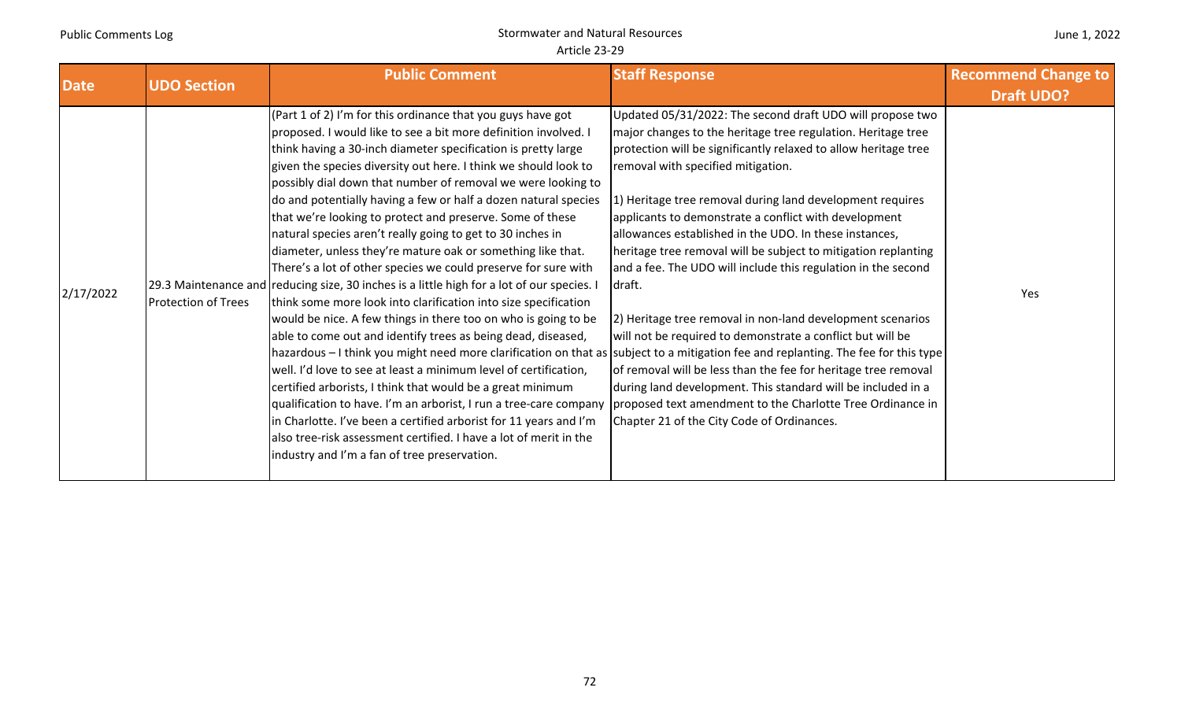| <b>Date</b> | <b>UDO Section</b>         | <b>Public Comment</b>                                                                                                                                                                                                                                                                                                                                                                                                                                                                                                                                                                                                                                                                                                                                                                                                                                                                                                                                                                                                                                                                                                                                                                                                                                                                                                                                                                                                                                                                                       | <b>Staff Response</b>                                                                                                                                                                                                                                                                                                                                                                                                                                                                                                                                                                                                                                                                                                                                                                                                                                                                                                                      | <b>Recommend Change to</b><br><b>Draft UDO?</b> |
|-------------|----------------------------|-------------------------------------------------------------------------------------------------------------------------------------------------------------------------------------------------------------------------------------------------------------------------------------------------------------------------------------------------------------------------------------------------------------------------------------------------------------------------------------------------------------------------------------------------------------------------------------------------------------------------------------------------------------------------------------------------------------------------------------------------------------------------------------------------------------------------------------------------------------------------------------------------------------------------------------------------------------------------------------------------------------------------------------------------------------------------------------------------------------------------------------------------------------------------------------------------------------------------------------------------------------------------------------------------------------------------------------------------------------------------------------------------------------------------------------------------------------------------------------------------------------|--------------------------------------------------------------------------------------------------------------------------------------------------------------------------------------------------------------------------------------------------------------------------------------------------------------------------------------------------------------------------------------------------------------------------------------------------------------------------------------------------------------------------------------------------------------------------------------------------------------------------------------------------------------------------------------------------------------------------------------------------------------------------------------------------------------------------------------------------------------------------------------------------------------------------------------------|-------------------------------------------------|
| 2/17/2022   | <b>Protection of Trees</b> | (Part 1 of 2) I'm for this ordinance that you guys have got<br>proposed. I would like to see a bit more definition involved. I<br>think having a 30-inch diameter specification is pretty large<br>given the species diversity out here. I think we should look to<br>possibly dial down that number of removal we were looking to<br>do and potentially having a few or half a dozen natural species<br>that we're looking to protect and preserve. Some of these<br>natural species aren't really going to get to 30 inches in<br>diameter, unless they're mature oak or something like that.<br>There's a lot of other species we could preserve for sure with<br>29.3 Maintenance and reducing size, 30 inches is a little high for a lot of our species. I<br>think some more look into clarification into size specification<br>would be nice. A few things in there too on who is going to be<br>able to come out and identify trees as being dead, diseased,<br>hazardous – I think you might need more clarification on that as subject to a mitigation fee and replanting. The fee for this type<br>well. I'd love to see at least a minimum level of certification,<br>certified arborists, I think that would be a great minimum<br>qualification to have. I'm an arborist, I run a tree-care company<br>in Charlotte. I've been a certified arborist for 11 years and I'm<br>also tree-risk assessment certified. I have a lot of merit in the<br>industry and I'm a fan of tree preservation. | Updated 05/31/2022: The second draft UDO will propose two<br>major changes to the heritage tree regulation. Heritage tree<br>protection will be significantly relaxed to allow heritage tree<br>removal with specified mitigation.<br>1) Heritage tree removal during land development requires<br>applicants to demonstrate a conflict with development<br>allowances established in the UDO. In these instances,<br>heritage tree removal will be subject to mitigation replanting<br>and a fee. The UDO will include this regulation in the second<br>draft.<br>[2] Heritage tree removal in non-land development scenarios<br>will not be required to demonstrate a conflict but will be<br>of removal will be less than the fee for heritage tree removal<br>during land development. This standard will be included in a<br>proposed text amendment to the Charlotte Tree Ordinance in<br>Chapter 21 of the City Code of Ordinances. | Yes                                             |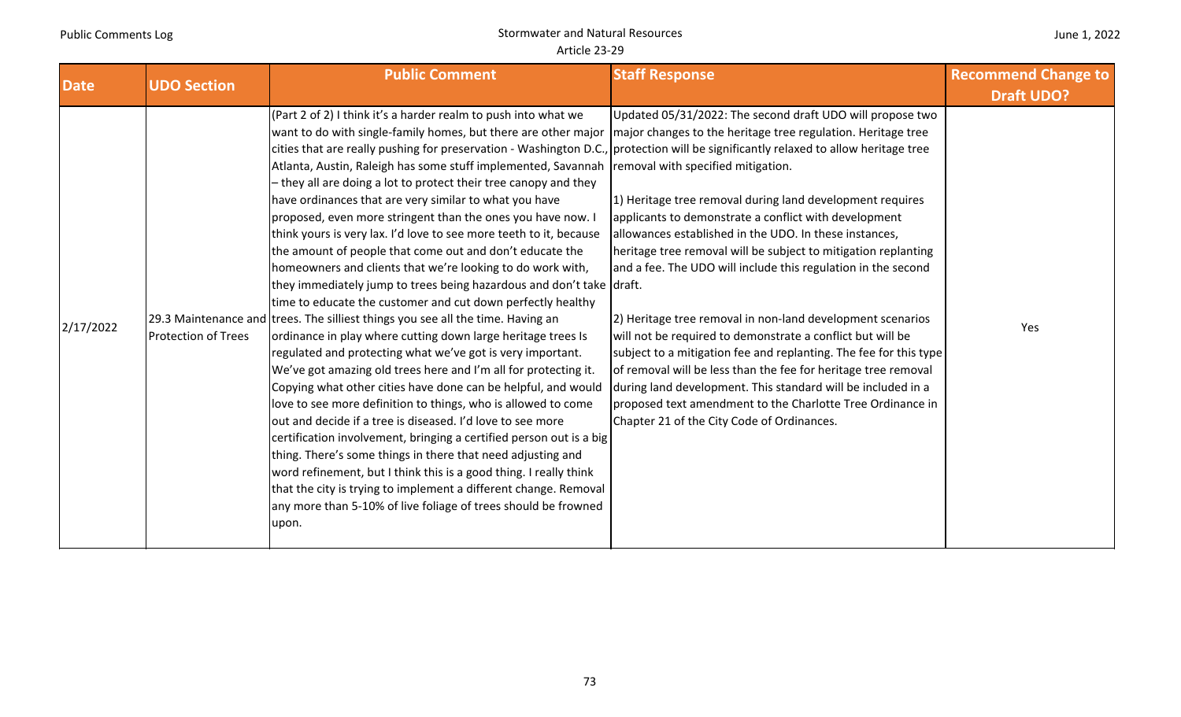| June 1, 2022 |  |
|--------------|--|
|--------------|--|

| <b>Date</b> | <b>UDO Section</b>         | <b>Public Comment</b>                                                                                                                                                                                                                                                                                                                                                                                                                                                                                                                                                                                                                                                                                                                                                                                                                                                                                                                                                                                                                                                                                                                                                                                                                                                                                                                                                                                                                                                                                                                                                                                                                                                                                                                                                                    | <b>Staff Response</b>                                                                                                                                                                                                                                                                                                                                                                                                                                                                                                                                                                                                                                                                                                                                                                                                                                             | <b>Recommend Change to</b> |
|-------------|----------------------------|------------------------------------------------------------------------------------------------------------------------------------------------------------------------------------------------------------------------------------------------------------------------------------------------------------------------------------------------------------------------------------------------------------------------------------------------------------------------------------------------------------------------------------------------------------------------------------------------------------------------------------------------------------------------------------------------------------------------------------------------------------------------------------------------------------------------------------------------------------------------------------------------------------------------------------------------------------------------------------------------------------------------------------------------------------------------------------------------------------------------------------------------------------------------------------------------------------------------------------------------------------------------------------------------------------------------------------------------------------------------------------------------------------------------------------------------------------------------------------------------------------------------------------------------------------------------------------------------------------------------------------------------------------------------------------------------------------------------------------------------------------------------------------------|-------------------------------------------------------------------------------------------------------------------------------------------------------------------------------------------------------------------------------------------------------------------------------------------------------------------------------------------------------------------------------------------------------------------------------------------------------------------------------------------------------------------------------------------------------------------------------------------------------------------------------------------------------------------------------------------------------------------------------------------------------------------------------------------------------------------------------------------------------------------|----------------------------|
|             |                            |                                                                                                                                                                                                                                                                                                                                                                                                                                                                                                                                                                                                                                                                                                                                                                                                                                                                                                                                                                                                                                                                                                                                                                                                                                                                                                                                                                                                                                                                                                                                                                                                                                                                                                                                                                                          |                                                                                                                                                                                                                                                                                                                                                                                                                                                                                                                                                                                                                                                                                                                                                                                                                                                                   | <b>Draft UDO?</b>          |
| 2/17/2022   | <b>Protection of Trees</b> | (Part 2 of 2) I think it's a harder realm to push into what we<br>want to do with single-family homes, but there are other major   major changes to the heritage tree regulation. Heritage tree<br>cities that are really pushing for preservation - Washington D.C., protection will be significantly relaxed to allow heritage tree<br>Atlanta, Austin, Raleigh has some stuff implemented, Savannah<br>- they all are doing a lot to protect their tree canopy and they<br>have ordinances that are very similar to what you have<br>proposed, even more stringent than the ones you have now. I<br>think yours is very lax. I'd love to see more teeth to it, because<br>the amount of people that come out and don't educate the<br>homeowners and clients that we're looking to do work with,<br>they immediately jump to trees being hazardous and don't take draft.<br>time to educate the customer and cut down perfectly healthy<br>29.3 Maintenance and trees. The silliest things you see all the time. Having an<br>ordinance in play where cutting down large heritage trees Is<br>regulated and protecting what we've got is very important.<br>We've got amazing old trees here and I'm all for protecting it.<br>Copying what other cities have done can be helpful, and would<br>love to see more definition to things, who is allowed to come<br>out and decide if a tree is diseased. I'd love to see more<br>certification involvement, bringing a certified person out is a big<br>thing. There's some things in there that need adjusting and<br>word refinement, but I think this is a good thing. I really think<br>that the city is trying to implement a different change. Removal<br>any more than 5-10% of live foliage of trees should be frowned<br>upon. | Updated 05/31/2022: The second draft UDO will propose two<br>removal with specified mitigation.<br>1) Heritage tree removal during land development requires<br>applicants to demonstrate a conflict with development<br>allowances established in the UDO. In these instances,<br>heritage tree removal will be subject to mitigation replanting<br>and a fee. The UDO will include this regulation in the second<br>2) Heritage tree removal in non-land development scenarios<br>will not be required to demonstrate a conflict but will be<br>subject to a mitigation fee and replanting. The fee for this type<br>of removal will be less than the fee for heritage tree removal<br>during land development. This standard will be included in a<br>proposed text amendment to the Charlotte Tree Ordinance in<br>Chapter 21 of the City Code of Ordinances. | Yes                        |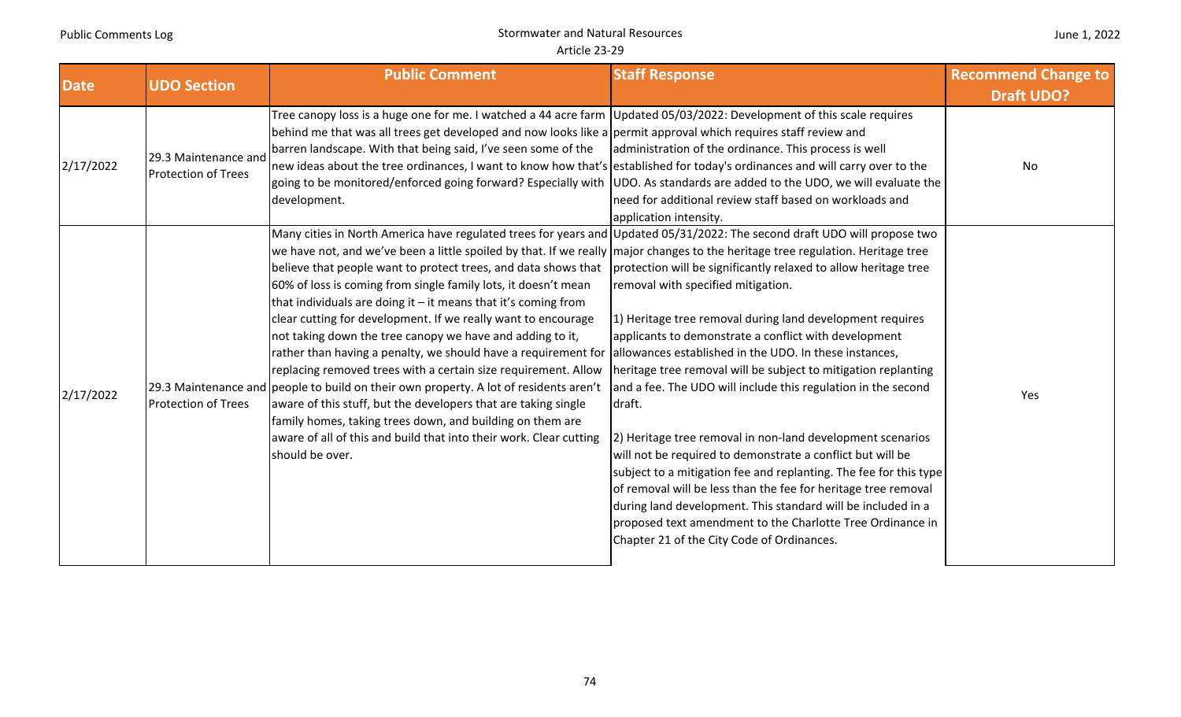|  |  | June 1, 2022 |
|--|--|--------------|
|--|--|--------------|

| <b>Date</b> | <b>UDO Section</b>                                 | <b>Public Comment</b>                                                                                                                                                                                                                                                                                                                                                                                                                                                                                                                                                                                                                                                                                                                                                                                                                                                                                                                                                                                                                                                                                           | <b>Staff Response</b>                                                                                                                                                                                                                                                                                                                                                                                                                                                                                                                                                                                                                                                                                                                                                                                                   | <b>Recommend Change to</b> |
|-------------|----------------------------------------------------|-----------------------------------------------------------------------------------------------------------------------------------------------------------------------------------------------------------------------------------------------------------------------------------------------------------------------------------------------------------------------------------------------------------------------------------------------------------------------------------------------------------------------------------------------------------------------------------------------------------------------------------------------------------------------------------------------------------------------------------------------------------------------------------------------------------------------------------------------------------------------------------------------------------------------------------------------------------------------------------------------------------------------------------------------------------------------------------------------------------------|-------------------------------------------------------------------------------------------------------------------------------------------------------------------------------------------------------------------------------------------------------------------------------------------------------------------------------------------------------------------------------------------------------------------------------------------------------------------------------------------------------------------------------------------------------------------------------------------------------------------------------------------------------------------------------------------------------------------------------------------------------------------------------------------------------------------------|----------------------------|
|             |                                                    |                                                                                                                                                                                                                                                                                                                                                                                                                                                                                                                                                                                                                                                                                                                                                                                                                                                                                                                                                                                                                                                                                                                 |                                                                                                                                                                                                                                                                                                                                                                                                                                                                                                                                                                                                                                                                                                                                                                                                                         | <b>Draft UDO?</b>          |
| 2/17/2022   | 29.3 Maintenance and<br><b>Protection of Trees</b> | Tree canopy loss is a huge one for me. I watched a 44 acre farm Updated 05/03/2022: Development of this scale requires<br>behind me that was all trees get developed and now looks like a permit approval which requires staff review and<br>barren landscape. With that being said, I've seen some of the<br>new ideas about the tree ordinances, I want to know how that's established for today's ordinances and will carry over to the<br>going to be monitored/enforced going forward? Especially with UDO. As standards are added to the UDO, we will evaluate the<br>development.                                                                                                                                                                                                                                                                                                                                                                                                                                                                                                                        | administration of the ordinance. This process is well<br>need for additional review staff based on workloads and                                                                                                                                                                                                                                                                                                                                                                                                                                                                                                                                                                                                                                                                                                        | No                         |
|             |                                                    |                                                                                                                                                                                                                                                                                                                                                                                                                                                                                                                                                                                                                                                                                                                                                                                                                                                                                                                                                                                                                                                                                                                 | application intensity.                                                                                                                                                                                                                                                                                                                                                                                                                                                                                                                                                                                                                                                                                                                                                                                                  |                            |
| 2/17/2022   | <b>Protection of Trees</b>                         | Many cities in North America have regulated trees for years and Updated 05/31/2022: The second draft UDO will propose two<br>we have not, and we've been a little spoiled by that. If we really major changes to the heritage tree regulation. Heritage tree<br>believe that people want to protect trees, and data shows that<br>60% of loss is coming from single family lots, it doesn't mean<br>that individuals are doing it $-$ it means that it's coming from<br>clear cutting for development. If we really want to encourage<br>not taking down the tree canopy we have and adding to it,<br>rather than having a penalty, we should have a requirement for  allowances established in the UDO. In these instances,<br>replacing removed trees with a certain size requirement. Allow<br>29.3 Maintenance and people to build on their own property. A lot of residents aren't<br>aware of this stuff, but the developers that are taking single<br>family homes, taking trees down, and building on them are<br>aware of all of this and build that into their work. Clear cutting<br>should be over. | protection will be significantly relaxed to allow heritage tree<br>removal with specified mitigation.<br>1) Heritage tree removal during land development requires<br>applicants to demonstrate a conflict with development<br>heritage tree removal will be subject to mitigation replanting<br>and a fee. The UDO will include this regulation in the second<br>draft.<br>2) Heritage tree removal in non-land development scenarios<br>will not be required to demonstrate a conflict but will be<br>subject to a mitigation fee and replanting. The fee for this type<br>of removal will be less than the fee for heritage tree removal<br>during land development. This standard will be included in a<br>proposed text amendment to the Charlotte Tree Ordinance in<br>Chapter 21 of the City Code of Ordinances. | Yes                        |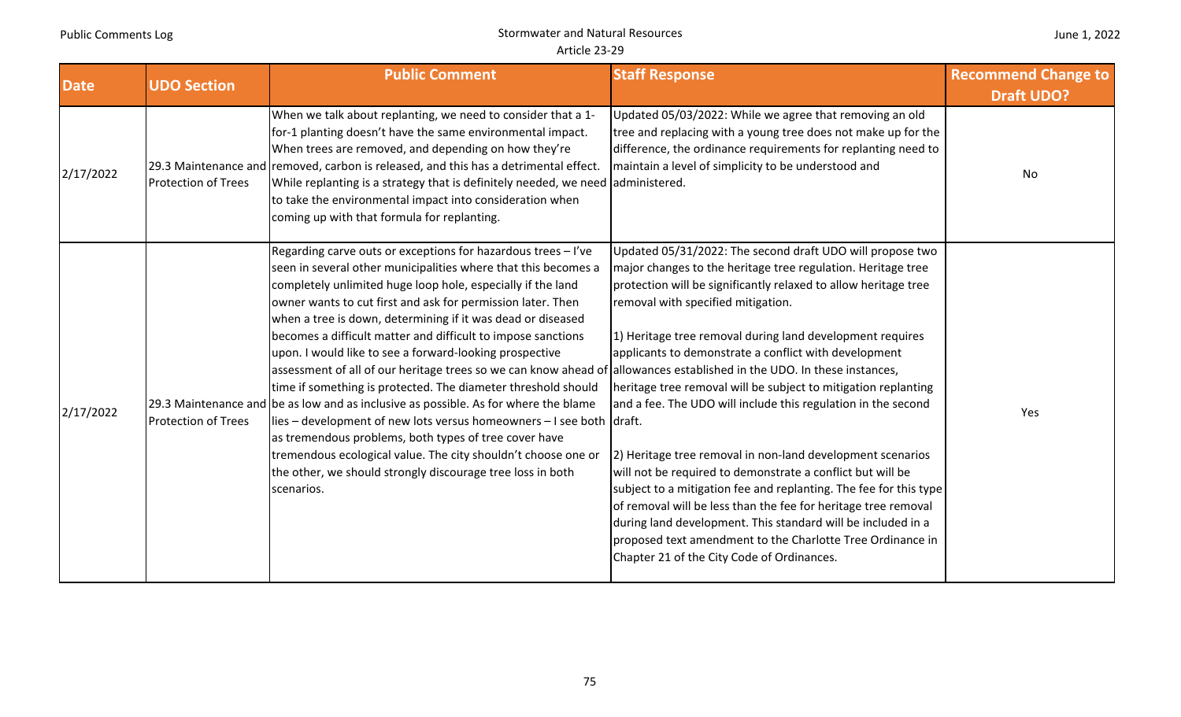|  |  | June 1, 2022 |
|--|--|--------------|
|--|--|--------------|

| <b>Date</b> | <b>UDO Section</b>         | <b>Public Comment</b>                                                                                                                                                                                                                                                                                                                                                                                                                                                                                                                                                                                                                                                                                                                                                                                                                                                                                                                                                                                                   | <b>Staff Response</b>                                                                                                                                                                                                                                                                                                                                                                                                                                                                                                                                                                                                                                                                                                                                                                                                                                                                                                                       | <b>Recommend Change to</b> |
|-------------|----------------------------|-------------------------------------------------------------------------------------------------------------------------------------------------------------------------------------------------------------------------------------------------------------------------------------------------------------------------------------------------------------------------------------------------------------------------------------------------------------------------------------------------------------------------------------------------------------------------------------------------------------------------------------------------------------------------------------------------------------------------------------------------------------------------------------------------------------------------------------------------------------------------------------------------------------------------------------------------------------------------------------------------------------------------|---------------------------------------------------------------------------------------------------------------------------------------------------------------------------------------------------------------------------------------------------------------------------------------------------------------------------------------------------------------------------------------------------------------------------------------------------------------------------------------------------------------------------------------------------------------------------------------------------------------------------------------------------------------------------------------------------------------------------------------------------------------------------------------------------------------------------------------------------------------------------------------------------------------------------------------------|----------------------------|
| 2/17/2022   | <b>Protection of Trees</b> | When we talk about replanting, we need to consider that a 1-<br>for-1 planting doesn't have the same environmental impact.<br>When trees are removed, and depending on how they're<br>29.3 Maintenance and removed, carbon is released, and this has a detrimental effect.<br>While replanting is a strategy that is definitely needed, we need administered.<br>to take the environmental impact into consideration when<br>coming up with that formula for replanting.                                                                                                                                                                                                                                                                                                                                                                                                                                                                                                                                                | Updated 05/03/2022: While we agree that removing an old<br>tree and replacing with a young tree does not make up for the<br>difference, the ordinance requirements for replanting need to<br>maintain a level of simplicity to be understood and                                                                                                                                                                                                                                                                                                                                                                                                                                                                                                                                                                                                                                                                                            | <b>Draft UDO?</b><br>No    |
| 2/17/2022   | <b>Protection of Trees</b> | Regarding carve outs or exceptions for hazardous trees - I've<br>seen in several other municipalities where that this becomes a<br>completely unlimited huge loop hole, especially if the land<br>owner wants to cut first and ask for permission later. Then<br>when a tree is down, determining if it was dead or diseased<br>becomes a difficult matter and difficult to impose sanctions<br>upon. I would like to see a forward-looking prospective<br>assessment of all of our heritage trees so we can know ahead of allowances established in the UDO. In these instances,<br>time if something is protected. The diameter threshold should<br>29.3 Maintenance and be as low and as inclusive as possible. As for where the blame<br>lies – development of new lots versus homeowners – I see both draft.<br>as tremendous problems, both types of tree cover have<br>tremendous ecological value. The city shouldn't choose one or<br>the other, we should strongly discourage tree loss in both<br>scenarios. | Updated 05/31/2022: The second draft UDO will propose two<br>major changes to the heritage tree regulation. Heritage tree<br>protection will be significantly relaxed to allow heritage tree<br>removal with specified mitigation.<br>1) Heritage tree removal during land development requires<br>applicants to demonstrate a conflict with development<br>heritage tree removal will be subject to mitigation replanting<br>and a fee. The UDO will include this regulation in the second<br>[2] Heritage tree removal in non-land development scenarios<br>will not be required to demonstrate a conflict but will be<br>subject to a mitigation fee and replanting. The fee for this type<br>of removal will be less than the fee for heritage tree removal<br>during land development. This standard will be included in a<br>proposed text amendment to the Charlotte Tree Ordinance in<br>Chapter 21 of the City Code of Ordinances. | Yes                        |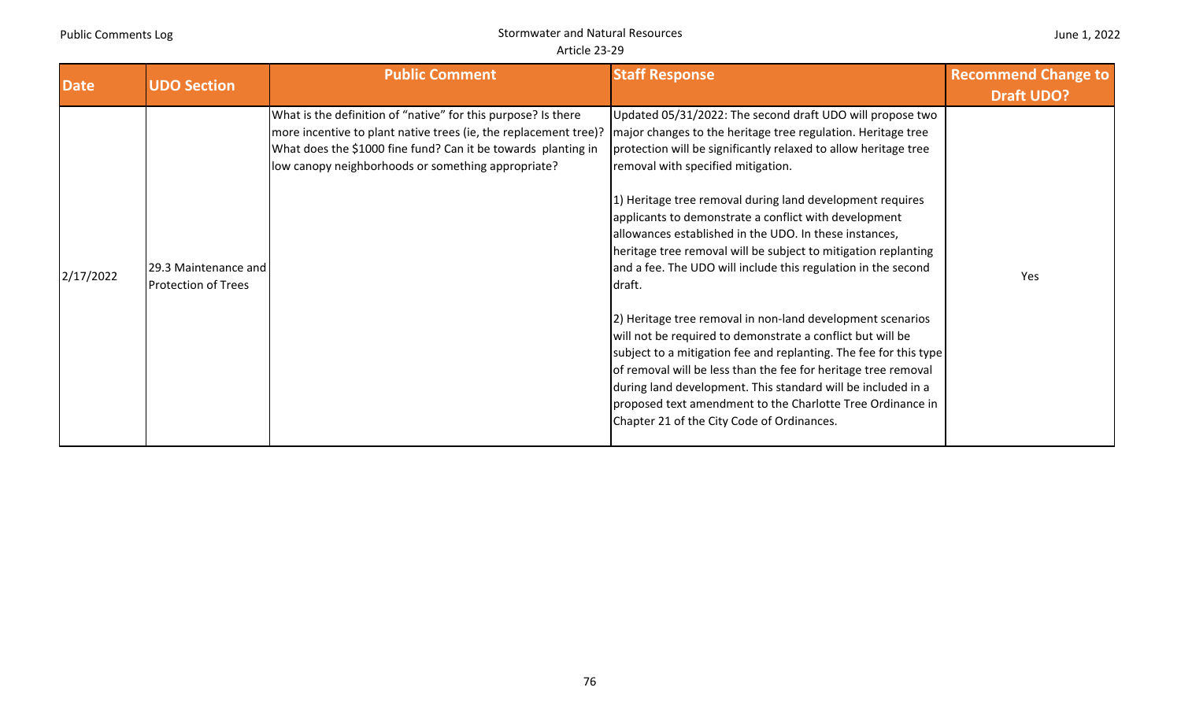|  |  | June 1, 2022 |
|--|--|--------------|
|--|--|--------------|

| <b>Date</b> | <b>UDO Section</b>                                 | <b>Public Comment</b>                                                                                                                                                                                                                                    | <b>Staff Response</b>                                                                                                                                                                                                                                                                                                                                                                                                                                                                                                                                                                                                                                                                                                                                                                                                                                                                                                                                                                                          | <b>Recommend Change to</b> |
|-------------|----------------------------------------------------|----------------------------------------------------------------------------------------------------------------------------------------------------------------------------------------------------------------------------------------------------------|----------------------------------------------------------------------------------------------------------------------------------------------------------------------------------------------------------------------------------------------------------------------------------------------------------------------------------------------------------------------------------------------------------------------------------------------------------------------------------------------------------------------------------------------------------------------------------------------------------------------------------------------------------------------------------------------------------------------------------------------------------------------------------------------------------------------------------------------------------------------------------------------------------------------------------------------------------------------------------------------------------------|----------------------------|
| 2/17/2022   | 29.3 Maintenance and<br><b>Protection of Trees</b> | What is the definition of "native" for this purpose? Is there<br>more incentive to plant native trees (ie, the replacement tree)?<br>What does the \$1000 fine fund? Can it be towards planting in<br>low canopy neighborhoods or something appropriate? | Updated 05/31/2022: The second draft UDO will propose two<br>major changes to the heritage tree regulation. Heritage tree<br>protection will be significantly relaxed to allow heritage tree<br>removal with specified mitigation.<br>1) Heritage tree removal during land development requires<br>applicants to demonstrate a conflict with development<br>allowances established in the UDO. In these instances,<br>heritage tree removal will be subject to mitigation replanting<br>and a fee. The UDO will include this regulation in the second<br>draft.<br>2) Heritage tree removal in non-land development scenarios<br>will not be required to demonstrate a conflict but will be<br>subject to a mitigation fee and replanting. The fee for this type<br>of removal will be less than the fee for heritage tree removal<br>during land development. This standard will be included in a<br>proposed text amendment to the Charlotte Tree Ordinance in<br>Chapter 21 of the City Code of Ordinances. | <b>Draft UDO?</b><br>Yes   |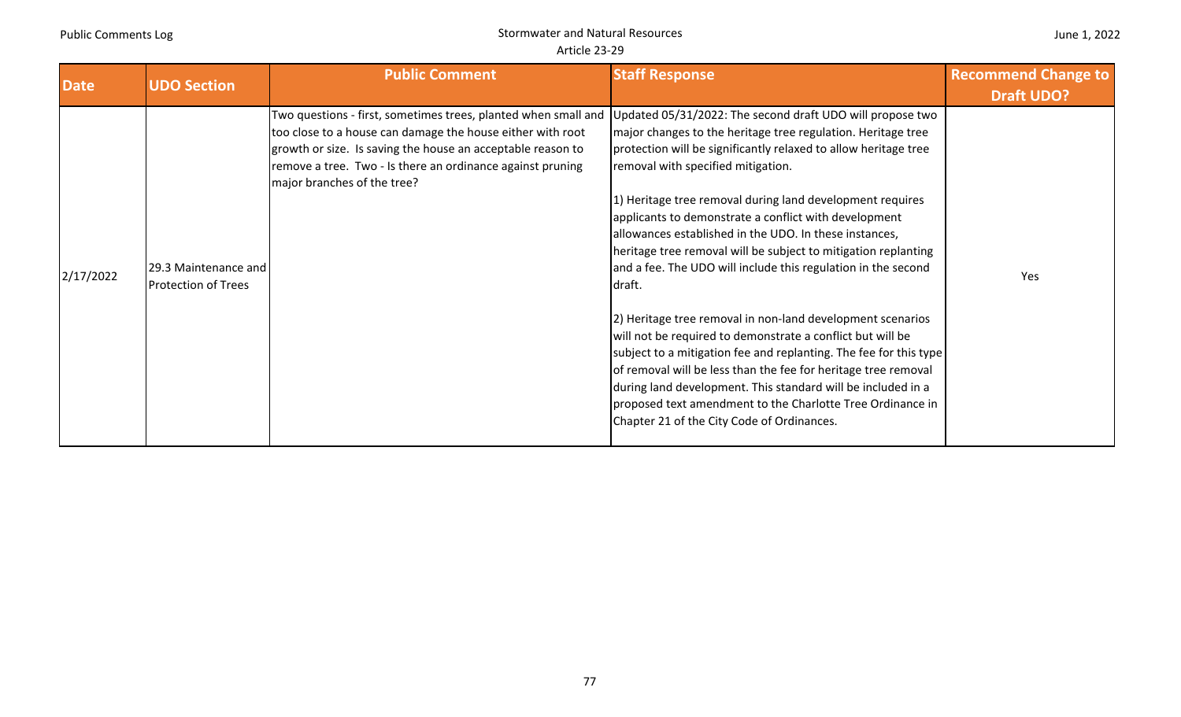| June 1, 2022 |  |
|--------------|--|
|--------------|--|

| <b>Date</b> | <b>UDO Section</b>                                 | <b>Public Comment</b>                                                                                                                                                                                                                                                                    | <b>Staff Response</b>                                                                                                                                                                                                                                                                                                                                                                                                                                                                                                                                                                                                                                                                                                                                                                                                                                                                                                                                                                                          | <b>Recommend Change to</b><br><b>Draft UDO?</b> |
|-------------|----------------------------------------------------|------------------------------------------------------------------------------------------------------------------------------------------------------------------------------------------------------------------------------------------------------------------------------------------|----------------------------------------------------------------------------------------------------------------------------------------------------------------------------------------------------------------------------------------------------------------------------------------------------------------------------------------------------------------------------------------------------------------------------------------------------------------------------------------------------------------------------------------------------------------------------------------------------------------------------------------------------------------------------------------------------------------------------------------------------------------------------------------------------------------------------------------------------------------------------------------------------------------------------------------------------------------------------------------------------------------|-------------------------------------------------|
| 2/17/2022   | 29.3 Maintenance and<br><b>Protection of Trees</b> | Two questions - first, sometimes trees, planted when small and<br>too close to a house can damage the house either with root<br>growth or size. Is saving the house an acceptable reason to<br>remove a tree. Two - Is there an ordinance against pruning<br>major branches of the tree? | Updated 05/31/2022: The second draft UDO will propose two<br>major changes to the heritage tree regulation. Heritage tree<br>protection will be significantly relaxed to allow heritage tree<br>removal with specified mitigation.<br>1) Heritage tree removal during land development requires<br>applicants to demonstrate a conflict with development<br>allowances established in the UDO. In these instances,<br>heritage tree removal will be subject to mitigation replanting<br>and a fee. The UDO will include this regulation in the second<br>draft.<br>2) Heritage tree removal in non-land development scenarios<br>will not be required to demonstrate a conflict but will be<br>subject to a mitigation fee and replanting. The fee for this type<br>of removal will be less than the fee for heritage tree removal<br>during land development. This standard will be included in a<br>proposed text amendment to the Charlotte Tree Ordinance in<br>Chapter 21 of the City Code of Ordinances. | Yes                                             |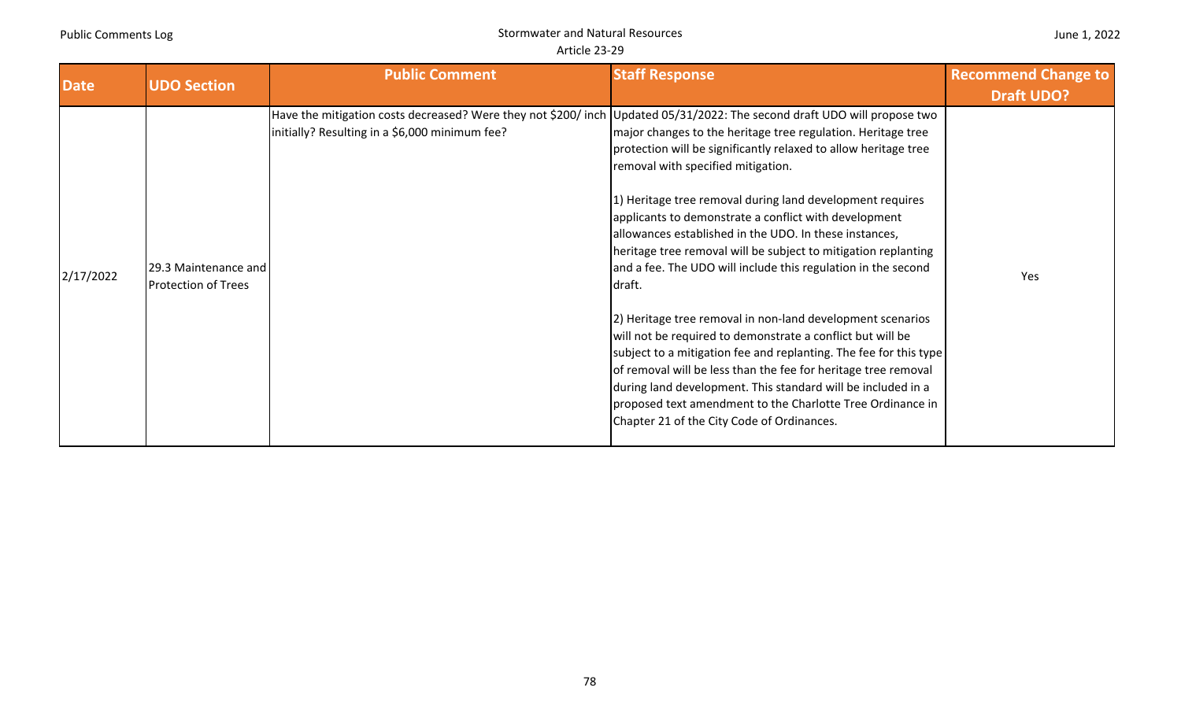| <b>Date</b> | <b>UDO Section</b>                                 | <b>Public Comment</b>                                                                                                                                                     | <b>Staff Response</b>                                                                                                                                                                                                                                                                                                                                                                                                                                                                                                                                                                                                                                                                                                                                                                                                                                                                                                                             | <b>Recommend Change to</b> |
|-------------|----------------------------------------------------|---------------------------------------------------------------------------------------------------------------------------------------------------------------------------|---------------------------------------------------------------------------------------------------------------------------------------------------------------------------------------------------------------------------------------------------------------------------------------------------------------------------------------------------------------------------------------------------------------------------------------------------------------------------------------------------------------------------------------------------------------------------------------------------------------------------------------------------------------------------------------------------------------------------------------------------------------------------------------------------------------------------------------------------------------------------------------------------------------------------------------------------|----------------------------|
|             |                                                    |                                                                                                                                                                           |                                                                                                                                                                                                                                                                                                                                                                                                                                                                                                                                                                                                                                                                                                                                                                                                                                                                                                                                                   | <b>Draft UDO?</b>          |
| 2/17/2022   | 29.3 Maintenance and<br><b>Protection of Trees</b> | Have the mitigation costs decreased? Were they not \$200/inch Updated 05/31/2022: The second draft UDO will propose two<br>initially? Resulting in a \$6,000 minimum fee? | major changes to the heritage tree regulation. Heritage tree<br>protection will be significantly relaxed to allow heritage tree<br>removal with specified mitigation.<br>1) Heritage tree removal during land development requires<br>applicants to demonstrate a conflict with development<br>allowances established in the UDO. In these instances,<br>heritage tree removal will be subject to mitigation replanting<br>and a fee. The UDO will include this regulation in the second<br>draft.<br>2) Heritage tree removal in non-land development scenarios<br>will not be required to demonstrate a conflict but will be<br>subject to a mitigation fee and replanting. The fee for this type<br>of removal will be less than the fee for heritage tree removal<br>during land development. This standard will be included in a<br>proposed text amendment to the Charlotte Tree Ordinance in<br>Chapter 21 of the City Code of Ordinances. | Yes                        |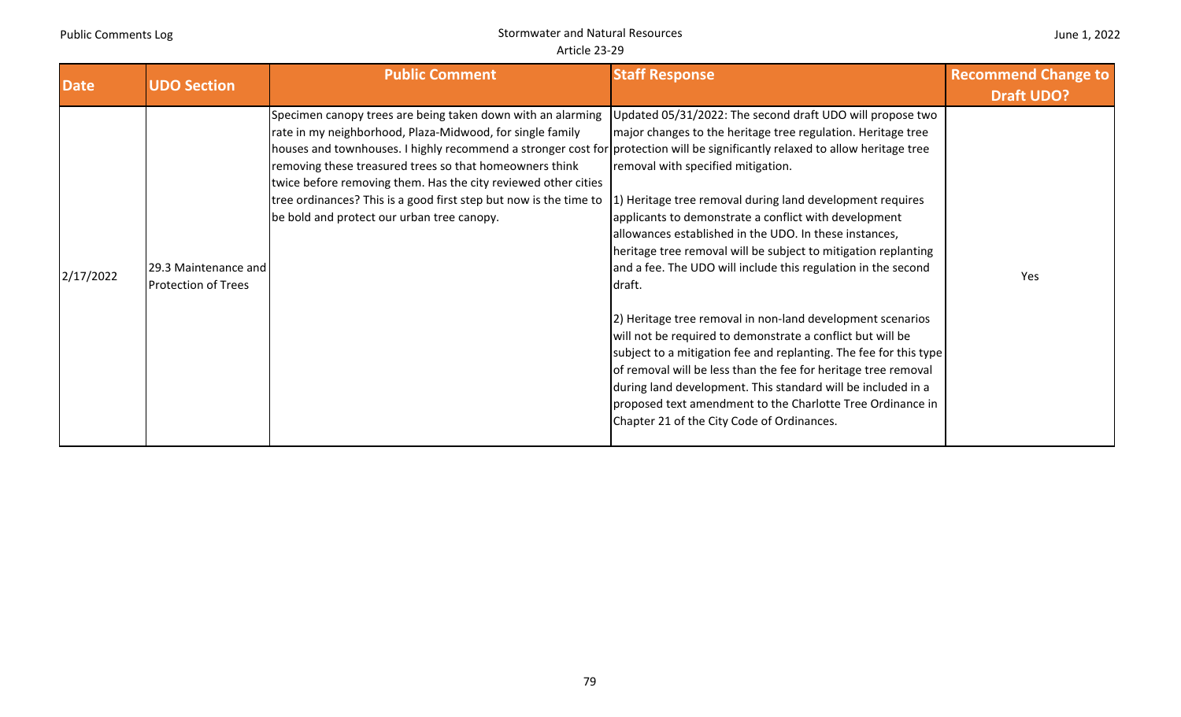|  |  | June 1, 2022 |
|--|--|--------------|
|--|--|--------------|

| <b>Date</b> | <b>UDO Section</b>                                 | <b>Public Comment</b>                                                                                                                                                                                                                                                                                                                                                                                                                                                                                                                                               | <b>Staff Response</b>                                                                                                                                                                                                                                                                                                                                                                                                                                                                                                                                                                                                                                                                                                                                                                                                                                                           | <b>Recommend Change to</b><br><b>Draft UDO?</b> |
|-------------|----------------------------------------------------|---------------------------------------------------------------------------------------------------------------------------------------------------------------------------------------------------------------------------------------------------------------------------------------------------------------------------------------------------------------------------------------------------------------------------------------------------------------------------------------------------------------------------------------------------------------------|---------------------------------------------------------------------------------------------------------------------------------------------------------------------------------------------------------------------------------------------------------------------------------------------------------------------------------------------------------------------------------------------------------------------------------------------------------------------------------------------------------------------------------------------------------------------------------------------------------------------------------------------------------------------------------------------------------------------------------------------------------------------------------------------------------------------------------------------------------------------------------|-------------------------------------------------|
| 2/17/2022   | 29.3 Maintenance and<br><b>Protection of Trees</b> | Specimen canopy trees are being taken down with an alarming Updated 05/31/2022: The second draft UDO will propose two<br>rate in my neighborhood, Plaza-Midwood, for single family<br>houses and townhouses. I highly recommend a stronger cost for protection will be significantly relaxed to allow heritage tree<br>removing these treasured trees so that homeowners think<br>twice before removing them. Has the city reviewed other cities<br>tree ordinances? This is a good first step but now is the time to<br>be bold and protect our urban tree canopy. | major changes to the heritage tree regulation. Heritage tree<br>removal with specified mitigation.<br>1) Heritage tree removal during land development requires<br>applicants to demonstrate a conflict with development<br>allowances established in the UDO. In these instances,<br>heritage tree removal will be subject to mitigation replanting<br>and a fee. The UDO will include this regulation in the second<br>draft.<br>[2] Heritage tree removal in non-land development scenarios<br>will not be required to demonstrate a conflict but will be<br>subject to a mitigation fee and replanting. The fee for this type<br>of removal will be less than the fee for heritage tree removal<br>during land development. This standard will be included in a<br>proposed text amendment to the Charlotte Tree Ordinance in<br>Chapter 21 of the City Code of Ordinances. | <b>Yes</b>                                      |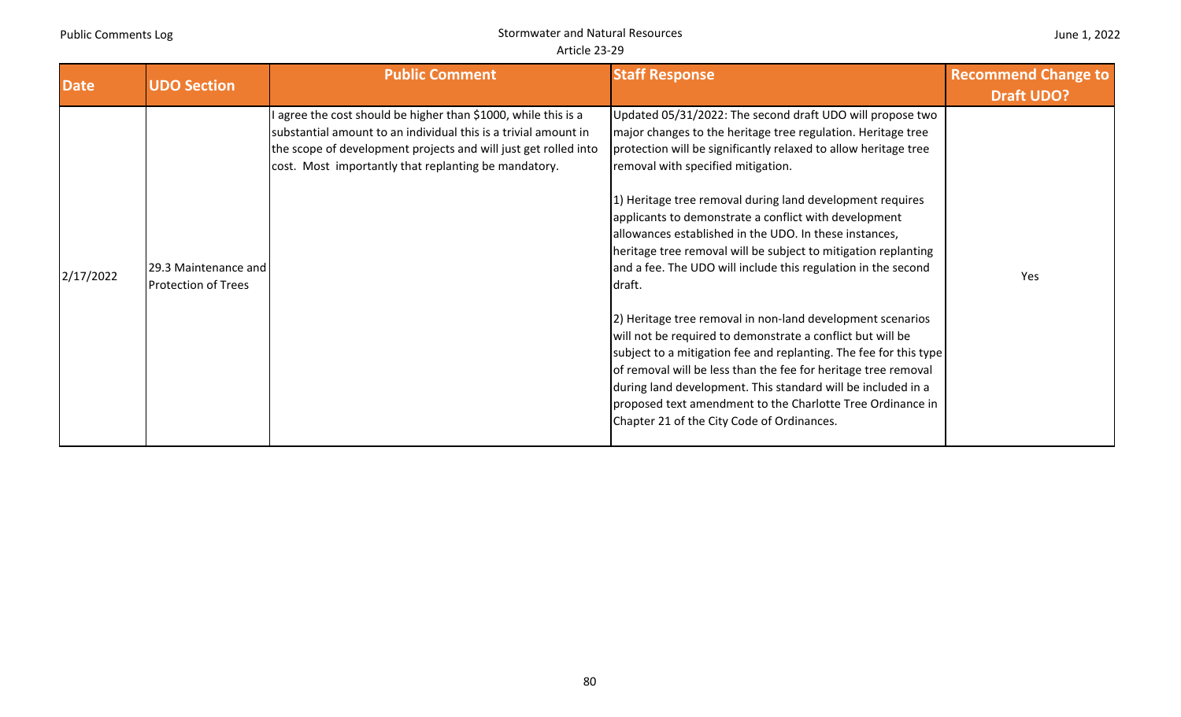| <b>Date</b> | <b>UDO Section</b>                                 | <b>Public Comment</b>                                                                                                                                                                                                                                        | <b>Staff Response</b>                                                                                                                                                                                                                                                                                                                                                                                                                                                                                                                                                                                                                                                                                                                                                                                                                                                                                                                                                                                          | <b>Recommend Change to</b><br><b>Draft UDO?</b> |
|-------------|----------------------------------------------------|--------------------------------------------------------------------------------------------------------------------------------------------------------------------------------------------------------------------------------------------------------------|----------------------------------------------------------------------------------------------------------------------------------------------------------------------------------------------------------------------------------------------------------------------------------------------------------------------------------------------------------------------------------------------------------------------------------------------------------------------------------------------------------------------------------------------------------------------------------------------------------------------------------------------------------------------------------------------------------------------------------------------------------------------------------------------------------------------------------------------------------------------------------------------------------------------------------------------------------------------------------------------------------------|-------------------------------------------------|
| 2/17/2022   | 29.3 Maintenance and<br><b>Protection of Trees</b> | I agree the cost should be higher than \$1000, while this is a<br>substantial amount to an individual this is a trivial amount in<br>the scope of development projects and will just get rolled into<br>cost. Most importantly that replanting be mandatory. | Updated 05/31/2022: The second draft UDO will propose two<br>major changes to the heritage tree regulation. Heritage tree<br>protection will be significantly relaxed to allow heritage tree<br>removal with specified mitigation.<br>1) Heritage tree removal during land development requires<br>applicants to demonstrate a conflict with development<br>allowances established in the UDO. In these instances,<br>heritage tree removal will be subject to mitigation replanting<br>and a fee. The UDO will include this regulation in the second<br>draft.<br>2) Heritage tree removal in non-land development scenarios<br>will not be required to demonstrate a conflict but will be<br>subject to a mitigation fee and replanting. The fee for this type<br>of removal will be less than the fee for heritage tree removal<br>during land development. This standard will be included in a<br>proposed text amendment to the Charlotte Tree Ordinance in<br>Chapter 21 of the City Code of Ordinances. | Yes                                             |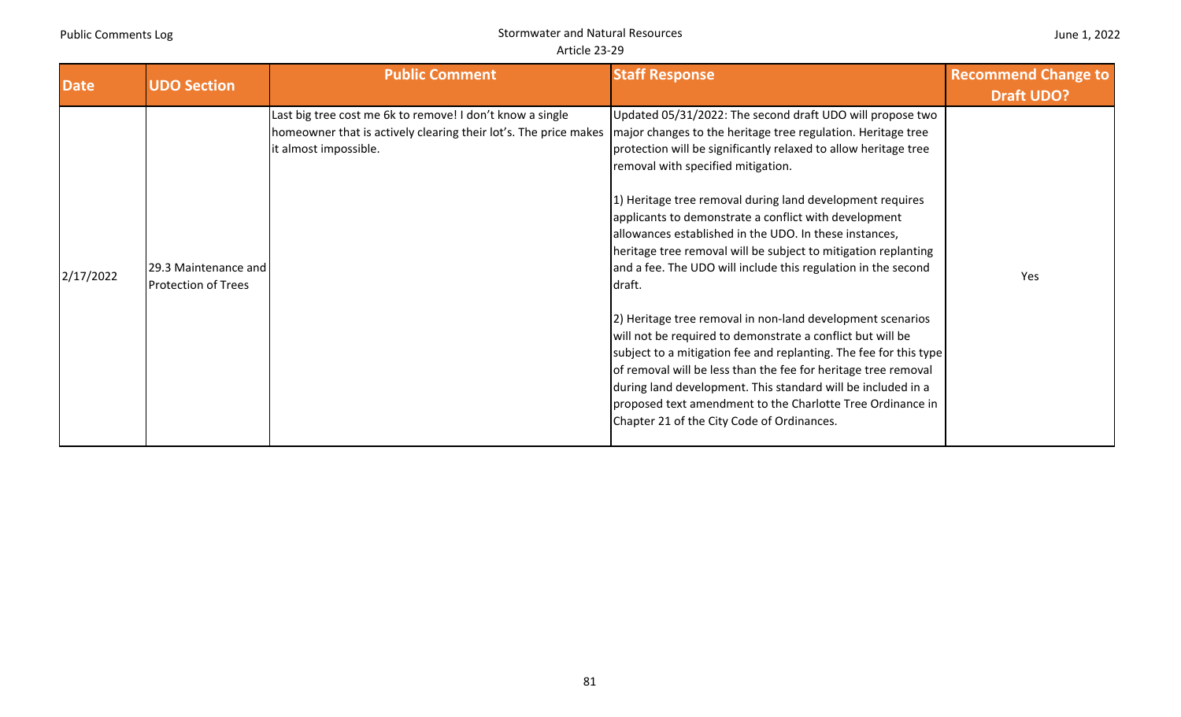| <b>Date</b> | <b>UDO Section</b>                                 | <b>Public Comment</b>                                                                                                                                  | <b>Staff Response</b>                                                                                                                                                                                                                                                                                                                                                                                                                                                                                                                                                                                                                                                                                                                                                                                                                                                                                                                                                                                          | <b>Recommend Change to</b><br><b>Draft UDO?</b> |
|-------------|----------------------------------------------------|--------------------------------------------------------------------------------------------------------------------------------------------------------|----------------------------------------------------------------------------------------------------------------------------------------------------------------------------------------------------------------------------------------------------------------------------------------------------------------------------------------------------------------------------------------------------------------------------------------------------------------------------------------------------------------------------------------------------------------------------------------------------------------------------------------------------------------------------------------------------------------------------------------------------------------------------------------------------------------------------------------------------------------------------------------------------------------------------------------------------------------------------------------------------------------|-------------------------------------------------|
| 2/17/2022   | 29.3 Maintenance and<br><b>Protection of Trees</b> | Last big tree cost me 6k to remove! I don't know a single<br>homeowner that is actively clearing their lot's. The price makes<br>it almost impossible. | Updated 05/31/2022: The second draft UDO will propose two<br>major changes to the heritage tree regulation. Heritage tree<br>protection will be significantly relaxed to allow heritage tree<br>removal with specified mitigation.<br>1) Heritage tree removal during land development requires<br>applicants to demonstrate a conflict with development<br>allowances established in the UDO. In these instances,<br>heritage tree removal will be subject to mitigation replanting<br>and a fee. The UDO will include this regulation in the second<br>draft.<br>2) Heritage tree removal in non-land development scenarios<br>will not be required to demonstrate a conflict but will be<br>subject to a mitigation fee and replanting. The fee for this type<br>of removal will be less than the fee for heritage tree removal<br>during land development. This standard will be included in a<br>proposed text amendment to the Charlotte Tree Ordinance in<br>Chapter 21 of the City Code of Ordinances. | Yes                                             |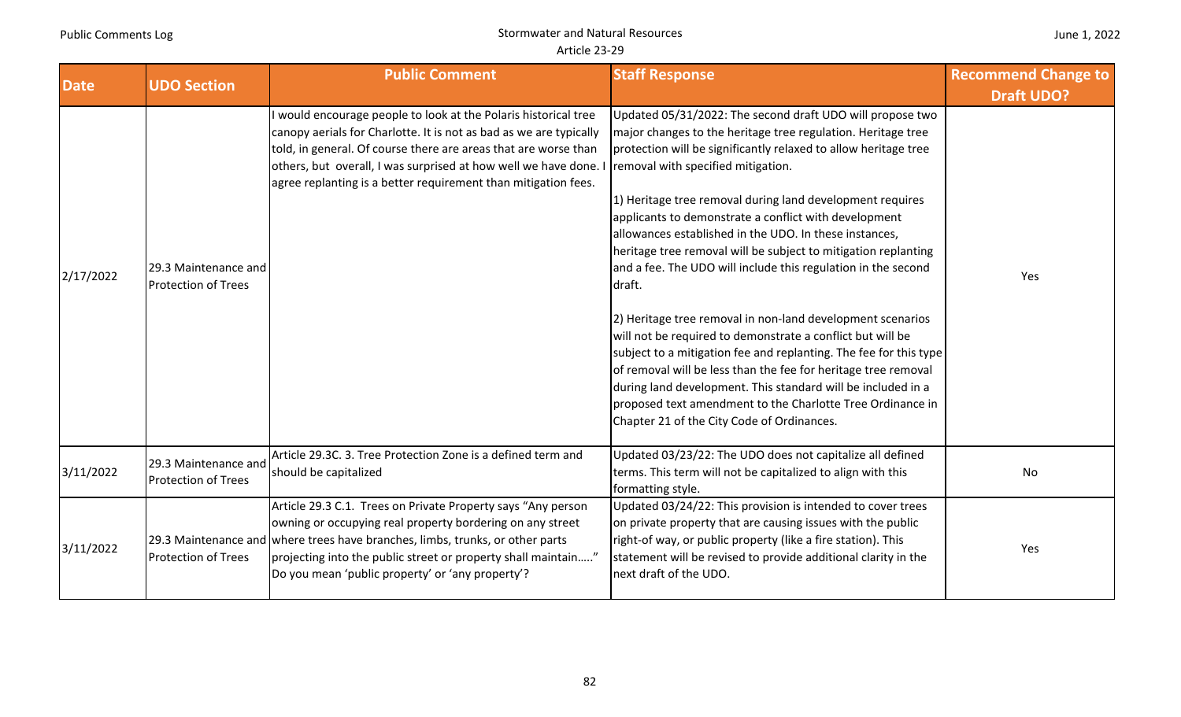| <b>Date</b> | <b>UDO Section</b>                                 | <b>Public Comment</b>                                                                                                                                                                                                                                                                                                                      | <b>Staff Response</b>                                                                                                                                                                                                                                                                                                                                                                                                                                                                                                                                                                                                                                                                                                                                                                                                                                                                                                                                                                                          | <b>Recommend Change to</b><br><b>Draft UDO?</b> |
|-------------|----------------------------------------------------|--------------------------------------------------------------------------------------------------------------------------------------------------------------------------------------------------------------------------------------------------------------------------------------------------------------------------------------------|----------------------------------------------------------------------------------------------------------------------------------------------------------------------------------------------------------------------------------------------------------------------------------------------------------------------------------------------------------------------------------------------------------------------------------------------------------------------------------------------------------------------------------------------------------------------------------------------------------------------------------------------------------------------------------------------------------------------------------------------------------------------------------------------------------------------------------------------------------------------------------------------------------------------------------------------------------------------------------------------------------------|-------------------------------------------------|
| 2/17/2022   | 29.3 Maintenance and<br><b>Protection of Trees</b> | would encourage people to look at the Polaris historical tree<br>canopy aerials for Charlotte. It is not as bad as we are typically<br>told, in general. Of course there are areas that are worse than<br>others, but overall, I was surprised at how well we have done.<br>agree replanting is a better requirement than mitigation fees. | Updated 05/31/2022: The second draft UDO will propose two<br>major changes to the heritage tree regulation. Heritage tree<br>protection will be significantly relaxed to allow heritage tree<br>removal with specified mitigation.<br>1) Heritage tree removal during land development requires<br>applicants to demonstrate a conflict with development<br>allowances established in the UDO. In these instances,<br>heritage tree removal will be subject to mitigation replanting<br>and a fee. The UDO will include this regulation in the second<br>draft.<br>2) Heritage tree removal in non-land development scenarios<br>will not be required to demonstrate a conflict but will be<br>subject to a mitigation fee and replanting. The fee for this type<br>of removal will be less than the fee for heritage tree removal<br>during land development. This standard will be included in a<br>proposed text amendment to the Charlotte Tree Ordinance in<br>Chapter 21 of the City Code of Ordinances. | Yes                                             |
| 3/11/2022   | 29.3 Maintenance and<br><b>Protection of Trees</b> | Article 29.3C. 3. Tree Protection Zone is a defined term and<br>should be capitalized                                                                                                                                                                                                                                                      | Updated 03/23/22: The UDO does not capitalize all defined<br>terms. This term will not be capitalized to align with this<br>formatting style.                                                                                                                                                                                                                                                                                                                                                                                                                                                                                                                                                                                                                                                                                                                                                                                                                                                                  | No                                              |
| 3/11/2022   | <b>Protection of Trees</b>                         | Article 29.3 C.1. Trees on Private Property says "Any person<br>owning or occupying real property bordering on any street<br>29.3 Maintenance and where trees have branches, limbs, trunks, or other parts<br>projecting into the public street or property shall maintain"<br>Do you mean 'public property' or 'any property'?            | Updated 03/24/22: This provision is intended to cover trees<br>on private property that are causing issues with the public<br>right-of way, or public property (like a fire station). This<br>statement will be revised to provide additional clarity in the<br>next draft of the UDO.                                                                                                                                                                                                                                                                                                                                                                                                                                                                                                                                                                                                                                                                                                                         | Yes                                             |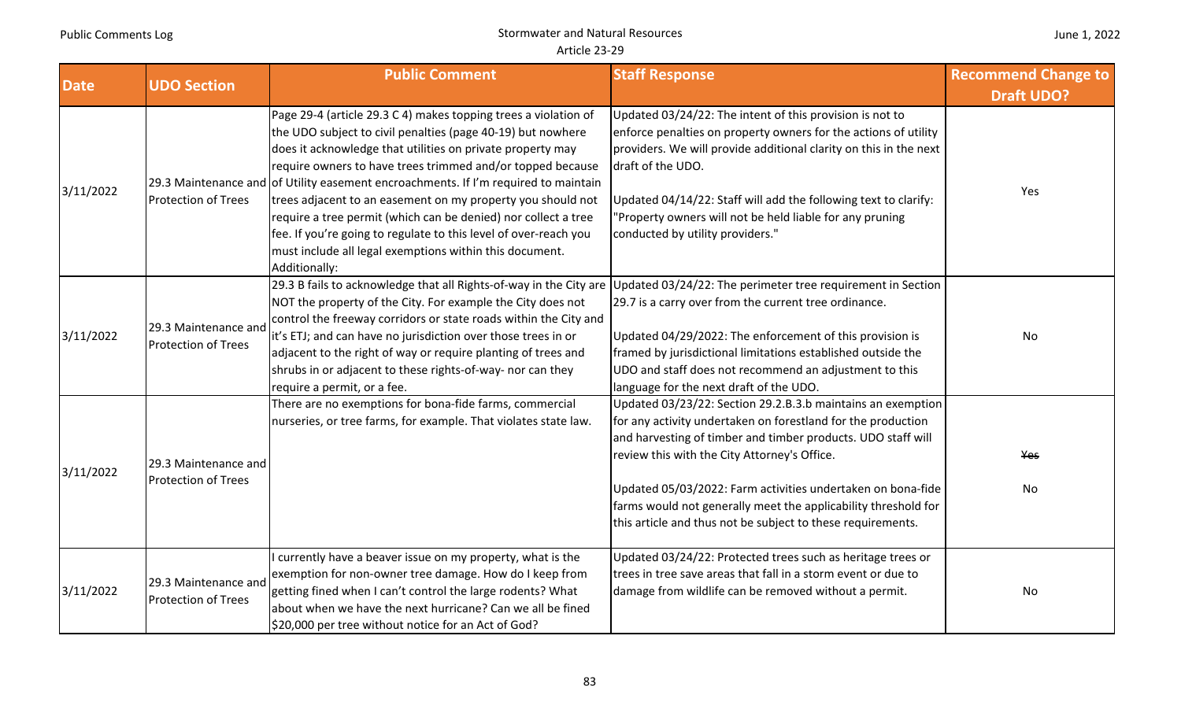| June 1, 2022 |  |  |
|--------------|--|--|
|--------------|--|--|

| <b>Date</b> | <b>UDO Section</b>                                 | <b>Public Comment</b>                                                                                                                                                                                                                                                                                                                                                                                                                                                                                                                                                                                                              | <b>Staff Response</b>                                                                                                                                                                                                                                                                                                                                                                                                                       | <b>Recommend Change to</b><br><b>Draft UDO?</b> |
|-------------|----------------------------------------------------|------------------------------------------------------------------------------------------------------------------------------------------------------------------------------------------------------------------------------------------------------------------------------------------------------------------------------------------------------------------------------------------------------------------------------------------------------------------------------------------------------------------------------------------------------------------------------------------------------------------------------------|---------------------------------------------------------------------------------------------------------------------------------------------------------------------------------------------------------------------------------------------------------------------------------------------------------------------------------------------------------------------------------------------------------------------------------------------|-------------------------------------------------|
| 3/11/2022   | <b>Protection of Trees</b>                         | Page 29-4 (article 29.3 C 4) makes topping trees a violation of<br>the UDO subject to civil penalties (page 40-19) but nowhere<br>does it acknowledge that utilities on private property may<br>require owners to have trees trimmed and/or topped because<br>29.3 Maintenance and of Utility easement encroachments. If I'm required to maintain<br>trees adjacent to an easement on my property you should not<br>require a tree permit (which can be denied) nor collect a tree<br>fee. If you're going to regulate to this level of over-reach you<br>must include all legal exemptions within this document.<br>Additionally: | Updated 03/24/22: The intent of this provision is not to<br>enforce penalties on property owners for the actions of utility<br>providers. We will provide additional clarity on this in the next<br>draft of the UDO.<br>Updated 04/14/22: Staff will add the following text to clarify:<br>"Property owners will not be held liable for any pruning<br>conducted by utility providers."                                                    | Yes                                             |
| 3/11/2022   | 29.3 Maintenance and<br><b>Protection of Trees</b> | 29.3 B fails to acknowledge that all Rights-of-way in the City are<br>NOT the property of the City. For example the City does not<br>control the freeway corridors or state roads within the City and<br>it's ETJ; and can have no jurisdiction over those trees in or<br>adjacent to the right of way or require planting of trees and<br>shrubs in or adjacent to these rights-of-way- nor can they<br>require a permit, or a fee.                                                                                                                                                                                               | Updated 03/24/22: The perimeter tree requirement in Section<br>29.7 is a carry over from the current tree ordinance.<br>Updated 04/29/2022: The enforcement of this provision is<br>framed by jurisdictional limitations established outside the<br>UDO and staff does not recommend an adjustment to this<br>language for the next draft of the UDO.                                                                                       | No                                              |
| 3/11/2022   | 29.3 Maintenance and<br><b>Protection of Trees</b> | There are no exemptions for bona-fide farms, commercial<br>nurseries, or tree farms, for example. That violates state law.                                                                                                                                                                                                                                                                                                                                                                                                                                                                                                         | Updated 03/23/22: Section 29.2.B.3.b maintains an exemption<br>for any activity undertaken on forestland for the production<br>and harvesting of timber and timber products. UDO staff will<br>review this with the City Attorney's Office.<br>Updated 05/03/2022: Farm activities undertaken on bona-fide<br>farms would not generally meet the applicability threshold for<br>this article and thus not be subject to these requirements. | Yes<br>No                                       |
| 3/11/2022   | 29.3 Maintenance and<br><b>Protection of Trees</b> | currently have a beaver issue on my property, what is the<br>exemption for non-owner tree damage. How do I keep from<br>getting fined when I can't control the large rodents? What<br>about when we have the next hurricane? Can we all be fined<br>\$20,000 per tree without notice for an Act of God?                                                                                                                                                                                                                                                                                                                            | Updated 03/24/22: Protected trees such as heritage trees or<br>trees in tree save areas that fall in a storm event or due to<br>damage from wildlife can be removed without a permit.                                                                                                                                                                                                                                                       | No                                              |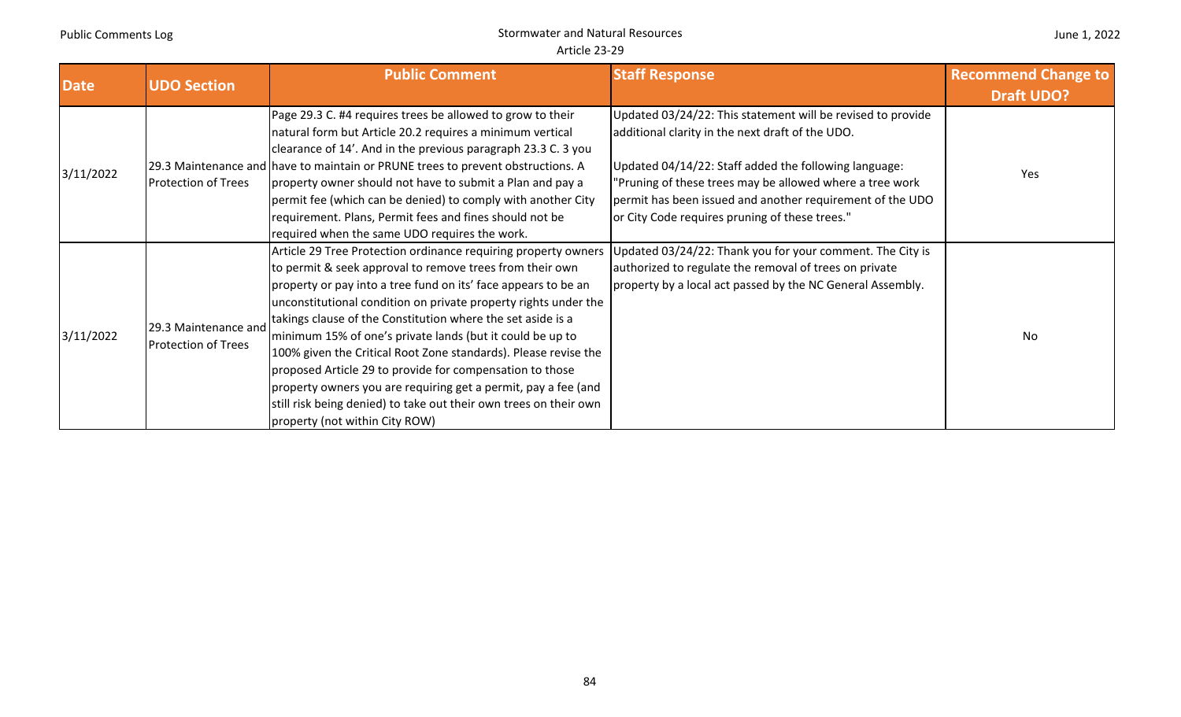| <b>Date</b> | <b>UDO Section</b>                                 | <b>Public Comment</b>                                                                                                                                                                                                                                                                                                                                                                                                                                                                                                                                                                                                                                                                               | <b>Staff Response</b>                                                                                                                                                                                                                                                                                                                               | <b>Recommend Change to</b><br><b>Draft UDO?</b> |
|-------------|----------------------------------------------------|-----------------------------------------------------------------------------------------------------------------------------------------------------------------------------------------------------------------------------------------------------------------------------------------------------------------------------------------------------------------------------------------------------------------------------------------------------------------------------------------------------------------------------------------------------------------------------------------------------------------------------------------------------------------------------------------------------|-----------------------------------------------------------------------------------------------------------------------------------------------------------------------------------------------------------------------------------------------------------------------------------------------------------------------------------------------------|-------------------------------------------------|
| 3/11/2022   | <b>Protection of Trees</b>                         | Page 29.3 C. #4 requires trees be allowed to grow to their<br>natural form but Article 20.2 requires a minimum vertical<br>clearance of 14'. And in the previous paragraph 23.3 C. 3 you<br>29.3 Maintenance and have to maintain or PRUNE trees to prevent obstructions. A<br>property owner should not have to submit a Plan and pay a<br>permit fee (which can be denied) to comply with another City<br>requirement. Plans, Permit fees and fines should not be<br>required when the same UDO requires the work.                                                                                                                                                                                | Updated 03/24/22: This statement will be revised to provide<br>additional clarity in the next draft of the UDO.<br>Updated 04/14/22: Staff added the following language:<br>"Pruning of these trees may be allowed where a tree work<br>permit has been issued and another requirement of the UDO<br>or City Code requires pruning of these trees." | Yes                                             |
| 3/11/2022   | 29.3 Maintenance and<br><b>Protection of Trees</b> | Article 29 Tree Protection ordinance requiring property owners<br>to permit & seek approval to remove trees from their own<br>property or pay into a tree fund on its' face appears to be an<br>unconstitutional condition on private property rights under the<br>takings clause of the Constitution where the set aside is a<br>minimum 15% of one's private lands (but it could be up to<br>100% given the Critical Root Zone standards). Please revise the<br>proposed Article 29 to provide for compensation to those<br>property owners you are requiring get a permit, pay a fee (and<br>still risk being denied) to take out their own trees on their own<br>property (not within City ROW) | Updated 03/24/22: Thank you for your comment. The City is<br>authorized to regulate the removal of trees on private<br>property by a local act passed by the NC General Assembly.                                                                                                                                                                   | No                                              |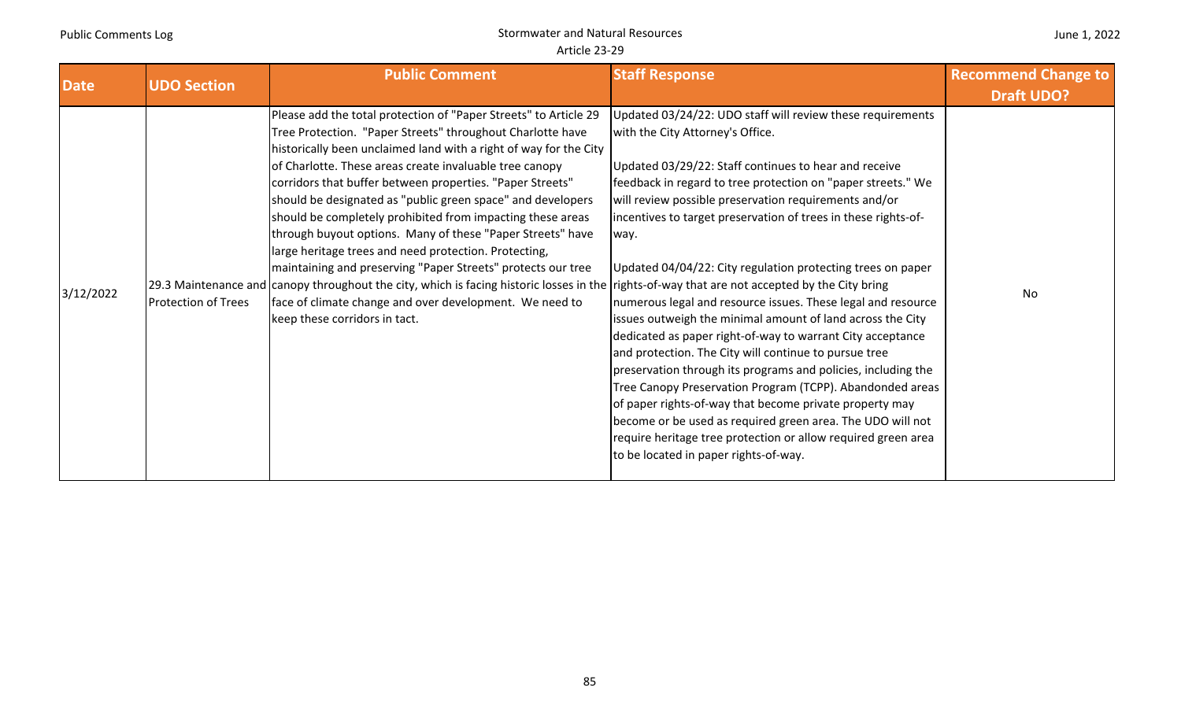#### June 1, 2022

| <b>Date</b> | <b>UDO Section</b>         | <b>Public Comment</b>                                                                                                                                                                                                                                                                                                                                                                                                                                                                                                                                                                                                                                                                                                                                                                                                                                                                         | <b>Staff Response</b>                                                                                                                                                                                                                                                                                                                                                                                                                                                                                                                                                                                                                                                                                                                                                                                                                                                                                                                                                                                                                           | <b>Recommend Change to</b> |
|-------------|----------------------------|-----------------------------------------------------------------------------------------------------------------------------------------------------------------------------------------------------------------------------------------------------------------------------------------------------------------------------------------------------------------------------------------------------------------------------------------------------------------------------------------------------------------------------------------------------------------------------------------------------------------------------------------------------------------------------------------------------------------------------------------------------------------------------------------------------------------------------------------------------------------------------------------------|-------------------------------------------------------------------------------------------------------------------------------------------------------------------------------------------------------------------------------------------------------------------------------------------------------------------------------------------------------------------------------------------------------------------------------------------------------------------------------------------------------------------------------------------------------------------------------------------------------------------------------------------------------------------------------------------------------------------------------------------------------------------------------------------------------------------------------------------------------------------------------------------------------------------------------------------------------------------------------------------------------------------------------------------------|----------------------------|
|             |                            |                                                                                                                                                                                                                                                                                                                                                                                                                                                                                                                                                                                                                                                                                                                                                                                                                                                                                               |                                                                                                                                                                                                                                                                                                                                                                                                                                                                                                                                                                                                                                                                                                                                                                                                                                                                                                                                                                                                                                                 | <b>Draft UDO?</b>          |
| 3/12/2022   | <b>Protection of Trees</b> | Please add the total protection of "Paper Streets" to Article 29<br>Tree Protection. "Paper Streets" throughout Charlotte have<br>historically been unclaimed land with a right of way for the City<br>of Charlotte. These areas create invaluable tree canopy<br>corridors that buffer between properties. "Paper Streets"<br>should be designated as "public green space" and developers<br>should be completely prohibited from impacting these areas<br>through buyout options. Many of these "Paper Streets" have<br>large heritage trees and need protection. Protecting,<br>maintaining and preserving "Paper Streets" protects our tree<br>[29.3 Maintenance and canopy throughout the city, which is facing historic losses in the rights-of-way that are not accepted by the City bring<br>face of climate change and over development. We need to<br>keep these corridors in tact. | Updated 03/24/22: UDO staff will review these requirements<br>with the City Attorney's Office.<br>Updated 03/29/22: Staff continues to hear and receive<br>feedback in regard to tree protection on "paper streets." We<br>will review possible preservation requirements and/or<br>incentives to target preservation of trees in these rights-of-<br>way.<br>Updated 04/04/22: City regulation protecting trees on paper<br>numerous legal and resource issues. These legal and resource<br>issues outweigh the minimal amount of land across the City<br>dedicated as paper right-of-way to warrant City acceptance<br>and protection. The City will continue to pursue tree<br>preservation through its programs and policies, including the<br>Tree Canopy Preservation Program (TCPP). Abandonded areas<br>of paper rights-of-way that become private property may<br>become or be used as required green area. The UDO will not<br>require heritage tree protection or allow required green area<br>to be located in paper rights-of-way. | No                         |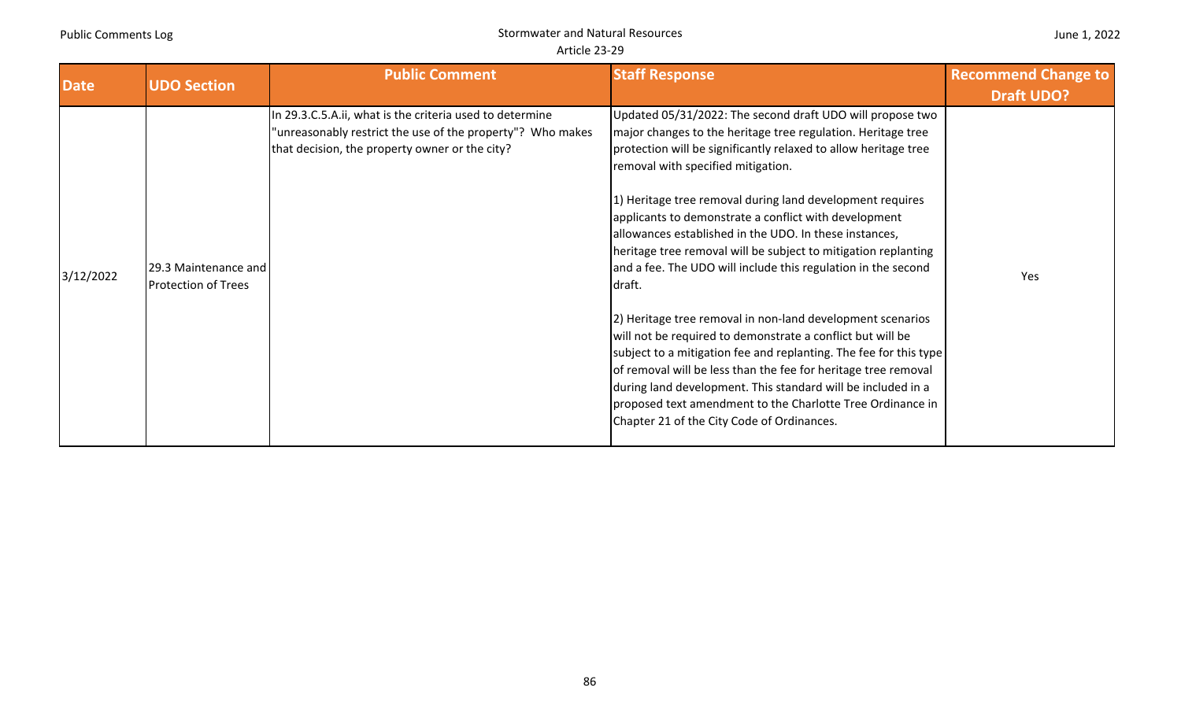| <b>Date</b> | <b>UDO Section</b>                                 | <b>Public Comment</b>                                                                                                                                                    | <b>Staff Response</b>                                                                                                                                                                                                                                                                                                                                                                                                                                                                                                                                                                                                                                                                                                                                                                                                                                                                                                                                                                                          | <b>Recommend Change to</b><br><b>Draft UDO?</b> |
|-------------|----------------------------------------------------|--------------------------------------------------------------------------------------------------------------------------------------------------------------------------|----------------------------------------------------------------------------------------------------------------------------------------------------------------------------------------------------------------------------------------------------------------------------------------------------------------------------------------------------------------------------------------------------------------------------------------------------------------------------------------------------------------------------------------------------------------------------------------------------------------------------------------------------------------------------------------------------------------------------------------------------------------------------------------------------------------------------------------------------------------------------------------------------------------------------------------------------------------------------------------------------------------|-------------------------------------------------|
| 3/12/2022   | 29.3 Maintenance and<br><b>Protection of Trees</b> | In 29.3.C.5.A.ii, what is the criteria used to determine<br>"unreasonably restrict the use of the property"? Who makes<br>that decision, the property owner or the city? | Updated 05/31/2022: The second draft UDO will propose two<br>major changes to the heritage tree regulation. Heritage tree<br>protection will be significantly relaxed to allow heritage tree<br>removal with specified mitigation.<br>1) Heritage tree removal during land development requires<br>applicants to demonstrate a conflict with development<br>allowances established in the UDO. In these instances,<br>heritage tree removal will be subject to mitigation replanting<br>and a fee. The UDO will include this regulation in the second<br>draft.<br>2) Heritage tree removal in non-land development scenarios<br>will not be required to demonstrate a conflict but will be<br>subject to a mitigation fee and replanting. The fee for this type<br>of removal will be less than the fee for heritage tree removal<br>during land development. This standard will be included in a<br>proposed text amendment to the Charlotte Tree Ordinance in<br>Chapter 21 of the City Code of Ordinances. | Yes                                             |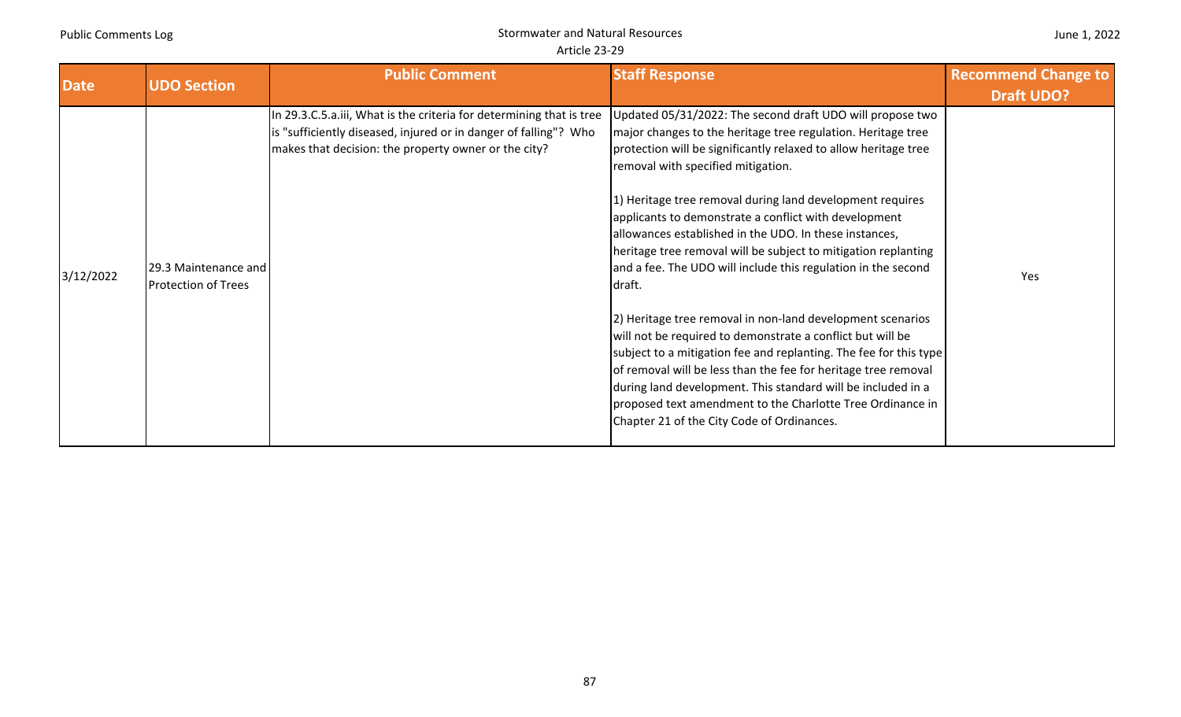| June 1, 2022 |  |  |  |
|--------------|--|--|--|
|--------------|--|--|--|

| <b>Date</b> | <b>UDO Section</b>                                 | <b>Public Comment</b>                                                                                                                                                                            | <b>Staff Response</b>                                                                                                                                                                                                                                                                                                                                                                                                                                                                                                                                                                                                                                                                                                                                             | <b>Recommend Change to</b><br><b>Draft UDO?</b> |
|-------------|----------------------------------------------------|--------------------------------------------------------------------------------------------------------------------------------------------------------------------------------------------------|-------------------------------------------------------------------------------------------------------------------------------------------------------------------------------------------------------------------------------------------------------------------------------------------------------------------------------------------------------------------------------------------------------------------------------------------------------------------------------------------------------------------------------------------------------------------------------------------------------------------------------------------------------------------------------------------------------------------------------------------------------------------|-------------------------------------------------|
| 3/12/2022   | 29.3 Maintenance and<br><b>Protection of Trees</b> | In 29.3.C.5.a.iii, What is the criteria for determining that is tree<br>is "sufficiently diseased, injured or in danger of falling"? Who<br>makes that decision: the property owner or the city? | Updated 05/31/2022: The second draft UDO will propose two<br>major changes to the heritage tree regulation. Heritage tree<br>protection will be significantly relaxed to allow heritage tree<br>removal with specified mitigation.<br>1) Heritage tree removal during land development requires<br>applicants to demonstrate a conflict with development<br>allowances established in the UDO. In these instances,<br>heritage tree removal will be subject to mitigation replanting<br>and a fee. The UDO will include this regulation in the second<br>draft.<br>[2] Heritage tree removal in non-land development scenarios<br>will not be required to demonstrate a conflict but will be<br>subject to a mitigation fee and replanting. The fee for this type | <b>Yes</b>                                      |
|             |                                                    |                                                                                                                                                                                                  | of removal will be less than the fee for heritage tree removal<br>during land development. This standard will be included in a<br>proposed text amendment to the Charlotte Tree Ordinance in<br>Chapter 21 of the City Code of Ordinances.                                                                                                                                                                                                                                                                                                                                                                                                                                                                                                                        |                                                 |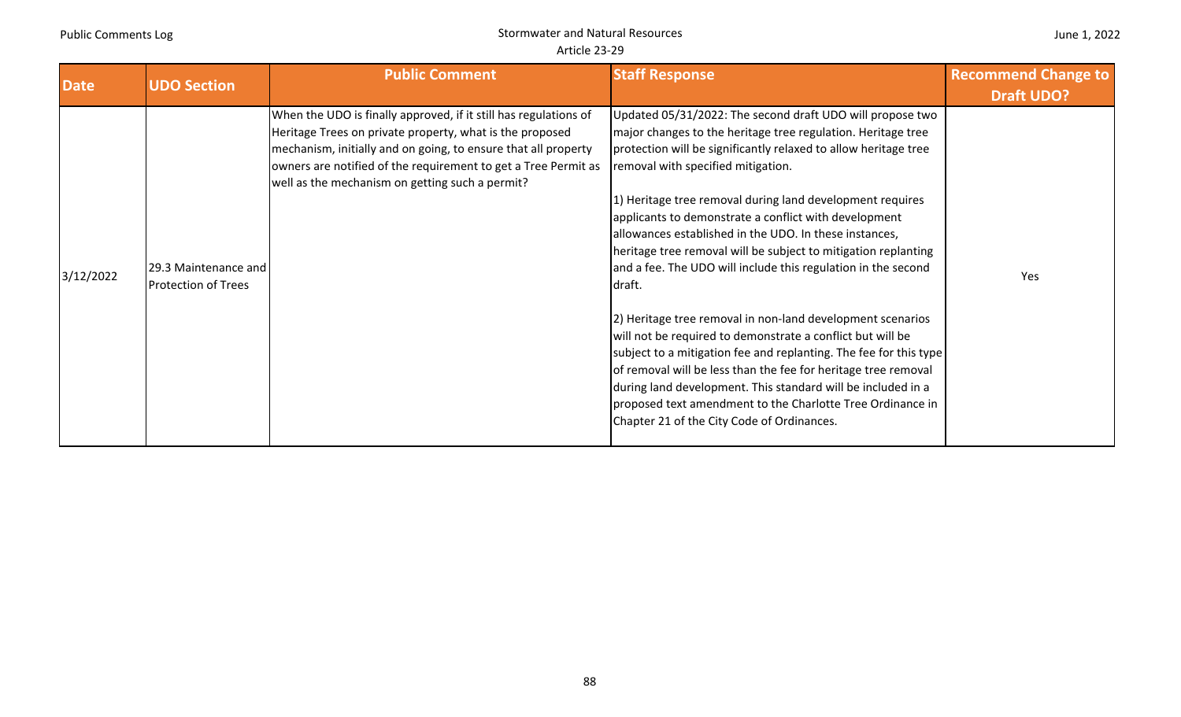|  | June 1, 2022 |
|--|--------------|
|--|--------------|

| <b>Date</b> | <b>UDO Section</b>                                 | <b>Public Comment</b>                                                                                                                                                                                                                                                                                               | <b>Staff Response</b>                                                                                                                                                                                                                                                                                                                                                                                                                                                                                                                                                                                                                                                                                                                                                                                                                                                                                                                                                                                          | <b>Recommend Change to</b><br><b>Draft UDO?</b> |
|-------------|----------------------------------------------------|---------------------------------------------------------------------------------------------------------------------------------------------------------------------------------------------------------------------------------------------------------------------------------------------------------------------|----------------------------------------------------------------------------------------------------------------------------------------------------------------------------------------------------------------------------------------------------------------------------------------------------------------------------------------------------------------------------------------------------------------------------------------------------------------------------------------------------------------------------------------------------------------------------------------------------------------------------------------------------------------------------------------------------------------------------------------------------------------------------------------------------------------------------------------------------------------------------------------------------------------------------------------------------------------------------------------------------------------|-------------------------------------------------|
| 3/12/2022   | 29.3 Maintenance and<br><b>Protection of Trees</b> | When the UDO is finally approved, if it still has regulations of<br>Heritage Trees on private property, what is the proposed<br>mechanism, initially and on going, to ensure that all property<br>owners are notified of the requirement to get a Tree Permit as<br>well as the mechanism on getting such a permit? | Updated 05/31/2022: The second draft UDO will propose two<br>major changes to the heritage tree regulation. Heritage tree<br>protection will be significantly relaxed to allow heritage tree<br>removal with specified mitigation.<br>1) Heritage tree removal during land development requires<br>applicants to demonstrate a conflict with development<br>allowances established in the UDO. In these instances,<br>heritage tree removal will be subject to mitigation replanting<br>and a fee. The UDO will include this regulation in the second<br>draft.<br>2) Heritage tree removal in non-land development scenarios<br>will not be required to demonstrate a conflict but will be<br>subject to a mitigation fee and replanting. The fee for this type<br>of removal will be less than the fee for heritage tree removal<br>during land development. This standard will be included in a<br>proposed text amendment to the Charlotte Tree Ordinance in<br>Chapter 21 of the City Code of Ordinances. | Yes                                             |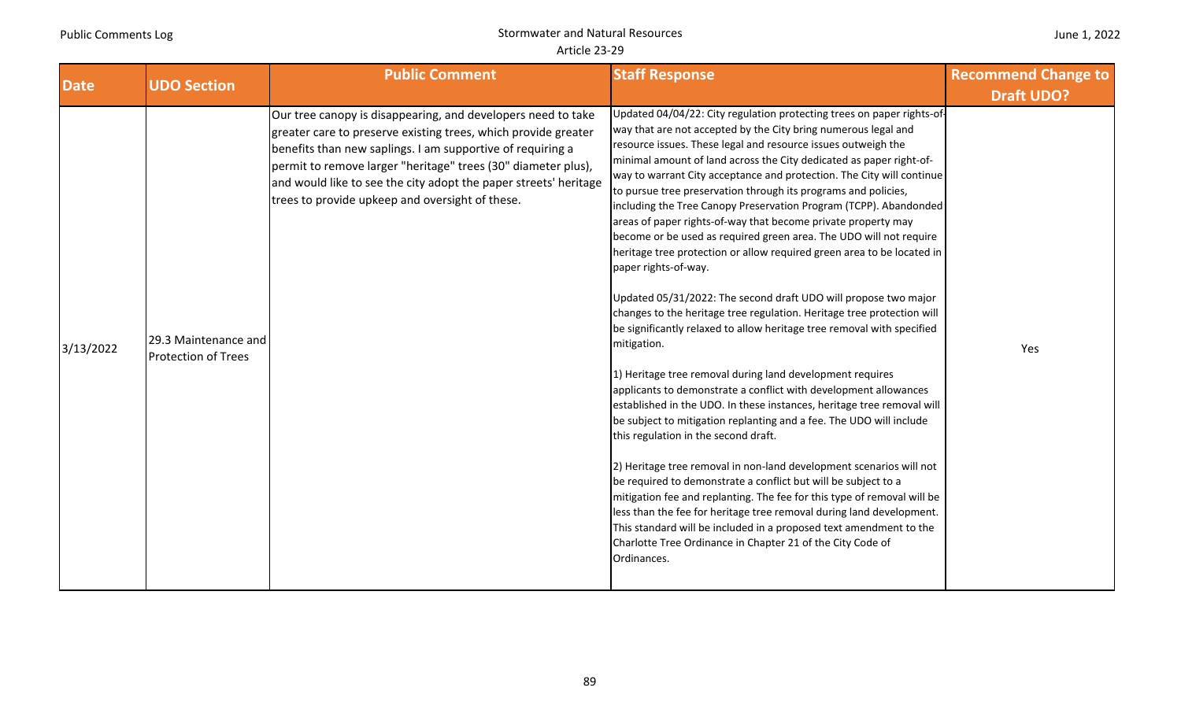| <b>Date</b> | <b>UDO Section</b>                                 | <b>Public Comment</b>                                                                                                                                                                                                                                                                                                                                                                | <b>Staff Response</b>                                                                                                                                                                                                                                                                                                                                                                                                                                                                                                                                                                                                                                                                                                                                                                                                                                                                                                                                                                                                                                                                                                                                                                                                                                                                                                                                                                                                                                                                                                                                                                                                                                                                                                                                    | <b>Recommend Change to</b> |
|-------------|----------------------------------------------------|--------------------------------------------------------------------------------------------------------------------------------------------------------------------------------------------------------------------------------------------------------------------------------------------------------------------------------------------------------------------------------------|----------------------------------------------------------------------------------------------------------------------------------------------------------------------------------------------------------------------------------------------------------------------------------------------------------------------------------------------------------------------------------------------------------------------------------------------------------------------------------------------------------------------------------------------------------------------------------------------------------------------------------------------------------------------------------------------------------------------------------------------------------------------------------------------------------------------------------------------------------------------------------------------------------------------------------------------------------------------------------------------------------------------------------------------------------------------------------------------------------------------------------------------------------------------------------------------------------------------------------------------------------------------------------------------------------------------------------------------------------------------------------------------------------------------------------------------------------------------------------------------------------------------------------------------------------------------------------------------------------------------------------------------------------------------------------------------------------------------------------------------------------|----------------------------|
|             |                                                    |                                                                                                                                                                                                                                                                                                                                                                                      |                                                                                                                                                                                                                                                                                                                                                                                                                                                                                                                                                                                                                                                                                                                                                                                                                                                                                                                                                                                                                                                                                                                                                                                                                                                                                                                                                                                                                                                                                                                                                                                                                                                                                                                                                          | <b>Draft UDO?</b>          |
| 3/13/2022   | 29.3 Maintenance and<br><b>Protection of Trees</b> | Our tree canopy is disappearing, and developers need to take<br>greater care to preserve existing trees, which provide greater<br>benefits than new saplings. I am supportive of requiring a<br>permit to remove larger "heritage" trees (30" diameter plus),<br>and would like to see the city adopt the paper streets' heritage<br>trees to provide upkeep and oversight of these. | Updated 04/04/22: City regulation protecting trees on paper rights-of-<br>way that are not accepted by the City bring numerous legal and<br>resource issues. These legal and resource issues outweigh the<br>minimal amount of land across the City dedicated as paper right-of-<br>way to warrant City acceptance and protection. The City will continue<br>to pursue tree preservation through its programs and policies,<br>including the Tree Canopy Preservation Program (TCPP). Abandonded<br>areas of paper rights-of-way that become private property may<br>become or be used as required green area. The UDO will not require<br>heritage tree protection or allow required green area to be located in<br>paper rights-of-way.<br>Updated 05/31/2022: The second draft UDO will propose two major<br>changes to the heritage tree regulation. Heritage tree protection will<br>be significantly relaxed to allow heritage tree removal with specified<br>mitigation.<br>1) Heritage tree removal during land development requires<br>applicants to demonstrate a conflict with development allowances<br>established in the UDO. In these instances, heritage tree removal will<br>be subject to mitigation replanting and a fee. The UDO will include<br>this regulation in the second draft.<br>2) Heritage tree removal in non-land development scenarios will not<br>be required to demonstrate a conflict but will be subject to a<br>mitigation fee and replanting. The fee for this type of removal will be<br>less than the fee for heritage tree removal during land development.<br>This standard will be included in a proposed text amendment to the<br>Charlotte Tree Ordinance in Chapter 21 of the City Code of<br>Ordinances. | Yes                        |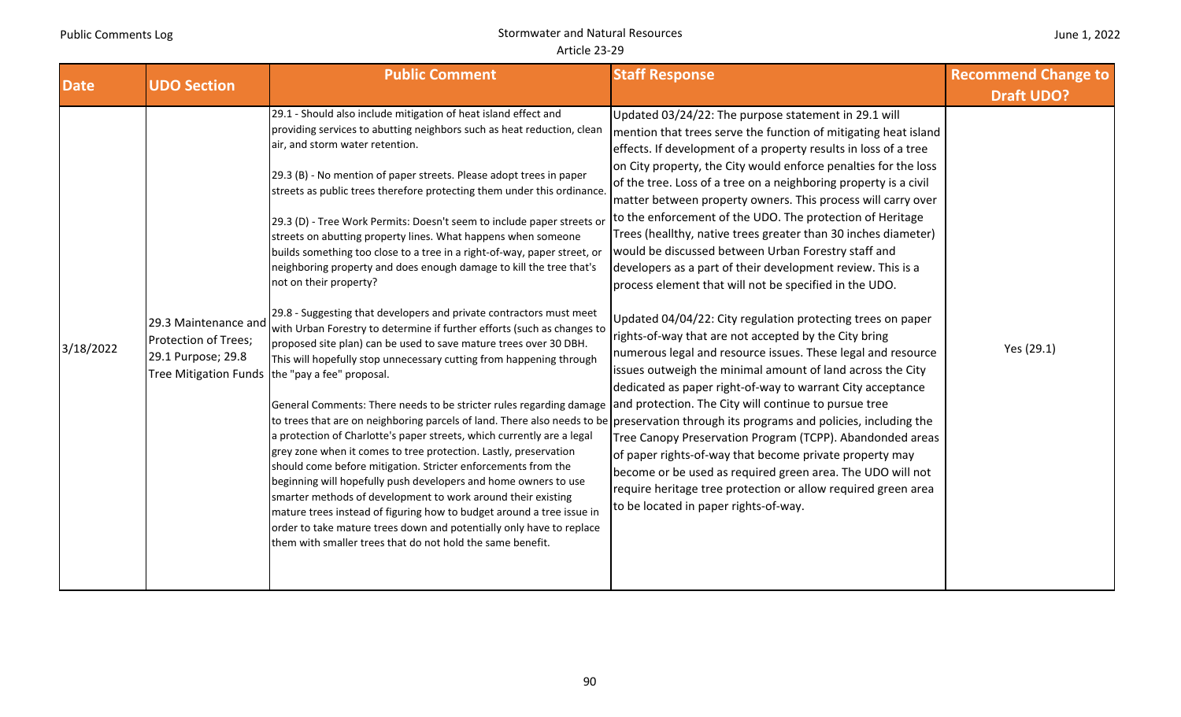| <b>Date</b> | <b>UDO Section</b>                                                 | <b>Public Comment</b>                                                                                                                                                                                                                                                                                                                                                                                                                                                                                                                                                                                                                                                                                                                                                                                                                                                                                                                                                                                                                                                                                                                                                                                                                                                                                                                                                                                                                                                                                                                                                                                                                                                                                                                                                                                                                             | <b>Staff Response</b>                                                                                                                                                                                                                                                                                                                                                                                                                                                                                                                                                                                                                                                                                                                                                                                                                                                                                                                                                                                                                                                                                                                                                                                                                                                                                                                | <b>Recommend Change to</b><br><b>Draft UDO?</b> |
|-------------|--------------------------------------------------------------------|---------------------------------------------------------------------------------------------------------------------------------------------------------------------------------------------------------------------------------------------------------------------------------------------------------------------------------------------------------------------------------------------------------------------------------------------------------------------------------------------------------------------------------------------------------------------------------------------------------------------------------------------------------------------------------------------------------------------------------------------------------------------------------------------------------------------------------------------------------------------------------------------------------------------------------------------------------------------------------------------------------------------------------------------------------------------------------------------------------------------------------------------------------------------------------------------------------------------------------------------------------------------------------------------------------------------------------------------------------------------------------------------------------------------------------------------------------------------------------------------------------------------------------------------------------------------------------------------------------------------------------------------------------------------------------------------------------------------------------------------------------------------------------------------------------------------------------------------------|--------------------------------------------------------------------------------------------------------------------------------------------------------------------------------------------------------------------------------------------------------------------------------------------------------------------------------------------------------------------------------------------------------------------------------------------------------------------------------------------------------------------------------------------------------------------------------------------------------------------------------------------------------------------------------------------------------------------------------------------------------------------------------------------------------------------------------------------------------------------------------------------------------------------------------------------------------------------------------------------------------------------------------------------------------------------------------------------------------------------------------------------------------------------------------------------------------------------------------------------------------------------------------------------------------------------------------------|-------------------------------------------------|
| 3/18/2022   | 29.3 Maintenance and<br>Protection of Trees;<br>29.1 Purpose; 29.8 | 29.1 - Should also include mitigation of heat island effect and<br>providing services to abutting neighbors such as heat reduction, clean<br>air, and storm water retention.<br>[29.3 (B) - No mention of paper streets. Please adopt trees in paper<br>streets as public trees therefore protecting them under this ordinance.<br>[29.3 (D) - Tree Work Permits: Doesn't seem to include paper streets or<br>streets on abutting property lines. What happens when someone<br>builds something too close to a tree in a right-of-way, paper street, or<br>neighboring property and does enough damage to kill the tree that's<br>not on their property?<br>29.8 - Suggesting that developers and private contractors must meet<br>with Urban Forestry to determine if further efforts (such as changes to<br>proposed site plan) can be used to save mature trees over 30 DBH.<br>This will hopefully stop unnecessary cutting from happening through<br>Tree Mitigation Funds the "pay a fee" proposal.<br>General Comments: There needs to be stricter rules regarding damage and protection. The City will continue to pursue tree<br>to trees that are on neighboring parcels of land. There also needs to be preservation through its programs and policies, including the<br>a protection of Charlotte's paper streets, which currently are a legal<br>grey zone when it comes to tree protection. Lastly, preservation<br>should come before mitigation. Stricter enforcements from the<br>beginning will hopefully push developers and home owners to use<br>smarter methods of development to work around their existing<br>mature trees instead of figuring how to budget around a tree issue in<br>order to take mature trees down and potentially only have to replace<br>them with smaller trees that do not hold the same benefit. | Updated 03/24/22: The purpose statement in 29.1 will<br>mention that trees serve the function of mitigating heat island<br>effects. If development of a property results in loss of a tree<br>on City property, the City would enforce penalties for the loss<br>of the tree. Loss of a tree on a neighboring property is a civil<br>matter between property owners. This process will carry over<br>to the enforcement of the UDO. The protection of Heritage<br>Trees (heallthy, native trees greater than 30 inches diameter)<br>would be discussed between Urban Forestry staff and<br>developers as a part of their development review. This is a<br>process element that will not be specified in the UDO.<br>Updated 04/04/22: City regulation protecting trees on paper<br>rights-of-way that are not accepted by the City bring<br>numerous legal and resource issues. These legal and resource<br>issues outweigh the minimal amount of land across the City<br>dedicated as paper right-of-way to warrant City acceptance<br>Tree Canopy Preservation Program (TCPP). Abandonded areas<br>of paper rights-of-way that become private property may<br>become or be used as required green area. The UDO will not<br>require heritage tree protection or allow required green area<br>to be located in paper rights-of-way. | Yes (29.1)                                      |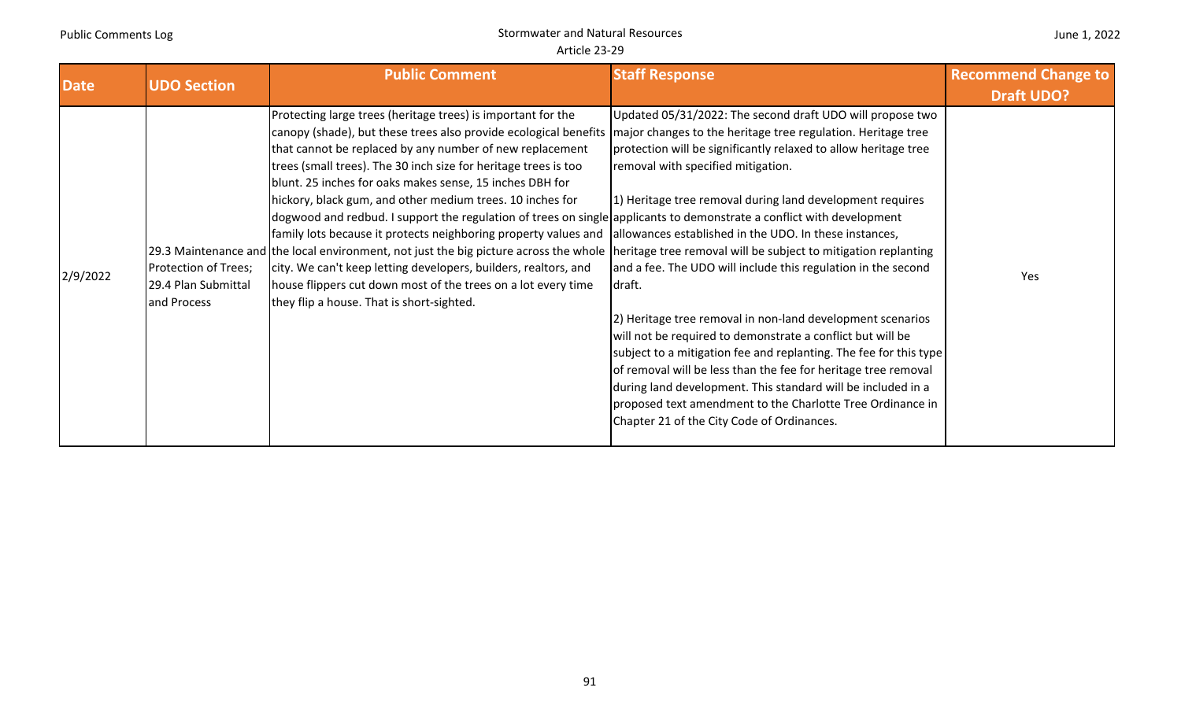|  | June 1, 2022 |
|--|--------------|
|--|--------------|

| <b>Date</b> | <b>UDO Section</b>                                         | <b>Public Comment</b>                                                                                                                                                                                                                                                                                                                                                                                                                                                                                                                                                                                                                                                                                                                                                                                                                                                                                                                                                                                                                                | <b>Staff Response</b>                                                                                                                                                                                                                                                                                                                                                                                                                                                                                                                                                                                                                                                                                                                                     | <b>Recommend Change to</b><br><b>Draft UDO?</b> |
|-------------|------------------------------------------------------------|------------------------------------------------------------------------------------------------------------------------------------------------------------------------------------------------------------------------------------------------------------------------------------------------------------------------------------------------------------------------------------------------------------------------------------------------------------------------------------------------------------------------------------------------------------------------------------------------------------------------------------------------------------------------------------------------------------------------------------------------------------------------------------------------------------------------------------------------------------------------------------------------------------------------------------------------------------------------------------------------------------------------------------------------------|-----------------------------------------------------------------------------------------------------------------------------------------------------------------------------------------------------------------------------------------------------------------------------------------------------------------------------------------------------------------------------------------------------------------------------------------------------------------------------------------------------------------------------------------------------------------------------------------------------------------------------------------------------------------------------------------------------------------------------------------------------------|-------------------------------------------------|
| 2/9/2022    | Protection of Trees;<br>29.4 Plan Submittal<br>and Process | Protecting large trees (heritage trees) is important for the<br>canopy (shade), but these trees also provide ecological benefits   major changes to the heritage tree regulation. Heritage tree<br>that cannot be replaced by any number of new replacement<br>trees (small trees). The 30 inch size for heritage trees is too<br>blunt. 25 inches for oaks makes sense, 15 inches DBH for<br>hickory, black gum, and other medium trees. 10 inches for<br>dogwood and redbud. I support the regulation of trees on single applicants to demonstrate a conflict with development<br>family lots because it protects neighboring property values and allowances established in the UDO. In these instances,<br>29.3 Maintenance and the local environment, not just the big picture across the whole  heritage tree removal will be subject to mitigation replanting<br>city. We can't keep letting developers, builders, realtors, and<br>house flippers cut down most of the trees on a lot every time<br>they flip a house. That is short-sighted. | Updated 05/31/2022: The second draft UDO will propose two<br>protection will be significantly relaxed to allow heritage tree<br>removal with specified mitigation.<br>1) Heritage tree removal during land development requires<br>and a fee. The UDO will include this regulation in the second<br>draft.<br>2) Heritage tree removal in non-land development scenarios<br>will not be required to demonstrate a conflict but will be<br>subject to a mitigation fee and replanting. The fee for this type<br>of removal will be less than the fee for heritage tree removal<br>during land development. This standard will be included in a<br>proposed text amendment to the Charlotte Tree Ordinance in<br>Chapter 21 of the City Code of Ordinances. | Yes                                             |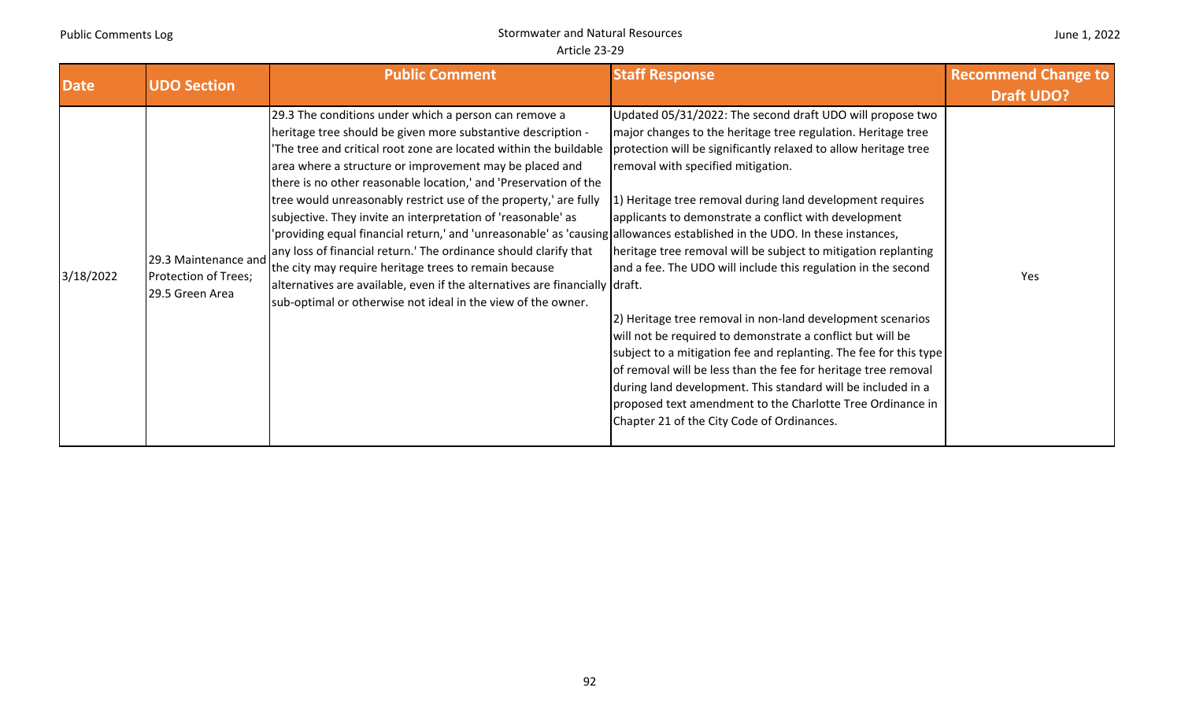# Stormwater and Natural Resources Article 23‐29

| <b>Date</b> | <b>UDO Section</b>                                              | <b>Public Comment</b>                                                                                                                                                                                                                                                                                                                                                                                                                                                                                                                                                                                                                                                                                                                                                                                                                                                 | <b>Staff Response</b>                                                                                                                                                                                                                                                                                                                                                                                                                                                                                                                                                                                                                                                                                                                                                                                                                                                                                                                       | <b>Recommend Change to</b><br><b>Draft UDO?</b> |
|-------------|-----------------------------------------------------------------|-----------------------------------------------------------------------------------------------------------------------------------------------------------------------------------------------------------------------------------------------------------------------------------------------------------------------------------------------------------------------------------------------------------------------------------------------------------------------------------------------------------------------------------------------------------------------------------------------------------------------------------------------------------------------------------------------------------------------------------------------------------------------------------------------------------------------------------------------------------------------|---------------------------------------------------------------------------------------------------------------------------------------------------------------------------------------------------------------------------------------------------------------------------------------------------------------------------------------------------------------------------------------------------------------------------------------------------------------------------------------------------------------------------------------------------------------------------------------------------------------------------------------------------------------------------------------------------------------------------------------------------------------------------------------------------------------------------------------------------------------------------------------------------------------------------------------------|-------------------------------------------------|
| 3/18/2022   | 29.3 Maintenance and<br>Protection of Trees;<br>29.5 Green Area | 29.3 The conditions under which a person can remove a<br>heritage tree should be given more substantive description -<br>The tree and critical root zone are located within the buildable<br>area where a structure or improvement may be placed and<br>there is no other reasonable location,' and 'Preservation of the<br>tree would unreasonably restrict use of the property,' are fully<br>subjective. They invite an interpretation of 'reasonable' as<br>'providing equal financial return,' and 'unreasonable' as 'causing allowances established in the UDO. In these instances,<br>any loss of financial return.' The ordinance should clarify that<br>the city may require heritage trees to remain because<br>alternatives are available, even if the alternatives are financially draft.<br>sub-optimal or otherwise not ideal in the view of the owner. | Updated 05/31/2022: The second draft UDO will propose two<br>major changes to the heritage tree regulation. Heritage tree<br>protection will be significantly relaxed to allow heritage tree<br>removal with specified mitigation.<br>1) Heritage tree removal during land development requires<br>applicants to demonstrate a conflict with development<br>heritage tree removal will be subject to mitigation replanting<br>and a fee. The UDO will include this regulation in the second<br>[2] Heritage tree removal in non-land development scenarios<br>will not be required to demonstrate a conflict but will be<br>subject to a mitigation fee and replanting. The fee for this type<br>of removal will be less than the fee for heritage tree removal<br>during land development. This standard will be included in a<br>proposed text amendment to the Charlotte Tree Ordinance in<br>Chapter 21 of the City Code of Ordinances. | Yes                                             |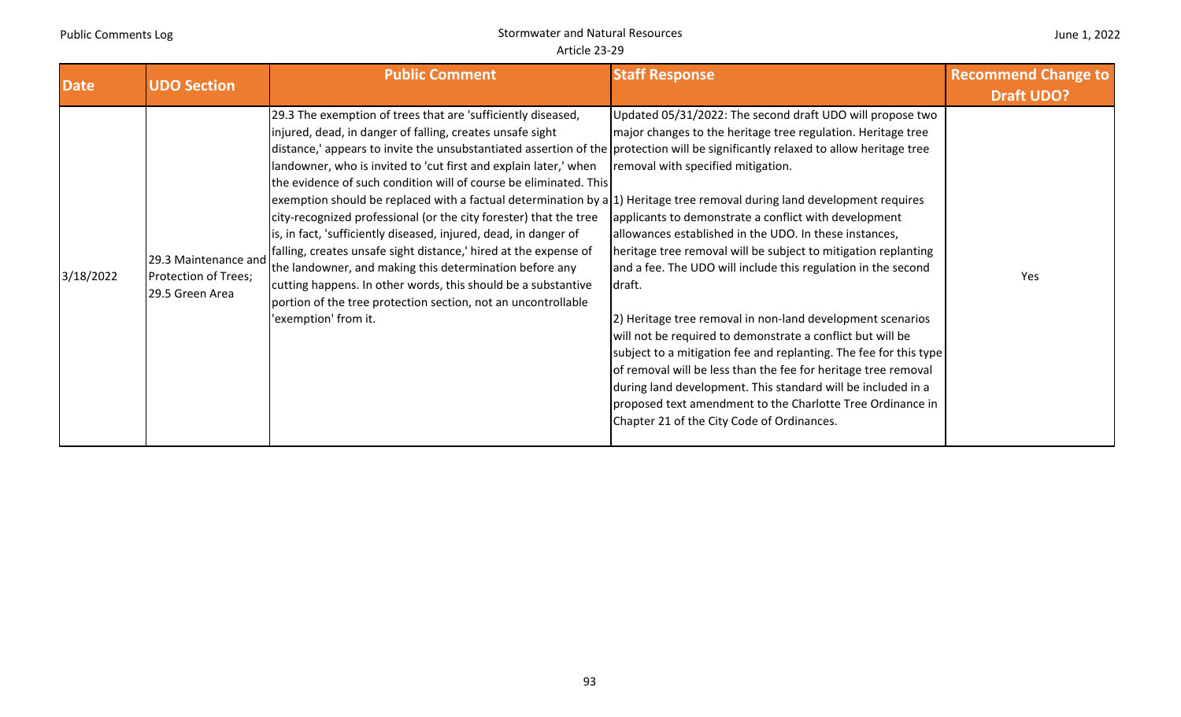# Stormwater and Natural Resources Article 23‐29

#### June 1, 2022

| <b>Date</b> | <b>UDO Section</b>                                              | <b>Public Comment</b>                                                                                                                                                                                                                                                                                                                                                                                                                                                                                                                                                                                                                                                                                                                                                                                                                                                                                                                                                    | <b>Staff Response</b>                                                                                                                                                                                                                                                                                                                                                                                                                                                                                                                                                                                                                                                                                                                                                                                                                                                          | <b>Recommend Change to</b><br><b>Draft UDO?</b> |
|-------------|-----------------------------------------------------------------|--------------------------------------------------------------------------------------------------------------------------------------------------------------------------------------------------------------------------------------------------------------------------------------------------------------------------------------------------------------------------------------------------------------------------------------------------------------------------------------------------------------------------------------------------------------------------------------------------------------------------------------------------------------------------------------------------------------------------------------------------------------------------------------------------------------------------------------------------------------------------------------------------------------------------------------------------------------------------|--------------------------------------------------------------------------------------------------------------------------------------------------------------------------------------------------------------------------------------------------------------------------------------------------------------------------------------------------------------------------------------------------------------------------------------------------------------------------------------------------------------------------------------------------------------------------------------------------------------------------------------------------------------------------------------------------------------------------------------------------------------------------------------------------------------------------------------------------------------------------------|-------------------------------------------------|
| 3/18/2022   | 29.3 Maintenance and<br>Protection of Trees;<br>29.5 Green Area | 29.3 The exemption of trees that are 'sufficiently diseased,<br>injured, dead, in danger of falling, creates unsafe sight<br>distance,' appears to invite the unsubstantiated assertion of the protection will be significantly relaxed to allow heritage tree<br>landowner, who is invited to 'cut first and explain later,' when<br>the evidence of such condition will of course be eliminated. This<br>exemption should be replaced with a factual determination by $a 1$ ) Heritage tree removal during land development requires<br>city-recognized professional (or the city forester) that the tree<br>is, in fact, 'sufficiently diseased, injured, dead, in danger of<br>falling, creates unsafe sight distance,' hired at the expense of<br>the landowner, and making this determination before any<br>cutting happens. In other words, this should be a substantive<br>portion of the tree protection section, not an uncontrollable<br>'exemption' from it. | Updated 05/31/2022: The second draft UDO will propose two<br>major changes to the heritage tree regulation. Heritage tree<br>removal with specified mitigation.<br>applicants to demonstrate a conflict with development<br>allowances established in the UDO. In these instances,<br>heritage tree removal will be subject to mitigation replanting<br>and a fee. The UDO will include this regulation in the second<br>draft.<br>2) Heritage tree removal in non-land development scenarios<br>will not be required to demonstrate a conflict but will be<br>subject to a mitigation fee and replanting. The fee for this type<br>of removal will be less than the fee for heritage tree removal<br>during land development. This standard will be included in a<br>proposed text amendment to the Charlotte Tree Ordinance in<br>Chapter 21 of the City Code of Ordinances. | Yes                                             |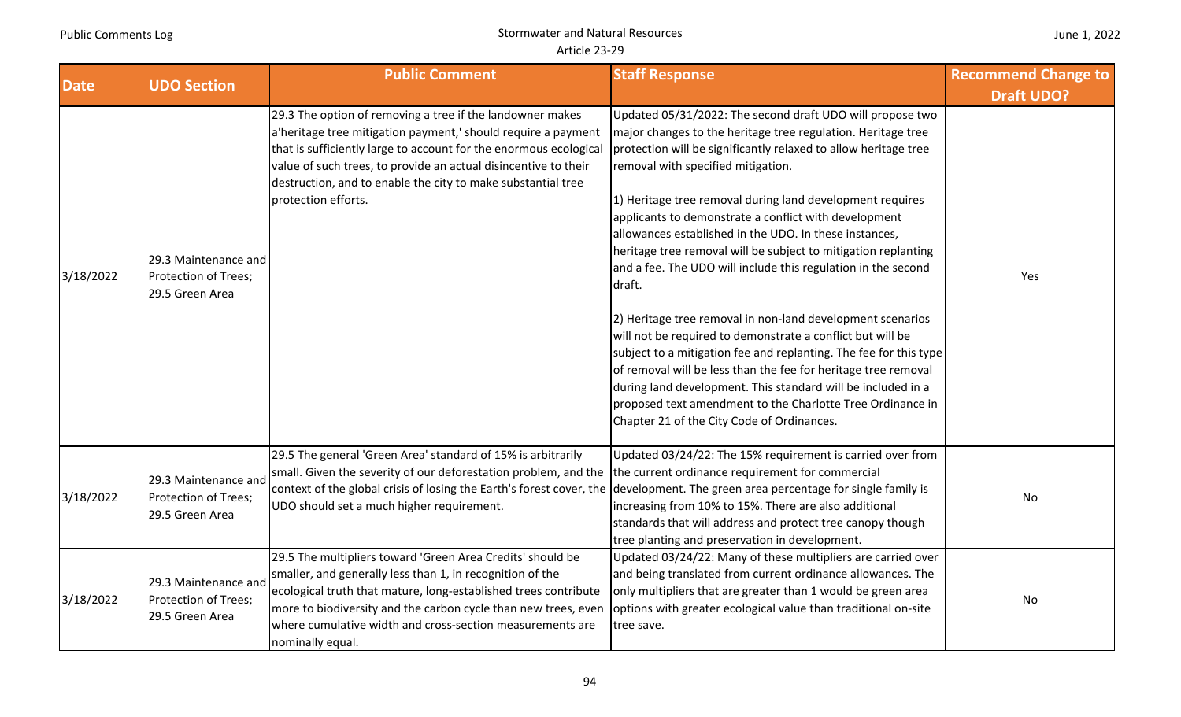| <b>Date</b> | <b>UDO Section</b>                                              | <b>Public Comment</b>                                                                                                                                                                                                                                                                                                                                             | <b>Staff Response</b>                                                                                                                                                                                                                                                                                                                                                                                                                                                                                                                                                                                                                                                                                                                                                                                                                                                                                                                                                                                          | <b>Recommend Change to</b> |
|-------------|-----------------------------------------------------------------|-------------------------------------------------------------------------------------------------------------------------------------------------------------------------------------------------------------------------------------------------------------------------------------------------------------------------------------------------------------------|----------------------------------------------------------------------------------------------------------------------------------------------------------------------------------------------------------------------------------------------------------------------------------------------------------------------------------------------------------------------------------------------------------------------------------------------------------------------------------------------------------------------------------------------------------------------------------------------------------------------------------------------------------------------------------------------------------------------------------------------------------------------------------------------------------------------------------------------------------------------------------------------------------------------------------------------------------------------------------------------------------------|----------------------------|
|             |                                                                 |                                                                                                                                                                                                                                                                                                                                                                   |                                                                                                                                                                                                                                                                                                                                                                                                                                                                                                                                                                                                                                                                                                                                                                                                                                                                                                                                                                                                                | <b>Draft UDO?</b>          |
| 3/18/2022   | 29.3 Maintenance and<br>Protection of Trees;<br>29.5 Green Area | 29.3 The option of removing a tree if the landowner makes<br>a'heritage tree mitigation payment,' should require a payment<br>that is sufficiently large to account for the enormous ecological<br>value of such trees, to provide an actual disincentive to their<br>destruction, and to enable the city to make substantial tree<br>protection efforts.         | Updated 05/31/2022: The second draft UDO will propose two<br>major changes to the heritage tree regulation. Heritage tree<br>protection will be significantly relaxed to allow heritage tree<br>removal with specified mitigation.<br>1) Heritage tree removal during land development requires<br>applicants to demonstrate a conflict with development<br>allowances established in the UDO. In these instances,<br>heritage tree removal will be subject to mitigation replanting<br>and a fee. The UDO will include this regulation in the second<br>draft.<br>2) Heritage tree removal in non-land development scenarios<br>will not be required to demonstrate a conflict but will be<br>subject to a mitigation fee and replanting. The fee for this type<br>of removal will be less than the fee for heritage tree removal<br>during land development. This standard will be included in a<br>proposed text amendment to the Charlotte Tree Ordinance in<br>Chapter 21 of the City Code of Ordinances. | Yes                        |
| 3/18/2022   | 29.3 Maintenance and<br>Protection of Trees;<br>29.5 Green Area | 29.5 The general 'Green Area' standard of 15% is arbitrarily<br>small. Given the severity of our deforestation problem, and the the current ordinance requirement for commercial<br>context of the global crisis of losing the Earth's forest cover, the development. The green area percentage for single family is<br>UDO should set a much higher requirement. | Updated 03/24/22: The 15% requirement is carried over from<br>increasing from 10% to 15%. There are also additional<br>standards that will address and protect tree canopy though<br>tree planting and preservation in development.                                                                                                                                                                                                                                                                                                                                                                                                                                                                                                                                                                                                                                                                                                                                                                            | No                         |
| 3/18/2022   | 29.3 Maintenance and<br>Protection of Trees;<br>29.5 Green Area | 29.5 The multipliers toward 'Green Area Credits' should be<br>smaller, and generally less than 1, in recognition of the<br>ecological truth that mature, long-established trees contribute<br>more to biodiversity and the carbon cycle than new trees, even<br>where cumulative width and cross-section measurements are<br>nominally equal.                     | Updated 03/24/22: Many of these multipliers are carried over<br>and being translated from current ordinance allowances. The<br>only multipliers that are greater than 1 would be green area<br>options with greater ecological value than traditional on-site<br>tree save.                                                                                                                                                                                                                                                                                                                                                                                                                                                                                                                                                                                                                                                                                                                                    | No                         |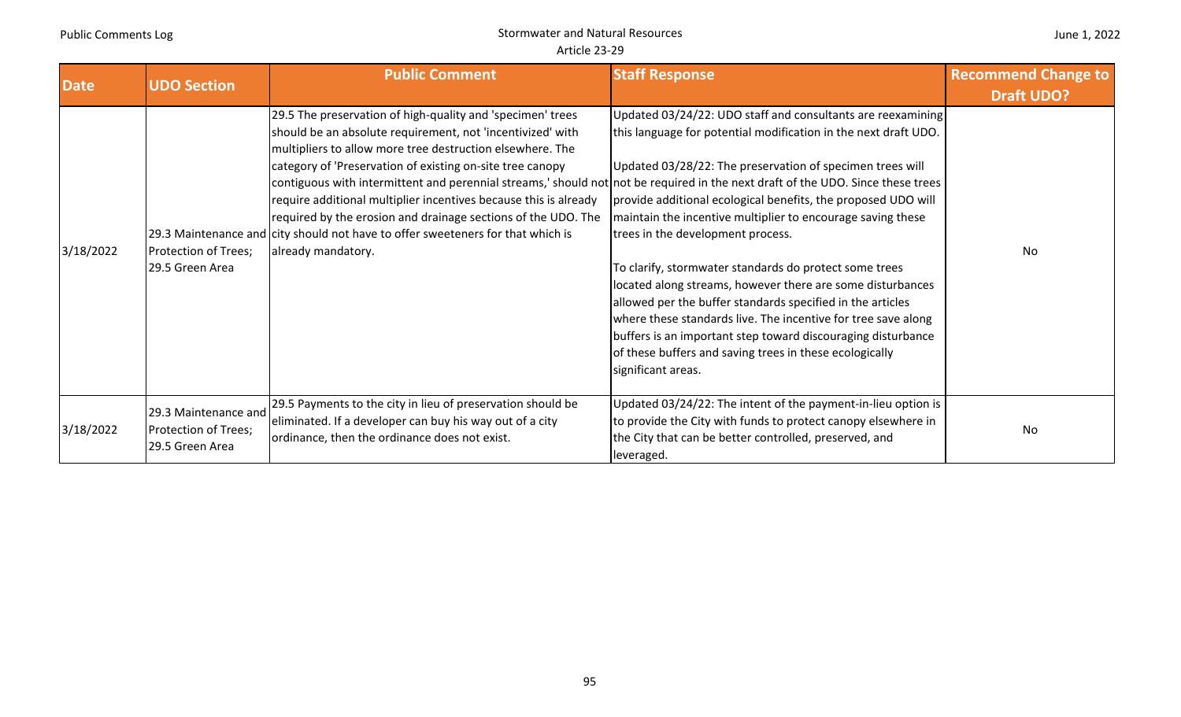| <b>Date</b> | <b>UDO Section</b>                                              | <b>Public Comment</b>                                                                                                                                                                                                                                                                                                                                                                                                                                                                                                                                                                                                              | <b>Staff Response</b>                                                                                                                                                                                                                                                                                                                                                                                                                                                                                                                                                                                                                                                                                                                                                    | <b>Recommend Change to</b><br><b>Draft UDO?</b> |
|-------------|-----------------------------------------------------------------|------------------------------------------------------------------------------------------------------------------------------------------------------------------------------------------------------------------------------------------------------------------------------------------------------------------------------------------------------------------------------------------------------------------------------------------------------------------------------------------------------------------------------------------------------------------------------------------------------------------------------------|--------------------------------------------------------------------------------------------------------------------------------------------------------------------------------------------------------------------------------------------------------------------------------------------------------------------------------------------------------------------------------------------------------------------------------------------------------------------------------------------------------------------------------------------------------------------------------------------------------------------------------------------------------------------------------------------------------------------------------------------------------------------------|-------------------------------------------------|
| 3/18/2022   | Protection of Trees;<br>29.5 Green Area                         | 29.5 The preservation of high-quality and 'specimen' trees<br>should be an absolute requirement, not 'incentivized' with<br>multipliers to allow more tree destruction elsewhere. The<br>category of 'Preservation of existing on-site tree canopy<br>contiguous with intermittent and perennial streams, should not not be required in the next draft of the UDO. Since these trees<br>require additional multiplier incentives because this is already<br>required by the erosion and drainage sections of the UDO. The<br>29.3 Maintenance and city should not have to offer sweeteners for that which is<br>already mandatory. | Updated 03/24/22: UDO staff and consultants are reexamining<br>this language for potential modification in the next draft UDO.<br>Updated 03/28/22: The preservation of specimen trees will<br>provide additional ecological benefits, the proposed UDO will<br>maintain the incentive multiplier to encourage saving these<br>trees in the development process.<br>To clarify, stormwater standards do protect some trees<br>located along streams, however there are some disturbances<br>allowed per the buffer standards specified in the articles<br>where these standards live. The incentive for tree save along<br>buffers is an important step toward discouraging disturbance<br>of these buffers and saving trees in these ecologically<br>significant areas. | No                                              |
| 3/18/2022   | 29.3 Maintenance and<br>Protection of Trees;<br>29.5 Green Area | 29.5 Payments to the city in lieu of preservation should be<br>eliminated. If a developer can buy his way out of a city<br>ordinance, then the ordinance does not exist.                                                                                                                                                                                                                                                                                                                                                                                                                                                           | Updated 03/24/22: The intent of the payment-in-lieu option is<br>to provide the City with funds to protect canopy elsewhere in<br>the City that can be better controlled, preserved, and<br>leveraged.                                                                                                                                                                                                                                                                                                                                                                                                                                                                                                                                                                   | No                                              |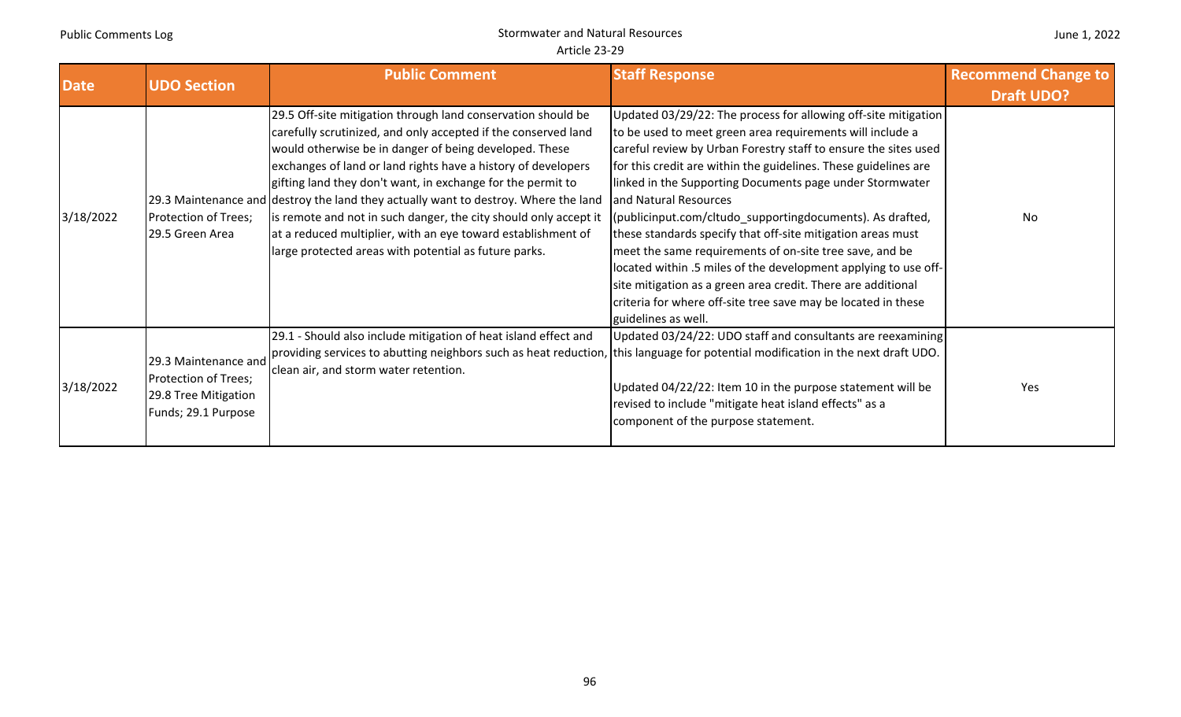| <b>Date</b> | <b>UDO Section</b>                                                                          | <b>Public Comment</b>                                                                                                                                                                                                                                                                                                                                                                                                                                                                                                                                                                                         | <b>Staff Response</b>                                                                                                                                                                                                                                                                                                                                                                                                                                                                                                                                                                                                                                                                                                                                                    | <b>Recommend Change to</b><br><b>Draft UDO?</b> |
|-------------|---------------------------------------------------------------------------------------------|---------------------------------------------------------------------------------------------------------------------------------------------------------------------------------------------------------------------------------------------------------------------------------------------------------------------------------------------------------------------------------------------------------------------------------------------------------------------------------------------------------------------------------------------------------------------------------------------------------------|--------------------------------------------------------------------------------------------------------------------------------------------------------------------------------------------------------------------------------------------------------------------------------------------------------------------------------------------------------------------------------------------------------------------------------------------------------------------------------------------------------------------------------------------------------------------------------------------------------------------------------------------------------------------------------------------------------------------------------------------------------------------------|-------------------------------------------------|
| 3/18/2022   | Protection of Trees;<br>29.5 Green Area                                                     | 29.5 Off-site mitigation through land conservation should be<br>carefully scrutinized, and only accepted if the conserved land<br>would otherwise be in danger of being developed. These<br>exchanges of land or land rights have a history of developers<br>gifting land they don't want, in exchange for the permit to<br>[29.3 Maintenance and destroy the land they actually want to destroy. Where the land<br>is remote and not in such danger, the city should only accept it<br>at a reduced multiplier, with an eye toward establishment of<br>large protected areas with potential as future parks. | Updated 03/29/22: The process for allowing off-site mitigation<br>to be used to meet green area requirements will include a<br>careful review by Urban Forestry staff to ensure the sites used<br>for this credit are within the guidelines. These guidelines are<br>linked in the Supporting Documents page under Stormwater<br>and Natural Resources<br>(publicinput.com/cltudo_supportingdocuments). As drafted,<br>these standards specify that off-site mitigation areas must<br>meet the same requirements of on-site tree save, and be<br>located within .5 miles of the development applying to use off-<br>site mitigation as a green area credit. There are additional<br>criteria for where off-site tree save may be located in these<br>guidelines as well. | No                                              |
| 3/18/2022   | 29.3 Maintenance and<br>Protection of Trees;<br>29.8 Tree Mitigation<br>Funds; 29.1 Purpose | 29.1 - Should also include mitigation of heat island effect and<br>providing services to abutting neighbors such as heat reduction, this language for potential modification in the next draft UDO.<br>clean air, and storm water retention.                                                                                                                                                                                                                                                                                                                                                                  | Updated 03/24/22: UDO staff and consultants are reexamining<br>Updated 04/22/22: Item 10 in the purpose statement will be<br>revised to include "mitigate heat island effects" as a<br>component of the purpose statement.                                                                                                                                                                                                                                                                                                                                                                                                                                                                                                                                               | Yes                                             |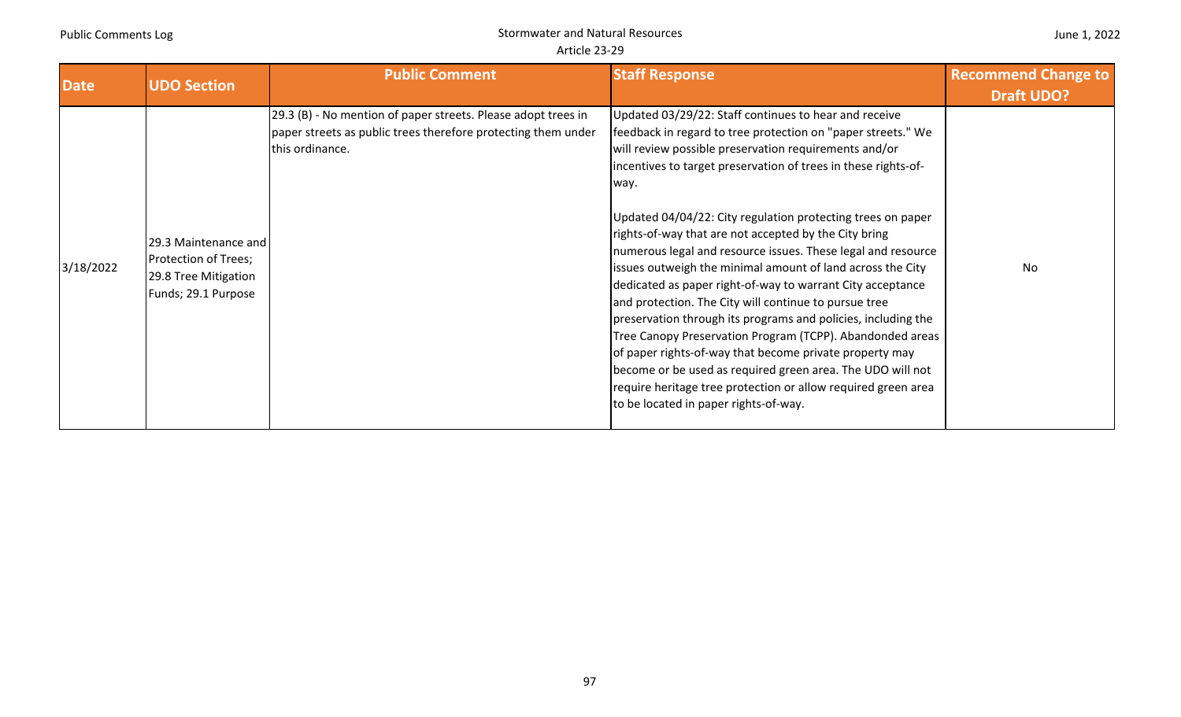|  |  | June 1, 2022 |
|--|--|--------------|
|--|--|--------------|

| <b>Date</b> | <b>UDO Section</b>                                                                          | <b>Public Comment</b>                                                                                                                             | <b>Staff Response</b>                                                                                                                                                                                                                                                                                                                                                                                                                                                                                                                                                                                                                                                                                                                                                                                                                                                                                                                                                                                  | <b>Recommend Change to</b><br><b>Draft UDO?</b> |
|-------------|---------------------------------------------------------------------------------------------|---------------------------------------------------------------------------------------------------------------------------------------------------|--------------------------------------------------------------------------------------------------------------------------------------------------------------------------------------------------------------------------------------------------------------------------------------------------------------------------------------------------------------------------------------------------------------------------------------------------------------------------------------------------------------------------------------------------------------------------------------------------------------------------------------------------------------------------------------------------------------------------------------------------------------------------------------------------------------------------------------------------------------------------------------------------------------------------------------------------------------------------------------------------------|-------------------------------------------------|
| 3/18/2022   | 29.3 Maintenance and<br>Protection of Trees;<br>29.8 Tree Mitigation<br>Funds; 29.1 Purpose | 29.3 (B) - No mention of paper streets. Please adopt trees in<br>paper streets as public trees therefore protecting them under<br>this ordinance. | Updated 03/29/22: Staff continues to hear and receive<br>feedback in regard to tree protection on "paper streets." We<br>will review possible preservation requirements and/or<br>incentives to target preservation of trees in these rights-of-<br>way.<br>Updated 04/04/22: City regulation protecting trees on paper<br>rights-of-way that are not accepted by the City bring<br>numerous legal and resource issues. These legal and resource<br>issues outweigh the minimal amount of land across the City<br>dedicated as paper right-of-way to warrant City acceptance<br>and protection. The City will continue to pursue tree<br>preservation through its programs and policies, including the<br>Tree Canopy Preservation Program (TCPP). Abandonded areas<br>of paper rights-of-way that become private property may<br>become or be used as required green area. The UDO will not<br>require heritage tree protection or allow required green area<br>to be located in paper rights-of-way. | No                                              |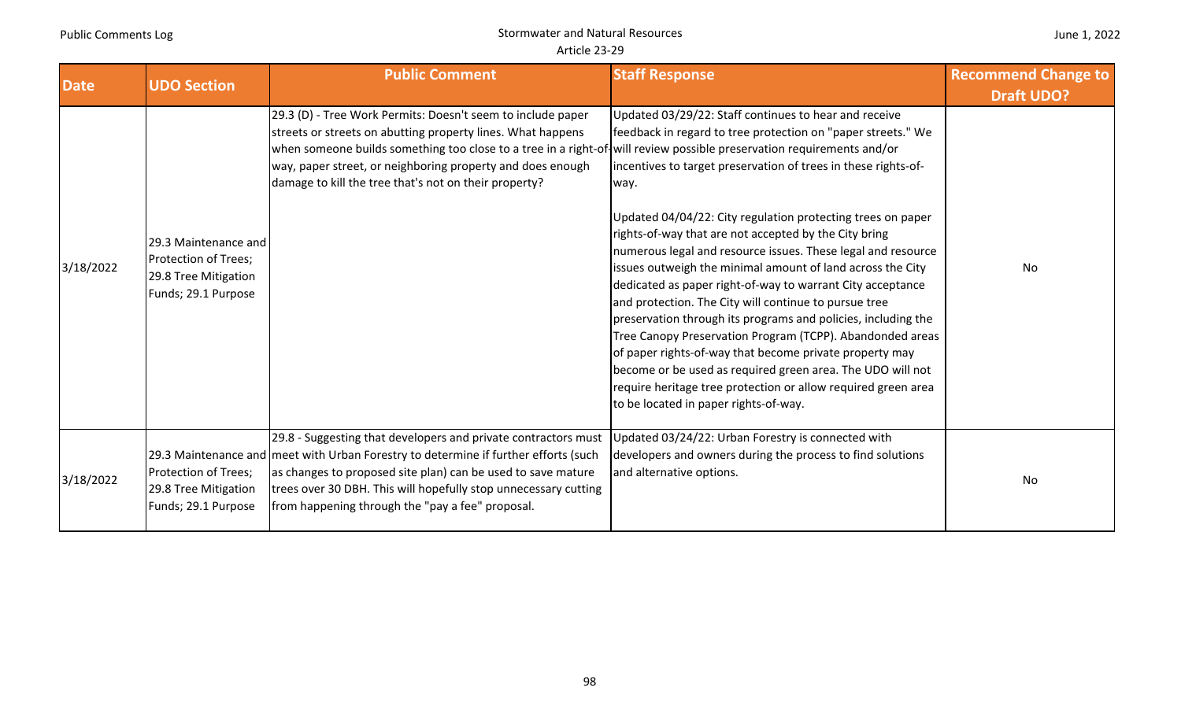| June 1, 2022 |  |  |
|--------------|--|--|
|--------------|--|--|

| <b>Date</b> | <b>UDO Section</b>                                                                          | <b>Public Comment</b>                                                                                                                                                                                                                                                                                                                                                       | <b>Staff Response</b>                                                                                                                                                                                                                                                                                                                                                                                                                                                                                                                                                                                                                                                                                                                                                                                                                                                                                                                         | <b>Recommend Change to</b><br><b>Draft UDO?</b> |
|-------------|---------------------------------------------------------------------------------------------|-----------------------------------------------------------------------------------------------------------------------------------------------------------------------------------------------------------------------------------------------------------------------------------------------------------------------------------------------------------------------------|-----------------------------------------------------------------------------------------------------------------------------------------------------------------------------------------------------------------------------------------------------------------------------------------------------------------------------------------------------------------------------------------------------------------------------------------------------------------------------------------------------------------------------------------------------------------------------------------------------------------------------------------------------------------------------------------------------------------------------------------------------------------------------------------------------------------------------------------------------------------------------------------------------------------------------------------------|-------------------------------------------------|
| 3/18/2022   | 29.3 Maintenance and<br>Protection of Trees;<br>29.8 Tree Mitigation<br>Funds; 29.1 Purpose | [29.3 (D) - Tree Work Permits: Doesn't seem to include paper<br>streets or streets on abutting property lines. What happens<br>when someone builds something too close to a tree in a right-of-will review possible preservation requirements and/or<br>way, paper street, or neighboring property and does enough<br>damage to kill the tree that's not on their property? | Updated 03/29/22: Staff continues to hear and receive<br>feedback in regard to tree protection on "paper streets." We<br>incentives to target preservation of trees in these rights-of-<br>way.<br>Updated 04/04/22: City regulation protecting trees on paper<br>rights-of-way that are not accepted by the City bring<br>numerous legal and resource issues. These legal and resource<br>issues outweigh the minimal amount of land across the City<br>dedicated as paper right-of-way to warrant City acceptance<br>and protection. The City will continue to pursue tree<br>preservation through its programs and policies, including the<br>Tree Canopy Preservation Program (TCPP). Abandonded areas<br>of paper rights-of-way that become private property may<br>become or be used as required green area. The UDO will not<br>require heritage tree protection or allow required green area<br>to be located in paper rights-of-way. | No                                              |
| 3/18/2022   | Protection of Trees;<br>29.8 Tree Mitigation<br>Funds; 29.1 Purpose                         | 29.8 - Suggesting that developers and private contractors must<br>29.3 Maintenance and meet with Urban Forestry to determine if further efforts (such<br>as changes to proposed site plan) can be used to save mature<br>trees over 30 DBH. This will hopefully stop unnecessary cutting<br>from happening through the "pay a fee" proposal.                                | Updated 03/24/22: Urban Forestry is connected with<br>developers and owners during the process to find solutions<br>and alternative options.                                                                                                                                                                                                                                                                                                                                                                                                                                                                                                                                                                                                                                                                                                                                                                                                  | No                                              |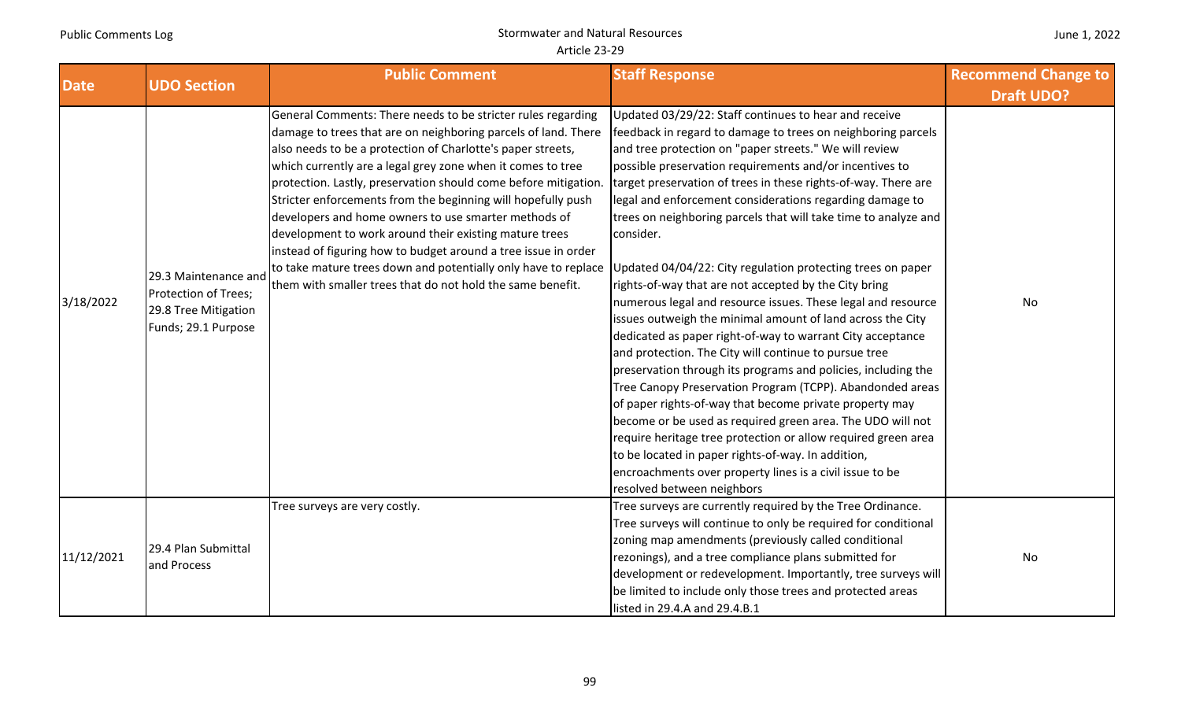|  | June 1, 2022 |
|--|--------------|
|--|--------------|

| <b>Date</b> | <b>UDO Section</b>                                                                          | <b>Public Comment</b>                                                                                                                                                                                                                                                                                                                                                                                                                                                                                                                                                                                                                                                                                                                                                           | <b>Staff Response</b>                                                                                                                                                                                                                                                                                                                                                                                                                                                                                                                                                                                                                                                                                                                                                                                                                                                                                                                                                                                                                                                                                                                                                                                                                          | <b>Recommend Change to</b><br><b>Draft UDO?</b> |
|-------------|---------------------------------------------------------------------------------------------|---------------------------------------------------------------------------------------------------------------------------------------------------------------------------------------------------------------------------------------------------------------------------------------------------------------------------------------------------------------------------------------------------------------------------------------------------------------------------------------------------------------------------------------------------------------------------------------------------------------------------------------------------------------------------------------------------------------------------------------------------------------------------------|------------------------------------------------------------------------------------------------------------------------------------------------------------------------------------------------------------------------------------------------------------------------------------------------------------------------------------------------------------------------------------------------------------------------------------------------------------------------------------------------------------------------------------------------------------------------------------------------------------------------------------------------------------------------------------------------------------------------------------------------------------------------------------------------------------------------------------------------------------------------------------------------------------------------------------------------------------------------------------------------------------------------------------------------------------------------------------------------------------------------------------------------------------------------------------------------------------------------------------------------|-------------------------------------------------|
| 3/18/2022   | 29.3 Maintenance and<br>Protection of Trees;<br>29.8 Tree Mitigation<br>Funds; 29.1 Purpose | General Comments: There needs to be stricter rules regarding<br>damage to trees that are on neighboring parcels of land. There<br>also needs to be a protection of Charlotte's paper streets,<br>which currently are a legal grey zone when it comes to tree<br>protection. Lastly, preservation should come before mitigation.<br>Stricter enforcements from the beginning will hopefully push<br>developers and home owners to use smarter methods of<br>development to work around their existing mature trees<br>instead of figuring how to budget around a tree issue in order<br>to take mature trees down and potentially only have to replace Updated 04/04/22: City regulation protecting trees on paper<br>them with smaller trees that do not hold the same benefit. | Updated 03/29/22: Staff continues to hear and receive<br>feedback in regard to damage to trees on neighboring parcels<br>and tree protection on "paper streets." We will review<br>possible preservation requirements and/or incentives to<br>target preservation of trees in these rights-of-way. There are<br>legal and enforcement considerations regarding damage to<br>trees on neighboring parcels that will take time to analyze and<br>consider.<br>rights-of-way that are not accepted by the City bring<br>numerous legal and resource issues. These legal and resource<br>issues outweigh the minimal amount of land across the City<br>dedicated as paper right-of-way to warrant City acceptance<br>and protection. The City will continue to pursue tree<br>preservation through its programs and policies, including the<br>Tree Canopy Preservation Program (TCPP). Abandonded areas<br>of paper rights-of-way that become private property may<br>become or be used as required green area. The UDO will not<br>require heritage tree protection or allow required green area<br>to be located in paper rights-of-way. In addition,<br>encroachments over property lines is a civil issue to be<br>resolved between neighbors | No                                              |
| 11/12/2021  | 29.4 Plan Submittal<br>and Process                                                          | Tree surveys are very costly.                                                                                                                                                                                                                                                                                                                                                                                                                                                                                                                                                                                                                                                                                                                                                   | Tree surveys are currently required by the Tree Ordinance.<br>Tree surveys will continue to only be required for conditional<br>zoning map amendments (previously called conditional<br>rezonings), and a tree compliance plans submitted for<br>development or redevelopment. Importantly, tree surveys will<br>be limited to include only those trees and protected areas<br>listed in 29.4.A and 29.4.B.1                                                                                                                                                                                                                                                                                                                                                                                                                                                                                                                                                                                                                                                                                                                                                                                                                                   | No                                              |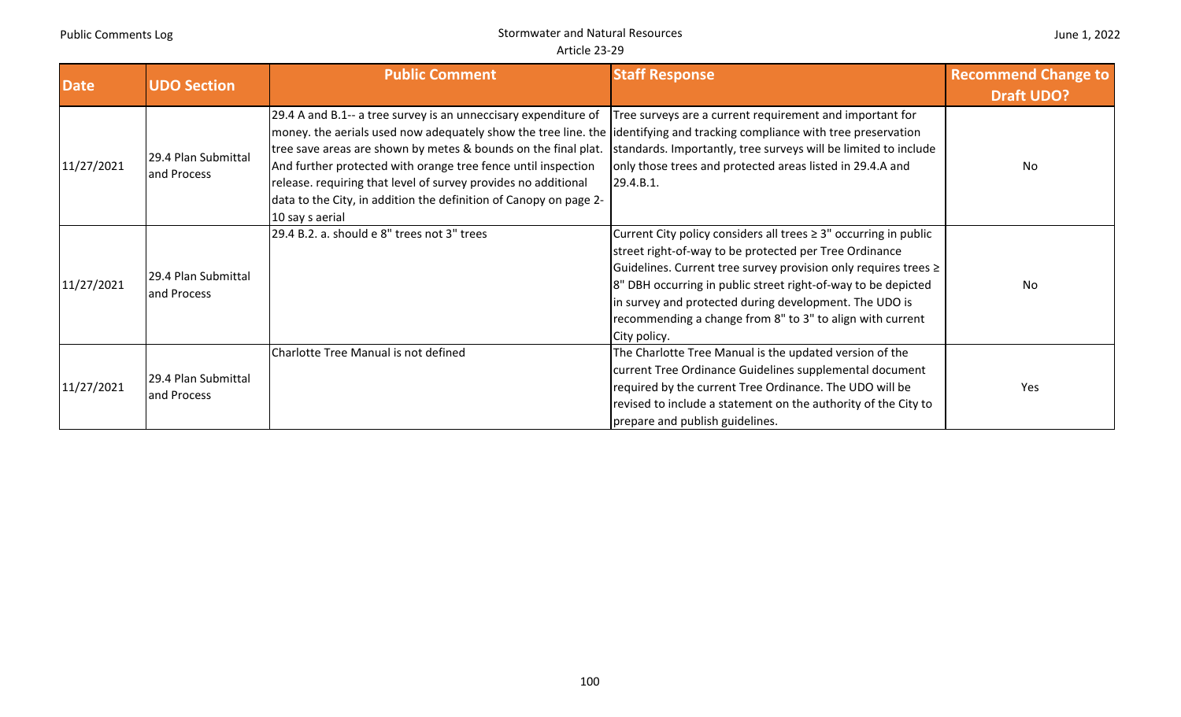| <b>Date</b> | <b>UDO Section</b>                 | <b>Public Comment</b>                                                                                                                                                                                                                                                                                                                                                                                                                                                                     | <b>Staff Response</b>                                                                                                                                                                                                                                                                                                                                                                                       | <b>Recommend Change to</b><br><b>Draft UDO?</b> |
|-------------|------------------------------------|-------------------------------------------------------------------------------------------------------------------------------------------------------------------------------------------------------------------------------------------------------------------------------------------------------------------------------------------------------------------------------------------------------------------------------------------------------------------------------------------|-------------------------------------------------------------------------------------------------------------------------------------------------------------------------------------------------------------------------------------------------------------------------------------------------------------------------------------------------------------------------------------------------------------|-------------------------------------------------|
| 11/27/2021  | 29.4 Plan Submittal<br>and Process | 29.4 A and B.1-- a tree survey is an unneccisary expenditure of<br>money. the aerials used now adequately show the tree line. the identifying and tracking compliance with tree preservation<br>tree save areas are shown by metes & bounds on the final plat.<br>And further protected with orange tree fence until inspection<br>release. requiring that level of survey provides no additional<br>data to the City, in addition the definition of Canopy on page 2-<br>10 say s aerial | Tree surveys are a current requirement and important for<br>standards. Importantly, tree surveys will be limited to include<br>only those trees and protected areas listed in 29.4.A and<br>29.4.B.1.                                                                                                                                                                                                       | <b>No</b>                                       |
| 11/27/2021  | 29.4 Plan Submittal<br>and Process | 29.4 B.2. a. should e 8" trees not 3" trees                                                                                                                                                                                                                                                                                                                                                                                                                                               | Current City policy considers all trees $\geq 3$ " occurring in public<br>street right-of-way to be protected per Tree Ordinance<br>Guidelines. Current tree survey provision only requires trees ≥<br>8" DBH occurring in public street right-of-way to be depicted<br>in survey and protected during development. The UDO is<br>recommending a change from 8" to 3" to align with current<br>City policy. | No                                              |
| 11/27/2021  | 29.4 Plan Submittal<br>and Process | Charlotte Tree Manual is not defined                                                                                                                                                                                                                                                                                                                                                                                                                                                      | The Charlotte Tree Manual is the updated version of the<br>current Tree Ordinance Guidelines supplemental document<br>required by the current Tree Ordinance. The UDO will be<br>revised to include a statement on the authority of the City to<br>prepare and publish guidelines.                                                                                                                          | Yes                                             |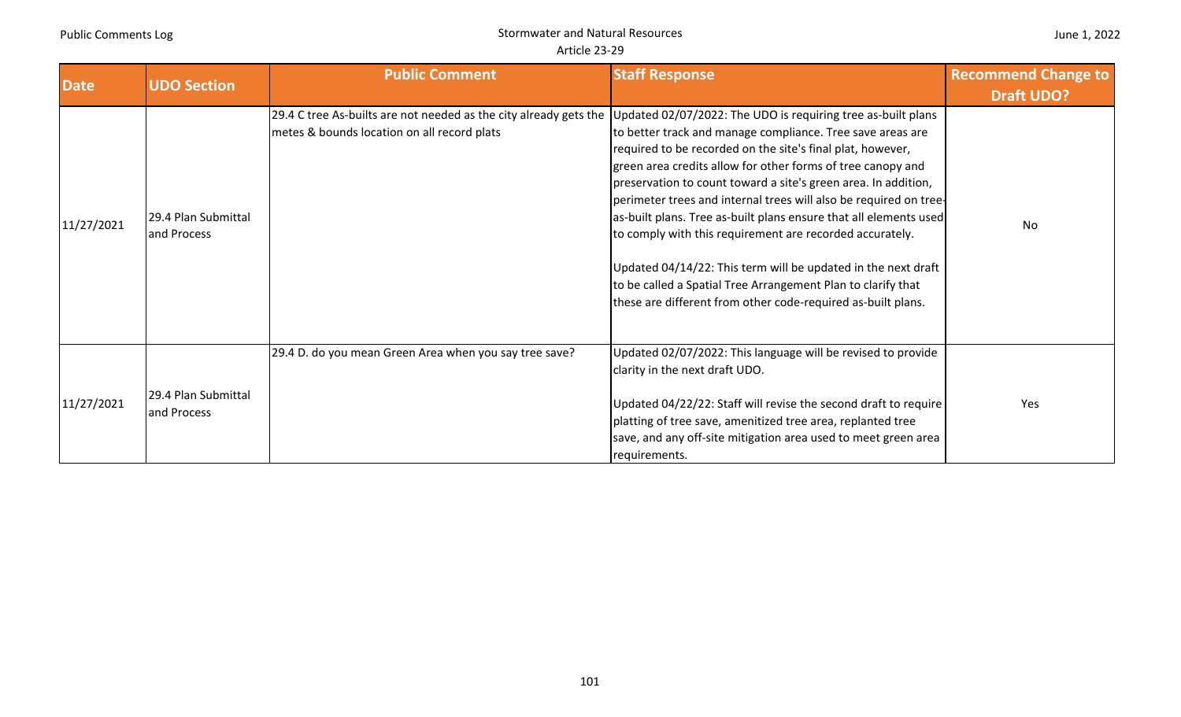| June 1, 2022 |  |  |
|--------------|--|--|
|--------------|--|--|

| <b>Date</b> | <b>UDO Section</b>                 | <b>Public Comment</b>                                                                                                                                                         | <b>Staff Response</b>                                                                                                                                                                                                                                                                                                                                                                                                                                                                                                                                                                                                                                            | <b>Recommend Change to</b><br><b>Draft UDO?</b> |
|-------------|------------------------------------|-------------------------------------------------------------------------------------------------------------------------------------------------------------------------------|------------------------------------------------------------------------------------------------------------------------------------------------------------------------------------------------------------------------------------------------------------------------------------------------------------------------------------------------------------------------------------------------------------------------------------------------------------------------------------------------------------------------------------------------------------------------------------------------------------------------------------------------------------------|-------------------------------------------------|
| 11/27/2021  | 29.4 Plan Submittal<br>and Process | 29.4 C tree As-builts are not needed as the city already gets the Updated 02/07/2022: The UDO is requiring tree as-built plans<br>metes & bounds location on all record plats | to better track and manage compliance. Tree save areas are<br>required to be recorded on the site's final plat, however,<br>green area credits allow for other forms of tree canopy and<br>preservation to count toward a site's green area. In addition,<br>perimeter trees and internal trees will also be required on tree-<br>as-built plans. Tree as-built plans ensure that all elements used<br>to comply with this requirement are recorded accurately.<br>Updated 04/14/22: This term will be updated in the next draft<br>to be called a Spatial Tree Arrangement Plan to clarify that<br>these are different from other code-required as-built plans. | No                                              |
| 11/27/2021  | 29.4 Plan Submittal<br>and Process | 29.4 D. do you mean Green Area when you say tree save?                                                                                                                        | Updated 02/07/2022: This language will be revised to provide<br>clarity in the next draft UDO.<br>Updated 04/22/22: Staff will revise the second draft to require<br>platting of tree save, amenitized tree area, replanted tree<br>save, and any off-site mitigation area used to meet green area<br>requirements.                                                                                                                                                                                                                                                                                                                                              | <b>Yes</b>                                      |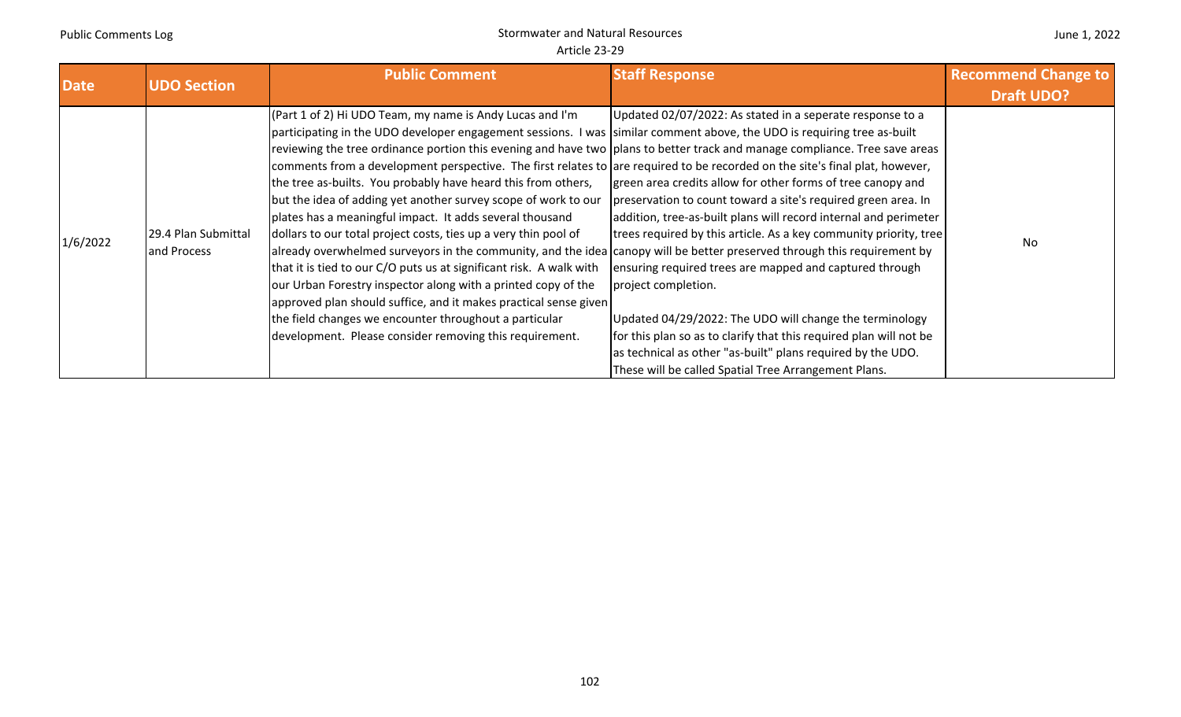| <b>Date</b> | <b>UDO Section</b>                 | <b>Public Comment</b>                                                                                                                                                                                                                                                                                                                                                                                                                                                                                                                                                                                                                                                                                                                                                                                                                                                                                                                                                                                                                                                                                                                                                             | <b>Staff Response</b>                                                                                                                                                                                                                                                                                                                                                                                                                                                                                                                                                                                                                                                        | <b>Recommend Change to</b> |
|-------------|------------------------------------|-----------------------------------------------------------------------------------------------------------------------------------------------------------------------------------------------------------------------------------------------------------------------------------------------------------------------------------------------------------------------------------------------------------------------------------------------------------------------------------------------------------------------------------------------------------------------------------------------------------------------------------------------------------------------------------------------------------------------------------------------------------------------------------------------------------------------------------------------------------------------------------------------------------------------------------------------------------------------------------------------------------------------------------------------------------------------------------------------------------------------------------------------------------------------------------|------------------------------------------------------------------------------------------------------------------------------------------------------------------------------------------------------------------------------------------------------------------------------------------------------------------------------------------------------------------------------------------------------------------------------------------------------------------------------------------------------------------------------------------------------------------------------------------------------------------------------------------------------------------------------|----------------------------|
|             |                                    |                                                                                                                                                                                                                                                                                                                                                                                                                                                                                                                                                                                                                                                                                                                                                                                                                                                                                                                                                                                                                                                                                                                                                                                   |                                                                                                                                                                                                                                                                                                                                                                                                                                                                                                                                                                                                                                                                              | <b>Draft UDO?</b>          |
| 1/6/2022    | 29.4 Plan Submittal<br>and Process | (Part 1 of 2) Hi UDO Team, my name is Andy Lucas and I'm<br>participating in the UDO developer engagement sessions. I was similar comment above, the UDO is requiring tree as-built<br>reviewing the tree ordinance portion this evening and have two plans to better track and manage compliance. Tree save areas<br>comments from a development perspective. The first relates to are required to be recorded on the site's final plat, however,<br>the tree as-builts. You probably have heard this from others,<br>but the idea of adding yet another survey scope of work to our<br>plates has a meaningful impact. It adds several thousand<br>dollars to our total project costs, ties up a very thin pool of<br>already overwhelmed surveyors in the community, and the idea canopy will be better preserved through this requirement by<br>that it is tied to our C/O puts us at significant risk. A walk with<br>our Urban Forestry inspector along with a printed copy of the<br>approved plan should suffice, and it makes practical sense given<br>the field changes we encounter throughout a particular<br>development. Please consider removing this requirement. | Updated 02/07/2022: As stated in a seperate response to a<br>green area credits allow for other forms of tree canopy and<br>preservation to count toward a site's required green area. In<br>addition, tree-as-built plans will record internal and perimeter<br>trees required by this article. As a key community priority, tree<br>ensuring required trees are mapped and captured through<br>project completion.<br>Updated 04/29/2022: The UDO will change the terminology<br>for this plan so as to clarify that this required plan will not be<br>as technical as other "as-built" plans required by the UDO.<br>These will be called Spatial Tree Arrangement Plans. | No                         |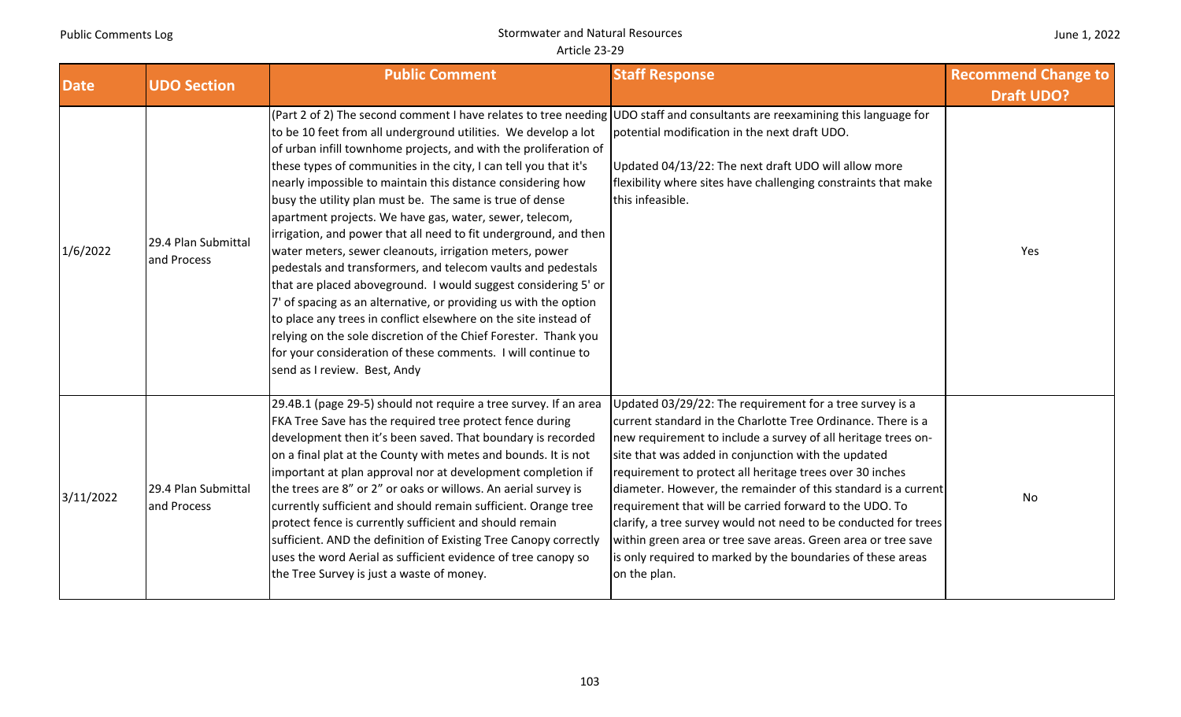| June 1, 2022 |  |  |
|--------------|--|--|
|--------------|--|--|

| <b>Date</b> | <b>UDO Section</b>                 | <b>Public Comment</b>                                                                                                                                                                                                                                                                                                                                                                                                                                                                                                                                                                                                                                                                                                                                                                                                                                                                                                                                                                                                                                                                                  | <b>Staff Response</b>                                                                                                                                                                                                                                                                                                                                                                                                                                                                                                                                                                                                                                        | <b>Recommend Change to</b> |
|-------------|------------------------------------|--------------------------------------------------------------------------------------------------------------------------------------------------------------------------------------------------------------------------------------------------------------------------------------------------------------------------------------------------------------------------------------------------------------------------------------------------------------------------------------------------------------------------------------------------------------------------------------------------------------------------------------------------------------------------------------------------------------------------------------------------------------------------------------------------------------------------------------------------------------------------------------------------------------------------------------------------------------------------------------------------------------------------------------------------------------------------------------------------------|--------------------------------------------------------------------------------------------------------------------------------------------------------------------------------------------------------------------------------------------------------------------------------------------------------------------------------------------------------------------------------------------------------------------------------------------------------------------------------------------------------------------------------------------------------------------------------------------------------------------------------------------------------------|----------------------------|
| 1/6/2022    | 29.4 Plan Submittal<br>and Process | (Part 2 of 2) The second comment I have relates to tree needing UDO staff and consultants are reexamining this language for<br>to be 10 feet from all underground utilities. We develop a lot<br>of urban infill townhome projects, and with the proliferation of<br>these types of communities in the city, I can tell you that it's<br>nearly impossible to maintain this distance considering how<br>busy the utility plan must be. The same is true of dense<br>apartment projects. We have gas, water, sewer, telecom,<br>irrigation, and power that all need to fit underground, and then<br>water meters, sewer cleanouts, irrigation meters, power<br>pedestals and transformers, and telecom vaults and pedestals<br>that are placed aboveground. I would suggest considering 5' or<br>7' of spacing as an alternative, or providing us with the option<br>to place any trees in conflict elsewhere on the site instead of<br>relying on the sole discretion of the Chief Forester. Thank you<br>for your consideration of these comments. I will continue to<br>send as I review. Best, Andy | potential modification in the next draft UDO.<br>Updated 04/13/22: The next draft UDO will allow more<br>flexibility where sites have challenging constraints that make<br>this infeasible.                                                                                                                                                                                                                                                                                                                                                                                                                                                                  | <b>Draft UDO?</b><br>Yes   |
| 3/11/2022   | 29.4 Plan Submittal<br>and Process | 29.4B.1 (page 29-5) should not require a tree survey. If an area<br>FKA Tree Save has the required tree protect fence during<br>development then it's been saved. That boundary is recorded<br>on a final plat at the County with metes and bounds. It is not<br>important at plan approval nor at development completion if<br>the trees are 8" or 2" or oaks or willows. An aerial survey is<br>currently sufficient and should remain sufficient. Orange tree<br>protect fence is currently sufficient and should remain<br>sufficient. AND the definition of Existing Tree Canopy correctly<br>uses the word Aerial as sufficient evidence of tree canopy so<br>the Tree Survey is just a waste of money.                                                                                                                                                                                                                                                                                                                                                                                          | Updated 03/29/22: The requirement for a tree survey is a<br>current standard in the Charlotte Tree Ordinance. There is a<br>new requirement to include a survey of all heritage trees on-<br>site that was added in conjunction with the updated<br>requirement to protect all heritage trees over 30 inches<br>diameter. However, the remainder of this standard is a current<br>requirement that will be carried forward to the UDO. To<br>clarify, a tree survey would not need to be conducted for trees<br>within green area or tree save areas. Green area or tree save<br>is only required to marked by the boundaries of these areas<br>on the plan. | No                         |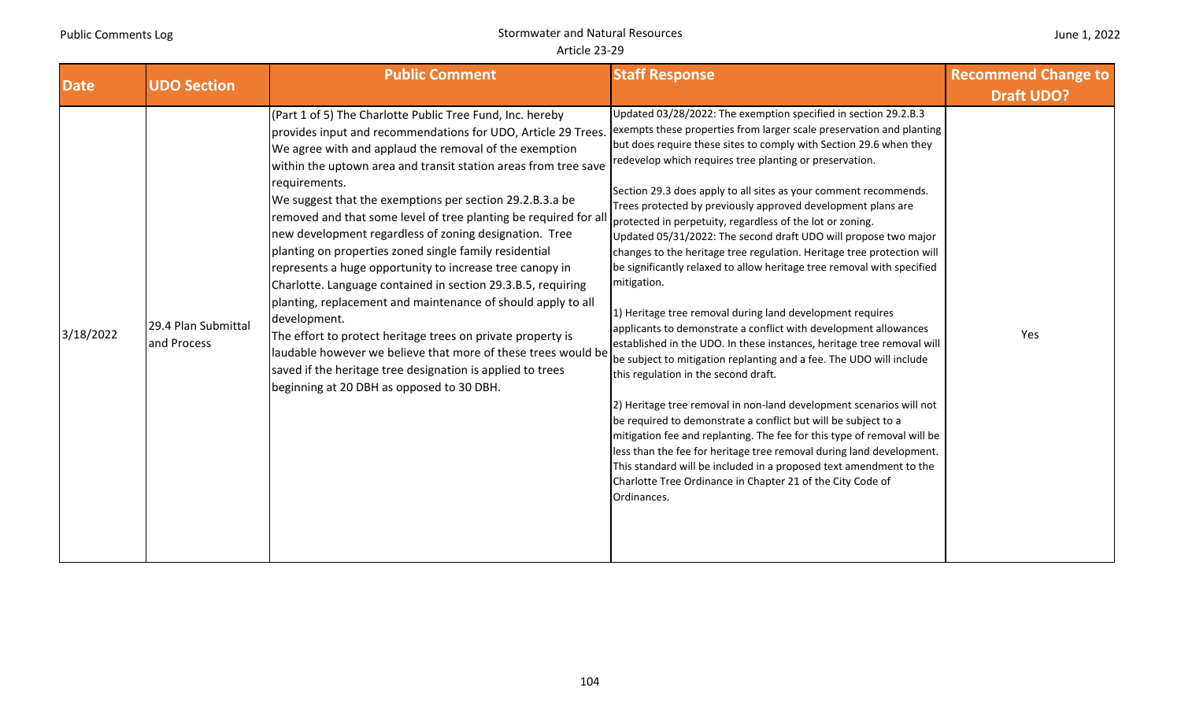| June 1, 2022 |  |
|--------------|--|
|--------------|--|

| <b>Date</b> | <b>UDO Section</b>                 | <b>Public Comment</b>                                                                                                                                                                                                                                                                                                                                                                                                                                                                                                                                                                                                                                                                                                                                                                                                                                                                                                                                                              | <b>Staff Response</b>                                                                                                                                                                                                                                                                                                                                                                                                                                                                                                                                                                                                                                                                                                                                                                                                                                                                                                                                                                                                                                                                                                                                                                                                                                                                                                                                                                                                                                                                    | <b>Recommend Change to</b> |
|-------------|------------------------------------|------------------------------------------------------------------------------------------------------------------------------------------------------------------------------------------------------------------------------------------------------------------------------------------------------------------------------------------------------------------------------------------------------------------------------------------------------------------------------------------------------------------------------------------------------------------------------------------------------------------------------------------------------------------------------------------------------------------------------------------------------------------------------------------------------------------------------------------------------------------------------------------------------------------------------------------------------------------------------------|------------------------------------------------------------------------------------------------------------------------------------------------------------------------------------------------------------------------------------------------------------------------------------------------------------------------------------------------------------------------------------------------------------------------------------------------------------------------------------------------------------------------------------------------------------------------------------------------------------------------------------------------------------------------------------------------------------------------------------------------------------------------------------------------------------------------------------------------------------------------------------------------------------------------------------------------------------------------------------------------------------------------------------------------------------------------------------------------------------------------------------------------------------------------------------------------------------------------------------------------------------------------------------------------------------------------------------------------------------------------------------------------------------------------------------------------------------------------------------------|----------------------------|
|             |                                    |                                                                                                                                                                                                                                                                                                                                                                                                                                                                                                                                                                                                                                                                                                                                                                                                                                                                                                                                                                                    |                                                                                                                                                                                                                                                                                                                                                                                                                                                                                                                                                                                                                                                                                                                                                                                                                                                                                                                                                                                                                                                                                                                                                                                                                                                                                                                                                                                                                                                                                          | <b>Draft UDO?</b>          |
| 3/18/2022   | 29.4 Plan Submittal<br>and Process | (Part 1 of 5) The Charlotte Public Tree Fund, Inc. hereby<br>provides input and recommendations for UDO, Article 29 Trees.<br>We agree with and applaud the removal of the exemption<br>within the uptown area and transit station areas from tree save<br>requirements.<br>We suggest that the exemptions per section 29.2.B.3.a be<br>removed and that some level of tree planting be required for al<br>new development regardless of zoning designation. Tree<br>planting on properties zoned single family residential<br>represents a huge opportunity to increase tree canopy in<br>Charlotte. Language contained in section 29.3.B.5, requiring<br>planting, replacement and maintenance of should apply to all<br>development.<br>The effort to protect heritage trees on private property is<br>laudable however we believe that more of these trees would be<br>saved if the heritage tree designation is applied to trees<br>beginning at 20 DBH as opposed to 30 DBH. | Updated 03/28/2022: The exemption specified in section 29.2.B.3<br>exempts these properties from larger scale preservation and planting<br>but does require these sites to comply with Section 29.6 when they<br>redevelop which requires tree planting or preservation.<br>Section 29.3 does apply to all sites as your comment recommends.<br>Trees protected by previously approved development plans are<br>protected in perpetuity, regardless of the lot or zoning.<br>Updated 05/31/2022: The second draft UDO will propose two major<br>changes to the heritage tree regulation. Heritage tree protection will<br>be significantly relaxed to allow heritage tree removal with specified<br>mitigation.<br>1) Heritage tree removal during land development requires<br>applicants to demonstrate a conflict with development allowances<br>established in the UDO. In these instances, heritage tree removal will<br>be subject to mitigation replanting and a fee. The UDO will include<br>this regulation in the second draft.<br>2) Heritage tree removal in non-land development scenarios will not<br>be required to demonstrate a conflict but will be subject to a<br>mitigation fee and replanting. The fee for this type of removal will be<br>less than the fee for heritage tree removal during land development.<br>This standard will be included in a proposed text amendment to the<br>Charlotte Tree Ordinance in Chapter 21 of the City Code of<br>Ordinances. | Yes                        |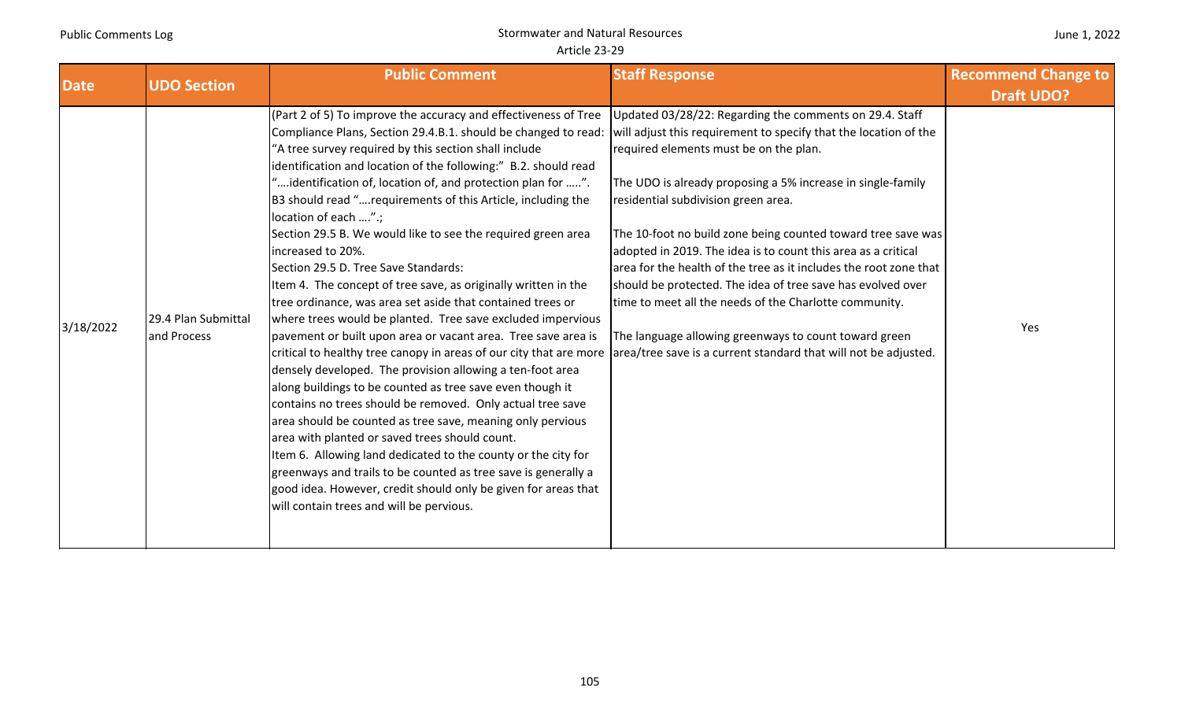|  |  | June 1, 2022 |
|--|--|--------------|
|--|--|--------------|

|             | <b>UDO Section</b>                 | <b>Public Comment</b>                                                                                                                                                                                                                                                                                                                                                                                                                                                                                                                                                                                                                                                                                                                                                                                                                                                                                                                                                                                                                                                                                                                                                                                                                                                                                                                                                                                                                                                                                                                                                            | <b>Staff Response</b>                                                                                                                                                                                                                                                                                                                                                                                                                                                                                                                                                                           | <b>Recommend Change to</b> |
|-------------|------------------------------------|----------------------------------------------------------------------------------------------------------------------------------------------------------------------------------------------------------------------------------------------------------------------------------------------------------------------------------------------------------------------------------------------------------------------------------------------------------------------------------------------------------------------------------------------------------------------------------------------------------------------------------------------------------------------------------------------------------------------------------------------------------------------------------------------------------------------------------------------------------------------------------------------------------------------------------------------------------------------------------------------------------------------------------------------------------------------------------------------------------------------------------------------------------------------------------------------------------------------------------------------------------------------------------------------------------------------------------------------------------------------------------------------------------------------------------------------------------------------------------------------------------------------------------------------------------------------------------|-------------------------------------------------------------------------------------------------------------------------------------------------------------------------------------------------------------------------------------------------------------------------------------------------------------------------------------------------------------------------------------------------------------------------------------------------------------------------------------------------------------------------------------------------------------------------------------------------|----------------------------|
| <b>Date</b> |                                    |                                                                                                                                                                                                                                                                                                                                                                                                                                                                                                                                                                                                                                                                                                                                                                                                                                                                                                                                                                                                                                                                                                                                                                                                                                                                                                                                                                                                                                                                                                                                                                                  |                                                                                                                                                                                                                                                                                                                                                                                                                                                                                                                                                                                                 | <b>Draft UDO?</b>          |
| 3/18/2022   | 29.4 Plan Submittal<br>and Process | (Part 2 of 5) To improve the accuracy and effectiveness of Tree<br>Compliance Plans, Section 29.4.B.1. should be changed to read: will adjust this requirement to specify that the location of the<br>"A tree survey required by this section shall include<br>identification and location of the following:" B.2. should read<br>"identification of, location of, and protection plan for ".<br>B3 should read "requirements of this Article, including the<br>location of each ".;<br>Section 29.5 B. We would like to see the required green area<br>increased to 20%.<br>Section 29.5 D. Tree Save Standards:<br>Item 4. The concept of tree save, as originally written in the<br>tree ordinance, was area set aside that contained trees or<br>where trees would be planted. Tree save excluded impervious<br>pavement or built upon area or vacant area. Tree save area is<br>critical to healthy tree canopy in areas of our city that are more area/tree save is a current standard that will not be adjusted.<br>densely developed. The provision allowing a ten-foot area<br>along buildings to be counted as tree save even though it<br>contains no trees should be removed. Only actual tree save<br>area should be counted as tree save, meaning only pervious<br>area with planted or saved trees should count.<br>Item 6. Allowing land dedicated to the county or the city for<br>greenways and trails to be counted as tree save is generally a<br>good idea. However, credit should only be given for areas that<br>will contain trees and will be pervious. | Updated 03/28/22: Regarding the comments on 29.4. Staff<br>required elements must be on the plan.<br>The UDO is already proposing a 5% increase in single-family<br>residential subdivision green area.<br>The 10-foot no build zone being counted toward tree save was<br>adopted in 2019. The idea is to count this area as a critical<br>area for the health of the tree as it includes the root zone that<br>should be protected. The idea of tree save has evolved over<br>time to meet all the needs of the Charlotte community.<br>The language allowing greenways to count toward green | Yes                        |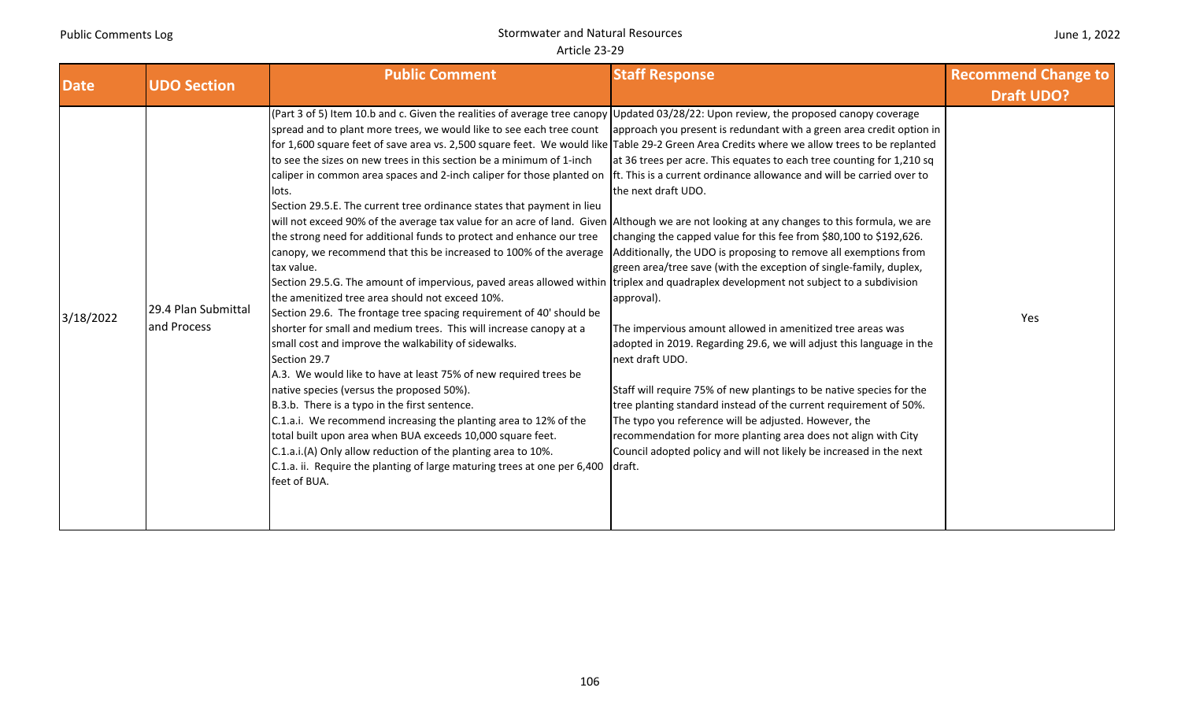|  | June 1, 2022 |
|--|--------------|
|--|--------------|

| <b>Date</b> | <b>UDO Section</b>                 | <b>Public Comment</b>                                                                                                                                                                                                                                                                                                                                                                                                                                                                                                                                                                                                                                                                                                                                                                                                                                                                                                                                                                                                                                                                                                                                                                                                                                                                                                                                                                                                                                                                                                                                                                                                                                                                                                                                                                                                                                                     | <b>Staff Response</b>                                                                                                                                                                                                                                                                                                                                                                                                                                                                                                                                                                                                                                                                                                                                                                                                                                                                                      | <b>Recommend Change to</b> |
|-------------|------------------------------------|---------------------------------------------------------------------------------------------------------------------------------------------------------------------------------------------------------------------------------------------------------------------------------------------------------------------------------------------------------------------------------------------------------------------------------------------------------------------------------------------------------------------------------------------------------------------------------------------------------------------------------------------------------------------------------------------------------------------------------------------------------------------------------------------------------------------------------------------------------------------------------------------------------------------------------------------------------------------------------------------------------------------------------------------------------------------------------------------------------------------------------------------------------------------------------------------------------------------------------------------------------------------------------------------------------------------------------------------------------------------------------------------------------------------------------------------------------------------------------------------------------------------------------------------------------------------------------------------------------------------------------------------------------------------------------------------------------------------------------------------------------------------------------------------------------------------------------------------------------------------------|------------------------------------------------------------------------------------------------------------------------------------------------------------------------------------------------------------------------------------------------------------------------------------------------------------------------------------------------------------------------------------------------------------------------------------------------------------------------------------------------------------------------------------------------------------------------------------------------------------------------------------------------------------------------------------------------------------------------------------------------------------------------------------------------------------------------------------------------------------------------------------------------------------|----------------------------|
|             |                                    |                                                                                                                                                                                                                                                                                                                                                                                                                                                                                                                                                                                                                                                                                                                                                                                                                                                                                                                                                                                                                                                                                                                                                                                                                                                                                                                                                                                                                                                                                                                                                                                                                                                                                                                                                                                                                                                                           |                                                                                                                                                                                                                                                                                                                                                                                                                                                                                                                                                                                                                                                                                                                                                                                                                                                                                                            | <b>Draft UDO?</b>          |
| 3/18/2022   | 29.4 Plan Submittal<br>and Process | (Part 3 of 5) Item 10.b and c. Given the realities of average tree canopy Updated 03/28/22: Upon review, the proposed canopy coverage<br>spread and to plant more trees, we would like to see each tree count<br>for 1,600 square feet of save area vs. 2,500 square feet. We would like Table 29-2 Green Area Credits where we allow trees to be replanted<br>to see the sizes on new trees in this section be a minimum of 1-inch<br>caliper in common area spaces and 2-inch caliper for those planted on Ift. This is a current ordinance allowance and will be carried over to<br>lots.<br>Section 29.5.E. The current tree ordinance states that payment in lieu<br>will not exceed 90% of the average tax value for an acre of land. Given Although we are not looking at any changes to this formula, we are<br>the strong need for additional funds to protect and enhance our tree<br>canopy, we recommend that this be increased to 100% of the average<br>tax value.<br>Section 29.5.G. The amount of impervious, paved areas allowed within triplex and quadraplex development not subject to a subdivision<br>the amenitized tree area should not exceed 10%.<br>Section 29.6. The frontage tree spacing requirement of 40' should be<br>shorter for small and medium trees. This will increase canopy at a<br>small cost and improve the walkability of sidewalks.<br>Section 29.7<br>A.3. We would like to have at least 75% of new required trees be<br>native species (versus the proposed 50%).<br>B.3.b. There is a typo in the first sentence.<br>C.1.a.i. We recommend increasing the planting area to 12% of the<br>total built upon area when BUA exceeds 10,000 square feet.<br>C.1.a.i.(A) Only allow reduction of the planting area to 10%.<br>C.1.a. ii. Require the planting of large maturing trees at one per 6,400 draft.<br>feet of BUA. | approach you present is redundant with a green area credit option in<br>at 36 trees per acre. This equates to each tree counting for 1,210 sq<br>the next draft UDO.<br>changing the capped value for this fee from \$80,100 to \$192,626.<br>Additionally, the UDO is proposing to remove all exemptions from<br>green area/tree save (with the exception of single-family, duplex,<br>approval).<br>The impervious amount allowed in amenitized tree areas was<br>adopted in 2019. Regarding 29.6, we will adjust this language in the<br>next draft UDO.<br>Staff will require 75% of new plantings to be native species for the<br>tree planting standard instead of the current requirement of 50%.<br>The typo you reference will be adjusted. However, the<br>recommendation for more planting area does not align with City<br>Council adopted policy and will not likely be increased in the next | Yes                        |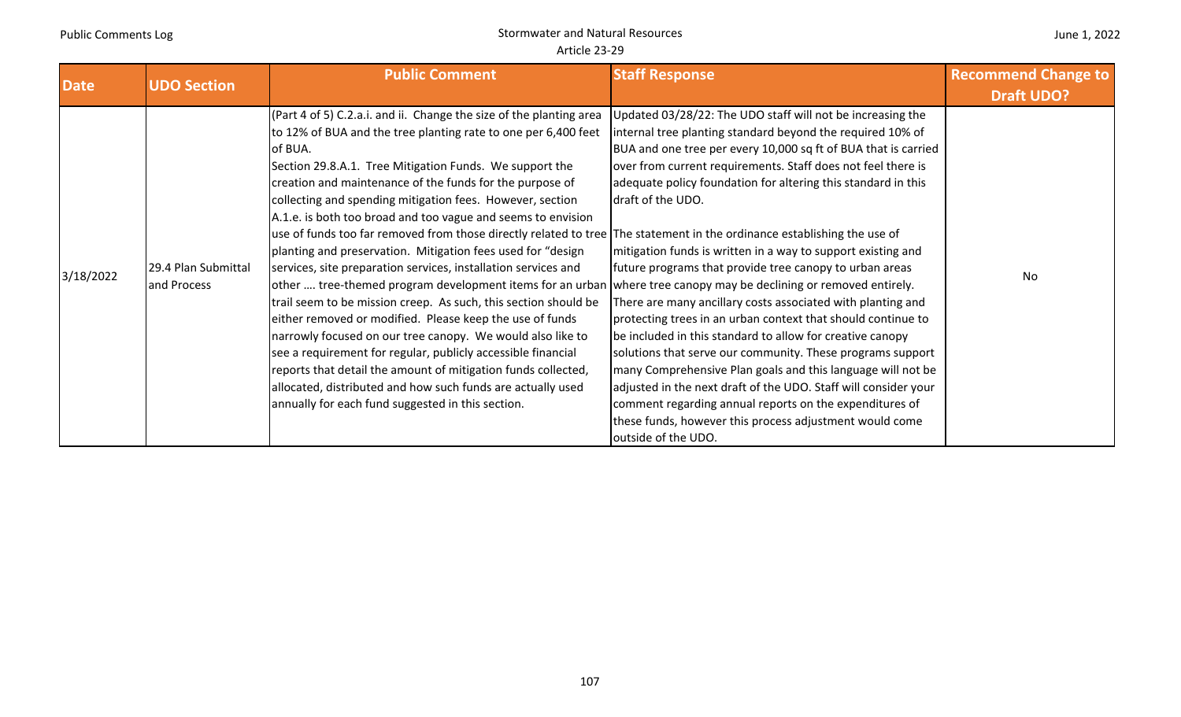| June 1, 2022 |  |  |
|--------------|--|--|
|--------------|--|--|

|                          |                                                          | <b>Public Comment</b>                                                                                                                                                                                                                                                                                                                                                                                                                                                                                                                                                                                                                                                                                                                                                                                                                                                                                                                                                                                                                                                                                               | <b>Staff Response</b>                                                                                                                                                                                                                                                                                                                                                                                                                                                                                                                                                                                                                                                                                                                                                                                | <b>Recommend Change to</b> |
|--------------------------|----------------------------------------------------------|---------------------------------------------------------------------------------------------------------------------------------------------------------------------------------------------------------------------------------------------------------------------------------------------------------------------------------------------------------------------------------------------------------------------------------------------------------------------------------------------------------------------------------------------------------------------------------------------------------------------------------------------------------------------------------------------------------------------------------------------------------------------------------------------------------------------------------------------------------------------------------------------------------------------------------------------------------------------------------------------------------------------------------------------------------------------------------------------------------------------|------------------------------------------------------------------------------------------------------------------------------------------------------------------------------------------------------------------------------------------------------------------------------------------------------------------------------------------------------------------------------------------------------------------------------------------------------------------------------------------------------------------------------------------------------------------------------------------------------------------------------------------------------------------------------------------------------------------------------------------------------------------------------------------------------|----------------------------|
|                          |                                                          |                                                                                                                                                                                                                                                                                                                                                                                                                                                                                                                                                                                                                                                                                                                                                                                                                                                                                                                                                                                                                                                                                                                     |                                                                                                                                                                                                                                                                                                                                                                                                                                                                                                                                                                                                                                                                                                                                                                                                      | <b>Draft UDO?</b>          |
| <b>Date</b><br>3/18/2022 | <b>UDO Section</b><br>29.4 Plan Submittal<br>and Process | (Part 4 of 5) C.2.a.i. and ii. Change the size of the planting area<br>to 12% of BUA and the tree planting rate to one per 6,400 feet<br>of BUA.<br>Section 29.8.A.1. Tree Mitigation Funds. We support the<br>creation and maintenance of the funds for the purpose of<br>collecting and spending mitigation fees. However, section<br>A.1.e. is both too broad and too vague and seems to envision<br>use of funds too far removed from those directly related to tree The statement in the ordinance establishing the use of<br>planting and preservation. Mitigation fees used for "design<br>services, site preparation services, installation services and<br>other  tree-themed program development items for an urban where tree canopy may be declining or removed entirely.<br>trail seem to be mission creep. As such, this section should be<br>either removed or modified. Please keep the use of funds<br>narrowly focused on our tree canopy. We would also like to<br>see a requirement for regular, publicly accessible financial<br>reports that detail the amount of mitigation funds collected, | Updated 03/28/22: The UDO staff will not be increasing the<br>internal tree planting standard beyond the required 10% of<br>BUA and one tree per every 10,000 sq ft of BUA that is carried<br>over from current requirements. Staff does not feel there is<br>adequate policy foundation for altering this standard in this<br>draft of the UDO.<br>mitigation funds is written in a way to support existing and<br>future programs that provide tree canopy to urban areas<br>There are many ancillary costs associated with planting and<br>protecting trees in an urban context that should continue to<br>be included in this standard to allow for creative canopy<br>solutions that serve our community. These programs support<br>many Comprehensive Plan goals and this language will not be | No                         |
|                          |                                                          | allocated, distributed and how such funds are actually used                                                                                                                                                                                                                                                                                                                                                                                                                                                                                                                                                                                                                                                                                                                                                                                                                                                                                                                                                                                                                                                         | adjusted in the next draft of the UDO. Staff will consider your                                                                                                                                                                                                                                                                                                                                                                                                                                                                                                                                                                                                                                                                                                                                      |                            |
|                          |                                                          |                                                                                                                                                                                                                                                                                                                                                                                                                                                                                                                                                                                                                                                                                                                                                                                                                                                                                                                                                                                                                                                                                                                     |                                                                                                                                                                                                                                                                                                                                                                                                                                                                                                                                                                                                                                                                                                                                                                                                      |                            |
|                          |                                                          |                                                                                                                                                                                                                                                                                                                                                                                                                                                                                                                                                                                                                                                                                                                                                                                                                                                                                                                                                                                                                                                                                                                     |                                                                                                                                                                                                                                                                                                                                                                                                                                                                                                                                                                                                                                                                                                                                                                                                      |                            |
|                          |                                                          | annually for each fund suggested in this section.                                                                                                                                                                                                                                                                                                                                                                                                                                                                                                                                                                                                                                                                                                                                                                                                                                                                                                                                                                                                                                                                   | comment regarding annual reports on the expenditures of                                                                                                                                                                                                                                                                                                                                                                                                                                                                                                                                                                                                                                                                                                                                              |                            |
|                          |                                                          |                                                                                                                                                                                                                                                                                                                                                                                                                                                                                                                                                                                                                                                                                                                                                                                                                                                                                                                                                                                                                                                                                                                     | these funds, however this process adjustment would come<br>outside of the UDO.                                                                                                                                                                                                                                                                                                                                                                                                                                                                                                                                                                                                                                                                                                                       |                            |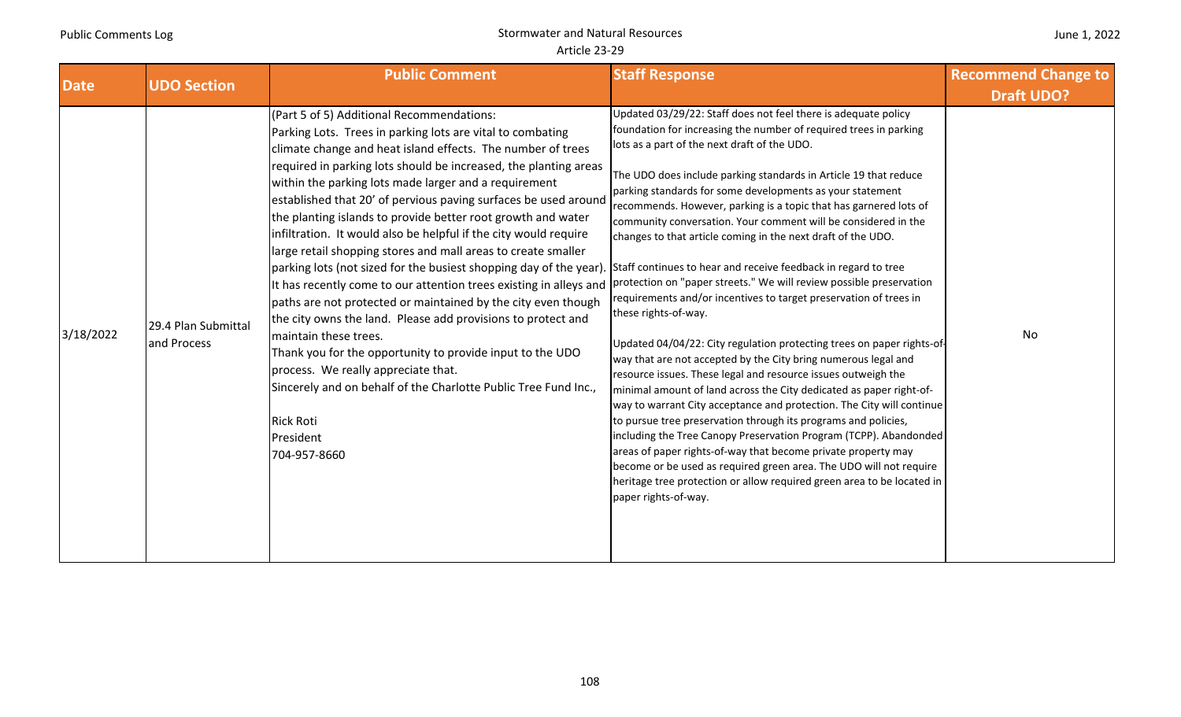# Stormwater and Natural Resources Article 23‐29

| <b>Date</b> | <b>UDO Section</b>                 | <b>Public Comment</b>                                                                                                                                                                                                                                                                                                                                                                                                                                                                                                                                                                                                                                                                                                                                                                                                                                                                                                                                                                                                                                                                                     | <b>Staff Response</b>                                                                                                                                                                                                                                                                                                                                                                                                                                                                                                                                                                                                                                                                                                                                                                                                                                                                                                                                                                                                                                                                                                                                                                                                                                                                                                                                                                                                                                                                                          | <b>Recommend Change to</b><br><b>Draft UDO?</b> |
|-------------|------------------------------------|-----------------------------------------------------------------------------------------------------------------------------------------------------------------------------------------------------------------------------------------------------------------------------------------------------------------------------------------------------------------------------------------------------------------------------------------------------------------------------------------------------------------------------------------------------------------------------------------------------------------------------------------------------------------------------------------------------------------------------------------------------------------------------------------------------------------------------------------------------------------------------------------------------------------------------------------------------------------------------------------------------------------------------------------------------------------------------------------------------------|----------------------------------------------------------------------------------------------------------------------------------------------------------------------------------------------------------------------------------------------------------------------------------------------------------------------------------------------------------------------------------------------------------------------------------------------------------------------------------------------------------------------------------------------------------------------------------------------------------------------------------------------------------------------------------------------------------------------------------------------------------------------------------------------------------------------------------------------------------------------------------------------------------------------------------------------------------------------------------------------------------------------------------------------------------------------------------------------------------------------------------------------------------------------------------------------------------------------------------------------------------------------------------------------------------------------------------------------------------------------------------------------------------------------------------------------------------------------------------------------------------------|-------------------------------------------------|
| 3/18/2022   | 29.4 Plan Submittal<br>and Process | (Part 5 of 5) Additional Recommendations:<br>Parking Lots. Trees in parking lots are vital to combating<br>climate change and heat island effects. The number of trees<br>required in parking lots should be increased, the planting areas<br>within the parking lots made larger and a requirement<br>established that 20' of pervious paving surfaces be used around<br>the planting islands to provide better root growth and water<br>infiltration. It would also be helpful if the city would require<br>large retail shopping stores and mall areas to create smaller<br>parking lots (not sized for the busiest shopping day of the year).<br>It has recently come to our attention trees existing in alleys and<br>paths are not protected or maintained by the city even though<br>the city owns the land. Please add provisions to protect and<br>maintain these trees.<br>Thank you for the opportunity to provide input to the UDO<br>process. We really appreciate that.<br>Sincerely and on behalf of the Charlotte Public Tree Fund Inc.,<br><b>Rick Roti</b><br>President<br>704-957-8660 | Updated 03/29/22: Staff does not feel there is adequate policy<br>foundation for increasing the number of required trees in parking<br>lots as a part of the next draft of the UDO.<br>The UDO does include parking standards in Article 19 that reduce<br>parking standards for some developments as your statement<br>recommends. However, parking is a topic that has garnered lots of<br>community conversation. Your comment will be considered in the<br>changes to that article coming in the next draft of the UDO.<br>Staff continues to hear and receive feedback in regard to tree<br>protection on "paper streets." We will review possible preservation<br>requirements and/or incentives to target preservation of trees in<br>these rights-of-way.<br>Updated 04/04/22: City regulation protecting trees on paper rights-of-<br>way that are not accepted by the City bring numerous legal and<br>resource issues. These legal and resource issues outweigh the<br>minimal amount of land across the City dedicated as paper right-of-<br>way to warrant City acceptance and protection. The City will continue<br>to pursue tree preservation through its programs and policies,<br>including the Tree Canopy Preservation Program (TCPP). Abandonded<br>areas of paper rights-of-way that become private property may<br>become or be used as required green area. The UDO will not require<br>heritage tree protection or allow required green area to be located in<br>paper rights-of-way. | No                                              |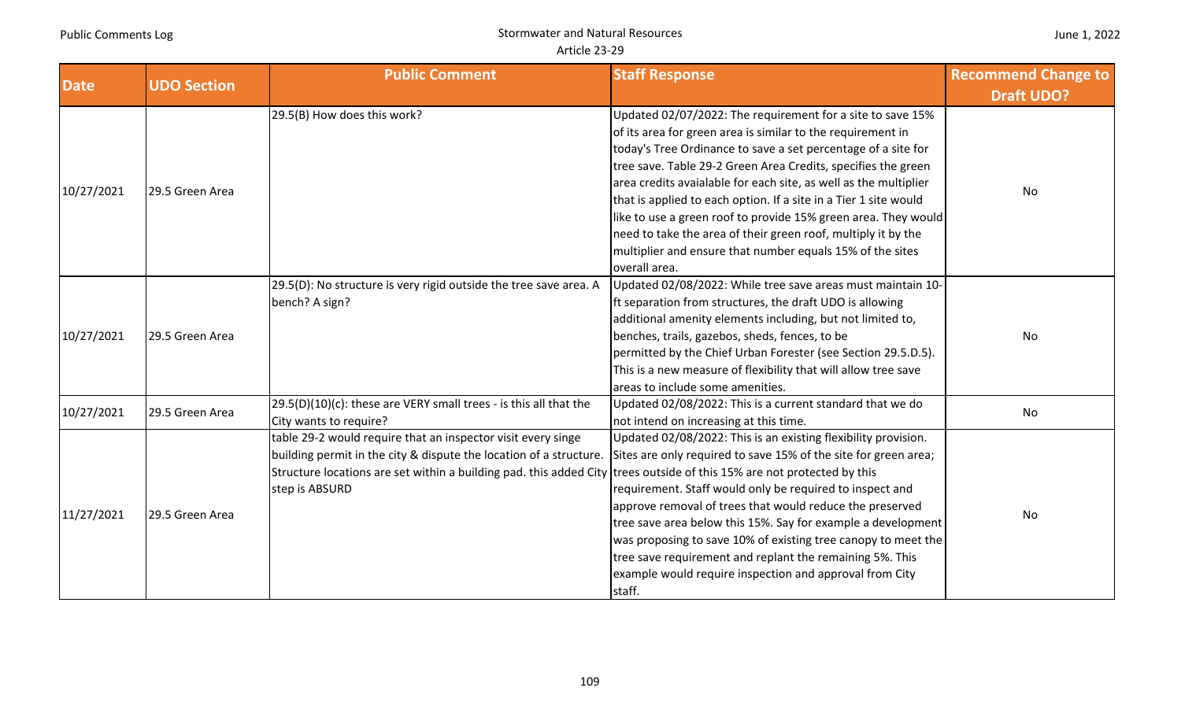| <b>Date</b> | <b>UDO Section</b> | <b>Public Comment</b>                                                                                                  | <b>Staff Response</b>                                            | <b>Recommend Change to</b><br><b>Draft UDO?</b> |
|-------------|--------------------|------------------------------------------------------------------------------------------------------------------------|------------------------------------------------------------------|-------------------------------------------------|
|             |                    | 29.5(B) How does this work?                                                                                            | Updated 02/07/2022: The requirement for a site to save 15%       |                                                 |
|             |                    |                                                                                                                        | of its area for green area is similar to the requirement in      |                                                 |
|             |                    |                                                                                                                        | today's Tree Ordinance to save a set percentage of a site for    |                                                 |
|             |                    |                                                                                                                        | tree save. Table 29-2 Green Area Credits, specifies the green    |                                                 |
| 10/27/2021  | 29.5 Green Area    |                                                                                                                        | area credits avaialable for each site, as well as the multiplier | No                                              |
|             |                    |                                                                                                                        | that is applied to each option. If a site in a Tier 1 site would |                                                 |
|             |                    |                                                                                                                        | like to use a green roof to provide 15% green area. They would   |                                                 |
|             |                    |                                                                                                                        | need to take the area of their green roof, multiply it by the    |                                                 |
|             |                    |                                                                                                                        | multiplier and ensure that number equals 15% of the sites        |                                                 |
|             |                    |                                                                                                                        | overall area.                                                    |                                                 |
|             | 29.5 Green Area    | 29.5(D): No structure is very rigid outside the tree save area. A                                                      | Updated 02/08/2022: While tree save areas must maintain 10-      |                                                 |
|             |                    | bench? A sign?                                                                                                         | Ift separation from structures, the draft UDO is allowing        |                                                 |
|             |                    |                                                                                                                        | additional amenity elements including, but not limited to,       |                                                 |
| 10/27/2021  |                    |                                                                                                                        | benches, trails, gazebos, sheds, fences, to be                   | No                                              |
|             |                    |                                                                                                                        | permitted by the Chief Urban Forester (see Section 29.5.D.5).    |                                                 |
|             |                    |                                                                                                                        | This is a new measure of flexibility that will allow tree save   |                                                 |
|             |                    |                                                                                                                        | areas to include some amenities.                                 |                                                 |
|             | 29.5 Green Area    | 29.5(D)(10)(c): these are VERY small trees - is this all that the                                                      | Updated 02/08/2022: This is a current standard that we do        | No                                              |
| 10/27/2021  |                    | City wants to require?                                                                                                 | not intend on increasing at this time.                           |                                                 |
|             |                    | table 29-2 would require that an inspector visit every singe                                                           | Updated 02/08/2022: This is an existing flexibility provision.   |                                                 |
|             |                    | building permit in the city & dispute the location of a structure.                                                     | Sites are only required to save 15% of the site for green area;  |                                                 |
|             |                    | Structure locations are set within a building pad. this added City trees outside of this 15% are not protected by this |                                                                  |                                                 |
|             |                    | step is ABSURD                                                                                                         | requirement. Staff would only be required to inspect and         |                                                 |
| 11/27/2021  | 29.5 Green Area    |                                                                                                                        | approve removal of trees that would reduce the preserved         | No                                              |
|             |                    |                                                                                                                        | tree save area below this 15%. Say for example a development     |                                                 |
|             |                    |                                                                                                                        | was proposing to save 10% of existing tree canopy to meet the    |                                                 |
|             |                    |                                                                                                                        | tree save requirement and replant the remaining 5%. This         |                                                 |
|             |                    |                                                                                                                        | example would require inspection and approval from City          |                                                 |
|             |                    |                                                                                                                        | staff.                                                           |                                                 |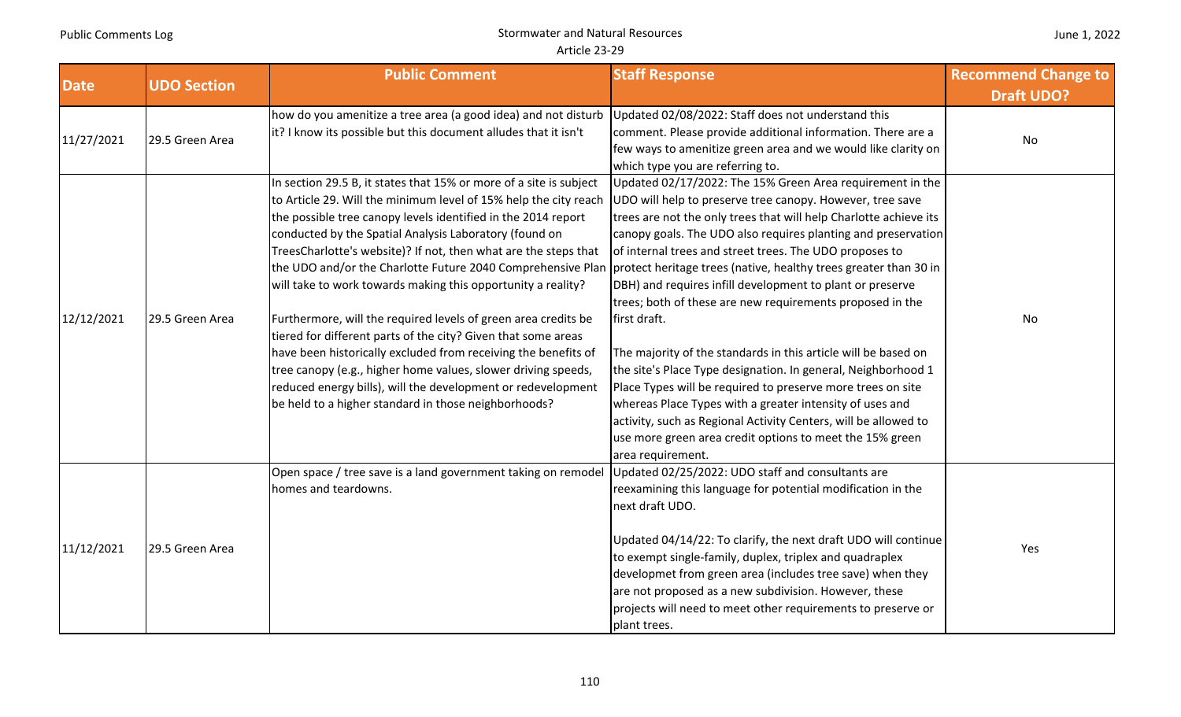| <b>Date</b> | <b>UDO Section</b> | <b>Public Comment</b>                                                                                                                                                                                                                                                                                                                                                                                                                                                                                                                                                                                                                                                                                                                                                                                                                                             | <b>Staff Response</b>                                                                                                                                                                                                                                                                                                                                                                                                                                                                                                                                                                                                                                                                                                                                                                                                                                                                                                                                   | <b>Recommend Change to</b><br><b>Draft UDO?</b> |
|-------------|--------------------|-------------------------------------------------------------------------------------------------------------------------------------------------------------------------------------------------------------------------------------------------------------------------------------------------------------------------------------------------------------------------------------------------------------------------------------------------------------------------------------------------------------------------------------------------------------------------------------------------------------------------------------------------------------------------------------------------------------------------------------------------------------------------------------------------------------------------------------------------------------------|---------------------------------------------------------------------------------------------------------------------------------------------------------------------------------------------------------------------------------------------------------------------------------------------------------------------------------------------------------------------------------------------------------------------------------------------------------------------------------------------------------------------------------------------------------------------------------------------------------------------------------------------------------------------------------------------------------------------------------------------------------------------------------------------------------------------------------------------------------------------------------------------------------------------------------------------------------|-------------------------------------------------|
| 11/27/2021  | 29.5 Green Area    | how do you amenitize a tree area (a good idea) and not disturb<br>it? I know its possible but this document alludes that it isn't                                                                                                                                                                                                                                                                                                                                                                                                                                                                                                                                                                                                                                                                                                                                 | Updated 02/08/2022: Staff does not understand this<br>comment. Please provide additional information. There are a<br>few ways to amenitize green area and we would like clarity on<br>which type you are referring to.                                                                                                                                                                                                                                                                                                                                                                                                                                                                                                                                                                                                                                                                                                                                  | No                                              |
| 12/12/2021  | 29.5 Green Area    | In section 29.5 B, it states that 15% or more of a site is subject<br>to Article 29. Will the minimum level of 15% help the city reach<br>the possible tree canopy levels identified in the 2014 report<br>conducted by the Spatial Analysis Laboratory (found on<br>TreesCharlotte's website)? If not, then what are the steps that<br>the UDO and/or the Charlotte Future 2040 Comprehensive Plan<br>will take to work towards making this opportunity a reality?<br>Furthermore, will the required levels of green area credits be<br>tiered for different parts of the city? Given that some areas<br>have been historically excluded from receiving the benefits of<br>tree canopy (e.g., higher home values, slower driving speeds,<br>reduced energy bills), will the development or redevelopment<br>be held to a higher standard in those neighborhoods? | Updated 02/17/2022: The 15% Green Area requirement in the<br>UDO will help to preserve tree canopy. However, tree save<br>trees are not the only trees that will help Charlotte achieve its<br>canopy goals. The UDO also requires planting and preservation<br>of internal trees and street trees. The UDO proposes to<br>protect heritage trees (native, healthy trees greater than 30 in<br>DBH) and requires infill development to plant or preserve<br>trees; both of these are new requirements proposed in the<br>first draft.<br>The majority of the standards in this article will be based on<br>the site's Place Type designation. In general, Neighborhood 1<br>Place Types will be required to preserve more trees on site<br>whereas Place Types with a greater intensity of uses and<br>activity, such as Regional Activity Centers, will be allowed to<br>use more green area credit options to meet the 15% green<br>area requirement. | No                                              |
| 11/12/2021  | 29.5 Green Area    | Open space / tree save is a land government taking on remodel<br>homes and teardowns.                                                                                                                                                                                                                                                                                                                                                                                                                                                                                                                                                                                                                                                                                                                                                                             | Updated 02/25/2022: UDO staff and consultants are<br>reexamining this language for potential modification in the<br>next draft UDO.<br>Updated 04/14/22: To clarify, the next draft UDO will continue<br>to exempt single-family, duplex, triplex and quadraplex<br>developmet from green area (includes tree save) when they<br>are not proposed as a new subdivision. However, these<br>projects will need to meet other requirements to preserve or<br>plant trees.                                                                                                                                                                                                                                                                                                                                                                                                                                                                                  | Yes                                             |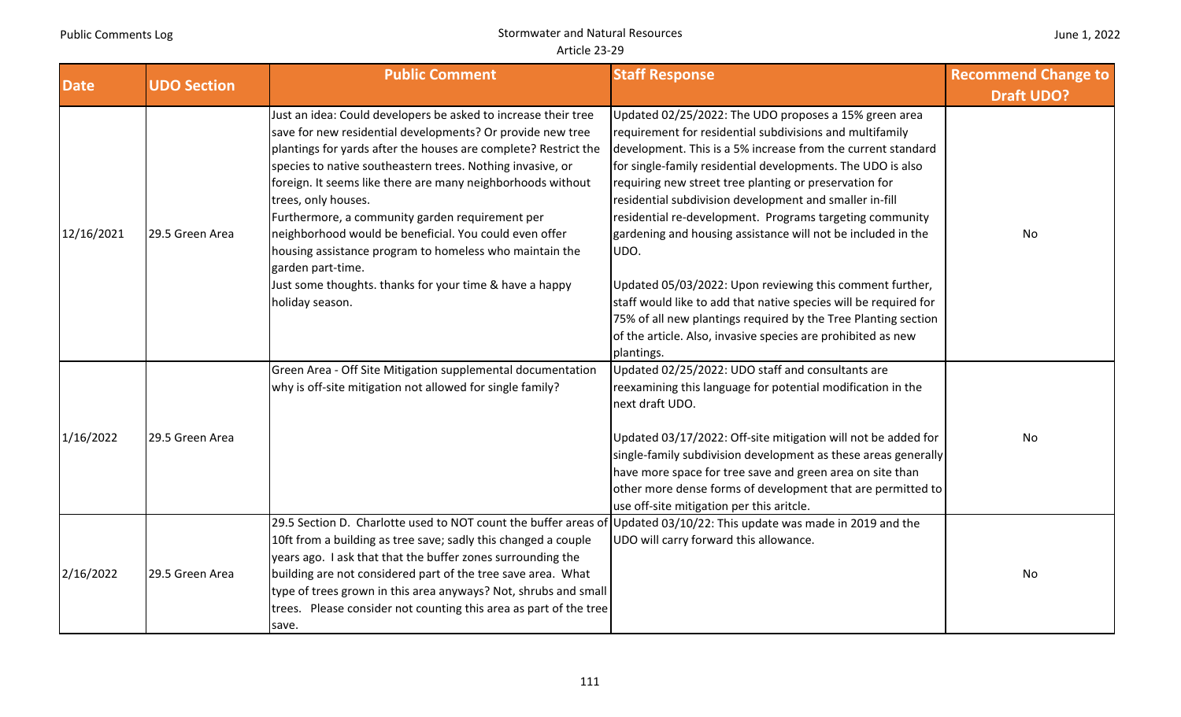| June 1, 2022 |  |  |  |
|--------------|--|--|--|
|--------------|--|--|--|

| <b>Date</b> | <b>UDO Section</b> | <b>Public Comment</b>                                                                                                                                                                                                                                                                                                                                                                                                                                                                                                                                                                                                          | <b>Staff Response</b>                                                                                                                                                                                                                                                                                                                                                                                                                                                                                                                                                                                                                                                                                                                                                                     | <b>Recommend Change to</b> |
|-------------|--------------------|--------------------------------------------------------------------------------------------------------------------------------------------------------------------------------------------------------------------------------------------------------------------------------------------------------------------------------------------------------------------------------------------------------------------------------------------------------------------------------------------------------------------------------------------------------------------------------------------------------------------------------|-------------------------------------------------------------------------------------------------------------------------------------------------------------------------------------------------------------------------------------------------------------------------------------------------------------------------------------------------------------------------------------------------------------------------------------------------------------------------------------------------------------------------------------------------------------------------------------------------------------------------------------------------------------------------------------------------------------------------------------------------------------------------------------------|----------------------------|
|             |                    |                                                                                                                                                                                                                                                                                                                                                                                                                                                                                                                                                                                                                                |                                                                                                                                                                                                                                                                                                                                                                                                                                                                                                                                                                                                                                                                                                                                                                                           | <b>Draft UDO?</b>          |
| 12/16/2021  | 29.5 Green Area    | Just an idea: Could developers be asked to increase their tree<br>save for new residential developments? Or provide new tree<br>plantings for yards after the houses are complete? Restrict the<br>species to native southeastern trees. Nothing invasive, or<br>foreign. It seems like there are many neighborhoods without<br>trees, only houses.<br>Furthermore, a community garden requirement per<br>neighborhood would be beneficial. You could even offer<br>housing assistance program to homeless who maintain the<br>garden part-time.<br>Just some thoughts. thanks for your time & have a happy<br>holiday season. | Updated 02/25/2022: The UDO proposes a 15% green area<br>requirement for residential subdivisions and multifamily<br>development. This is a 5% increase from the current standard<br>for single-family residential developments. The UDO is also<br>requiring new street tree planting or preservation for<br>residential subdivision development and smaller in-fill<br>residential re-development. Programs targeting community<br>gardening and housing assistance will not be included in the<br>UDO.<br>Updated 05/03/2022: Upon reviewing this comment further,<br>staff would like to add that native species will be required for<br>75% of all new plantings required by the Tree Planting section<br>of the article. Also, invasive species are prohibited as new<br>plantings. | No                         |
| 1/16/2022   | 29.5 Green Area    | Green Area - Off Site Mitigation supplemental documentation<br>why is off-site mitigation not allowed for single family?                                                                                                                                                                                                                                                                                                                                                                                                                                                                                                       | Updated 02/25/2022: UDO staff and consultants are<br>reexamining this language for potential modification in the<br>next draft UDO.<br>Updated 03/17/2022: Off-site mitigation will not be added for<br>single-family subdivision development as these areas generally<br>have more space for tree save and green area on site than<br>other more dense forms of development that are permitted to<br>use off-site mitigation per this aritcle.                                                                                                                                                                                                                                                                                                                                           | No                         |
| 2/16/2022   | 29.5 Green Area    | 29.5 Section D. Charlotte used to NOT count the buffer areas of<br>10ft from a building as tree save; sadly this changed a couple<br>years ago. I ask that that the buffer zones surrounding the<br>building are not considered part of the tree save area. What<br>type of trees grown in this area anyways? Not, shrubs and small<br>trees. Please consider not counting this area as part of the tree<br>save.                                                                                                                                                                                                              | Updated 03/10/22: This update was made in 2019 and the<br>UDO will carry forward this allowance.                                                                                                                                                                                                                                                                                                                                                                                                                                                                                                                                                                                                                                                                                          | <b>No</b>                  |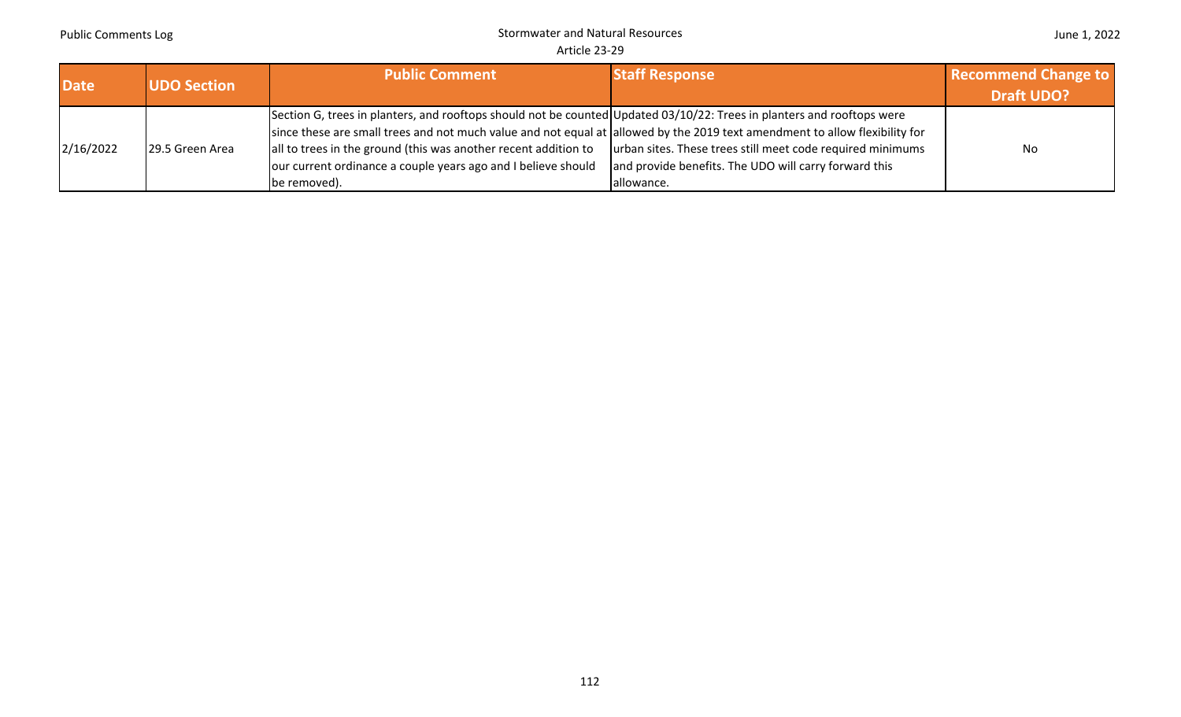|  |  | June 1, 2022 |
|--|--|--------------|
|--|--|--------------|

| <b>Date</b> | <b>UDO Section</b> | <b>Public Comment</b>                                                                                                                                                                                                                                                                                                                                                                                     | <b>Staff Response</b>                                                                                                             | <b>Recommend Change to</b><br><b>Draft UDO?</b> |
|-------------|--------------------|-----------------------------------------------------------------------------------------------------------------------------------------------------------------------------------------------------------------------------------------------------------------------------------------------------------------------------------------------------------------------------------------------------------|-----------------------------------------------------------------------------------------------------------------------------------|-------------------------------------------------|
| 2/16/2022   | 29.5 Green Area    | Section G, trees in planters, and rooftops should not be counted Updated 03/10/22: Trees in planters and rooftops were<br>since these are small trees and not much value and not equal at allowed by the 2019 text amendment to allow flexibility for<br>all to trees in the ground (this was another recent addition to<br>our current ordinance a couple years ago and I believe should<br>be removed). | urban sites. These trees still meet code required minimums<br>and provide benefits. The UDO will carry forward this<br>allowance. | No                                              |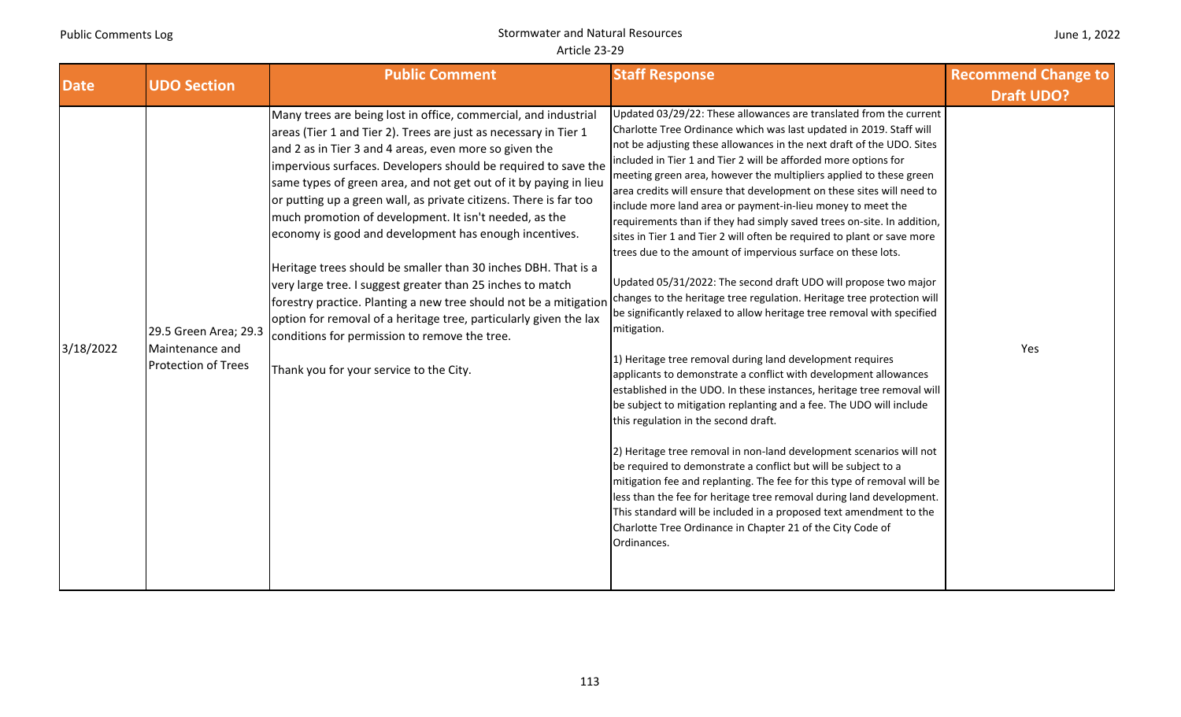| June 1, 2022 |  |  |  |
|--------------|--|--|--|
|--------------|--|--|--|

| <b>Date</b> |                                                                        | <b>Public Comment</b><br><b>UDO Section</b>                                                                                                                                                                                                                                                                                                                                                                                                                                                                                                                                                                                                                                                                                                                                                                                                                                                         |                                                                                                                                                                                                                                                                                                                                                                                                                                                                                                                                                                                                                                                                                                                                                                                                                                                                                                                                                                                                                                                                                                                                                                                                                                                                                                                                                                                                                                                                                                                                                                                                                                                                                                                                         | <b>Staff Response</b> | <b>Recommend Change to</b> |
|-------------|------------------------------------------------------------------------|-----------------------------------------------------------------------------------------------------------------------------------------------------------------------------------------------------------------------------------------------------------------------------------------------------------------------------------------------------------------------------------------------------------------------------------------------------------------------------------------------------------------------------------------------------------------------------------------------------------------------------------------------------------------------------------------------------------------------------------------------------------------------------------------------------------------------------------------------------------------------------------------------------|-----------------------------------------------------------------------------------------------------------------------------------------------------------------------------------------------------------------------------------------------------------------------------------------------------------------------------------------------------------------------------------------------------------------------------------------------------------------------------------------------------------------------------------------------------------------------------------------------------------------------------------------------------------------------------------------------------------------------------------------------------------------------------------------------------------------------------------------------------------------------------------------------------------------------------------------------------------------------------------------------------------------------------------------------------------------------------------------------------------------------------------------------------------------------------------------------------------------------------------------------------------------------------------------------------------------------------------------------------------------------------------------------------------------------------------------------------------------------------------------------------------------------------------------------------------------------------------------------------------------------------------------------------------------------------------------------------------------------------------------|-----------------------|----------------------------|
|             |                                                                        |                                                                                                                                                                                                                                                                                                                                                                                                                                                                                                                                                                                                                                                                                                                                                                                                                                                                                                     |                                                                                                                                                                                                                                                                                                                                                                                                                                                                                                                                                                                                                                                                                                                                                                                                                                                                                                                                                                                                                                                                                                                                                                                                                                                                                                                                                                                                                                                                                                                                                                                                                                                                                                                                         | <b>Draft UDO?</b>     |                            |
| 3/18/2022   | 29.5 Green Area; 29.3<br>Maintenance and<br><b>Protection of Trees</b> | Many trees are being lost in office, commercial, and industrial<br>areas (Tier 1 and Tier 2). Trees are just as necessary in Tier 1<br>and 2 as in Tier 3 and 4 areas, even more so given the<br>impervious surfaces. Developers should be required to save the<br>same types of green area, and not get out of it by paying in lieu<br>or putting up a green wall, as private citizens. There is far too<br>much promotion of development. It isn't needed, as the<br>economy is good and development has enough incentives.<br>Heritage trees should be smaller than 30 inches DBH. That is a<br>very large tree. I suggest greater than 25 inches to match<br>forestry practice. Planting a new tree should not be a mitigation<br>option for removal of a heritage tree, particularly given the lax<br>conditions for permission to remove the tree.<br>Thank you for your service to the City. | Updated 03/29/22: These allowances are translated from the current<br>Charlotte Tree Ordinance which was last updated in 2019. Staff will<br>not be adjusting these allowances in the next draft of the UDO. Sites<br>included in Tier 1 and Tier 2 will be afforded more options for<br>meeting green area, however the multipliers applied to these green<br>area credits will ensure that development on these sites will need to<br>include more land area or payment-in-lieu money to meet the<br>requirements than if they had simply saved trees on-site. In addition,<br>sites in Tier 1 and Tier 2 will often be required to plant or save more<br>trees due to the amount of impervious surface on these lots.<br>Updated 05/31/2022: The second draft UDO will propose two major<br>changes to the heritage tree regulation. Heritage tree protection will<br>be significantly relaxed to allow heritage tree removal with specified<br>mitigation.<br>1) Heritage tree removal during land development requires<br>applicants to demonstrate a conflict with development allowances<br>established in the UDO. In these instances, heritage tree removal will<br>be subject to mitigation replanting and a fee. The UDO will include<br>this regulation in the second draft.<br>2) Heritage tree removal in non-land development scenarios will not<br>be required to demonstrate a conflict but will be subject to a<br>mitigation fee and replanting. The fee for this type of removal will be<br>less than the fee for heritage tree removal during land development.<br>This standard will be included in a proposed text amendment to the<br>Charlotte Tree Ordinance in Chapter 21 of the City Code of<br>Ordinances. | Yes                   |                            |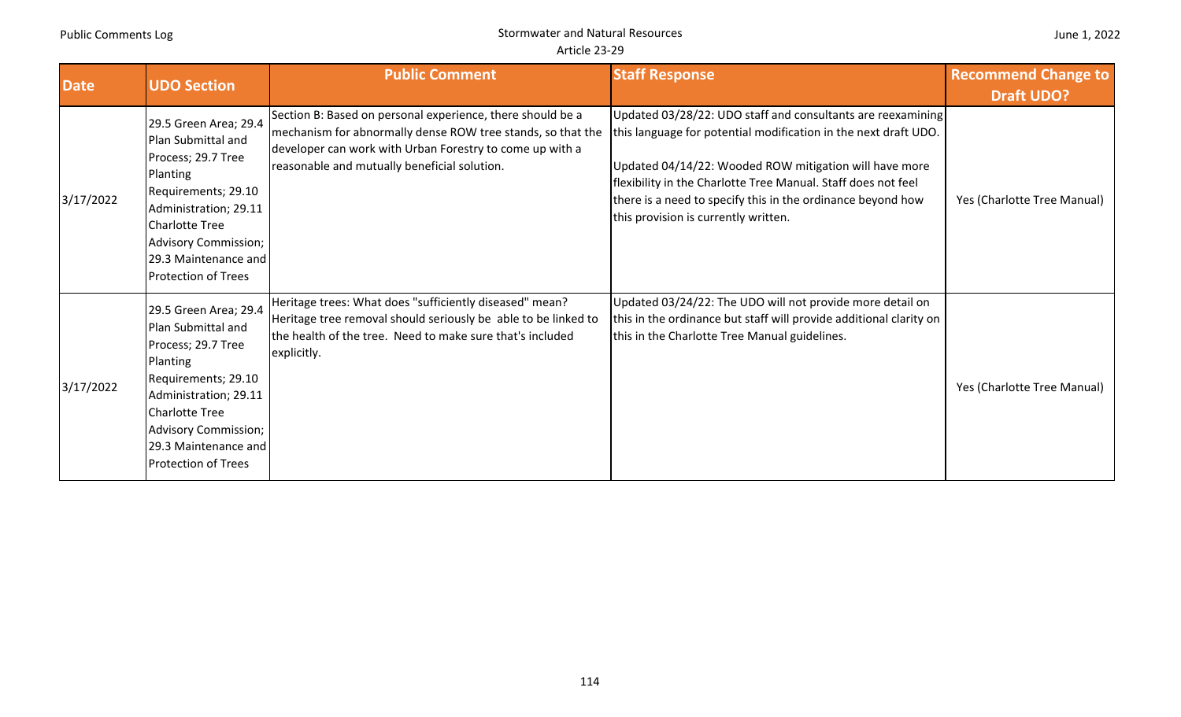| June 1, 2022 |  |  |
|--------------|--|--|
|--------------|--|--|

| <b>Date</b> | <b>UDO Section</b>                                                                                                                                                                                                                          | <b>Public Comment</b>                                                                                                                                                                                                                 | <b>Staff Response</b>                                                                                                                                                                                                                                                                                                                                            | <b>Recommend Change to</b><br><b>Draft UDO?</b> |
|-------------|---------------------------------------------------------------------------------------------------------------------------------------------------------------------------------------------------------------------------------------------|---------------------------------------------------------------------------------------------------------------------------------------------------------------------------------------------------------------------------------------|------------------------------------------------------------------------------------------------------------------------------------------------------------------------------------------------------------------------------------------------------------------------------------------------------------------------------------------------------------------|-------------------------------------------------|
| 3/17/2022   | 29.5 Green Area; 29.4<br>Plan Submittal and<br>Process; 29.7 Tree<br>Planting<br>Requirements; 29.10<br>Administration; 29.11<br><b>Charlotte Tree</b><br><b>Advisory Commission;</b><br>29.3 Maintenance and<br><b>Protection of Trees</b> | Section B: Based on personal experience, there should be a<br>mechanism for abnormally dense ROW tree stands, so that the<br>developer can work with Urban Forestry to come up with a<br>reasonable and mutually beneficial solution. | Updated 03/28/22: UDO staff and consultants are reexamining<br>this language for potential modification in the next draft UDO.<br>Updated 04/14/22: Wooded ROW mitigation will have more<br>flexibility in the Charlotte Tree Manual. Staff does not feel<br>there is a need to specify this in the ordinance beyond how<br>this provision is currently written. | Yes (Charlotte Tree Manual)                     |
| 3/17/2022   | 29.5 Green Area; 29.4<br>Plan Submittal and<br>Process; 29.7 Tree<br>Planting<br>Requirements; 29.10<br>Administration; 29.11<br><b>Charlotte Tree</b><br><b>Advisory Commission;</b><br>29.3 Maintenance and<br><b>Protection of Trees</b> | Heritage trees: What does "sufficiently diseased" mean?<br>Heritage tree removal should seriously be able to be linked to<br>the health of the tree. Need to make sure that's included<br>explicitly.                                 | Updated 03/24/22: The UDO will not provide more detail on<br>this in the ordinance but staff will provide additional clarity on<br>this in the Charlotte Tree Manual guidelines.                                                                                                                                                                                 | Yes (Charlotte Tree Manual)                     |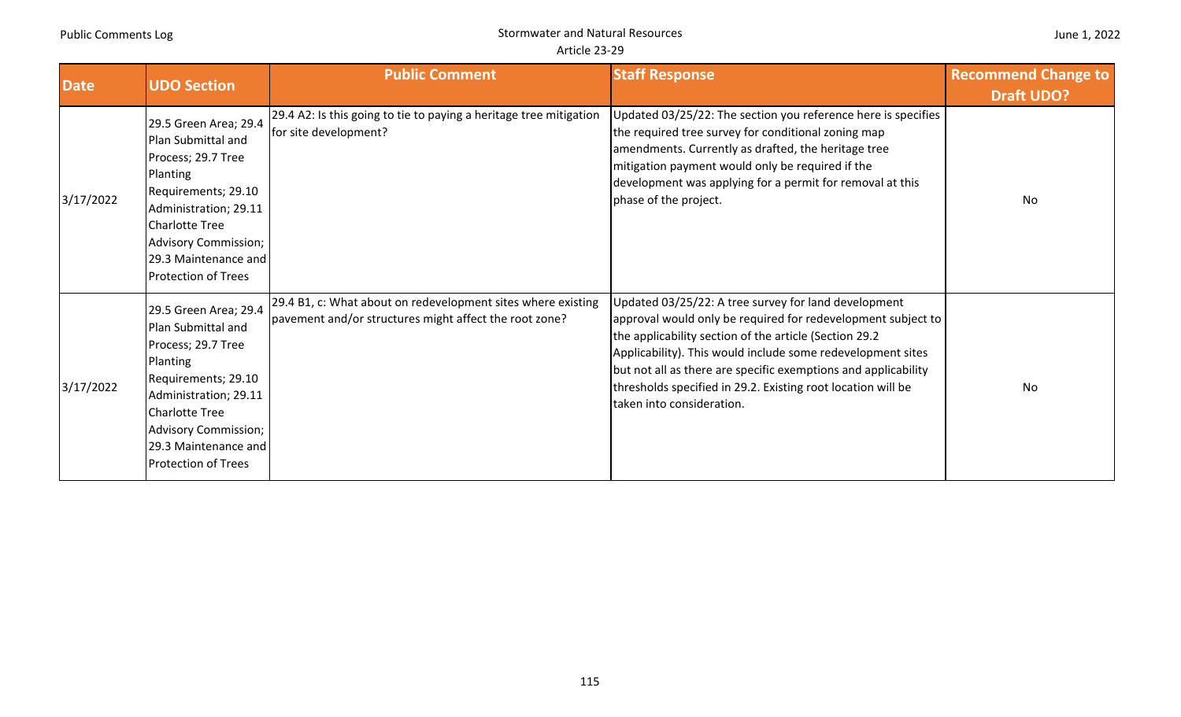|  |  | June 1, 2022 |
|--|--|--------------|
|--|--|--------------|

| <b>Date</b> | <b>UDO Section</b>                                                                                                                                                                                                                          | <b>Public Comment</b>                                                                                                  | <b>Staff Response</b>                                                                                                                                                                                                                                                                                                                                                                                         | <b>Recommend Change to</b><br><b>Draft UDO?</b> |
|-------------|---------------------------------------------------------------------------------------------------------------------------------------------------------------------------------------------------------------------------------------------|------------------------------------------------------------------------------------------------------------------------|---------------------------------------------------------------------------------------------------------------------------------------------------------------------------------------------------------------------------------------------------------------------------------------------------------------------------------------------------------------------------------------------------------------|-------------------------------------------------|
| 3/17/2022   | 29.5 Green Area; 29.4<br>Plan Submittal and<br>Process; 29.7 Tree<br>Planting<br>Requirements; 29.10<br>Administration; 29.11<br><b>Charlotte Tree</b><br><b>Advisory Commission;</b><br>29.3 Maintenance and<br><b>Protection of Trees</b> | 29.4 A2: Is this going to tie to paying a heritage tree mitigation<br>for site development?                            | Updated 03/25/22: The section you reference here is specifies<br>the required tree survey for conditional zoning map<br>amendments. Currently as drafted, the heritage tree<br>mitigation payment would only be required if the<br>development was applying for a permit for removal at this<br>phase of the project.                                                                                         | No                                              |
| 3/17/2022   | 29.5 Green Area; 29.4<br>Plan Submittal and<br>Process; 29.7 Tree<br>Planting<br>Requirements; 29.10<br>Administration; 29.11<br><b>Charlotte Tree</b><br><b>Advisory Commission;</b><br>29.3 Maintenance and<br><b>Protection of Trees</b> | 29.4 B1, c: What about on redevelopment sites where existing<br>pavement and/or structures might affect the root zone? | Updated 03/25/22: A tree survey for land development<br>approval would only be required for redevelopment subject to<br>the applicability section of the article (Section 29.2)<br>Applicability). This would include some redevelopment sites<br>but not all as there are specific exemptions and applicability<br>thresholds specified in 29.2. Existing root location will be<br>taken into consideration. | No                                              |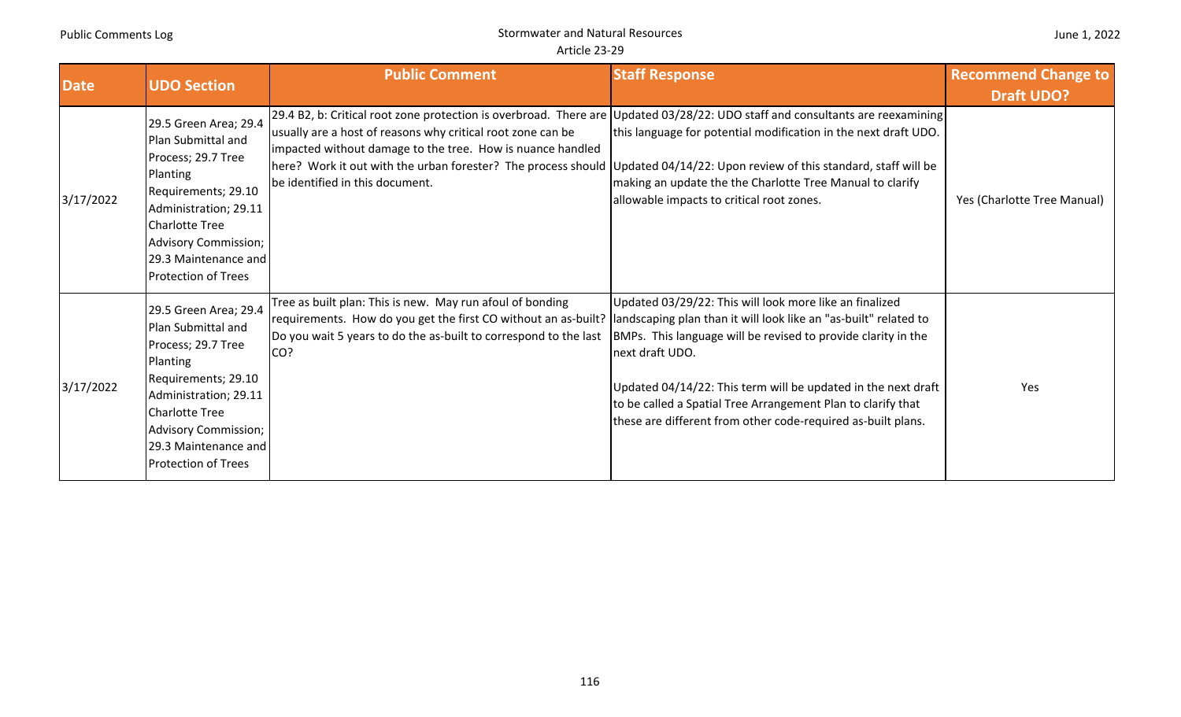|  |  | June 1, 2022 |
|--|--|--------------|
|--|--|--------------|

| <b>Date</b> | <b>UDO Section</b>                                                                                                                                                                                                                          | <b>Public Comment</b>                                                                                                                                                                                                                                                                                                                                                                                                         | <b>Staff Response</b>                                                                                                                                                                                                                                                                                                                        | <b>Recommend Change to</b><br><b>Draft UDO?</b> |
|-------------|---------------------------------------------------------------------------------------------------------------------------------------------------------------------------------------------------------------------------------------------|-------------------------------------------------------------------------------------------------------------------------------------------------------------------------------------------------------------------------------------------------------------------------------------------------------------------------------------------------------------------------------------------------------------------------------|----------------------------------------------------------------------------------------------------------------------------------------------------------------------------------------------------------------------------------------------------------------------------------------------------------------------------------------------|-------------------------------------------------|
| 3/17/2022   | 29.5 Green Area; 29.4<br>Plan Submittal and<br>Process; 29.7 Tree<br>Planting<br>Requirements; 29.10<br>Administration; 29.11<br><b>Charlotte Tree</b><br><b>Advisory Commission;</b><br>29.3 Maintenance and<br><b>Protection of Trees</b> | [29.4 B2, b: Critical root zone protection is overbroad. There are Updated 03/28/22: UDO staff and consultants are reexamining<br>usually are a host of reasons why critical root zone can be<br>impacted without damage to the tree. How is nuance handled<br>here? Work it out with the urban forester? The process should Updated 04/14/22: Upon review of this standard, staff will be<br>be identified in this document. | this language for potential modification in the next draft UDO.<br>making an update the the Charlotte Tree Manual to clarify<br>allowable impacts to critical root zones.                                                                                                                                                                    | Yes (Charlotte Tree Manual)                     |
| 3/17/2022   | 29.5 Green Area; 29.4<br>Plan Submittal and<br>Process; 29.7 Tree<br>Planting<br>Requirements; 29.10<br>Administration; 29.11<br><b>Charlotte Tree</b><br>Advisory Commission;<br>29.3 Maintenance and<br><b>Protection of Trees</b>        | Tree as built plan: This is new. May run afoul of bonding<br>requirements. How do you get the first CO without an as-built?  landscaping plan than it will look like an "as-built" related to<br>Do you wait 5 years to do the as-built to correspond to the last<br>CO?                                                                                                                                                      | Updated 03/29/22: This will look more like an finalized<br>BMPs. This language will be revised to provide clarity in the<br>next draft UDO.<br>Updated 04/14/22: This term will be updated in the next draft<br>to be called a Spatial Tree Arrangement Plan to clarify that<br>these are different from other code-required as-built plans. | Yes                                             |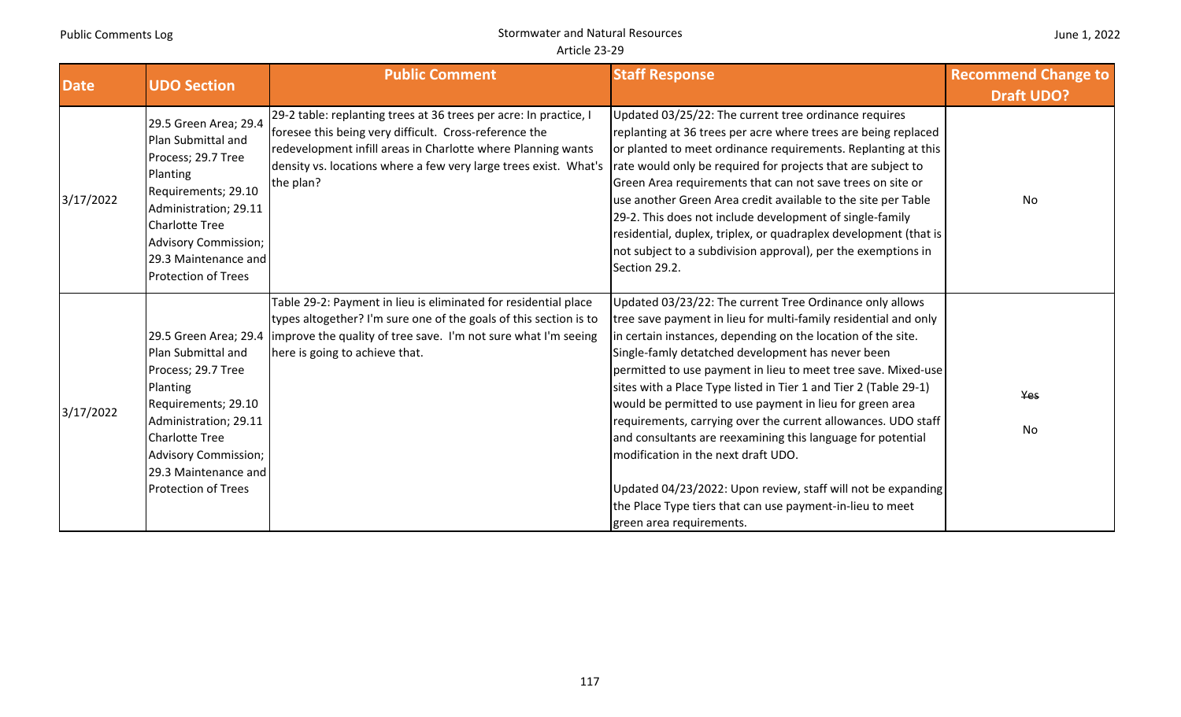|  |  | June 1, 2022 |
|--|--|--------------|
|--|--|--------------|

| <b>Date</b> | <b>UDO Section</b>                                                                                                                                                                                                                          | <b>Public Comment</b>                                                                                                                                                                                                                                                        | <b>Staff Response</b>                                                                                                                                                                                                                                                                                                                                                                                                                                                                                                                                                                                                                                                                                                                                                             | <b>Recommend Change to</b> |
|-------------|---------------------------------------------------------------------------------------------------------------------------------------------------------------------------------------------------------------------------------------------|------------------------------------------------------------------------------------------------------------------------------------------------------------------------------------------------------------------------------------------------------------------------------|-----------------------------------------------------------------------------------------------------------------------------------------------------------------------------------------------------------------------------------------------------------------------------------------------------------------------------------------------------------------------------------------------------------------------------------------------------------------------------------------------------------------------------------------------------------------------------------------------------------------------------------------------------------------------------------------------------------------------------------------------------------------------------------|----------------------------|
|             |                                                                                                                                                                                                                                             |                                                                                                                                                                                                                                                                              |                                                                                                                                                                                                                                                                                                                                                                                                                                                                                                                                                                                                                                                                                                                                                                                   | <b>Draft UDO?</b>          |
| 3/17/2022   | 29.5 Green Area; 29.4<br>Plan Submittal and<br>Process; 29.7 Tree<br>Planting<br>Requirements; 29.10<br>Administration; 29.11<br><b>Charlotte Tree</b><br><b>Advisory Commission;</b><br>29.3 Maintenance and<br><b>Protection of Trees</b> | 29-2 table: replanting trees at 36 trees per acre: In practice, I<br>foresee this being very difficult. Cross-reference the<br>redevelopment infill areas in Charlotte where Planning wants<br>density vs. locations where a few very large trees exist. What's<br>the plan? | Updated 03/25/22: The current tree ordinance requires<br>replanting at 36 trees per acre where trees are being replaced<br>or planted to meet ordinance requirements. Replanting at this<br>rate would only be required for projects that are subject to<br>Green Area requirements that can not save trees on site or<br>use another Green Area credit available to the site per Table<br>29-2. This does not include development of single-family<br>residential, duplex, triplex, or quadraplex development (that is<br>not subject to a subdivision approval), per the exemptions in<br>Section 29.2.                                                                                                                                                                         | No                         |
| 3/17/2022   | Plan Submittal and<br>Process; 29.7 Tree<br>Planting<br>Requirements; 29.10<br>Administration; 29.11<br><b>Charlotte Tree</b><br><b>Advisory Commission;</b><br>29.3 Maintenance and<br><b>Protection of Trees</b>                          | Table 29-2: Payment in lieu is eliminated for residential place<br>types altogether? I'm sure one of the goals of this section is to<br>29.5 Green Area; 29.4   improve the quality of tree save. I'm not sure what I'm seeing<br>here is going to achieve that.             | Updated 03/23/22: The current Tree Ordinance only allows<br>tree save payment in lieu for multi-family residential and only<br>in certain instances, depending on the location of the site.<br>Single-famly detatched development has never been<br>permitted to use payment in lieu to meet tree save. Mixed-use<br>sites with a Place Type listed in Tier 1 and Tier 2 (Table 29-1)<br>would be permitted to use payment in lieu for green area<br>requirements, carrying over the current allowances. UDO staff<br>and consultants are reexamining this language for potential<br>modification in the next draft UDO.<br>Updated 04/23/2022: Upon review, staff will not be expanding<br>the Place Type tiers that can use payment-in-lieu to meet<br>green area requirements. | Yes<br>No                  |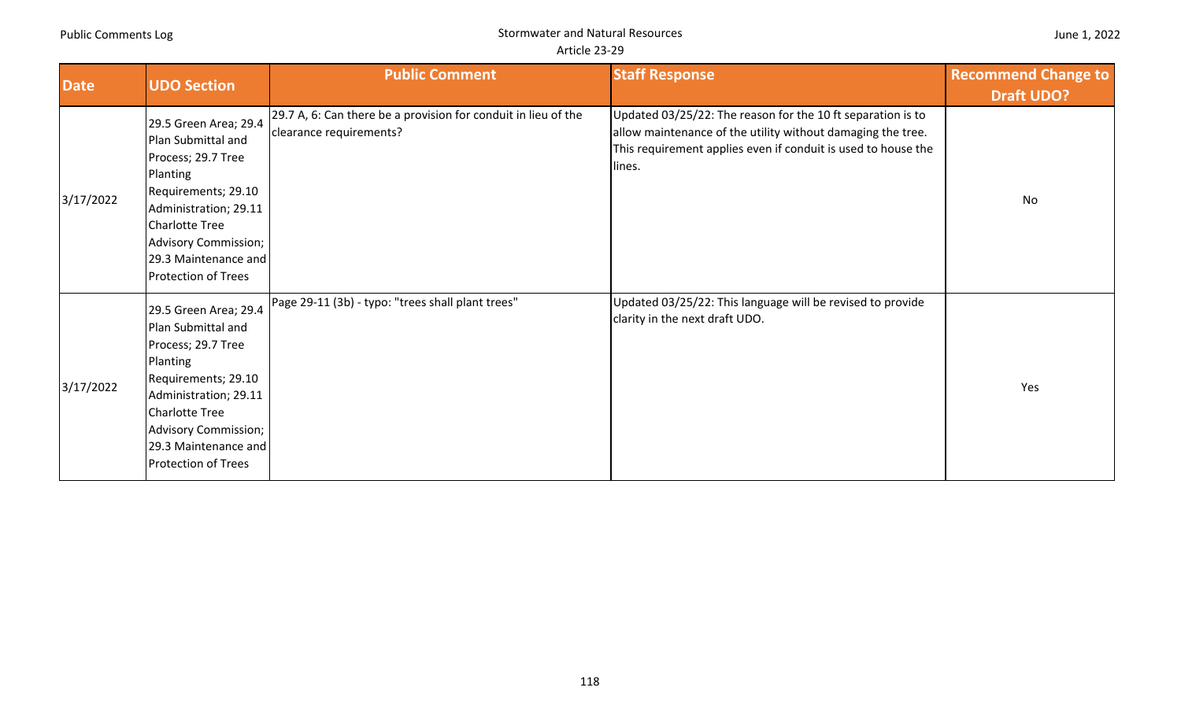| <b>Date</b> | <b>UDO Section</b>                                                                                                                                                                                                                   | <b>Public Comment</b>                                                                     | <b>Staff Response</b>                                                                                                                                                                                 | <b>Recommend Change to</b><br><b>Draft UDO?</b> |
|-------------|--------------------------------------------------------------------------------------------------------------------------------------------------------------------------------------------------------------------------------------|-------------------------------------------------------------------------------------------|-------------------------------------------------------------------------------------------------------------------------------------------------------------------------------------------------------|-------------------------------------------------|
| 3/17/2022   | 29.5 Green Area; 29.4<br>Plan Submittal and<br>Process; 29.7 Tree<br>Planting<br>Requirements; 29.10<br>Administration; 29.11<br>Charlotte Tree<br><b>Advisory Commission;</b><br>29.3 Maintenance and<br><b>Protection of Trees</b> | 29.7 A, 6: Can there be a provision for conduit in lieu of the<br>clearance requirements? | Updated 03/25/22: The reason for the 10 ft separation is to<br>allow maintenance of the utility without damaging the tree.<br>This requirement applies even if conduit is used to house the<br>lines. | No                                              |
| 3/17/2022   | 29.5 Green Area; 29.4<br>Plan Submittal and<br>Process; 29.7 Tree<br>Planting<br>Requirements; 29.10<br>Administration; 29.11<br><b>Charlotte Tree</b><br>Advisory Commission;<br>29.3 Maintenance and<br><b>Protection of Trees</b> | Page 29-11 (3b) - typo: "trees shall plant trees"                                         | Updated 03/25/22: This language will be revised to provide<br>clarity in the next draft UDO.                                                                                                          | Yes                                             |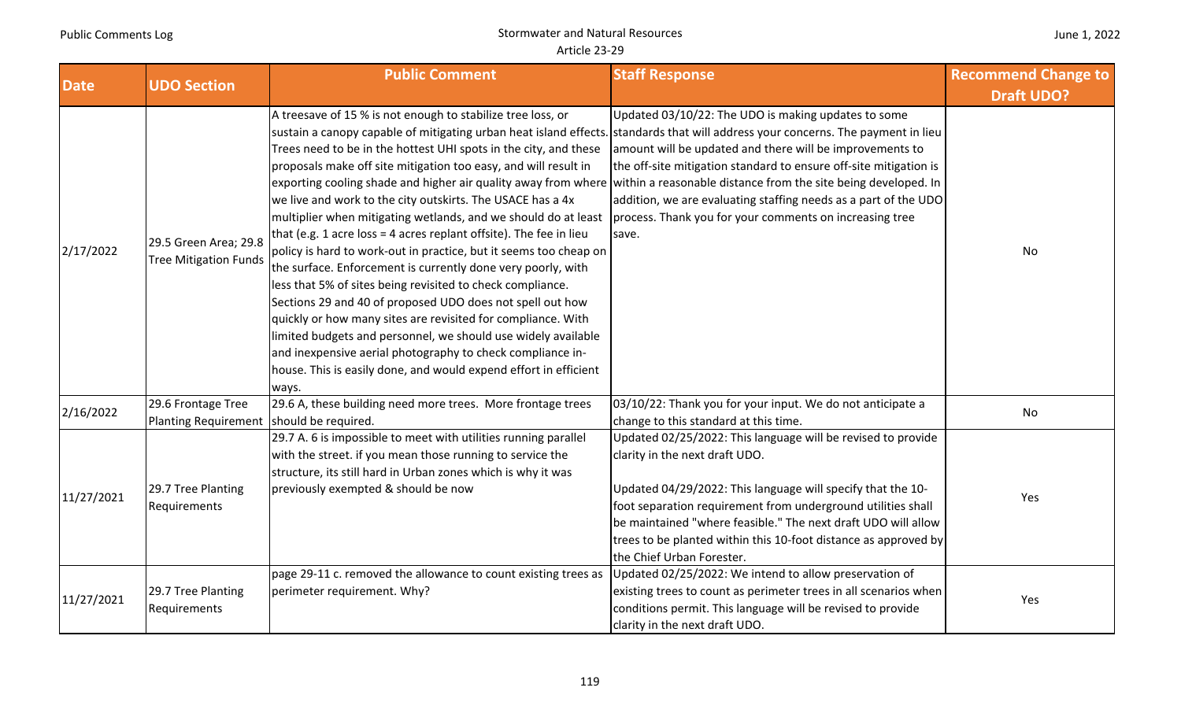|  |  | June 1, 2022 |
|--|--|--------------|
|--|--|--------------|

| <b>Date</b> | <b>UDO Section</b>                                             | <b>Public Comment</b>                                                                                                                                                                                                                                                                                                                                                                                                                                                                                                                                                                                                                                                                                                                                                                                                                                                                                                                                                                                                                                                                                                                                                                                                     | <b>Staff Response</b>                                                                                                                                                                                                                                                                                                                                                                          | <b>Recommend Change to</b><br><b>Draft UDO?</b> |
|-------------|----------------------------------------------------------------|---------------------------------------------------------------------------------------------------------------------------------------------------------------------------------------------------------------------------------------------------------------------------------------------------------------------------------------------------------------------------------------------------------------------------------------------------------------------------------------------------------------------------------------------------------------------------------------------------------------------------------------------------------------------------------------------------------------------------------------------------------------------------------------------------------------------------------------------------------------------------------------------------------------------------------------------------------------------------------------------------------------------------------------------------------------------------------------------------------------------------------------------------------------------------------------------------------------------------|------------------------------------------------------------------------------------------------------------------------------------------------------------------------------------------------------------------------------------------------------------------------------------------------------------------------------------------------------------------------------------------------|-------------------------------------------------|
| 2/17/2022   | 29.5 Green Area; 29.8<br>Tree Mitigation Funds                 | A treesave of 15 % is not enough to stabilize tree loss, or<br>sustain a canopy capable of mitigating urban heat island effects. standards that will address your concerns. The payment in lieu<br>Trees need to be in the hottest UHI spots in the city, and these<br>proposals make off site mitigation too easy, and will result in<br>exporting cooling shade and higher air quality away from where within a reasonable distance from the site being developed. In<br>we live and work to the city outskirts. The USACE has a 4x<br>multiplier when mitigating wetlands, and we should do at least<br>that (e.g. 1 acre loss = 4 acres replant offsite). The fee in lieu<br>policy is hard to work-out in practice, but it seems too cheap on<br>the surface. Enforcement is currently done very poorly, with<br>less that 5% of sites being revisited to check compliance.<br>Sections 29 and 40 of proposed UDO does not spell out how<br>quickly or how many sites are revisited for compliance. With<br>limited budgets and personnel, we should use widely available<br>and inexpensive aerial photography to check compliance in-<br>house. This is easily done, and would expend effort in efficient<br>ways. | Updated 03/10/22: The UDO is making updates to some<br>amount will be updated and there will be improvements to<br>the off-site mitigation standard to ensure off-site mitigation is<br>addition, we are evaluating staffing needs as a part of the UDO<br>process. Thank you for your comments on increasing tree<br>save.                                                                    | No                                              |
| 2/16/2022   | 29.6 Frontage Tree<br>Planting Requirement should be required. | 29.6 A, these building need more trees. More frontage trees                                                                                                                                                                                                                                                                                                                                                                                                                                                                                                                                                                                                                                                                                                                                                                                                                                                                                                                                                                                                                                                                                                                                                               | 03/10/22: Thank you for your input. We do not anticipate a<br>change to this standard at this time.                                                                                                                                                                                                                                                                                            | No                                              |
| 11/27/2021  | 29.7 Tree Planting<br>Requirements                             | 29.7 A. 6 is impossible to meet with utilities running parallel<br>with the street. if you mean those running to service the<br>structure, its still hard in Urban zones which is why it was<br>previously exempted & should be now                                                                                                                                                                                                                                                                                                                                                                                                                                                                                                                                                                                                                                                                                                                                                                                                                                                                                                                                                                                       | Updated 02/25/2022: This language will be revised to provide<br>clarity in the next draft UDO.<br>Updated 04/29/2022: This language will specify that the 10-<br>foot separation requirement from underground utilities shall<br>be maintained "where feasible." The next draft UDO will allow<br>trees to be planted within this 10-foot distance as approved by<br>the Chief Urban Forester. | Yes                                             |
| 11/27/2021  | 29.7 Tree Planting<br>Requirements                             | page 29-11 c. removed the allowance to count existing trees as<br>perimeter requirement. Why?                                                                                                                                                                                                                                                                                                                                                                                                                                                                                                                                                                                                                                                                                                                                                                                                                                                                                                                                                                                                                                                                                                                             | Updated 02/25/2022: We intend to allow preservation of<br>existing trees to count as perimeter trees in all scenarios when<br>conditions permit. This language will be revised to provide<br>clarity in the next draft UDO.                                                                                                                                                                    | Yes                                             |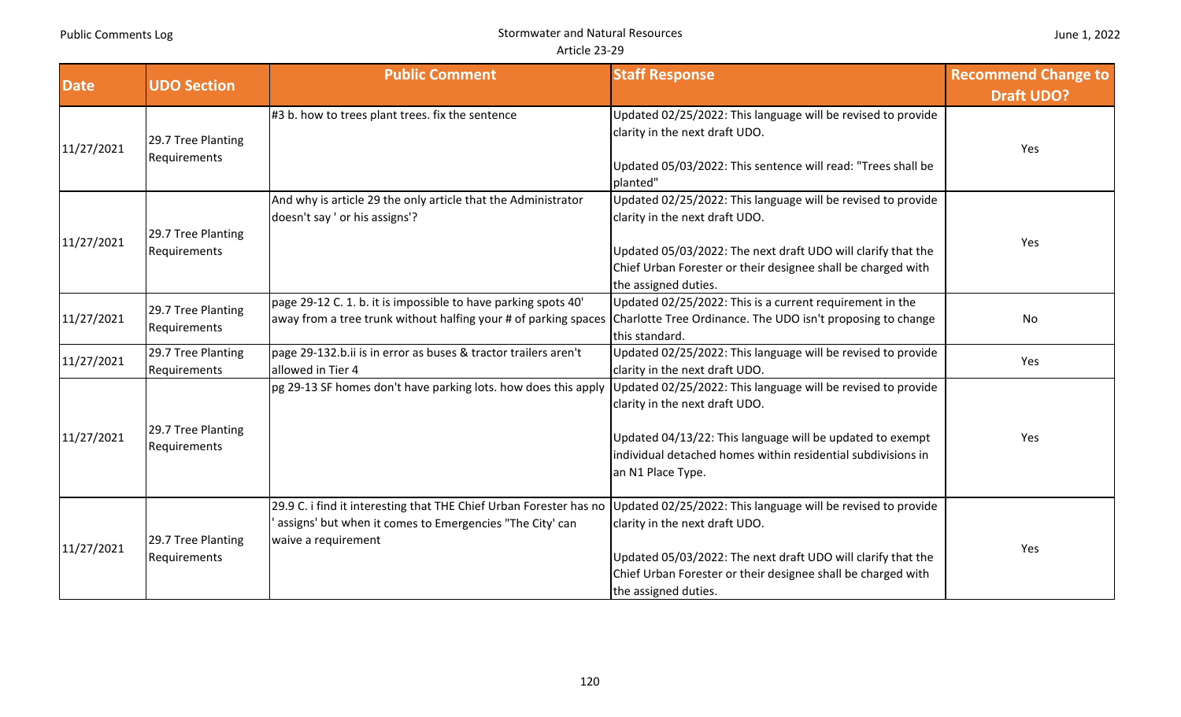|             |                                    | <b>Public Comment</b>                                                                                                                                                                                              | <b>Staff Response</b>                                                                                                                                                                                                                                  | <b>Recommend Change to</b> |
|-------------|------------------------------------|--------------------------------------------------------------------------------------------------------------------------------------------------------------------------------------------------------------------|--------------------------------------------------------------------------------------------------------------------------------------------------------------------------------------------------------------------------------------------------------|----------------------------|
| <b>Date</b> | <b>UDO Section</b>                 |                                                                                                                                                                                                                    |                                                                                                                                                                                                                                                        | <b>Draft UDO?</b>          |
| 11/27/2021  | 29.7 Tree Planting<br>Requirements | #3 b. how to trees plant trees. fix the sentence                                                                                                                                                                   | Updated 02/25/2022: This language will be revised to provide<br>clarity in the next draft UDO.<br>Updated 05/03/2022: This sentence will read: "Trees shall be<br>planted"                                                                             | Yes                        |
| 11/27/2021  | 29.7 Tree Planting<br>Requirements | And why is article 29 the only article that the Administrator<br>doesn't say ' or his assigns'?                                                                                                                    | Updated 02/25/2022: This language will be revised to provide<br>clarity in the next draft UDO.<br>Updated 05/03/2022: The next draft UDO will clarify that the<br>Chief Urban Forester or their designee shall be charged with<br>the assigned duties. | Yes                        |
| 11/27/2021  | 29.7 Tree Planting<br>Requirements | page 29-12 C. 1. b. it is impossible to have parking spots 40'<br>away from a tree trunk without halfing your # of parking spaces Charlotte Tree Ordinance. The UDO isn't proposing to change                      | Updated 02/25/2022: This is a current requirement in the<br>this standard.                                                                                                                                                                             | No                         |
| 11/27/2021  | 29.7 Tree Planting<br>Requirements | page 29-132.b.ii is in error as buses & tractor trailers aren't<br>allowed in Tier 4                                                                                                                               | Updated 02/25/2022: This language will be revised to provide<br>clarity in the next draft UDO.                                                                                                                                                         | Yes                        |
| 11/27/2021  | 29.7 Tree Planting<br>Requirements | pg 29-13 SF homes don't have parking lots. how does this apply Updated 02/25/2022: This language will be revised to provide                                                                                        | clarity in the next draft UDO.<br>Updated 04/13/22: This language will be updated to exempt<br>individual detached homes within residential subdivisions in<br>an N1 Place Type.                                                                       | Yes                        |
| 11/27/2021  | 29.7 Tree Planting<br>Requirements | 29.9 C. i find it interesting that THE Chief Urban Forester has no Updated 02/25/2022: This language will be revised to provide<br>assigns' but when it comes to Emergencies "The City' can<br>waive a requirement | clarity in the next draft UDO.<br>Updated 05/03/2022: The next draft UDO will clarify that the<br>Chief Urban Forester or their designee shall be charged with<br>the assigned duties.                                                                 | Yes                        |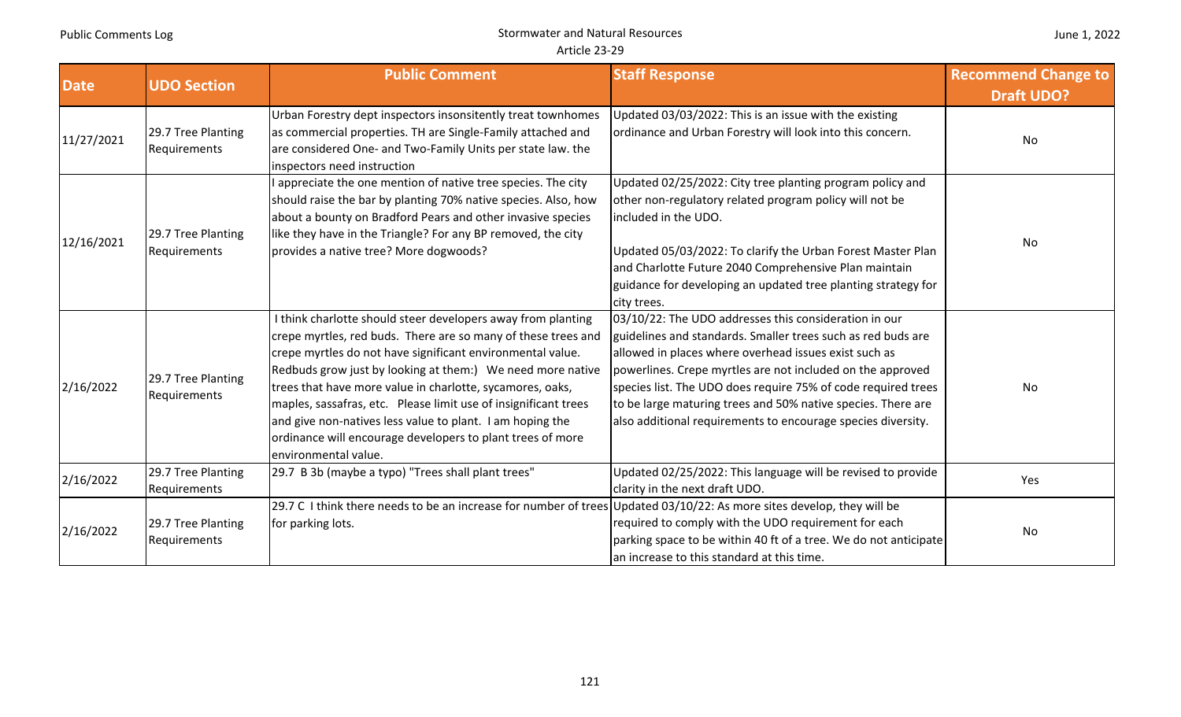### Stormwater and Natural Resources Article 23‐29

| <b>Date</b> | <b>UDO Section</b>                 | <b>Public Comment</b>                                                                                                                                                                                                                                                                                                                                                                                                                                                                                                                        | <b>Staff Response</b>                                                                                                                                                                                                                                                                                                                                                                                                                         | <b>Recommend Change to</b><br><b>Draft UDO?</b> |
|-------------|------------------------------------|----------------------------------------------------------------------------------------------------------------------------------------------------------------------------------------------------------------------------------------------------------------------------------------------------------------------------------------------------------------------------------------------------------------------------------------------------------------------------------------------------------------------------------------------|-----------------------------------------------------------------------------------------------------------------------------------------------------------------------------------------------------------------------------------------------------------------------------------------------------------------------------------------------------------------------------------------------------------------------------------------------|-------------------------------------------------|
| 11/27/2021  | 29.7 Tree Planting<br>Requirements | Urban Forestry dept inspectors insonsitently treat townhomes<br>as commercial properties. TH are Single-Family attached and<br>are considered One- and Two-Family Units per state law. the<br>inspectors need instruction                                                                                                                                                                                                                                                                                                                    | Updated 03/03/2022: This is an issue with the existing<br>ordinance and Urban Forestry will look into this concern.                                                                                                                                                                                                                                                                                                                           | <b>No</b>                                       |
| 12/16/2021  | 29.7 Tree Planting<br>Requirements | appreciate the one mention of native tree species. The city<br>should raise the bar by planting 70% native species. Also, how<br>about a bounty on Bradford Pears and other invasive species<br>like they have in the Triangle? For any BP removed, the city<br>provides a native tree? More dogwoods?                                                                                                                                                                                                                                       | Updated 02/25/2022: City tree planting program policy and<br>other non-regulatory related program policy will not be<br>included in the UDO.<br>Updated 05/03/2022: To clarify the Urban Forest Master Plan<br>and Charlotte Future 2040 Comprehensive Plan maintain<br>guidance for developing an updated tree planting strategy for<br>city trees.                                                                                          | No                                              |
| 2/16/2022   | 29.7 Tree Planting<br>Requirements | I think charlotte should steer developers away from planting<br>crepe myrtles, red buds. There are so many of these trees and<br>crepe myrtles do not have significant environmental value.<br>Redbuds grow just by looking at them:) We need more native<br>trees that have more value in charlotte, sycamores, oaks,<br>maples, sassafras, etc. Please limit use of insignificant trees<br>and give non-natives less value to plant. I am hoping the<br>ordinance will encourage developers to plant trees of more<br>environmental value. | 03/10/22: The UDO addresses this consideration in our<br>guidelines and standards. Smaller trees such as red buds are<br>allowed in places where overhead issues exist such as<br>powerlines. Crepe myrtles are not included on the approved<br>species list. The UDO does require 75% of code required trees<br>to be large maturing trees and 50% native species. There are<br>also additional requirements to encourage species diversity. | No                                              |
| 2/16/2022   | 29.7 Tree Planting<br>Requirements | 29.7 B 3b (maybe a typo) "Trees shall plant trees"                                                                                                                                                                                                                                                                                                                                                                                                                                                                                           | Updated 02/25/2022: This language will be revised to provide<br>clarity in the next draft UDO.                                                                                                                                                                                                                                                                                                                                                | Yes                                             |
| 2/16/2022   | 29.7 Tree Planting<br>Requirements | 29.7 C I think there needs to be an increase for number of trees Updated 03/10/22: As more sites develop, they will be<br>for parking lots.                                                                                                                                                                                                                                                                                                                                                                                                  | required to comply with the UDO requirement for each<br>parking space to be within 40 ft of a tree. We do not anticipate<br>an increase to this standard at this time.                                                                                                                                                                                                                                                                        | No                                              |